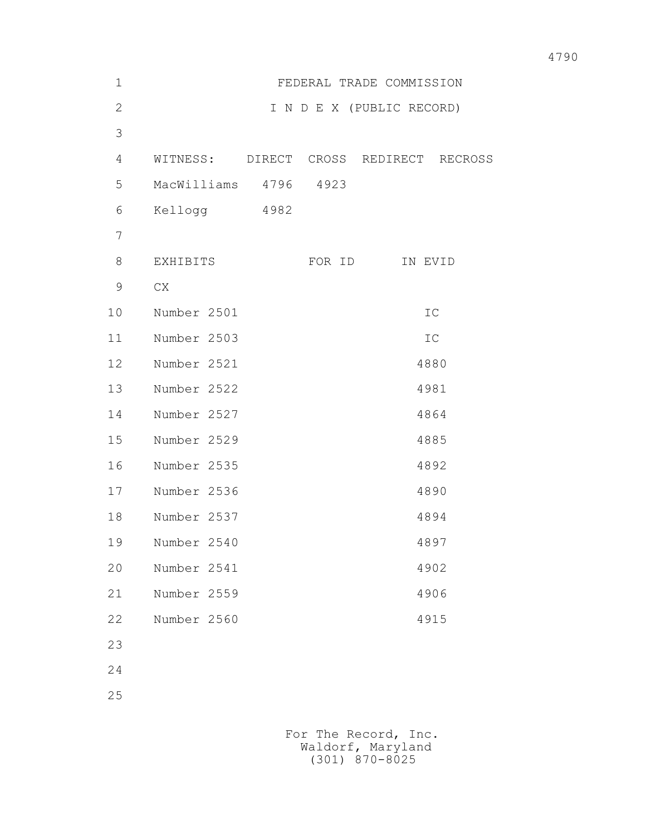| $\mathbf 1$    |                       |        | FEDERAL TRADE COMMISSION               |  |
|----------------|-----------------------|--------|----------------------------------------|--|
| $\overline{2}$ |                       |        | I N D E X (PUBLIC RECORD)              |  |
| 3              |                       |        |                                        |  |
| 4              |                       |        | WITNESS: DIRECT CROSS REDIRECT RECROSS |  |
| 5              | MacWilliams 4796 4923 |        |                                        |  |
| 6              | Kellogg 4982          |        |                                        |  |
| 7              |                       |        |                                        |  |
| 8              | EXHIBITS              | FOR ID | IN EVID                                |  |
| $\overline{9}$ | CX                    |        |                                        |  |
| 10             | Number 2501           |        | ${\tt IC}$                             |  |
| 11             | Number 2503           |        | ${\tt IC}$                             |  |
| 12             | Number 2521           |        | 4880                                   |  |
| 13             | Number 2522           |        | 4981                                   |  |
| 14             | Number 2527           |        | 4864                                   |  |
| 15             | Number 2529           |        | 4885                                   |  |
| 16             | Number 2535           |        | 4892                                   |  |
| 17             | Number 2536           |        | 4890                                   |  |
| 18             | Number 2537           |        | 4894                                   |  |
| 19             | Number 2540           |        | 4897                                   |  |
| 20             | Number 2541           |        | 4902                                   |  |
| 21             | Number 2559           |        | 4906                                   |  |
| 22             | Number 2560           |        | 4915                                   |  |
| 23             |                       |        |                                        |  |
|                |                       |        |                                        |  |

24

25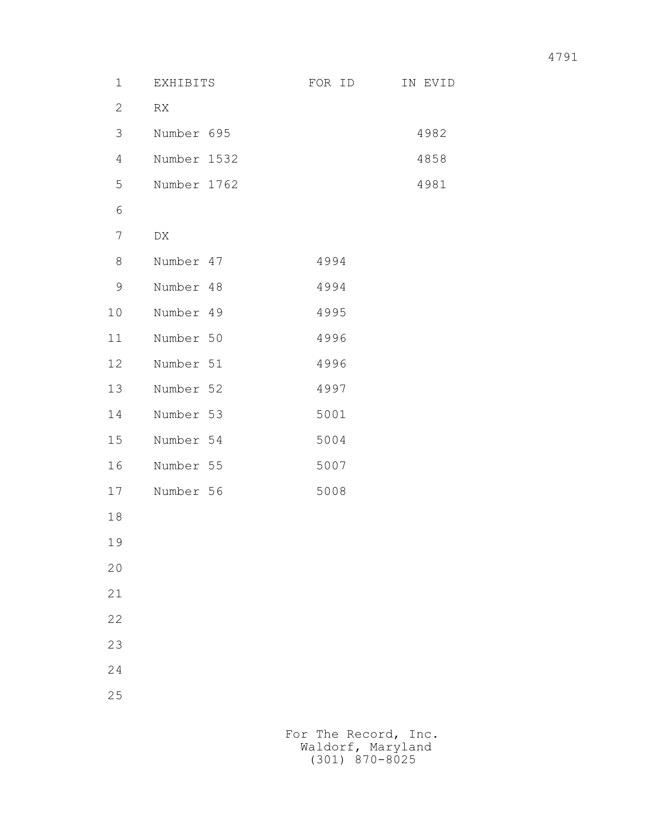| $\mathbf 1$    | EXHIBITS    | FOR ID               | IN EVID |
|----------------|-------------|----------------------|---------|
| $\overline{2}$ | RX          |                      |         |
| 3              | Number 695  |                      | 4982    |
| 4              | Number 1532 |                      | 4858    |
| 5              | Number 1762 |                      | 4981    |
| 6              |             |                      |         |
| $\overline{7}$ | DX          |                      |         |
| 8              | Number 47   | 4994                 |         |
| 9              | Number 48   | 4994                 |         |
| 10             | Number 49   | 4995                 |         |
| 11             | Number 50   | 4996                 |         |
| 12             | Number 51   | 4996                 |         |
| 13             | Number 52   | 4997                 |         |
| 14             | Number 53   | 5001                 |         |
| 15             | Number 54   | 5004                 |         |
| 16             | Number 55   | 5007                 |         |
| 17             | Number 56   | 5008                 |         |
| 18             |             |                      |         |
| 19             |             |                      |         |
| 20             |             |                      |         |
| 21             |             |                      |         |
| 22             |             |                      |         |
| 23             |             |                      |         |
| 24             |             |                      |         |
| 25             |             |                      |         |
|                |             |                      |         |
|                |             | For The Record, Inc. |         |

Waldorf, Maryland (301) 870-8025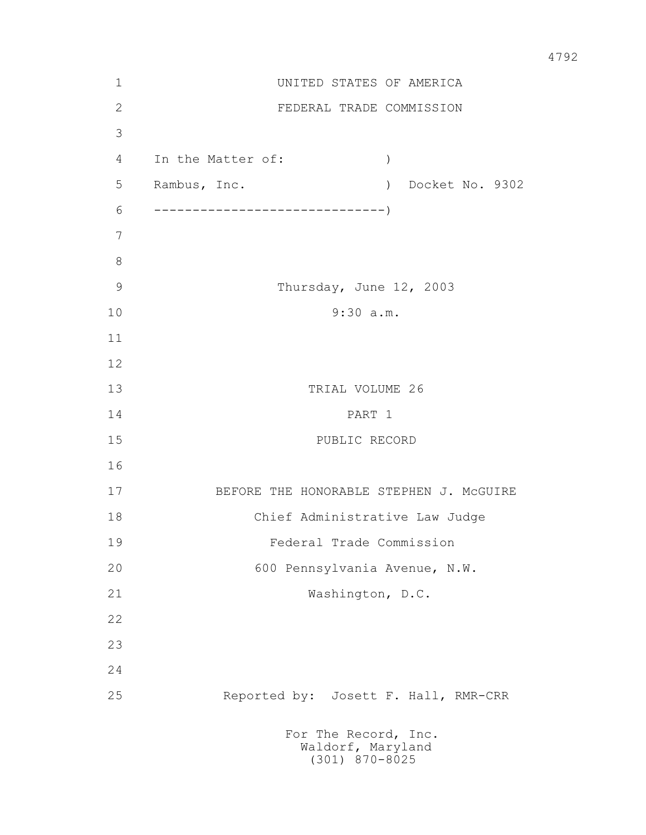| $\mathbf 1$   | UNITED STATES OF AMERICA                |                                                               |  |
|---------------|-----------------------------------------|---------------------------------------------------------------|--|
| $\mathbf{2}$  |                                         | FEDERAL TRADE COMMISSION                                      |  |
| 3             |                                         |                                                               |  |
| 4             | In the Matter of:                       | $\left( \right)$                                              |  |
| 5             | Rambus, Inc.                            | Docket No. 9302<br>$\left( \right)$                           |  |
| 6             |                                         |                                                               |  |
| 7             |                                         |                                                               |  |
| $\,8\,$       |                                         |                                                               |  |
| $\mathcal{G}$ |                                         | Thursday, June 12, 2003                                       |  |
| 10            | 9:30 a.m.                               |                                                               |  |
| 11            |                                         |                                                               |  |
| 12            |                                         |                                                               |  |
| 13            | TRIAL VOLUME 26                         |                                                               |  |
| 14            | PART 1                                  |                                                               |  |
| 15            | PUBLIC RECORD                           |                                                               |  |
| 16            |                                         |                                                               |  |
| 17            | BEFORE THE HONORABLE STEPHEN J. MCGUIRE |                                                               |  |
| 18            | Chief Administrative Law Judge          |                                                               |  |
| 19            | Federal Trade Commission                |                                                               |  |
| 20            | 600 Pennsylvania Avenue, N.W.           |                                                               |  |
| 21            |                                         | Washington, D.C.                                              |  |
| 22            |                                         |                                                               |  |
| 23            |                                         |                                                               |  |
| 24            |                                         |                                                               |  |
| 25            |                                         | Reported by: Josett F. Hall, RMR-CRR                          |  |
|               |                                         | For The Record, Inc.<br>Waldorf, Maryland<br>$(301)$ 870-8025 |  |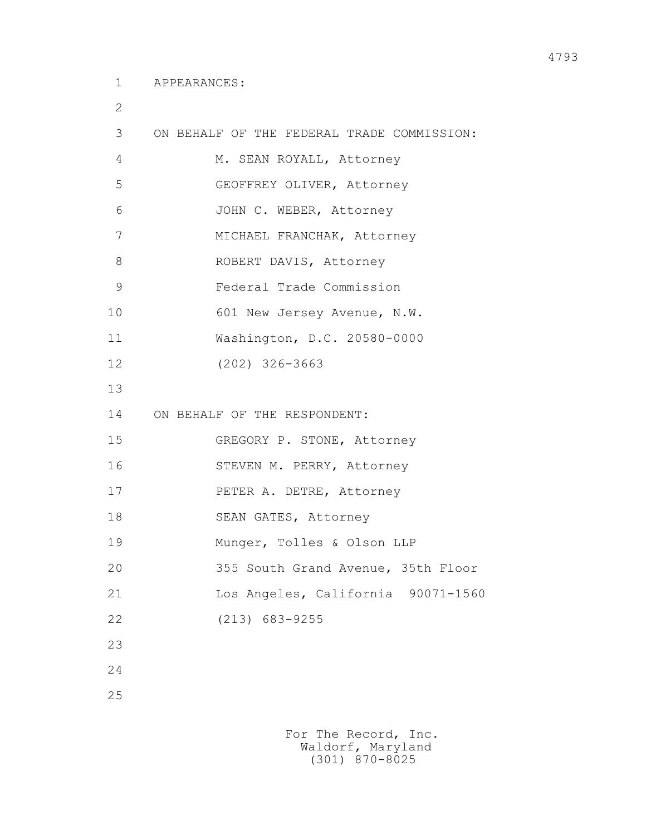2

```
 3 ON BEHALF OF THE FEDERAL TRADE COMMISSION: 
4 M. SEAN ROYALL, Attorney
 5 GEOFFREY OLIVER, Attorney
 6 JOHN C. WEBER, Attorney
 7 MICHAEL FRANCHAK, Attorney
8 ROBERT DAVIS, Attorney
 9 Federal Trade Commission
10 601 New Jersey Avenue, N.W.
 11 Washington, D.C. 20580-0000
 12 (202) 326-3663
 13
 14 ON BEHALF OF THE RESPONDENT:
 15 GREGORY P. STONE, Attorney
 16 STEVEN M. PERRY, Attorney
 17 PETER A. DETRE, Attorney
18 SEAN GATES, Attorney
 19 Munger, Tolles & Olson LLP
 20 355 South Grand Avenue, 35th Floor
 21 Los Angeles, California 90071-1560
 22 (213) 683-9255
 23
 24
 25
```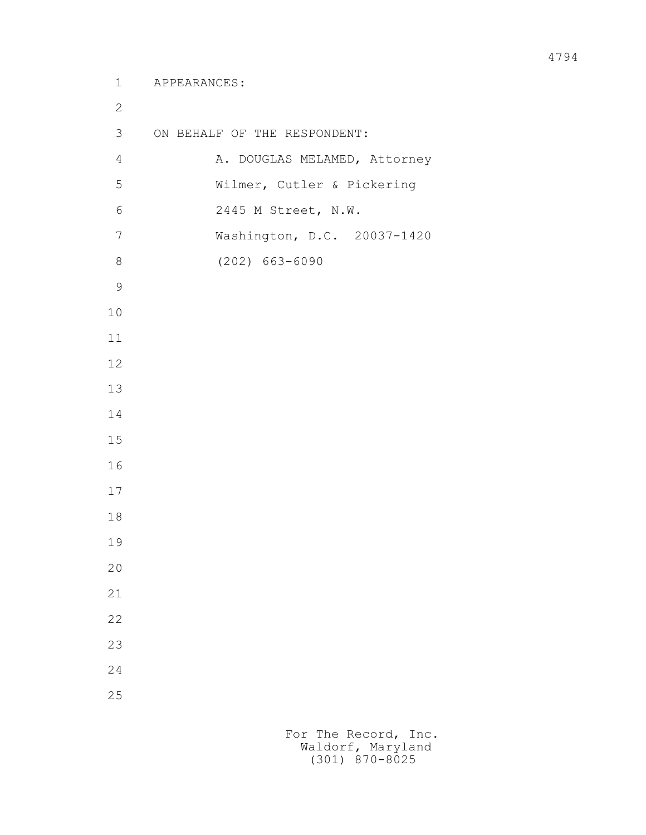```
 1 APPEARANCES:
 2
         3 ON BEHALF OF THE RESPONDENT:
        4 A. DOUGLAS MELAMED, Attorney
         5 Wilmer, Cutler & Pickering
         6 2445 M Street, N.W.
         7 Washington, D.C. 20037-1420
         8 (202) 663-6090
 9
        10
        11
        12
        13
        14
        15
        16
        17
        18
        19
        20
        21
        22
        23
        24
        25
```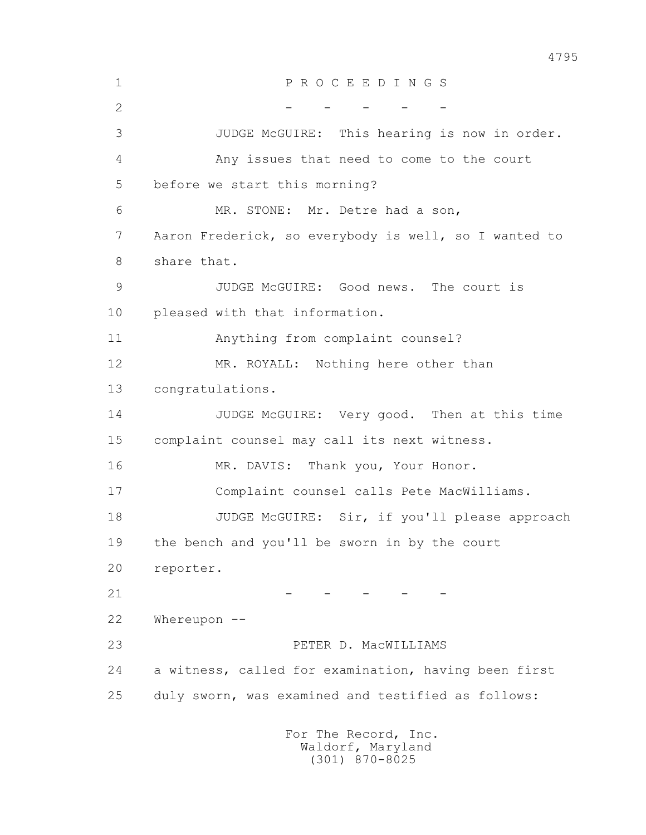1 P R O C E E D I N G S  $2$  - - - - - 3 JUDGE McGUIRE: This hearing is now in order. 4 Any issues that need to come to the court 5 before we start this morning? 6 MR. STONE: Mr. Detre had a son, 7 Aaron Frederick, so everybody is well, so I wanted to 8 share that. 9 JUDGE McGUIRE: Good news. The court is 10 pleased with that information. 11 Anything from complaint counsel? 12 MR. ROYALL: Nothing here other than 13 congratulations. 14 JUDGE McGUIRE: Very good. Then at this time 15 complaint counsel may call its next witness. 16 MR. DAVIS: Thank you, Your Honor. 17 Complaint counsel calls Pete MacWilliams. 18 JUDGE McGUIRE: Sir, if you'll please approach 19 the bench and you'll be sworn in by the court 20 reporter.  $21$  - - - - - - 22 Whereupon -- 23 PETER D. MacWILLIAMS 24 a witness, called for examination, having been first 25 duly sworn, was examined and testified as follows: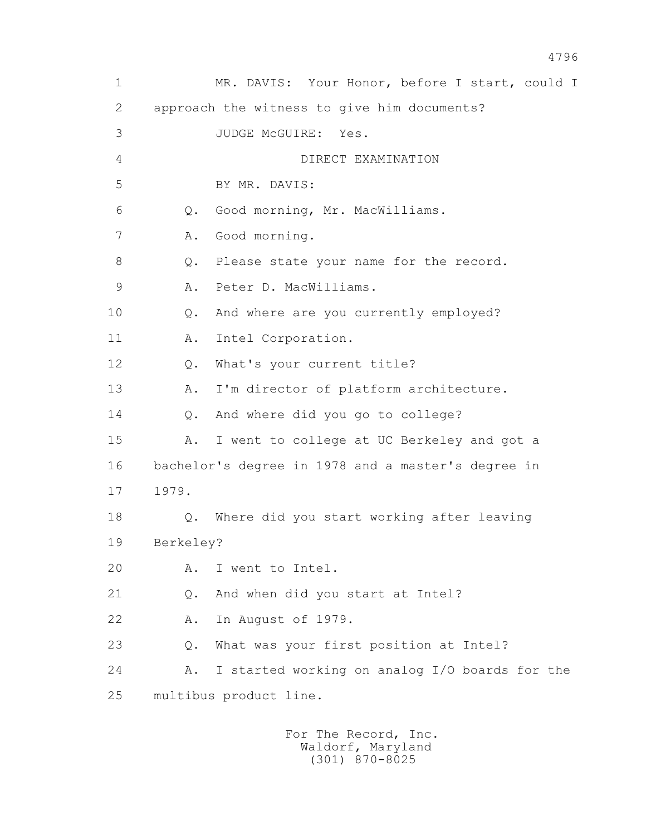1 MR. DAVIS: Your Honor, before I start, could I 2 approach the witness to give him documents? 3 JUDGE McGUIRE: Yes. 4 DIRECT EXAMINATION 5 BY MR. DAVIS: 6 Q. Good morning, Mr. MacWilliams. 7 A. Good morning. 8 Q. Please state your name for the record. 9 A. Peter D. MacWilliams. 10 Q. And where are you currently employed? 11 A. Intel Corporation. 12 Q. What's your current title? 13 A. I'm director of platform architecture. 14 Q. And where did you go to college? 15 A. I went to college at UC Berkeley and got a 16 bachelor's degree in 1978 and a master's degree in 17 1979. 18 Q. Where did you start working after leaving 19 Berkeley? 20 A. I went to Intel. 21 Q. And when did you start at Intel? 22 A. In August of 1979. 23 Q. What was your first position at Intel? 24 A. I started working on analog I/O boards for the 25 multibus product line.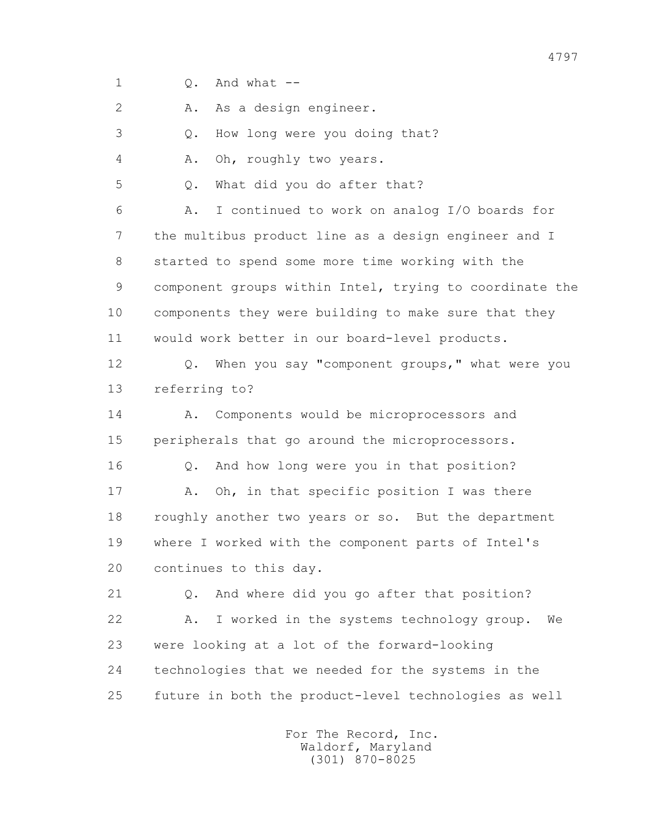1 Q. And what --

2 A. As a design engineer.

3 Q. How long were you doing that?

4 A. Oh, roughly two years.

5 Q. What did you do after that?

 6 A. I continued to work on analog I/O boards for 7 the multibus product line as a design engineer and I 8 started to spend some more time working with the 9 component groups within Intel, trying to coordinate the 10 components they were building to make sure that they 11 would work better in our board-level products.

 12 Q. When you say "component groups," what were you 13 referring to?

 14 A. Components would be microprocessors and 15 peripherals that go around the microprocessors.

 16 Q. And how long were you in that position? 17 A. Oh, in that specific position I was there 18 roughly another two years or so. But the department 19 where I worked with the component parts of Intel's 20 continues to this day.

 21 Q. And where did you go after that position? 22 A. I worked in the systems technology group. We 23 were looking at a lot of the forward-looking 24 technologies that we needed for the systems in the 25 future in both the product-level technologies as well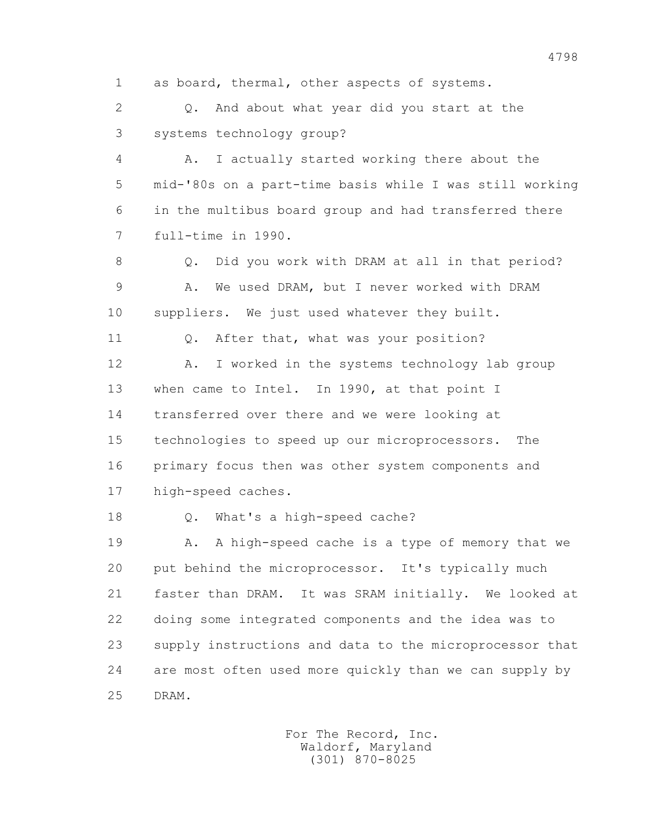1 as board, thermal, other aspects of systems.

 2 Q. And about what year did you start at the 3 systems technology group?

 4 A. I actually started working there about the 5 mid-'80s on a part-time basis while I was still working 6 in the multibus board group and had transferred there 7 full-time in 1990.

8 Q. Did you work with DRAM at all in that period? 9 A. We used DRAM, but I never worked with DRAM 10 suppliers. We just used whatever they built.

11 0. After that, what was your position?

12 A. I worked in the systems technology lab group 13 when came to Intel. In 1990, at that point I 14 transferred over there and we were looking at 15 technologies to speed up our microprocessors. The 16 primary focus then was other system components and 17 high-speed caches.

18 Q. What's a high-speed cache?

19 A. A high-speed cache is a type of memory that we 20 put behind the microprocessor. It's typically much 21 faster than DRAM. It was SRAM initially. We looked at 22 doing some integrated components and the idea was to 23 supply instructions and data to the microprocessor that 24 are most often used more quickly than we can supply by 25 DRAM.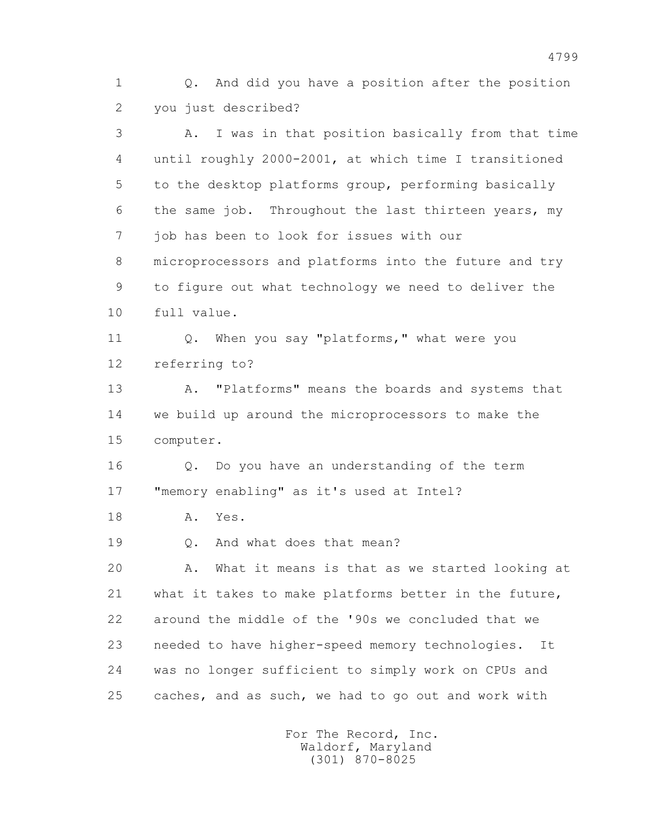1 Q. And did you have a position after the position 2 you just described?

 3 A. I was in that position basically from that time 4 until roughly 2000-2001, at which time I transitioned 5 to the desktop platforms group, performing basically 6 the same job. Throughout the last thirteen years, my 7 job has been to look for issues with our 8 microprocessors and platforms into the future and try 9 to figure out what technology we need to deliver the 10 full value. 11 Q. When you say "platforms," what were you 12 referring to? 13 A. "Platforms" means the boards and systems that 14 we build up around the microprocessors to make the 15 computer. 16 Q. Do you have an understanding of the term 17 "memory enabling" as it's used at Intel? 18 A. Yes. 19 0. And what does that mean? 20 A. What it means is that as we started looking at 21 what it takes to make platforms better in the future, 22 around the middle of the '90s we concluded that we 23 needed to have higher-speed memory technologies. It 24 was no longer sufficient to simply work on CPUs and 25 caches, and as such, we had to go out and work with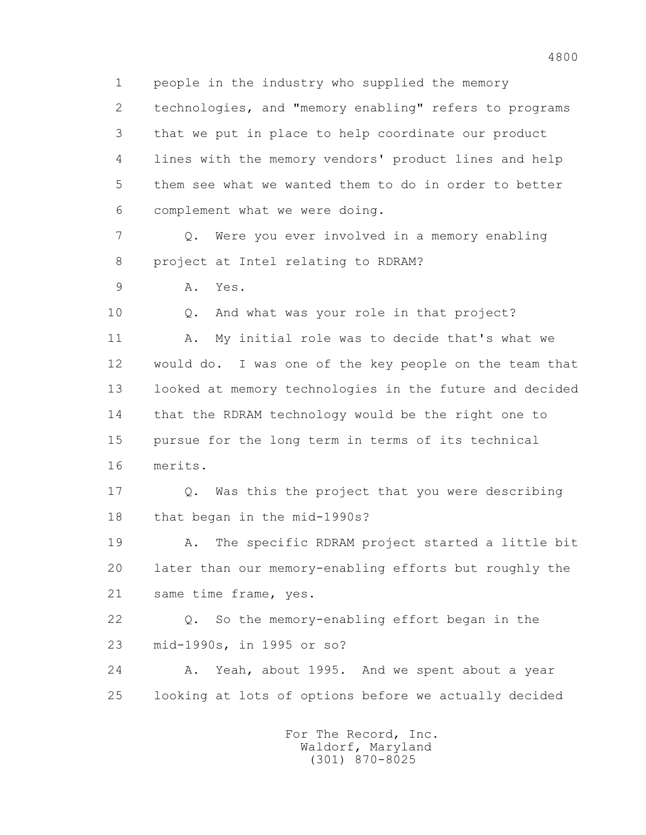1 people in the industry who supplied the memory 2 technologies, and "memory enabling" refers to programs 3 that we put in place to help coordinate our product 4 lines with the memory vendors' product lines and help 5 them see what we wanted them to do in order to better 6 complement what we were doing. 7 Q. Were you ever involved in a memory enabling 8 project at Intel relating to RDRAM? 9 A. Yes. 10 Q. And what was your role in that project? 11 A. My initial role was to decide that's what we 12 would do. I was one of the key people on the team that 13 looked at memory technologies in the future and decided 14 that the RDRAM technology would be the right one to 15 pursue for the long term in terms of its technical 16 merits. 17 Q. Was this the project that you were describing 18 that began in the mid-1990s? 19 A. The specific RDRAM project started a little bit 20 later than our memory-enabling efforts but roughly the 21 same time frame, yes. 22 Q. So the memory-enabling effort began in the 23 mid-1990s, in 1995 or so? 24 A. Yeah, about 1995. And we spent about a year 25 looking at lots of options before we actually decided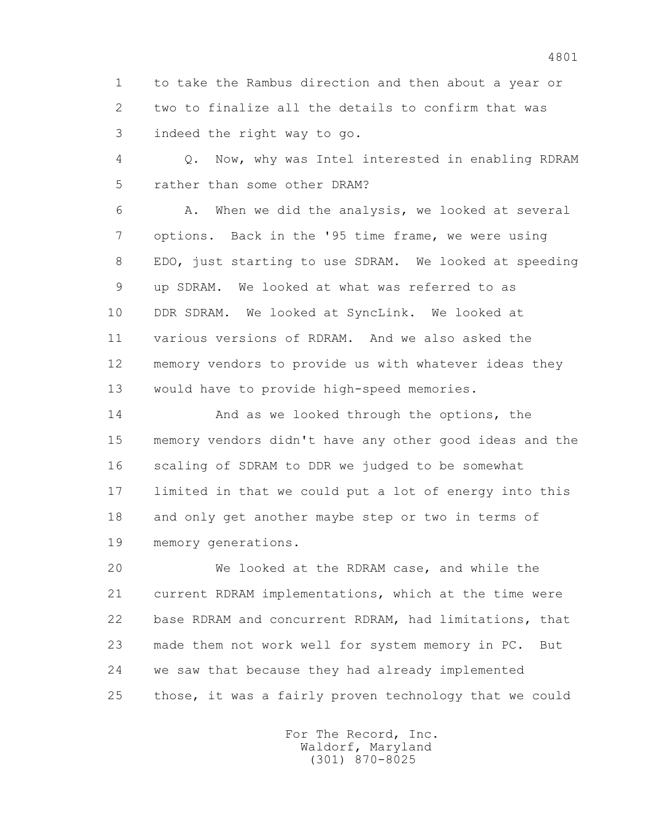1 to take the Rambus direction and then about a year or 2 two to finalize all the details to confirm that was 3 indeed the right way to go.

 4 Q. Now, why was Intel interested in enabling RDRAM 5 rather than some other DRAM?

 6 A. When we did the analysis, we looked at several 7 options. Back in the '95 time frame, we were using 8 EDO, just starting to use SDRAM. We looked at speeding 9 up SDRAM. We looked at what was referred to as 10 DDR SDRAM. We looked at SyncLink. We looked at 11 various versions of RDRAM. And we also asked the 12 memory vendors to provide us with whatever ideas they 13 would have to provide high-speed memories.

 14 And as we looked through the options, the 15 memory vendors didn't have any other good ideas and the 16 scaling of SDRAM to DDR we judged to be somewhat 17 limited in that we could put a lot of energy into this 18 and only get another maybe step or two in terms of 19 memory generations.

 20 We looked at the RDRAM case, and while the 21 current RDRAM implementations, which at the time were 22 base RDRAM and concurrent RDRAM, had limitations, that 23 made them not work well for system memory in PC. But 24 we saw that because they had already implemented 25 those, it was a fairly proven technology that we could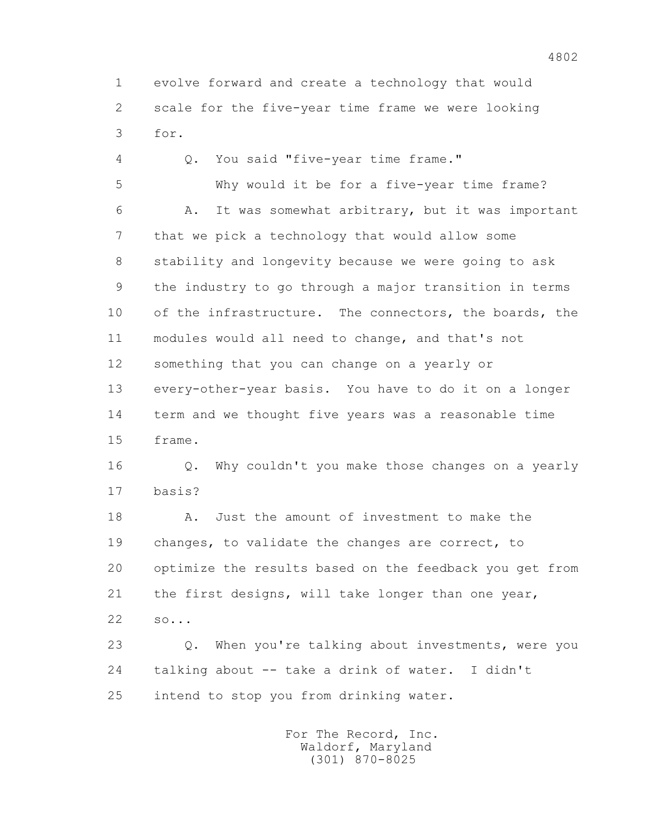1 evolve forward and create a technology that would 2 scale for the five-year time frame we were looking 3 for.

 4 Q. You said "five-year time frame." 5 Why would it be for a five-year time frame? 6 A. It was somewhat arbitrary, but it was important 7 that we pick a technology that would allow some 8 stability and longevity because we were going to ask 9 the industry to go through a major transition in terms 10 of the infrastructure. The connectors, the boards, the 11 modules would all need to change, and that's not 12 something that you can change on a yearly or 13 every-other-year basis. You have to do it on a longer 14 term and we thought five years was a reasonable time 15 frame. 16 Q. Why couldn't you make those changes on a yearly 17 basis? 18 A. Just the amount of investment to make the 19 changes, to validate the changes are correct, to 20 optimize the results based on the feedback you get from 21 the first designs, will take longer than one year, 22 so... 23 Q. When you're talking about investments, were you 24 talking about -- take a drink of water. I didn't 25 intend to stop you from drinking water.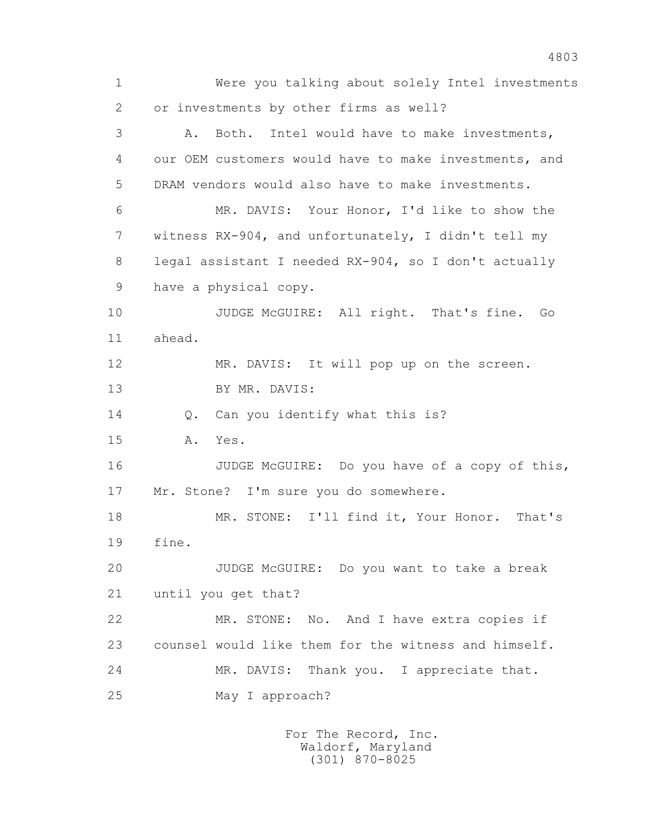1 Were you talking about solely Intel investments 2 or investments by other firms as well? 3 A. Both. Intel would have to make investments, 4 our OEM customers would have to make investments, and 5 DRAM vendors would also have to make investments. 6 MR. DAVIS: Your Honor, I'd like to show the 7 witness RX-904, and unfortunately, I didn't tell my 8 legal assistant I needed RX-904, so I don't actually 9 have a physical copy. 10 JUDGE McGUIRE: All right. That's fine. Go 11 ahead. 12 MR. DAVIS: It will pop up on the screen. 13 BY MR. DAVIS: 14 O. Can you identify what this is? 15 A. Yes. 16 JUDGE McGUIRE: Do you have of a copy of this, 17 Mr. Stone? I'm sure you do somewhere. 18 MR. STONE: I'll find it, Your Honor. That's 19 fine. 20 JUDGE McGUIRE: Do you want to take a break 21 until you get that? 22 MR. STONE: No. And I have extra copies if 23 counsel would like them for the witness and himself. 24 MR. DAVIS: Thank you. I appreciate that. 25 May I approach?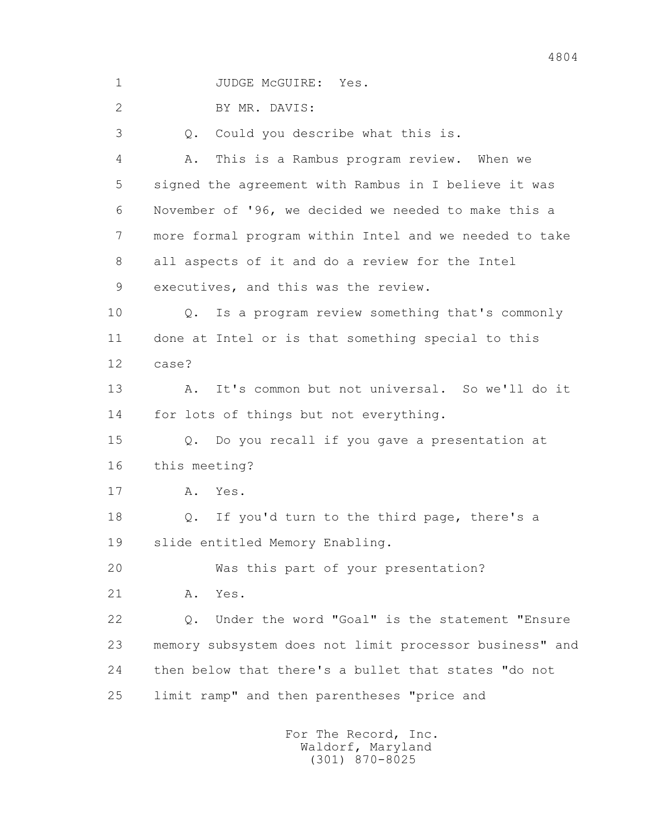1 JUDGE McGUIRE: Yes.

2 BY MR. DAVIS:

3 Q. Could you describe what this is.

 4 A. This is a Rambus program review. When we 5 signed the agreement with Rambus in I believe it was 6 November of '96, we decided we needed to make this a 7 more formal program within Intel and we needed to take 8 all aspects of it and do a review for the Intel 9 executives, and this was the review.

 10 Q. Is a program review something that's commonly 11 done at Intel or is that something special to this 12 case?

 13 A. It's common but not universal. So we'll do it 14 for lots of things but not everything.

 15 Q. Do you recall if you gave a presentation at 16 this meeting?

17 A. Yes.

 18 Q. If you'd turn to the third page, there's a 19 slide entitled Memory Enabling.

20 Was this part of your presentation?

21 A. Yes.

 22 Q. Under the word "Goal" is the statement "Ensure 23 memory subsystem does not limit processor business" and 24 then below that there's a bullet that states "do not 25 limit ramp" and then parentheses "price and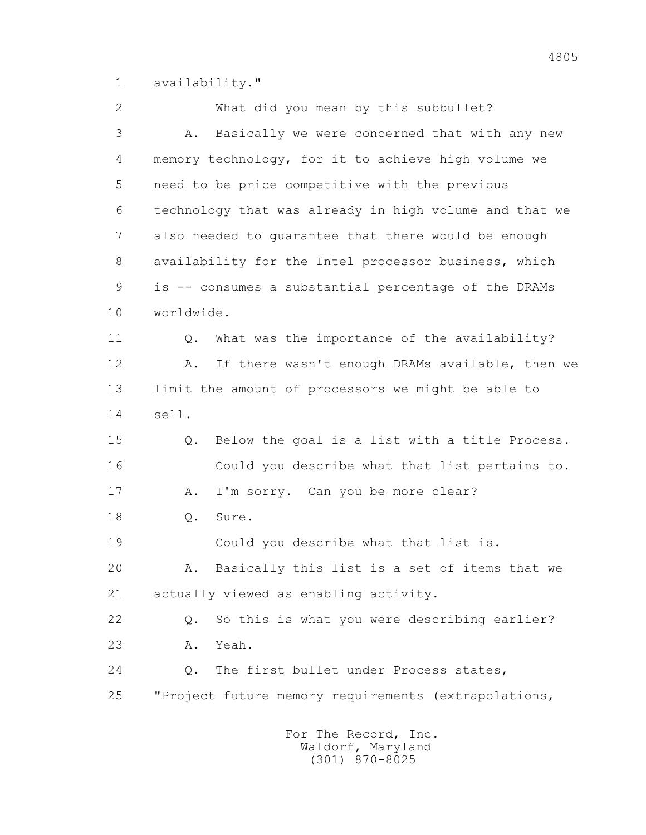1 availability."

 2 What did you mean by this subbullet? 3 A. Basically we were concerned that with any new 4 memory technology, for it to achieve high volume we 5 need to be price competitive with the previous 6 technology that was already in high volume and that we 7 also needed to guarantee that there would be enough 8 availability for the Intel processor business, which 9 is -- consumes a substantial percentage of the DRAMs 10 worldwide. 11 0. What was the importance of the availability? 12 A. If there wasn't enough DRAMs available, then we 13 limit the amount of processors we might be able to 14 sell. 15 Q. Below the goal is a list with a title Process. 16 Could you describe what that list pertains to. 17 A. I'm sorry. Can you be more clear? 18 Q. Sure. 19 Could you describe what that list is. 20 A. Basically this list is a set of items that we 21 actually viewed as enabling activity. 22 Q. So this is what you were describing earlier? 23 A. Yeah. 24 Q. The first bullet under Process states, 25 "Project future memory requirements (extrapolations,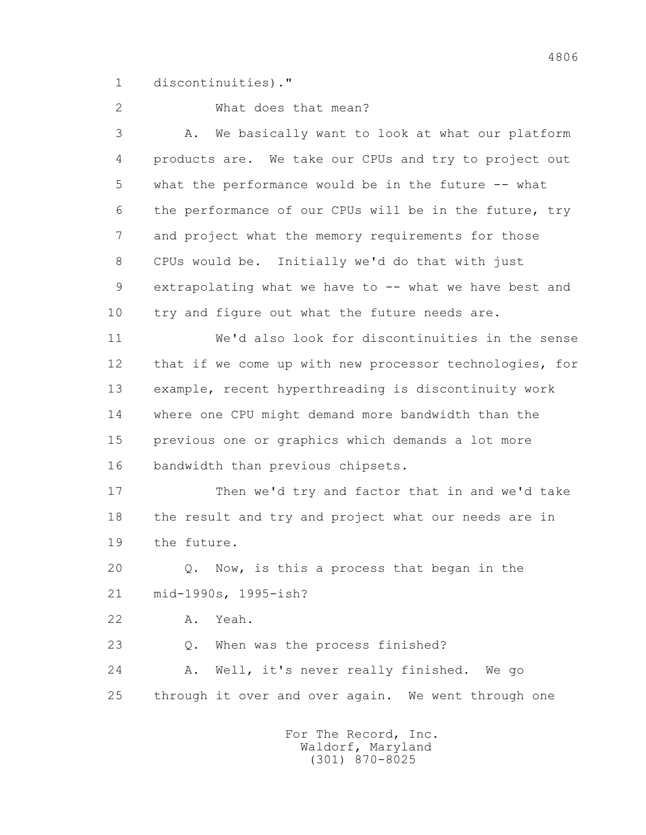1 discontinuities)."

## 2 What does that mean?

 3 A. We basically want to look at what our platform 4 products are. We take our CPUs and try to project out 5 what the performance would be in the future -- what 6 the performance of our CPUs will be in the future, try 7 and project what the memory requirements for those 8 CPUs would be. Initially we'd do that with just 9 extrapolating what we have to -- what we have best and 10 try and figure out what the future needs are.

 11 We'd also look for discontinuities in the sense 12 that if we come up with new processor technologies, for 13 example, recent hyperthreading is discontinuity work 14 where one CPU might demand more bandwidth than the 15 previous one or graphics which demands a lot more 16 bandwidth than previous chipsets.

 17 Then we'd try and factor that in and we'd take 18 the result and try and project what our needs are in 19 the future.

 20 Q. Now, is this a process that began in the 21 mid-1990s, 1995-ish?

22 A. Yeah.

23 Q. When was the process finished?

 24 A. Well, it's never really finished. We go 25 through it over and over again. We went through one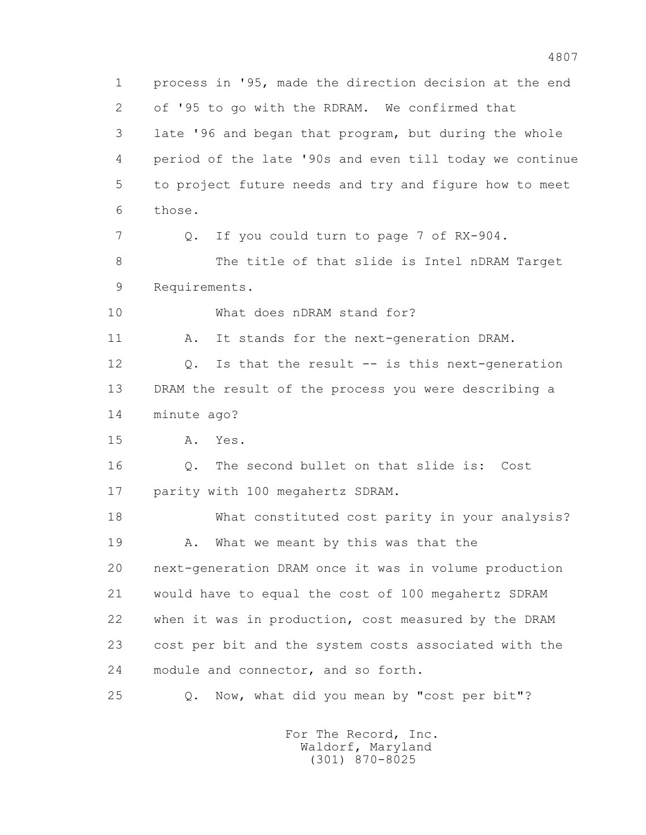1 process in '95, made the direction decision at the end 2 of '95 to go with the RDRAM. We confirmed that 3 late '96 and began that program, but during the whole 4 period of the late '90s and even till today we continue 5 to project future needs and try and figure how to meet 6 those. 7 Q. If you could turn to page 7 of RX-904. 8 The title of that slide is Intel nDRAM Target 9 Requirements. 10 What does nDRAM stand for? 11 A. It stands for the next-generation DRAM. 12 Q. Is that the result -- is this next-generation 13 DRAM the result of the process you were describing a 14 minute ago? 15 A. Yes. 16 Q. The second bullet on that slide is: Cost 17 parity with 100 megahertz SDRAM. 18 What constituted cost parity in your analysis? 19 A. What we meant by this was that the 20 next-generation DRAM once it was in volume production 21 would have to equal the cost of 100 megahertz SDRAM 22 when it was in production, cost measured by the DRAM 23 cost per bit and the system costs associated with the 24 module and connector, and so forth. 25 Q. Now, what did you mean by "cost per bit"?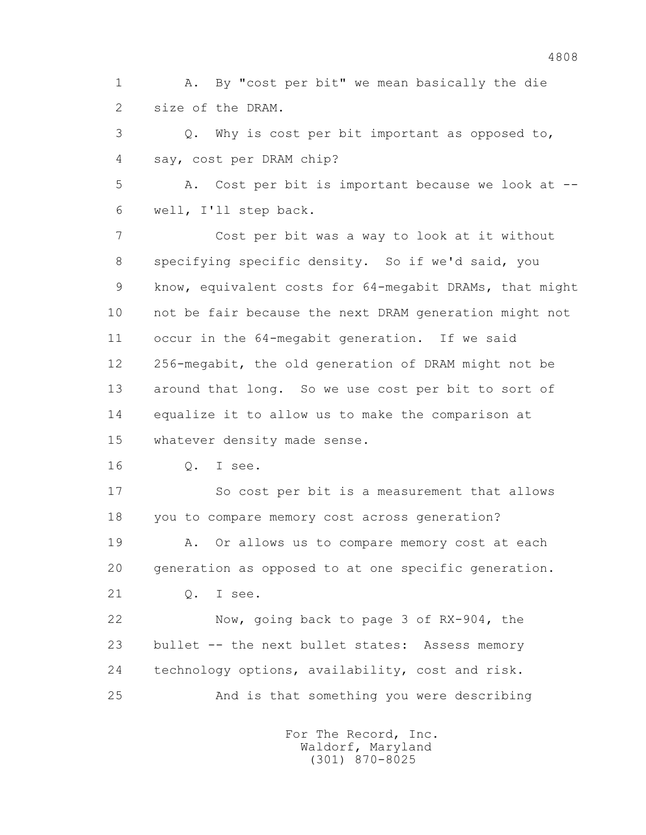1 A. By "cost per bit" we mean basically the die 2 size of the DRAM.

 3 Q. Why is cost per bit important as opposed to, 4 say, cost per DRAM chip?

 5 A. Cost per bit is important because we look at -- 6 well, I'll step back.

 7 Cost per bit was a way to look at it without 8 specifying specific density. So if we'd said, you 9 know, equivalent costs for 64-megabit DRAMs, that might 10 not be fair because the next DRAM generation might not 11 occur in the 64-megabit generation. If we said 12 256-megabit, the old generation of DRAM might not be 13 around that long. So we use cost per bit to sort of 14 equalize it to allow us to make the comparison at 15 whatever density made sense.

16 Q. I see.

 17 So cost per bit is a measurement that allows 18 you to compare memory cost across generation?

 19 A. Or allows us to compare memory cost at each 20 generation as opposed to at one specific generation. 21 Q. I see.

 22 Now, going back to page 3 of RX-904, the 23 bullet -- the next bullet states: Assess memory 24 technology options, availability, cost and risk. 25 And is that something you were describing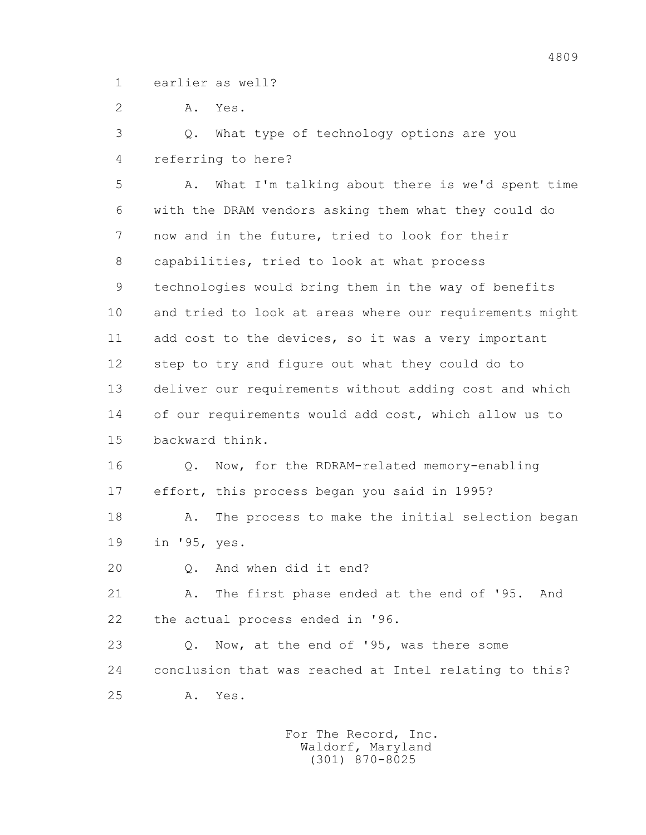1 earlier as well?

2 A. Yes.

 3 Q. What type of technology options are you 4 referring to here?

 5 A. What I'm talking about there is we'd spent time 6 with the DRAM vendors asking them what they could do 7 now and in the future, tried to look for their 8 capabilities, tried to look at what process 9 technologies would bring them in the way of benefits 10 and tried to look at areas where our requirements might 11 add cost to the devices, so it was a very important 12 step to try and figure out what they could do to 13 deliver our requirements without adding cost and which 14 of our requirements would add cost, which allow us to 15 backward think. 16 Q. Now, for the RDRAM-related memory-enabling 17 effort, this process began you said in 1995? 18 A. The process to make the initial selection began 19 in '95, yes. 20 Q. And when did it end?

 21 A. The first phase ended at the end of '95. And 22 the actual process ended in '96.

 23 Q. Now, at the end of '95, was there some 24 conclusion that was reached at Intel relating to this? 25 A. Yes.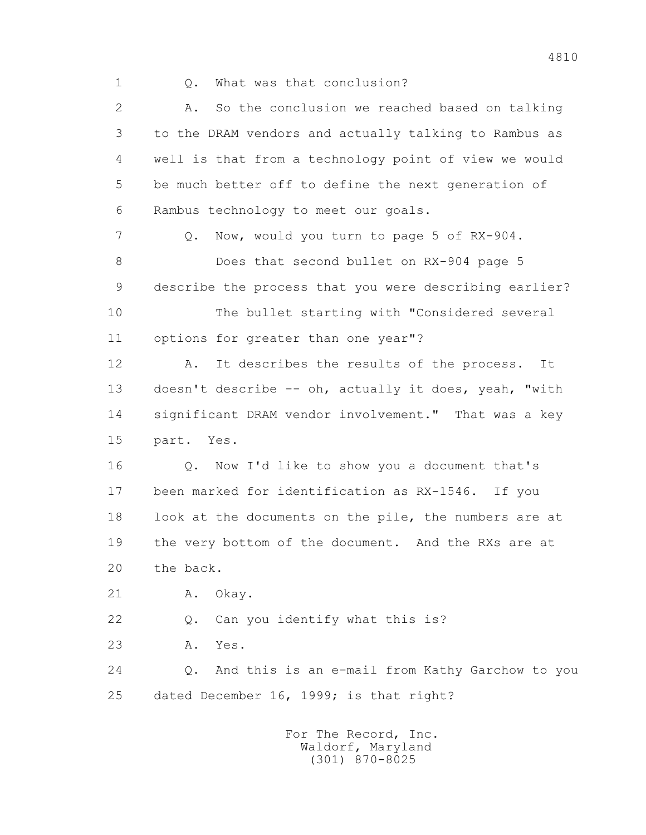1 Q. What was that conclusion?

 2 A. So the conclusion we reached based on talking 3 to the DRAM vendors and actually talking to Rambus as 4 well is that from a technology point of view we would 5 be much better off to define the next generation of 6 Rambus technology to meet our goals. 7 Q. Now, would you turn to page 5 of RX-904. 8 Does that second bullet on RX-904 page 5 9 describe the process that you were describing earlier? 10 The bullet starting with "Considered several 11 options for greater than one year"? 12 A. It describes the results of the process. It 13 doesn't describe -- oh, actually it does, yeah, "with 14 significant DRAM vendor involvement." That was a key 15 part. Yes. 16 Q. Now I'd like to show you a document that's 17 been marked for identification as RX-1546. If you 18 look at the documents on the pile, the numbers are at 19 the very bottom of the document. And the RXs are at 20 the back. 21 A. Okay. 22 Q. Can you identify what this is? 23 A. Yes. 24 Q. And this is an e-mail from Kathy Garchow to you 25 dated December 16, 1999; is that right?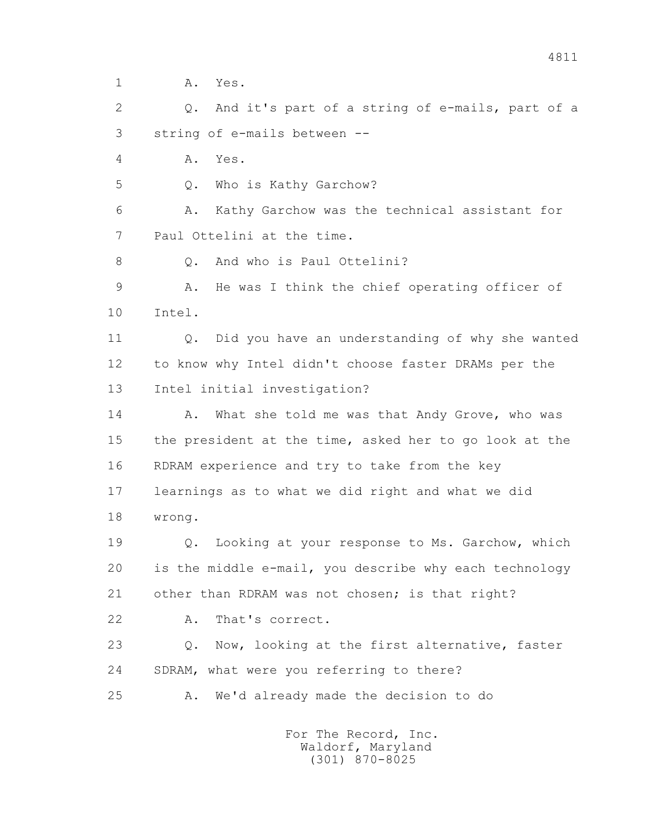1 **A.** Yes.

 2 Q. And it's part of a string of e-mails, part of a 3 string of e-mails between --

4 A. Yes.

5 Q. Who is Kathy Garchow?

 6 A. Kathy Garchow was the technical assistant for 7 Paul Ottelini at the time.

8 0. And who is Paul Ottelini?

 9 A. He was I think the chief operating officer of 10 Intel.

 11 Q. Did you have an understanding of why she wanted 12 to know why Intel didn't choose faster DRAMs per the 13 Intel initial investigation?

14 A. What she told me was that Andy Grove, who was 15 the president at the time, asked her to go look at the 16 RDRAM experience and try to take from the key 17 learnings as to what we did right and what we did 18 wrong.

 19 Q. Looking at your response to Ms. Garchow, which 20 is the middle e-mail, you describe why each technology 21 other than RDRAM was not chosen; is that right?

22 A. That's correct.

 23 Q. Now, looking at the first alternative, faster 24 SDRAM, what were you referring to there?

25 A. We'd already made the decision to do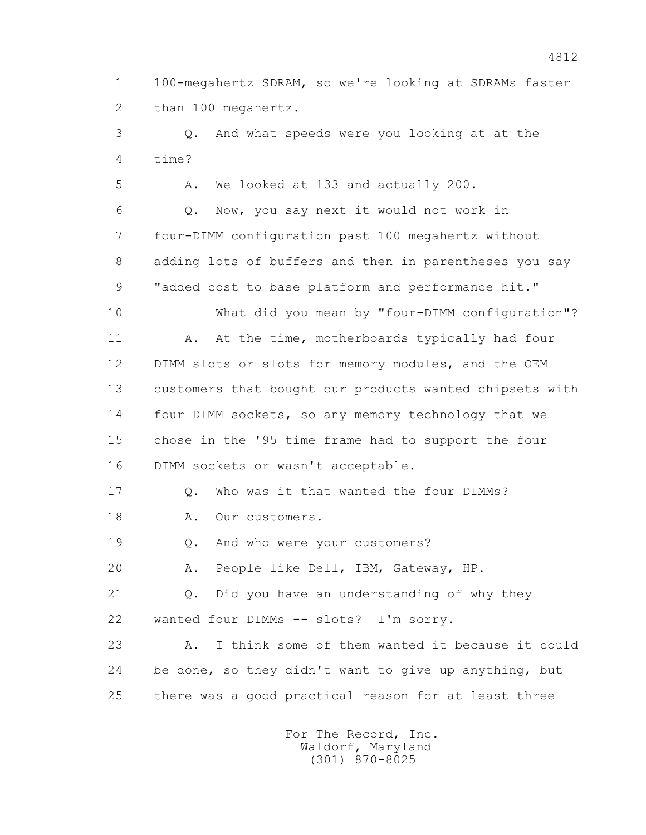1 100-megahertz SDRAM, so we're looking at SDRAMs faster 2 than 100 megahertz.

 3 Q. And what speeds were you looking at at the 4 time?

5 A. We looked at 133 and actually 200.

 6 Q. Now, you say next it would not work in 7 four-DIMM configuration past 100 megahertz without 8 adding lots of buffers and then in parentheses you say 9 "added cost to base platform and performance hit."

 10 What did you mean by "four-DIMM configuration"? 11 A. At the time, motherboards typically had four 12 DIMM slots or slots for memory modules, and the OEM 13 customers that bought our products wanted chipsets with 14 four DIMM sockets, so any memory technology that we 15 chose in the '95 time frame had to support the four 16 DIMM sockets or wasn't acceptable.

17 0. Who was it that wanted the four DIMMs? 18 A. Our customers.

19 Q. And who were your customers?

20 A. People like Dell, IBM, Gateway, HP.

 21 Q. Did you have an understanding of why they 22 wanted four DIMMs -- slots? I'm sorry.

 23 A. I think some of them wanted it because it could 24 be done, so they didn't want to give up anything, but 25 there was a good practical reason for at least three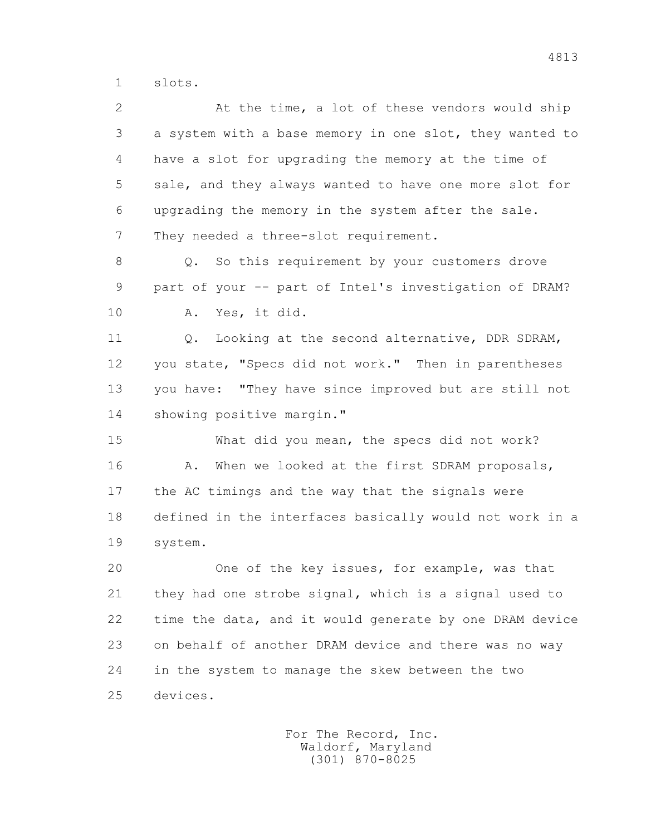1 slots.

 2 At the time, a lot of these vendors would ship 3 a system with a base memory in one slot, they wanted to 4 have a slot for upgrading the memory at the time of 5 sale, and they always wanted to have one more slot for 6 upgrading the memory in the system after the sale. 7 They needed a three-slot requirement.

 8 Q. So this requirement by your customers drove 9 part of your -- part of Intel's investigation of DRAM? 10 A. Yes, it did.

11 0. Looking at the second alternative, DDR SDRAM, 12 you state, "Specs did not work." Then in parentheses 13 you have: "They have since improved but are still not 14 showing positive margin."

 15 What did you mean, the specs did not work? 16 A. When we looked at the first SDRAM proposals, 17 the AC timings and the way that the signals were 18 defined in the interfaces basically would not work in a 19 system.

 20 One of the key issues, for example, was that 21 they had one strobe signal, which is a signal used to 22 time the data, and it would generate by one DRAM device 23 on behalf of another DRAM device and there was no way 24 in the system to manage the skew between the two 25 devices.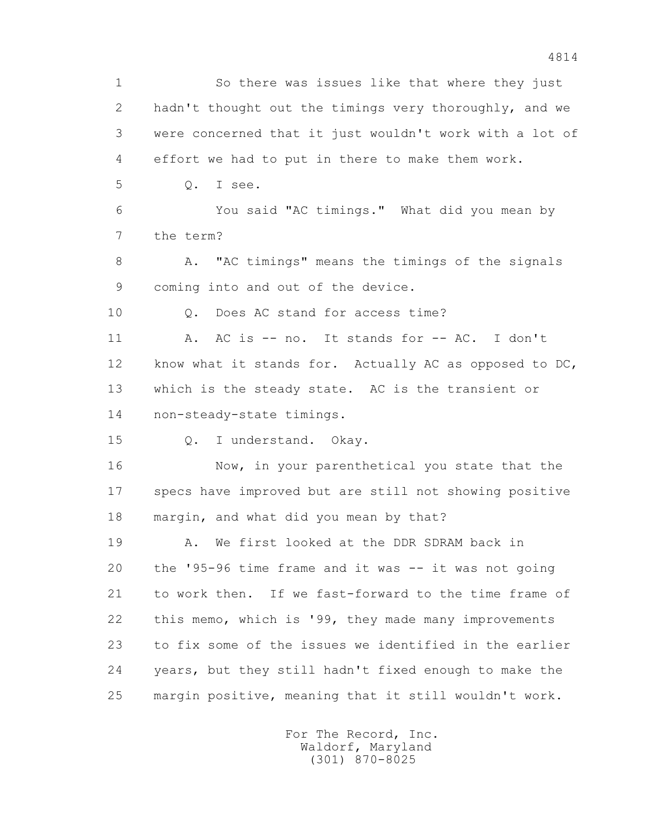1 So there was issues like that where they just 2 hadn't thought out the timings very thoroughly, and we 3 were concerned that it just wouldn't work with a lot of 4 effort we had to put in there to make them work. 5 Q. I see. 6 You said "AC timings." What did you mean by 7 the term? 8 A. "AC timings" means the timings of the signals 9 coming into and out of the device. 10 0. Does AC stand for access time? 11 A. AC is -- no. It stands for -- AC. I don't 12 know what it stands for. Actually AC as opposed to DC, 13 which is the steady state. AC is the transient or 14 non-steady-state timings. 15 Q. I understand. Okay. 16 Now, in your parenthetical you state that the 17 specs have improved but are still not showing positive 18 margin, and what did you mean by that? 19 A. We first looked at the DDR SDRAM back in 20 the '95-96 time frame and it was -- it was not going 21 to work then. If we fast-forward to the time frame of 22 this memo, which is '99, they made many improvements 23 to fix some of the issues we identified in the earlier 24 years, but they still hadn't fixed enough to make the 25 margin positive, meaning that it still wouldn't work.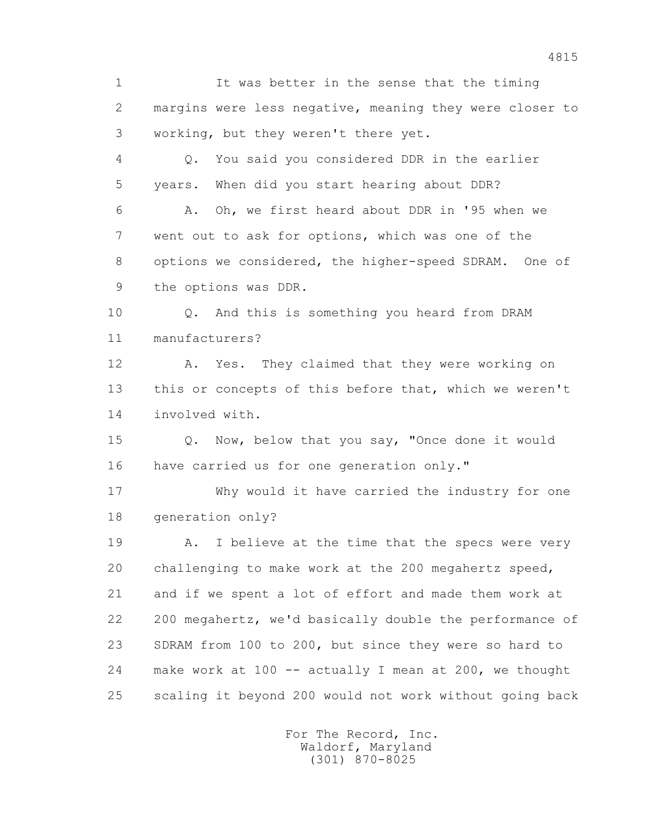1 It was better in the sense that the timing 2 margins were less negative, meaning they were closer to 3 working, but they weren't there yet.

 4 Q. You said you considered DDR in the earlier 5 years. When did you start hearing about DDR?

 6 A. Oh, we first heard about DDR in '95 when we 7 went out to ask for options, which was one of the 8 options we considered, the higher-speed SDRAM. One of 9 the options was DDR.

 10 Q. And this is something you heard from DRAM 11 manufacturers?

 12 A. Yes. They claimed that they were working on 13 this or concepts of this before that, which we weren't 14 involved with.

 15 Q. Now, below that you say, "Once done it would 16 have carried us for one generation only."

 17 Why would it have carried the industry for one 18 generation only?

19 A. I believe at the time that the specs were very 20 challenging to make work at the 200 megahertz speed, 21 and if we spent a lot of effort and made them work at 22 200 megahertz, we'd basically double the performance of 23 SDRAM from 100 to 200, but since they were so hard to 24 make work at 100 -- actually I mean at 200, we thought 25 scaling it beyond 200 would not work without going back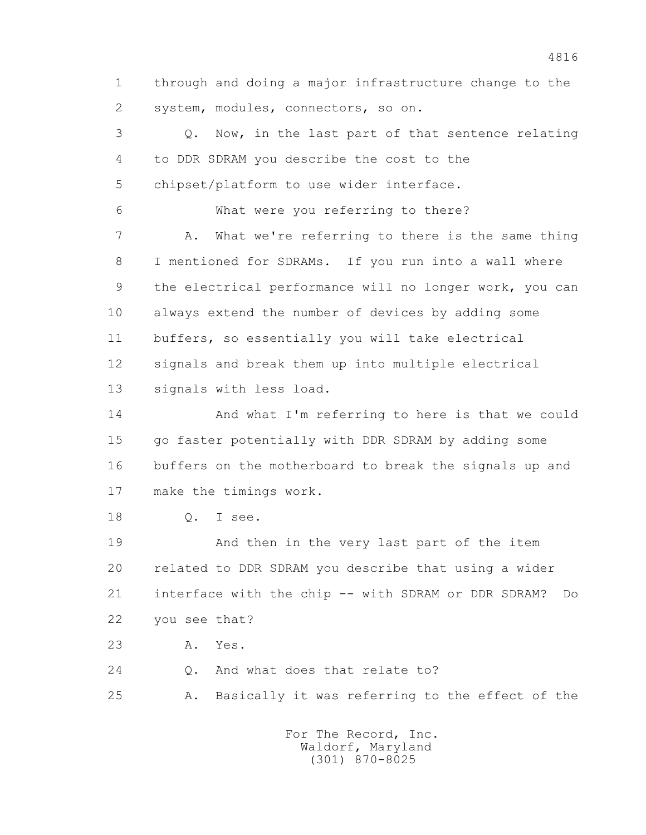1 through and doing a major infrastructure change to the 2 system, modules, connectors, so on.

 3 Q. Now, in the last part of that sentence relating 4 to DDR SDRAM you describe the cost to the 5 chipset/platform to use wider interface. 6 What were you referring to there? 7 A. What we're referring to there is the same thing 8 I mentioned for SDRAMs. If you run into a wall where 9 the electrical performance will no longer work, you can 10 always extend the number of devices by adding some 11 buffers, so essentially you will take electrical 12 signals and break them up into multiple electrical 13 signals with less load. 14 And what I'm referring to here is that we could 15 go faster potentially with DDR SDRAM by adding some 16 buffers on the motherboard to break the signals up and 17 make the timings work. 18 Q. I see. 19 And then in the very last part of the item 20 related to DDR SDRAM you describe that using a wider 21 interface with the chip -- with SDRAM or DDR SDRAM? Do 22 you see that? 23 A. Yes. 24 0. And what does that relate to?

25 A. Basically it was referring to the effect of the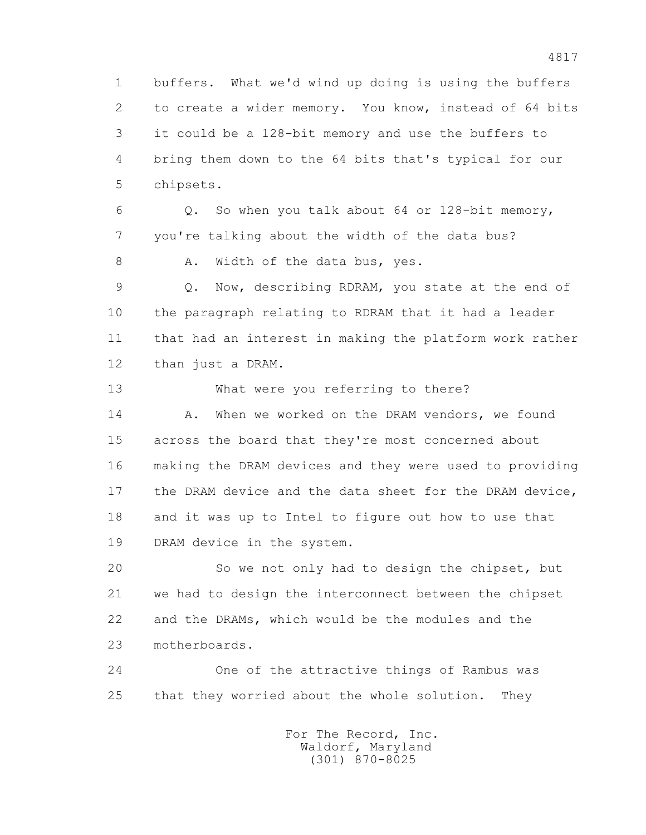1 buffers. What we'd wind up doing is using the buffers 2 to create a wider memory. You know, instead of 64 bits 3 it could be a 128-bit memory and use the buffers to 4 bring them down to the 64 bits that's typical for our 5 chipsets. 6 Q. So when you talk about 64 or 128-bit memory, 7 you're talking about the width of the data bus? 8 A. Width of the data bus, yes. 9 Q. Now, describing RDRAM, you state at the end of 10 the paragraph relating to RDRAM that it had a leader

 11 that had an interest in making the platform work rather 12 than just a DRAM.

 13 What were you referring to there? 14 A. When we worked on the DRAM vendors, we found 15 across the board that they're most concerned about 16 making the DRAM devices and they were used to providing 17 the DRAM device and the data sheet for the DRAM device, 18 and it was up to Intel to figure out how to use that 19 DRAM device in the system.

 20 So we not only had to design the chipset, but 21 we had to design the interconnect between the chipset 22 and the DRAMs, which would be the modules and the 23 motherboards.

 24 One of the attractive things of Rambus was 25 that they worried about the whole solution. They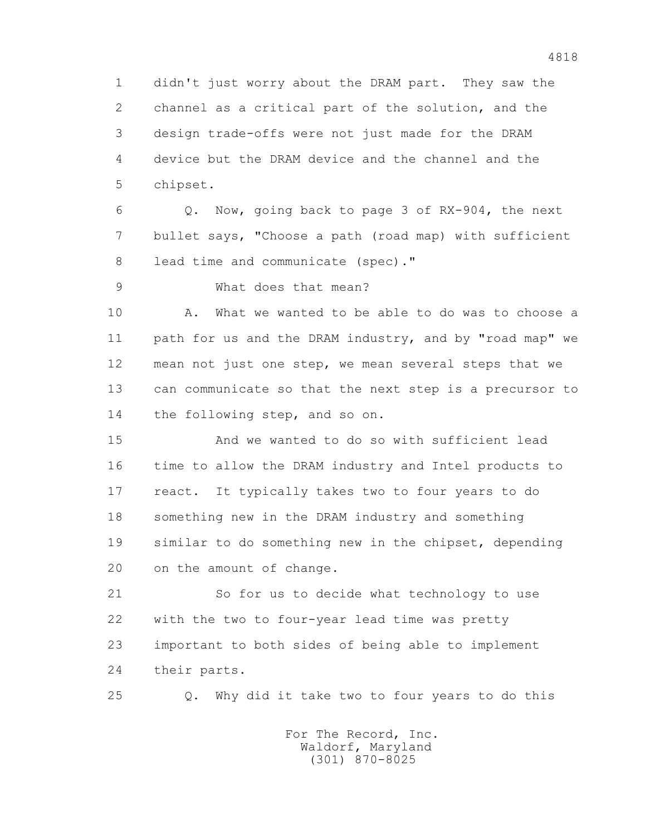1 didn't just worry about the DRAM part. They saw the 2 channel as a critical part of the solution, and the 3 design trade-offs were not just made for the DRAM 4 device but the DRAM device and the channel and the 5 chipset.

 6 Q. Now, going back to page 3 of RX-904, the next 7 bullet says, "Choose a path (road map) with sufficient 8 lead time and communicate (spec)."

9 What does that mean?

 10 A. What we wanted to be able to do was to choose a 11 path for us and the DRAM industry, and by "road map" we 12 mean not just one step, we mean several steps that we 13 can communicate so that the next step is a precursor to 14 the following step, and so on.

 15 And we wanted to do so with sufficient lead 16 time to allow the DRAM industry and Intel products to 17 react. It typically takes two to four years to do 18 something new in the DRAM industry and something 19 similar to do something new in the chipset, depending 20 on the amount of change.

 21 So for us to decide what technology to use 22 with the two to four-year lead time was pretty 23 important to both sides of being able to implement 24 their parts.

25 Q. Why did it take two to four years to do this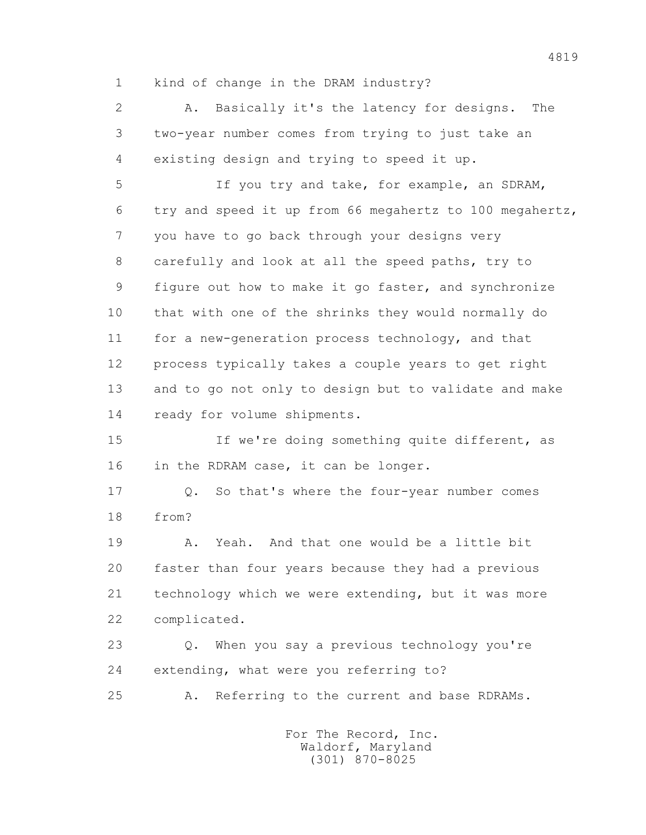1 kind of change in the DRAM industry?

 2 A. Basically it's the latency for designs. The 3 two-year number comes from trying to just take an 4 existing design and trying to speed it up.

 5 If you try and take, for example, an SDRAM, 6 try and speed it up from 66 megahertz to 100 megahertz, 7 you have to go back through your designs very 8 carefully and look at all the speed paths, try to 9 figure out how to make it go faster, and synchronize 10 that with one of the shrinks they would normally do 11 for a new-generation process technology, and that 12 process typically takes a couple years to get right 13 and to go not only to design but to validate and make 14 ready for volume shipments.

 15 If we're doing something quite different, as 16 in the RDRAM case, it can be longer.

 17 Q. So that's where the four-year number comes 18 from?

 19 A. Yeah. And that one would be a little bit 20 faster than four years because they had a previous 21 technology which we were extending, but it was more 22 complicated.

 23 Q. When you say a previous technology you're 24 extending, what were you referring to?

25 A. Referring to the current and base RDRAMs.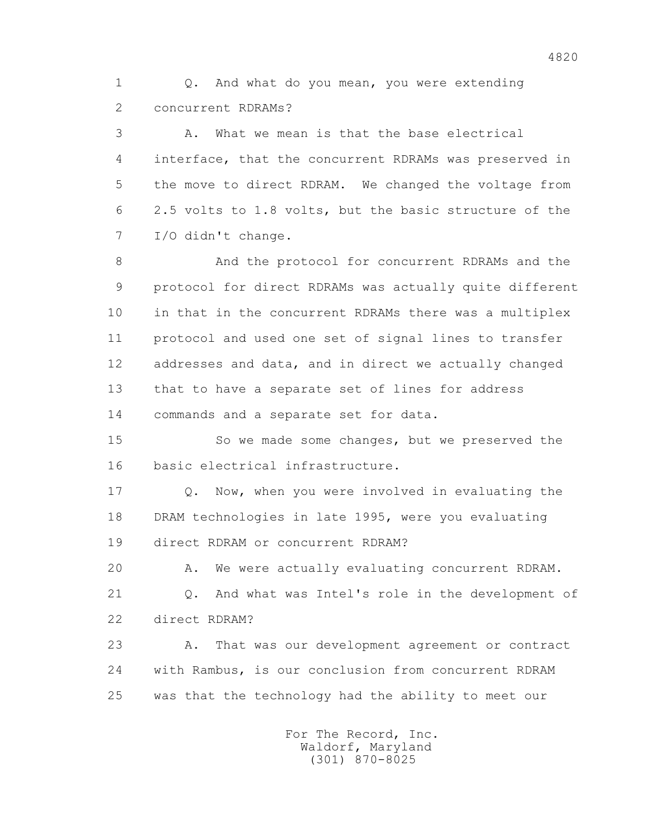1 Q. And what do you mean, you were extending 2 concurrent RDRAMs?

 3 A. What we mean is that the base electrical 4 interface, that the concurrent RDRAMs was preserved in 5 the move to direct RDRAM. We changed the voltage from 6 2.5 volts to 1.8 volts, but the basic structure of the 7 I/O didn't change.

 8 And the protocol for concurrent RDRAMs and the 9 protocol for direct RDRAMs was actually quite different 10 in that in the concurrent RDRAMs there was a multiplex 11 protocol and used one set of signal lines to transfer 12 addresses and data, and in direct we actually changed 13 that to have a separate set of lines for address 14 commands and a separate set for data.

 15 So we made some changes, but we preserved the 16 basic electrical infrastructure.

 17 Q. Now, when you were involved in evaluating the 18 DRAM technologies in late 1995, were you evaluating 19 direct RDRAM or concurrent RDRAM?

20 A. We were actually evaluating concurrent RDRAM.

 21 Q. And what was Intel's role in the development of 22 direct RDRAM?

 23 A. That was our development agreement or contract 24 with Rambus, is our conclusion from concurrent RDRAM 25 was that the technology had the ability to meet our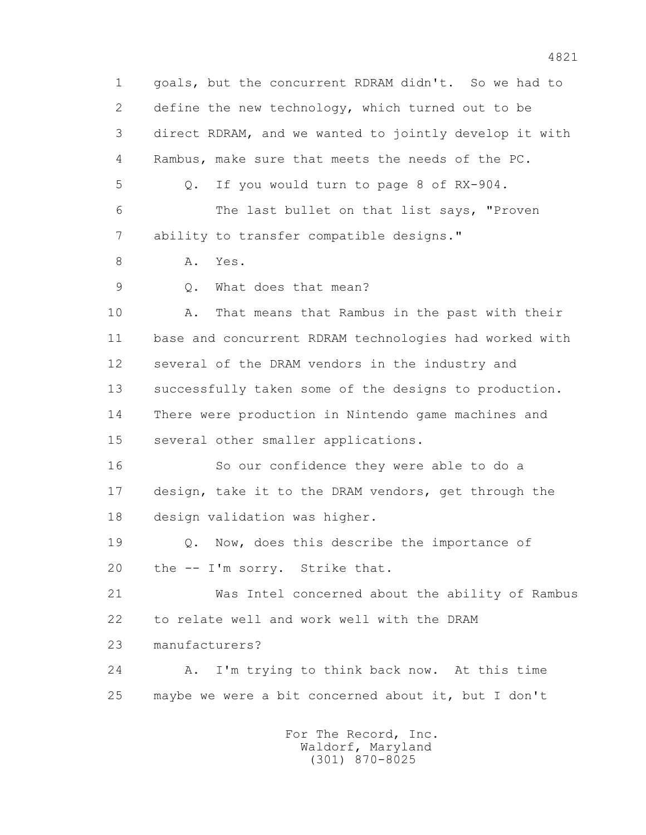1 goals, but the concurrent RDRAM didn't. So we had to 2 define the new technology, which turned out to be 3 direct RDRAM, and we wanted to jointly develop it with 4 Rambus, make sure that meets the needs of the PC. 5 Q. If you would turn to page 8 of RX-904. 6 The last bullet on that list says, "Proven 7 ability to transfer compatible designs." 8 A. Yes. 9 0. What does that mean? 10 A. That means that Rambus in the past with their 11 base and concurrent RDRAM technologies had worked with 12 several of the DRAM vendors in the industry and 13 successfully taken some of the designs to production. 14 There were production in Nintendo game machines and 15 several other smaller applications. 16 So our confidence they were able to do a 17 design, take it to the DRAM vendors, get through the 18 design validation was higher. 19 Q. Now, does this describe the importance of 20 the -- I'm sorry. Strike that. 21 Was Intel concerned about the ability of Rambus 22 to relate well and work well with the DRAM 23 manufacturers? 24 A. I'm trying to think back now. At this time 25 maybe we were a bit concerned about it, but I don't For The Record, Inc. Waldorf, Maryland

(301) 870-8025

4821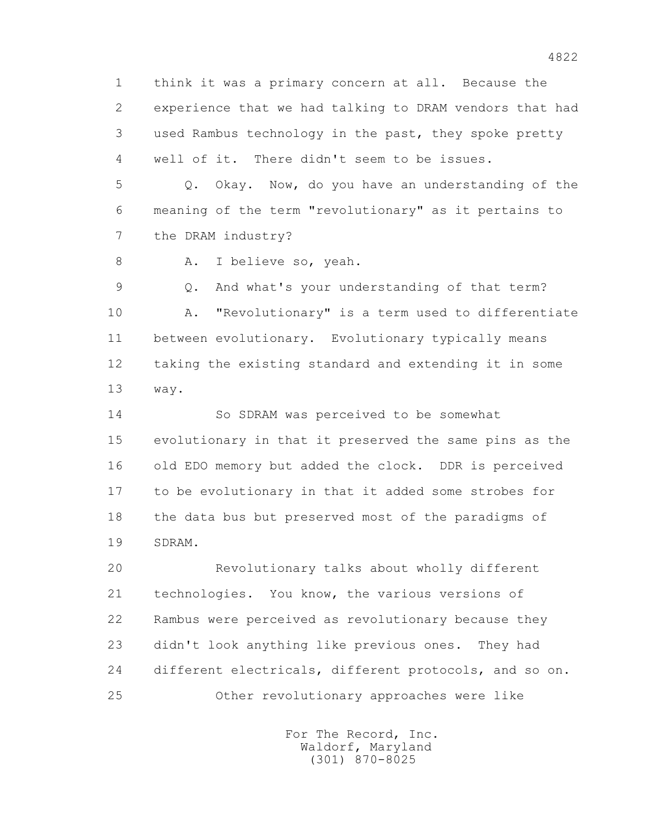1 think it was a primary concern at all. Because the 2 experience that we had talking to DRAM vendors that had 3 used Rambus technology in the past, they spoke pretty 4 well of it. There didn't seem to be issues.

 5 Q. Okay. Now, do you have an understanding of the 6 meaning of the term "revolutionary" as it pertains to 7 the DRAM industry?

8 A. I believe so, yeah.

 9 Q. And what's your understanding of that term? 10 A. "Revolutionary" is a term used to differentiate 11 between evolutionary. Evolutionary typically means 12 taking the existing standard and extending it in some 13 way.

 14 So SDRAM was perceived to be somewhat 15 evolutionary in that it preserved the same pins as the 16 old EDO memory but added the clock. DDR is perceived 17 to be evolutionary in that it added some strobes for 18 the data bus but preserved most of the paradigms of 19 SDRAM.

 20 Revolutionary talks about wholly different 21 technologies. You know, the various versions of 22 Rambus were perceived as revolutionary because they 23 didn't look anything like previous ones. They had 24 different electricals, different protocols, and so on. 25 Other revolutionary approaches were like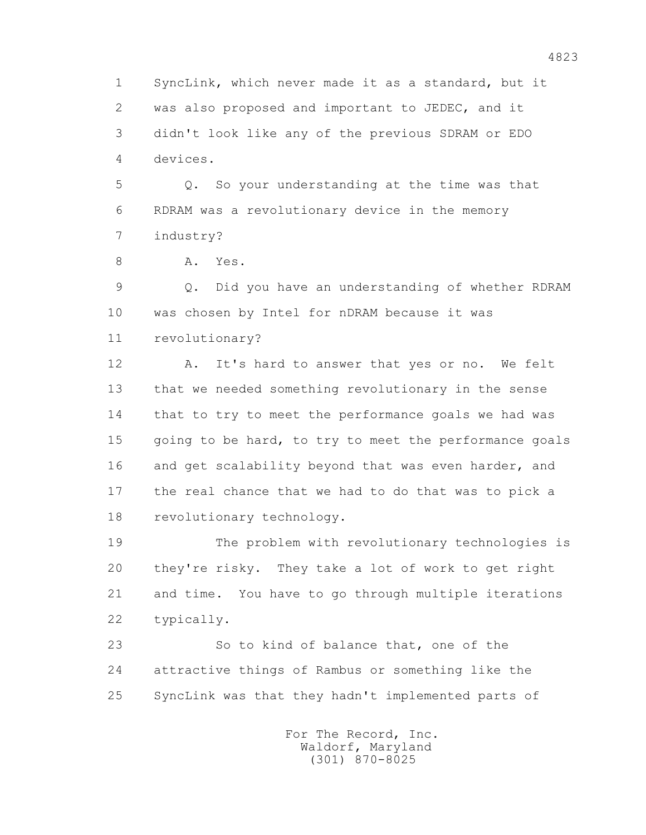1 SyncLink, which never made it as a standard, but it 2 was also proposed and important to JEDEC, and it 3 didn't look like any of the previous SDRAM or EDO 4 devices.

 5 Q. So your understanding at the time was that 6 RDRAM was a revolutionary device in the memory 7 industry?

8 A. Yes.

 9 Q. Did you have an understanding of whether RDRAM 10 was chosen by Intel for nDRAM because it was 11 revolutionary?

12 A. It's hard to answer that yes or no. We felt 13 that we needed something revolutionary in the sense 14 that to try to meet the performance goals we had was 15 going to be hard, to try to meet the performance goals 16 and get scalability beyond that was even harder, and 17 the real chance that we had to do that was to pick a 18 revolutionary technology.

 19 The problem with revolutionary technologies is 20 they're risky. They take a lot of work to get right 21 and time. You have to go through multiple iterations 22 typically.

 23 So to kind of balance that, one of the 24 attractive things of Rambus or something like the 25 SyncLink was that they hadn't implemented parts of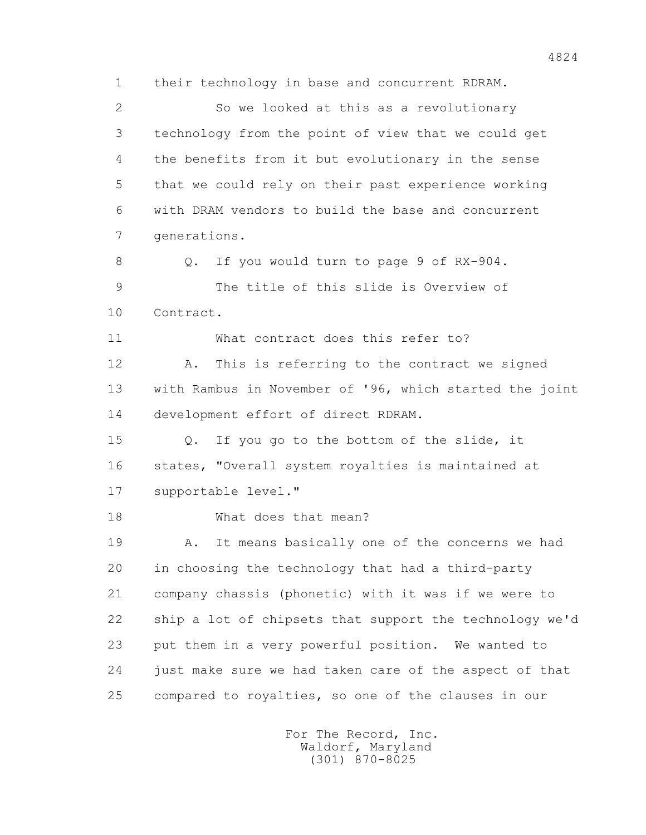1 their technology in base and concurrent RDRAM. 2 So we looked at this as a revolutionary 3 technology from the point of view that we could get 4 the benefits from it but evolutionary in the sense 5 that we could rely on their past experience working 6 with DRAM vendors to build the base and concurrent 7 generations. 8 Q. If you would turn to page 9 of RX-904. 9 The title of this slide is Overview of 10 Contract. 11 What contract does this refer to? 12 A. This is referring to the contract we signed 13 with Rambus in November of '96, which started the joint 14 development effort of direct RDRAM. 15 Q. If you go to the bottom of the slide, it 16 states, "Overall system royalties is maintained at 17 supportable level." 18 What does that mean? 19 A. It means basically one of the concerns we had 20 in choosing the technology that had a third-party 21 company chassis (phonetic) with it was if we were to 22 ship a lot of chipsets that support the technology we'd 23 put them in a very powerful position. We wanted to 24 just make sure we had taken care of the aspect of that 25 compared to royalties, so one of the clauses in our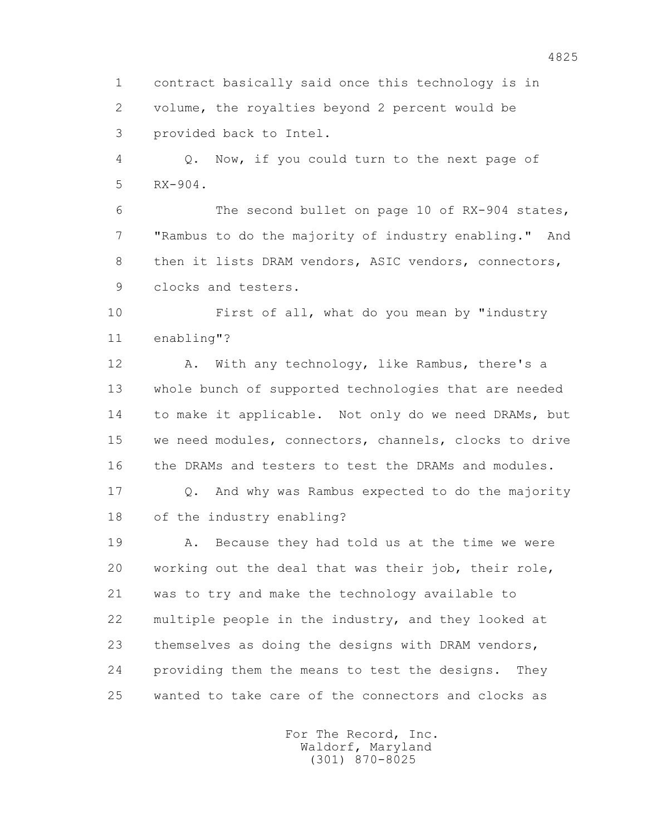1 contract basically said once this technology is in 2 volume, the royalties beyond 2 percent would be 3 provided back to Intel.

 4 Q. Now, if you could turn to the next page of 5 RX-904.

 6 The second bullet on page 10 of RX-904 states, 7 "Rambus to do the majority of industry enabling." And 8 then it lists DRAM vendors, ASIC vendors, connectors, 9 clocks and testers.

 10 First of all, what do you mean by "industry 11 enabling"?

12 A. With any technology, like Rambus, there's a 13 whole bunch of supported technologies that are needed 14 to make it applicable. Not only do we need DRAMs, but 15 we need modules, connectors, channels, clocks to drive 16 the DRAMs and testers to test the DRAMs and modules.

 17 Q. And why was Rambus expected to do the majority 18 of the industry enabling?

 19 A. Because they had told us at the time we were 20 working out the deal that was their job, their role, 21 was to try and make the technology available to 22 multiple people in the industry, and they looked at 23 themselves as doing the designs with DRAM vendors, 24 providing them the means to test the designs. They 25 wanted to take care of the connectors and clocks as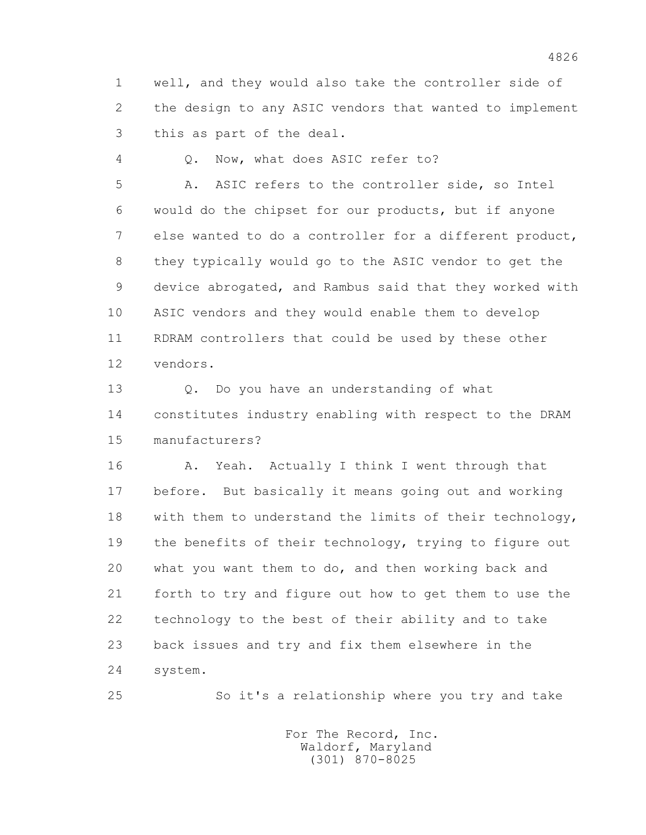1 well, and they would also take the controller side of 2 the design to any ASIC vendors that wanted to implement 3 this as part of the deal.

4 Q. Now, what does ASIC refer to?

 5 A. ASIC refers to the controller side, so Intel 6 would do the chipset for our products, but if anyone 7 else wanted to do a controller for a different product, 8 they typically would go to the ASIC vendor to get the 9 device abrogated, and Rambus said that they worked with 10 ASIC vendors and they would enable them to develop 11 RDRAM controllers that could be used by these other 12 vendors.

 13 Q. Do you have an understanding of what 14 constitutes industry enabling with respect to the DRAM 15 manufacturers?

16 A. Yeah. Actually I think I went through that 17 before. But basically it means going out and working 18 with them to understand the limits of their technology, 19 the benefits of their technology, trying to figure out 20 what you want them to do, and then working back and 21 forth to try and figure out how to get them to use the 22 technology to the best of their ability and to take 23 back issues and try and fix them elsewhere in the 24 system.

25 So it's a relationship where you try and take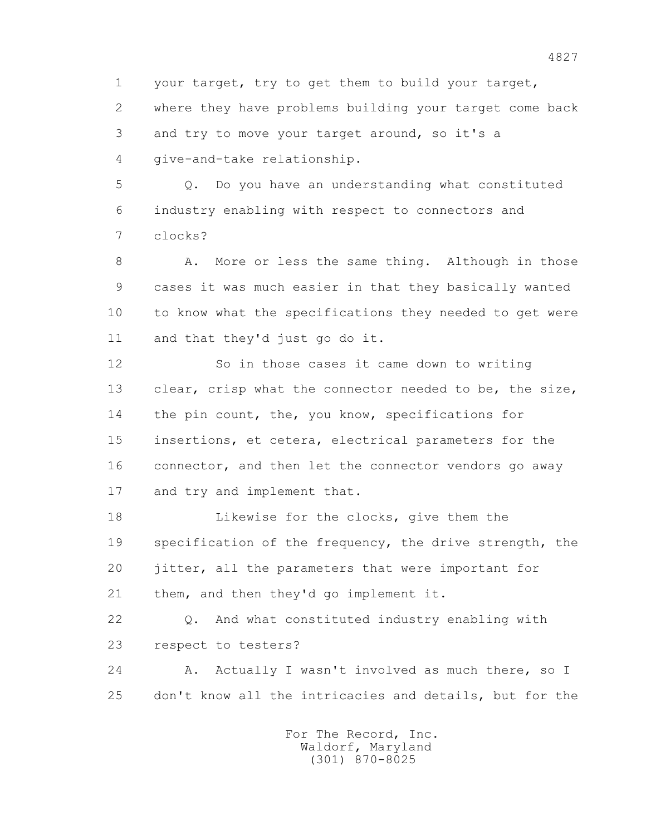1 your target, try to get them to build your target,

 2 where they have problems building your target come back 3 and try to move your target around, so it's a 4 give-and-take relationship.

 5 Q. Do you have an understanding what constituted 6 industry enabling with respect to connectors and 7 clocks?

8 A. More or less the same thing. Although in those 9 cases it was much easier in that they basically wanted 10 to know what the specifications they needed to get were 11 and that they'd just go do it.

 12 So in those cases it came down to writing 13 clear, crisp what the connector needed to be, the size, 14 the pin count, the, you know, specifications for 15 insertions, et cetera, electrical parameters for the 16 connector, and then let the connector vendors go away 17 and try and implement that.

 18 Likewise for the clocks, give them the 19 specification of the frequency, the drive strength, the 20 jitter, all the parameters that were important for 21 them, and then they'd go implement it.

 22 Q. And what constituted industry enabling with 23 respect to testers?

24 A. Actually I wasn't involved as much there, so I 25 don't know all the intricacies and details, but for the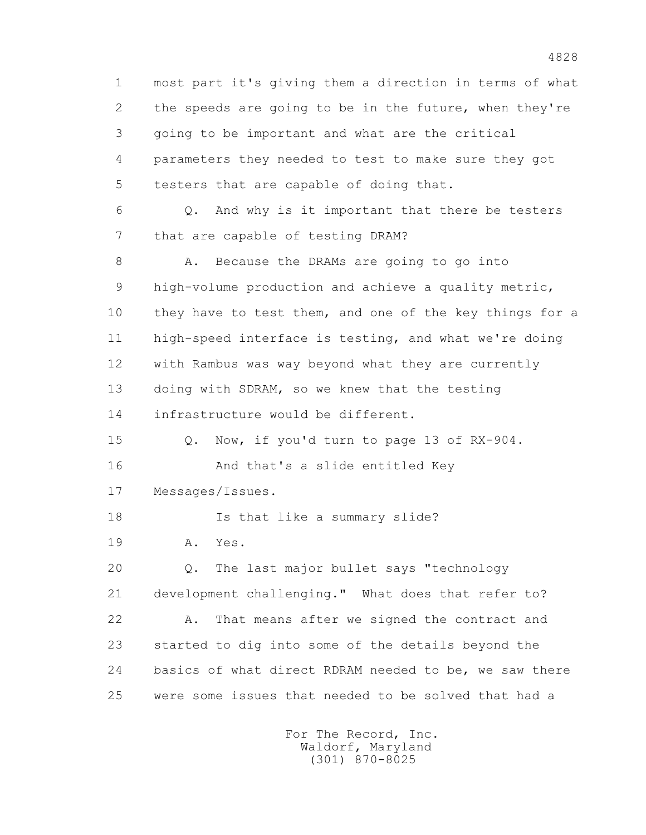1 most part it's giving them a direction in terms of what 2 the speeds are going to be in the future, when they're 3 going to be important and what are the critical 4 parameters they needed to test to make sure they got 5 testers that are capable of doing that. 6 Q. And why is it important that there be testers 7 that are capable of testing DRAM? 8 A. Because the DRAMs are going to go into 9 high-volume production and achieve a quality metric, 10 they have to test them, and one of the key things for a 11 high-speed interface is testing, and what we're doing 12 with Rambus was way beyond what they are currently 13 doing with SDRAM, so we knew that the testing 14 infrastructure would be different. 15 Q. Now, if you'd turn to page 13 of RX-904. 16 And that's a slide entitled Key 17 Messages/Issues. 18 Is that like a summary slide? 19 A. Yes. 20 Q. The last major bullet says "technology 21 development challenging." What does that refer to? 22 A. That means after we signed the contract and 23 started to dig into some of the details beyond the 24 basics of what direct RDRAM needed to be, we saw there 25 were some issues that needed to be solved that had a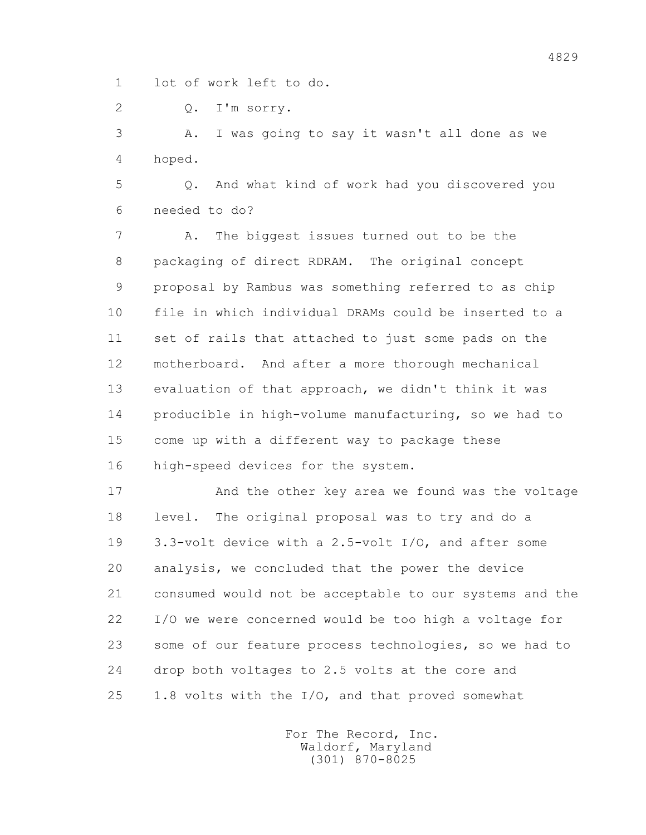1 lot of work left to do.

2 Q. I'm sorry.

 3 A. I was going to say it wasn't all done as we 4 hoped.

 5 Q. And what kind of work had you discovered you 6 needed to do?

 7 A. The biggest issues turned out to be the 8 packaging of direct RDRAM. The original concept 9 proposal by Rambus was something referred to as chip 10 file in which individual DRAMs could be inserted to a 11 set of rails that attached to just some pads on the 12 motherboard. And after a more thorough mechanical 13 evaluation of that approach, we didn't think it was 14 producible in high-volume manufacturing, so we had to 15 come up with a different way to package these 16 high-speed devices for the system.

 17 And the other key area we found was the voltage 18 level. The original proposal was to try and do a 19 3.3-volt device with a 2.5-volt I/O, and after some 20 analysis, we concluded that the power the device 21 consumed would not be acceptable to our systems and the 22 I/O we were concerned would be too high a voltage for 23 some of our feature process technologies, so we had to 24 drop both voltages to 2.5 volts at the core and 25 1.8 volts with the I/O, and that proved somewhat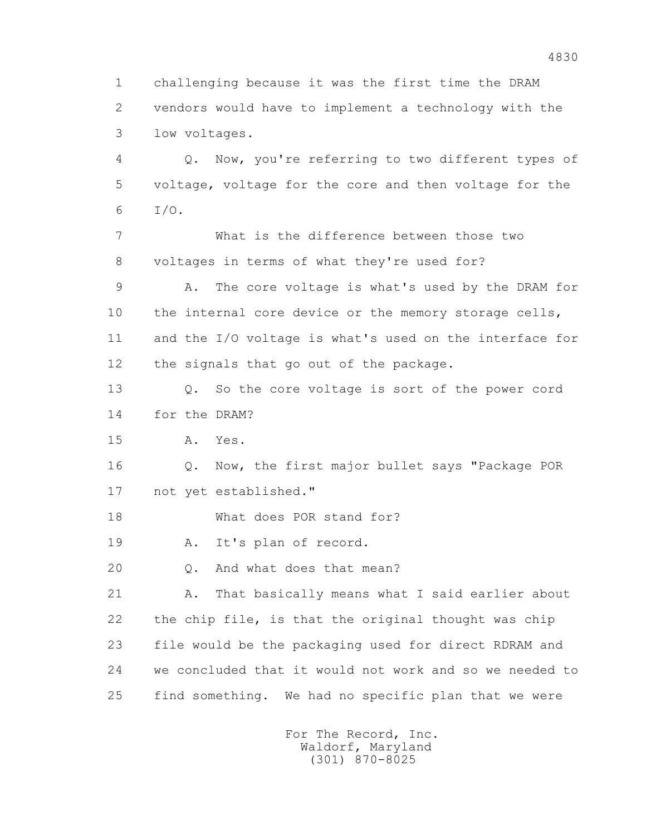1 challenging because it was the first time the DRAM 2 vendors would have to implement a technology with the 3 low voltages. 4 Q. Now, you're referring to two different types of 5 voltage, voltage for the core and then voltage for the 6 I/O. 7 What is the difference between those two 8 voltages in terms of what they're used for? 9 A. The core voltage is what's used by the DRAM for 10 the internal core device or the memory storage cells, 11 and the I/O voltage is what's used on the interface for 12 the signals that go out of the package. 13 Q. So the core voltage is sort of the power cord 14 for the DRAM? 15 A. Yes. 16 Q. Now, the first major bullet says "Package POR 17 not yet established." 18 What does POR stand for? 19 A. It's plan of record. 20 Q. And what does that mean? 21 A. That basically means what I said earlier about 22 the chip file, is that the original thought was chip 23 file would be the packaging used for direct RDRAM and 24 we concluded that it would not work and so we needed to 25 find something. We had no specific plan that we were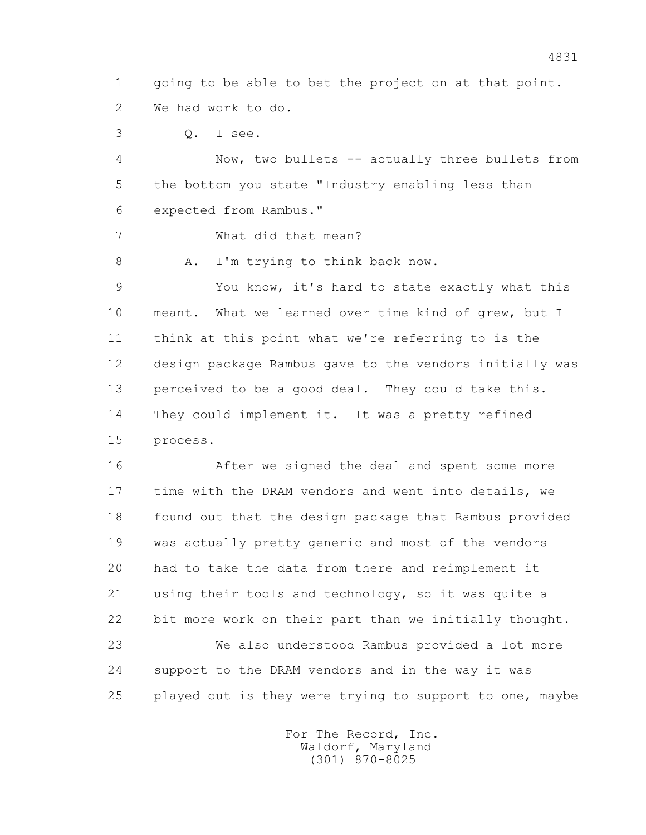1 going to be able to bet the project on at that point. 2 We had work to do.

3 Q. I see.

 4 Now, two bullets -- actually three bullets from 5 the bottom you state "Industry enabling less than 6 expected from Rambus."

7 What did that mean?

8 A. I'm trying to think back now.

 9 You know, it's hard to state exactly what this 10 meant. What we learned over time kind of grew, but I 11 think at this point what we're referring to is the 12 design package Rambus gave to the vendors initially was 13 perceived to be a good deal. They could take this. 14 They could implement it. It was a pretty refined 15 process.

 16 After we signed the deal and spent some more 17 time with the DRAM vendors and went into details, we 18 found out that the design package that Rambus provided 19 was actually pretty generic and most of the vendors 20 had to take the data from there and reimplement it 21 using their tools and technology, so it was quite a 22 bit more work on their part than we initially thought. 23 We also understood Rambus provided a lot more 24 support to the DRAM vendors and in the way it was 25 played out is they were trying to support to one, maybe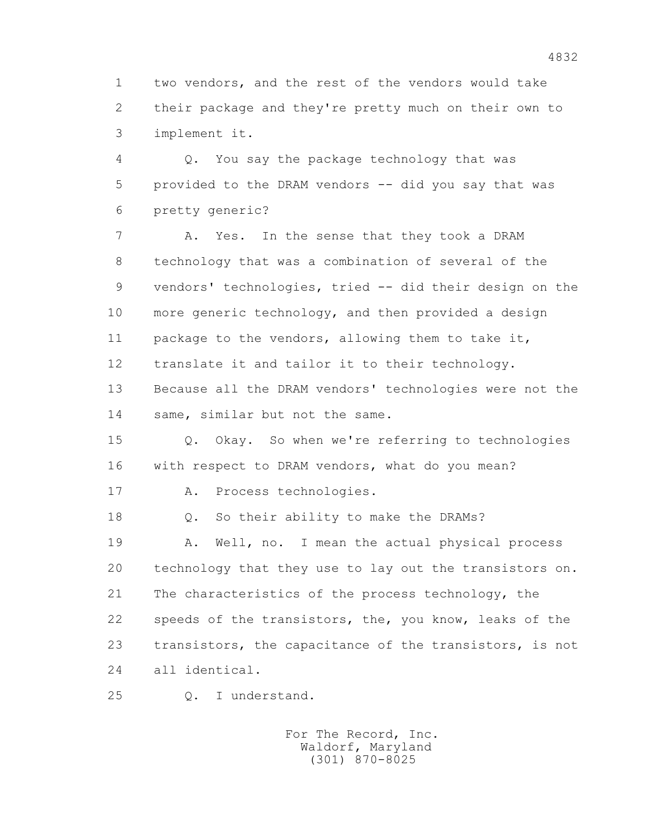1 two vendors, and the rest of the vendors would take 2 their package and they're pretty much on their own to 3 implement it.

 4 Q. You say the package technology that was 5 provided to the DRAM vendors -- did you say that was 6 pretty generic?

7 A. Yes. In the sense that they took a DRAM 8 technology that was a combination of several of the 9 vendors' technologies, tried -- did their design on the 10 more generic technology, and then provided a design 11 package to the vendors, allowing them to take it, 12 translate it and tailor it to their technology. 13 Because all the DRAM vendors' technologies were not the 14 same, similar but not the same.

 15 Q. Okay. So when we're referring to technologies 16 with respect to DRAM vendors, what do you mean?

17 A. Process technologies.

18 Q. So their ability to make the DRAMs?

 19 A. Well, no. I mean the actual physical process 20 technology that they use to lay out the transistors on. 21 The characteristics of the process technology, the 22 speeds of the transistors, the, you know, leaks of the 23 transistors, the capacitance of the transistors, is not 24 all identical.

25 Q. I understand.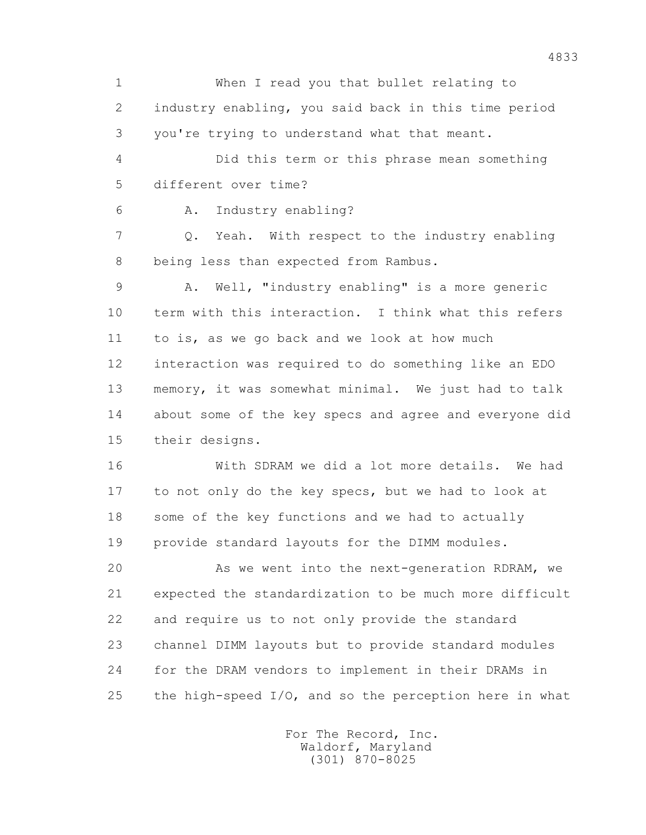1 When I read you that bullet relating to 2 industry enabling, you said back in this time period 3 you're trying to understand what that meant. 4 Did this term or this phrase mean something 5 different over time? 6 A. Industry enabling? 7 Q. Yeah. With respect to the industry enabling 8 being less than expected from Rambus. 9 A. Well, "industry enabling" is a more generic 10 term with this interaction. I think what this refers 11 to is, as we go back and we look at how much 12 interaction was required to do something like an EDO 13 memory, it was somewhat minimal. We just had to talk 14 about some of the key specs and agree and everyone did 15 their designs. 16 With SDRAM we did a lot more details. We had 17 to not only do the key specs, but we had to look at 18 some of the key functions and we had to actually 19 provide standard layouts for the DIMM modules. 20 As we went into the next-generation RDRAM, we 21 expected the standardization to be much more difficult 22 and require us to not only provide the standard 23 channel DIMM layouts but to provide standard modules 24 for the DRAM vendors to implement in their DRAMs in 25 the high-speed  $I/O<sub>t</sub>$  and so the perception here in what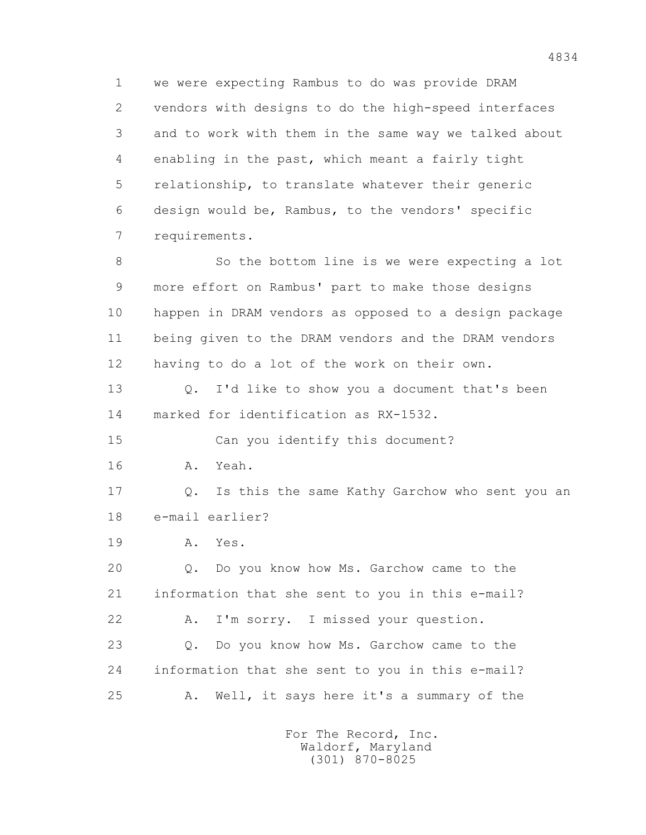1 we were expecting Rambus to do was provide DRAM 2 vendors with designs to do the high-speed interfaces 3 and to work with them in the same way we talked about 4 enabling in the past, which meant a fairly tight 5 relationship, to translate whatever their generic 6 design would be, Rambus, to the vendors' specific 7 requirements.

 8 So the bottom line is we were expecting a lot 9 more effort on Rambus' part to make those designs 10 happen in DRAM vendors as opposed to a design package 11 being given to the DRAM vendors and the DRAM vendors 12 having to do a lot of the work on their own.

 13 Q. I'd like to show you a document that's been 14 marked for identification as RX-1532.

 15 Can you identify this document? 16 A. Yeah.

 17 Q. Is this the same Kathy Garchow who sent you an 18 e-mail earlier?

19 A. Yes.

 20 Q. Do you know how Ms. Garchow came to the 21 information that she sent to you in this e-mail? 22 A. I'm sorry. I missed your question.

 23 Q. Do you know how Ms. Garchow came to the 24 information that she sent to you in this e-mail? 25 A. Well, it says here it's a summary of the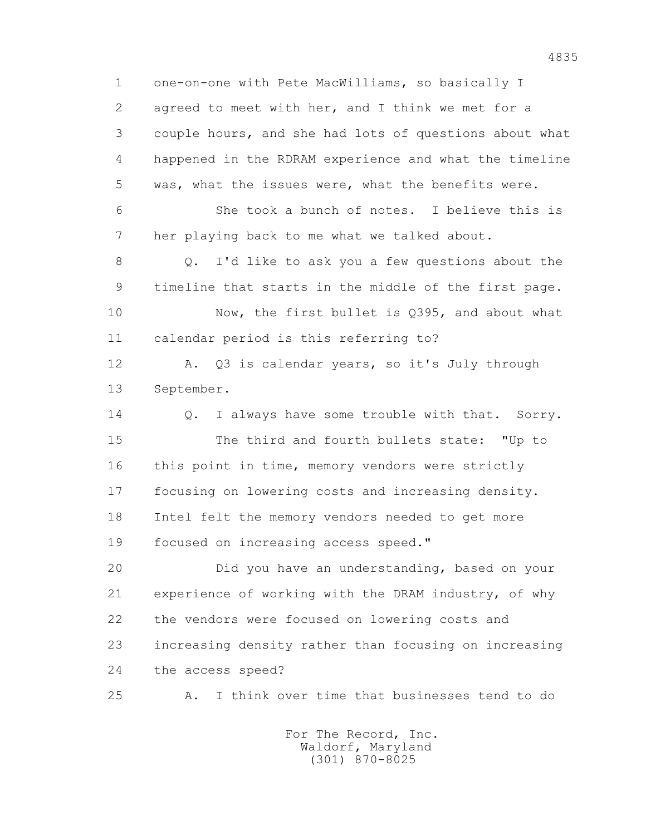1 one-on-one with Pete MacWilliams, so basically I 2 agreed to meet with her, and I think we met for a 3 couple hours, and she had lots of questions about what 4 happened in the RDRAM experience and what the timeline 5 was, what the issues were, what the benefits were. 6 She took a bunch of notes. I believe this is 7 her playing back to me what we talked about.

 8 Q. I'd like to ask you a few questions about the 9 timeline that starts in the middle of the first page.

 10 Now, the first bullet is Q395, and about what 11 calendar period is this referring to?

 12 A. Q3 is calendar years, so it's July through 13 September.

14 0. I always have some trouble with that. Sorry. 15 The third and fourth bullets state: "Up to 16 this point in time, memory vendors were strictly 17 focusing on lowering costs and increasing density. 18 Intel felt the memory vendors needed to get more 19 focused on increasing access speed."

 20 Did you have an understanding, based on your 21 experience of working with the DRAM industry, of why 22 the vendors were focused on lowering costs and 23 increasing density rather than focusing on increasing 24 the access speed?

25 A. I think over time that businesses tend to do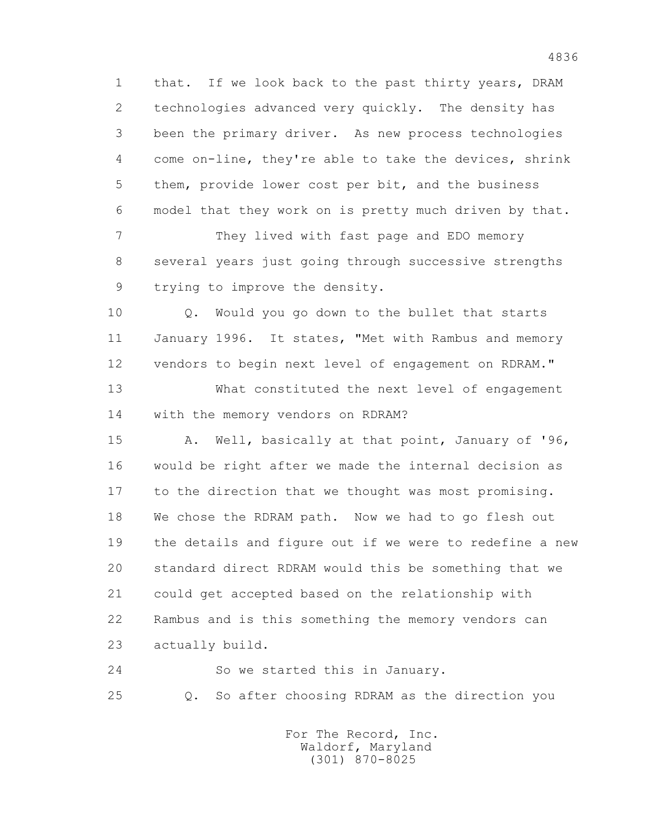1 that. If we look back to the past thirty years, DRAM 2 technologies advanced very quickly. The density has 3 been the primary driver. As new process technologies 4 come on-line, they're able to take the devices, shrink 5 them, provide lower cost per bit, and the business 6 model that they work on is pretty much driven by that.

 7 They lived with fast page and EDO memory 8 several years just going through successive strengths 9 trying to improve the density.

 10 Q. Would you go down to the bullet that starts 11 January 1996. It states, "Met with Rambus and memory 12 vendors to begin next level of engagement on RDRAM."

 13 What constituted the next level of engagement 14 with the memory vendors on RDRAM?

 15 A. Well, basically at that point, January of '96, 16 would be right after we made the internal decision as 17 to the direction that we thought was most promising. 18 We chose the RDRAM path. Now we had to go flesh out 19 the details and figure out if we were to redefine a new 20 standard direct RDRAM would this be something that we 21 could get accepted based on the relationship with 22 Rambus and is this something the memory vendors can 23 actually build.

 24 So we started this in January. 25 Q. So after choosing RDRAM as the direction you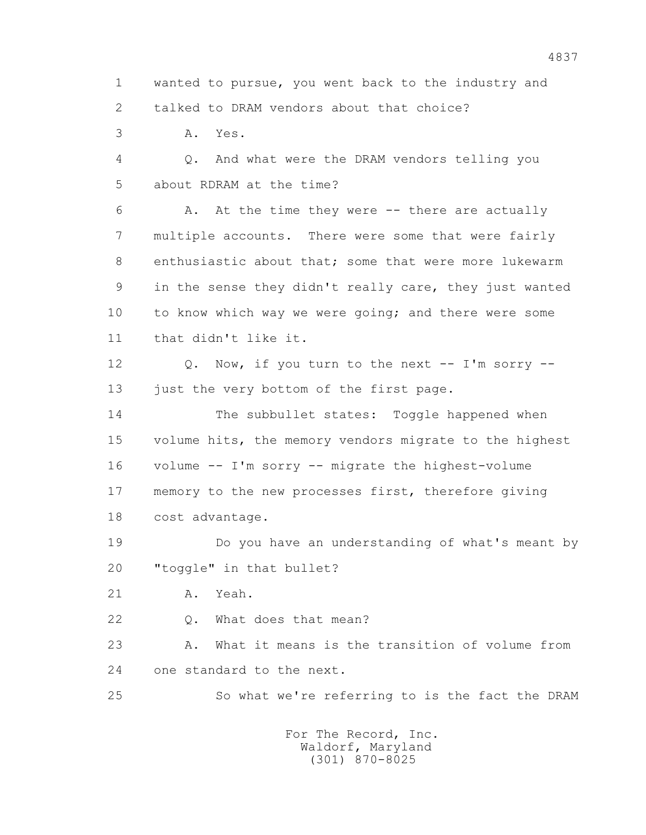1 wanted to pursue, you went back to the industry and 2 talked to DRAM vendors about that choice?

3 A. Yes.

 4 Q. And what were the DRAM vendors telling you 5 about RDRAM at the time?

 6 A. At the time they were -- there are actually 7 multiple accounts. There were some that were fairly 8 enthusiastic about that; some that were more lukewarm 9 in the sense they didn't really care, they just wanted 10 to know which way we were going; and there were some 11 that didn't like it.

 12 Q. Now, if you turn to the next -- I'm sorry -- 13 just the very bottom of the first page.

14 The subbullet states: Toggle happened when 15 volume hits, the memory vendors migrate to the highest 16 volume -- I'm sorry -- migrate the highest-volume 17 memory to the new processes first, therefore giving 18 cost advantage.

 19 Do you have an understanding of what's meant by 20 "toggle" in that bullet?

21 A. Yeah.

22 Q. What does that mean?

 23 A. What it means is the transition of volume from 24 one standard to the next.

25 So what we're referring to is the fact the DRAM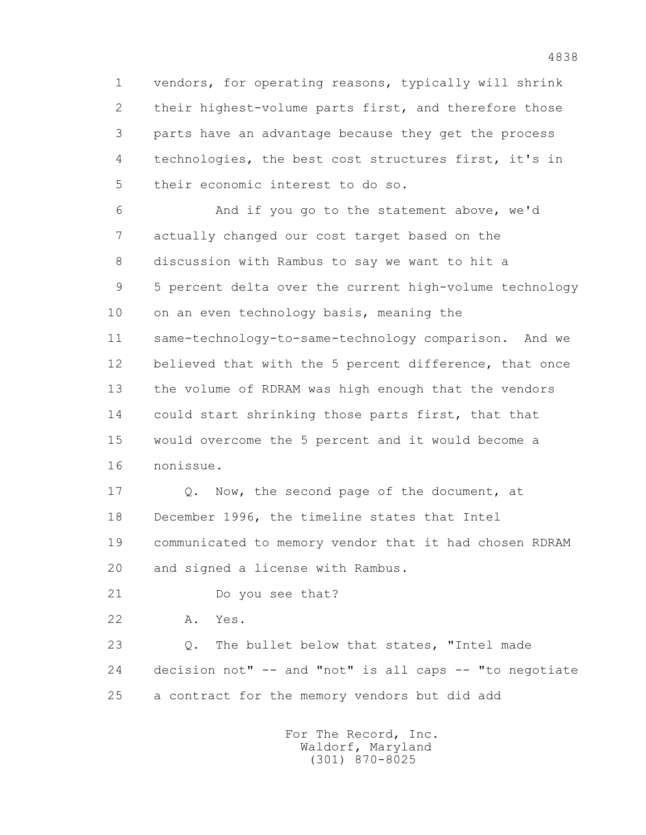1 vendors, for operating reasons, typically will shrink 2 their highest-volume parts first, and therefore those 3 parts have an advantage because they get the process 4 technologies, the best cost structures first, it's in 5 their economic interest to do so.

 6 And if you go to the statement above, we'd 7 actually changed our cost target based on the 8 discussion with Rambus to say we want to hit a 9 5 percent delta over the current high-volume technology 10 on an even technology basis, meaning the 11 same-technology-to-same-technology comparison. And we 12 believed that with the 5 percent difference, that once 13 the volume of RDRAM was high enough that the vendors 14 could start shrinking those parts first, that that 15 would overcome the 5 percent and it would become a 16 nonissue.

17 Q. Now, the second page of the document, at 18 December 1996, the timeline states that Intel 19 communicated to memory vendor that it had chosen RDRAM 20 and signed a license with Rambus.

21 Do you see that?

22 A. Yes.

 23 Q. The bullet below that states, "Intel made 24 decision not" -- and "not" is all caps -- "to negotiate 25 a contract for the memory vendors but did add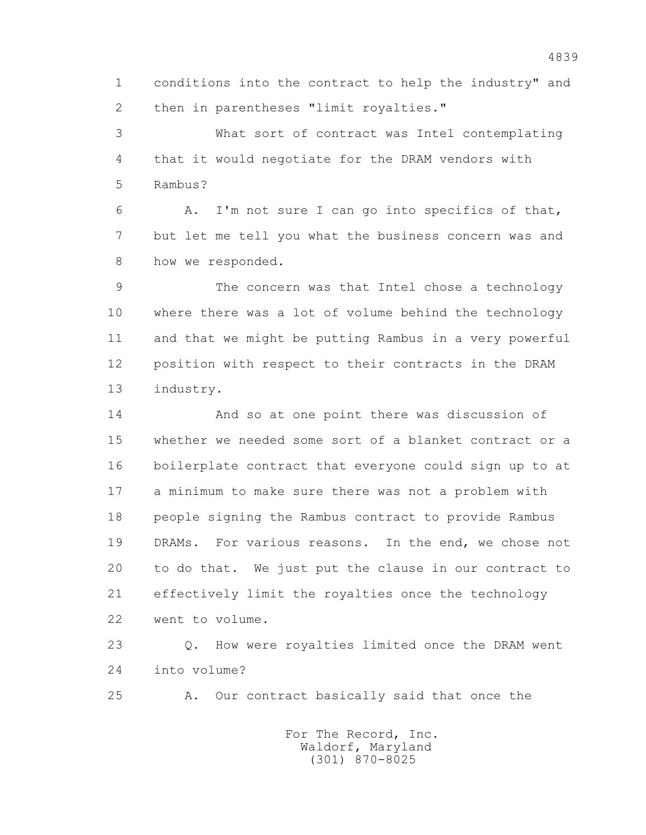1 conditions into the contract to help the industry" and 2 then in parentheses "limit royalties."

 3 What sort of contract was Intel contemplating 4 that it would negotiate for the DRAM vendors with 5 Rambus?

 6 A. I'm not sure I can go into specifics of that, 7 but let me tell you what the business concern was and 8 how we responded.

 9 The concern was that Intel chose a technology 10 where there was a lot of volume behind the technology 11 and that we might be putting Rambus in a very powerful 12 position with respect to their contracts in the DRAM 13 industry.

 14 And so at one point there was discussion of 15 whether we needed some sort of a blanket contract or a 16 boilerplate contract that everyone could sign up to at 17 a minimum to make sure there was not a problem with 18 people signing the Rambus contract to provide Rambus 19 DRAMs. For various reasons. In the end, we chose not 20 to do that. We just put the clause in our contract to 21 effectively limit the royalties once the technology 22 went to volume.

 23 Q. How were royalties limited once the DRAM went 24 into volume?

25 A. Our contract basically said that once the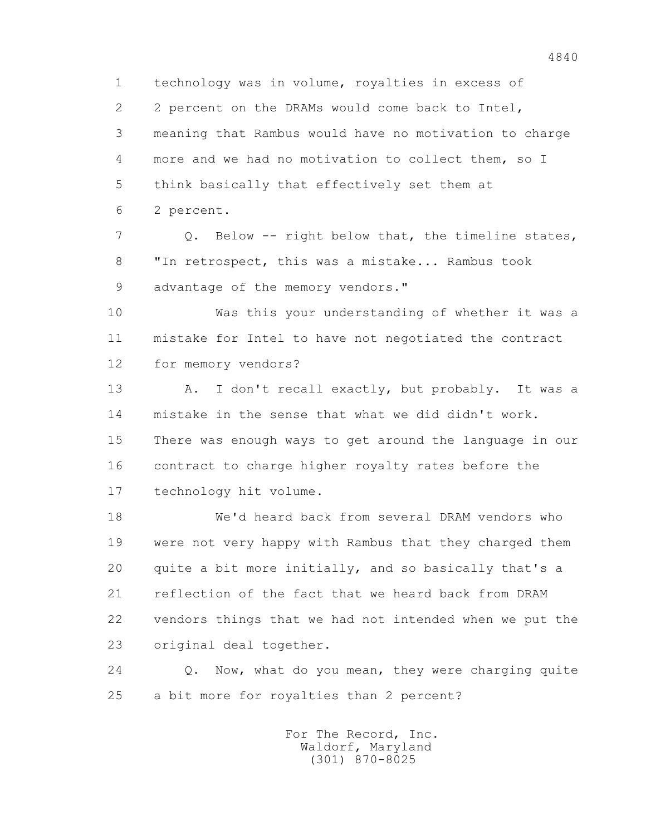1 technology was in volume, royalties in excess of 2 2 percent on the DRAMs would come back to Intel, 3 meaning that Rambus would have no motivation to charge 4 more and we had no motivation to collect them, so I 5 think basically that effectively set them at

6 2 percent.

 7 Q. Below -- right below that, the timeline states, 8 "In retrospect, this was a mistake... Rambus took 9 advantage of the memory vendors."

 10 Was this your understanding of whether it was a 11 mistake for Intel to have not negotiated the contract 12 for memory vendors?

 13 A. I don't recall exactly, but probably. It was a 14 mistake in the sense that what we did didn't work. 15 There was enough ways to get around the language in our 16 contract to charge higher royalty rates before the 17 technology hit volume.

 18 We'd heard back from several DRAM vendors who 19 were not very happy with Rambus that they charged them 20 quite a bit more initially, and so basically that's a 21 reflection of the fact that we heard back from DRAM 22 vendors things that we had not intended when we put the 23 original deal together.

 24 Q. Now, what do you mean, they were charging quite 25 a bit more for royalties than 2 percent?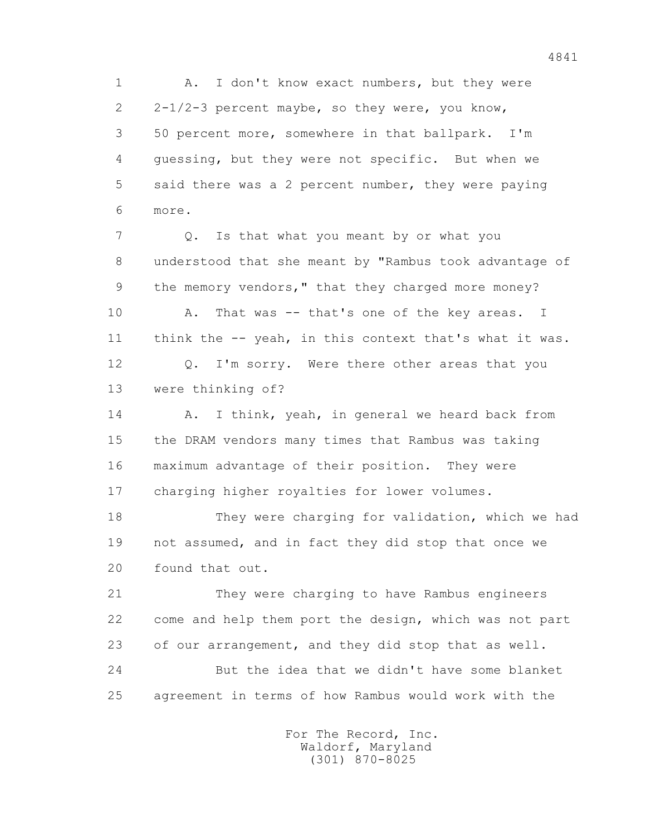1 A. I don't know exact numbers, but they were 2 2-1/2-3 percent maybe, so they were, you know, 3 50 percent more, somewhere in that ballpark. I'm 4 guessing, but they were not specific. But when we 5 said there was a 2 percent number, they were paying 6 more.

7 Q. Is that what you meant by or what you 8 understood that she meant by "Rambus took advantage of 9 the memory vendors," that they charged more money? 10 A. That was -- that's one of the key areas. I 11 think the -- yeah, in this context that's what it was.

 12 Q. I'm sorry. Were there other areas that you 13 were thinking of?

14 A. I think, yeah, in general we heard back from 15 the DRAM vendors many times that Rambus was taking 16 maximum advantage of their position. They were 17 charging higher royalties for lower volumes.

 18 They were charging for validation, which we had 19 not assumed, and in fact they did stop that once we 20 found that out.

 21 They were charging to have Rambus engineers 22 come and help them port the design, which was not part 23 of our arrangement, and they did stop that as well. 24 But the idea that we didn't have some blanket 25 agreement in terms of how Rambus would work with the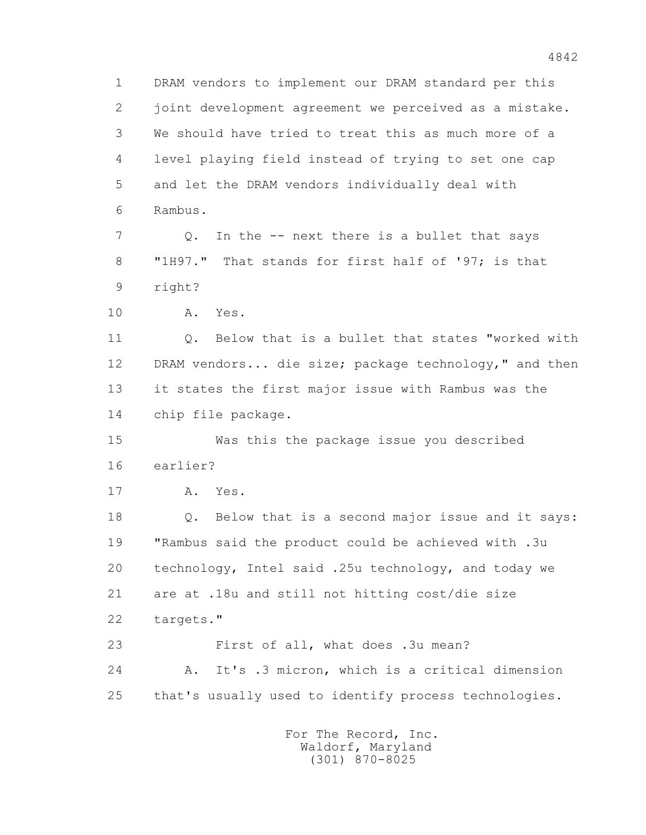1 DRAM vendors to implement our DRAM standard per this 2 joint development agreement we perceived as a mistake. 3 We should have tried to treat this as much more of a 4 level playing field instead of trying to set one cap 5 and let the DRAM vendors individually deal with 6 Rambus. 7 Q. In the -- next there is a bullet that says 8 "1H97." That stands for first half of '97; is that 9 right? 10 A. Yes. 11 Q. Below that is a bullet that states "worked with 12 DRAM vendors... die size; package technology," and then 13 it states the first major issue with Rambus was the 14 chip file package. 15 Was this the package issue you described 16 earlier? 17 A. Yes. 18 Q. Below that is a second major issue and it says: 19 "Rambus said the product could be achieved with .3u 20 technology, Intel said .25u technology, and today we 21 are at .18u and still not hitting cost/die size 22 targets." 23 First of all, what does .3u mean? 24 A. It's .3 micron, which is a critical dimension 25 that's usually used to identify process technologies. For The Record, Inc. Waldorf, Maryland

(301) 870-8025

4842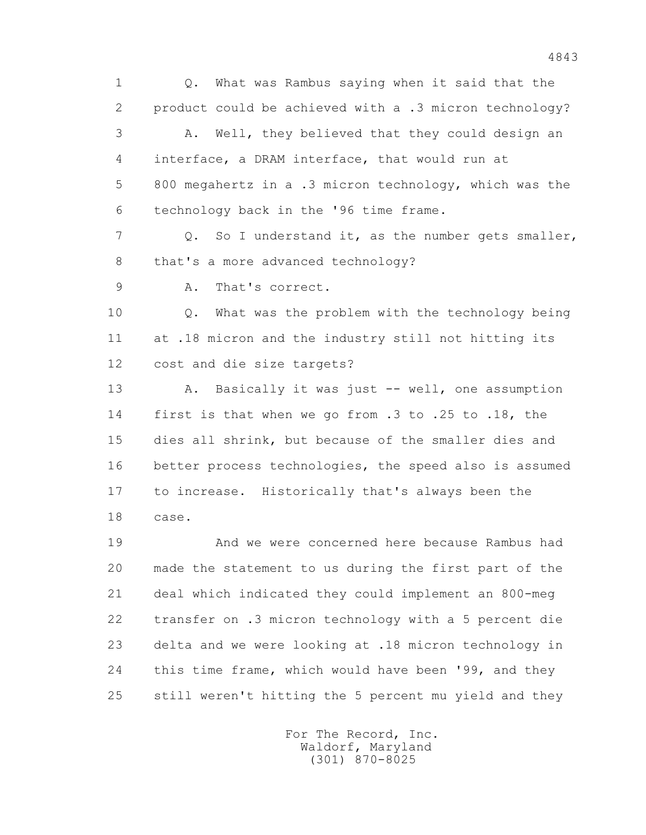1 Q. What was Rambus saying when it said that the 2 product could be achieved with a .3 micron technology? 3 A. Well, they believed that they could design an 4 interface, a DRAM interface, that would run at 5 800 megahertz in a .3 micron technology, which was the 6 technology back in the '96 time frame.

 7 Q. So I understand it, as the number gets smaller, 8 that's a more advanced technology?

9 A. That's correct.

 10 Q. What was the problem with the technology being 11 at .18 micron and the industry still not hitting its 12 cost and die size targets?

13 A. Basically it was just -- well, one assumption 14 first is that when we go from .3 to .25 to .18, the 15 dies all shrink, but because of the smaller dies and 16 better process technologies, the speed also is assumed 17 to increase. Historically that's always been the 18 case.

 19 And we were concerned here because Rambus had 20 made the statement to us during the first part of the 21 deal which indicated they could implement an 800-meg 22 transfer on .3 micron technology with a 5 percent die 23 delta and we were looking at .18 micron technology in 24 this time frame, which would have been '99, and they 25 still weren't hitting the 5 percent mu yield and they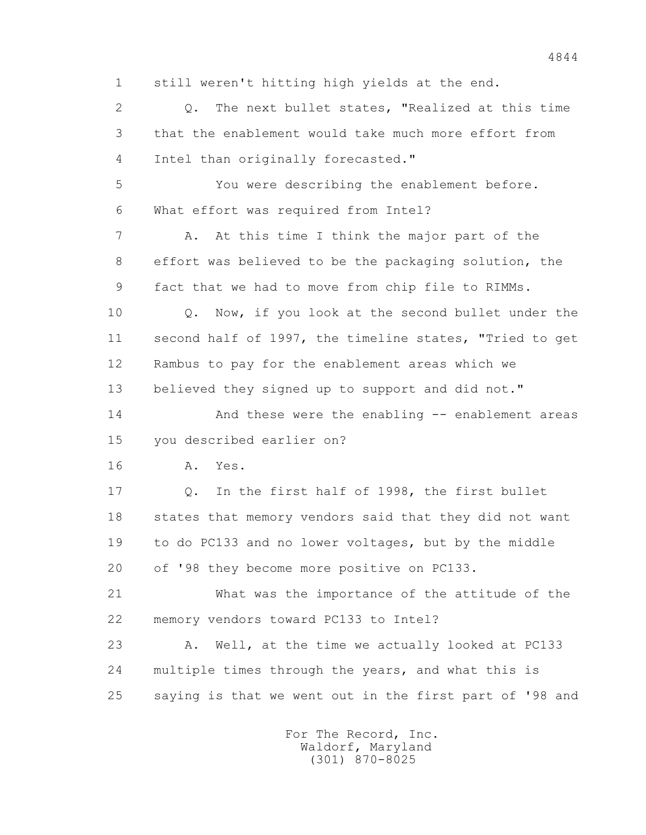1 still weren't hitting high yields at the end.

 2 Q. The next bullet states, "Realized at this time 3 that the enablement would take much more effort from 4 Intel than originally forecasted."

 5 You were describing the enablement before. 6 What effort was required from Intel?

 7 A. At this time I think the major part of the 8 effort was believed to be the packaging solution, the 9 fact that we had to move from chip file to RIMMs.

 10 Q. Now, if you look at the second bullet under the 11 second half of 1997, the timeline states, "Tried to get 12 Rambus to pay for the enablement areas which we 13 believed they signed up to support and did not."

 14 And these were the enabling -- enablement areas 15 you described earlier on?

16 A. Yes.

 17 Q. In the first half of 1998, the first bullet 18 states that memory vendors said that they did not want 19 to do PC133 and no lower voltages, but by the middle 20 of '98 they become more positive on PC133.

 21 What was the importance of the attitude of the 22 memory vendors toward PC133 to Intel?

 23 A. Well, at the time we actually looked at PC133 24 multiple times through the years, and what this is 25 saying is that we went out in the first part of '98 and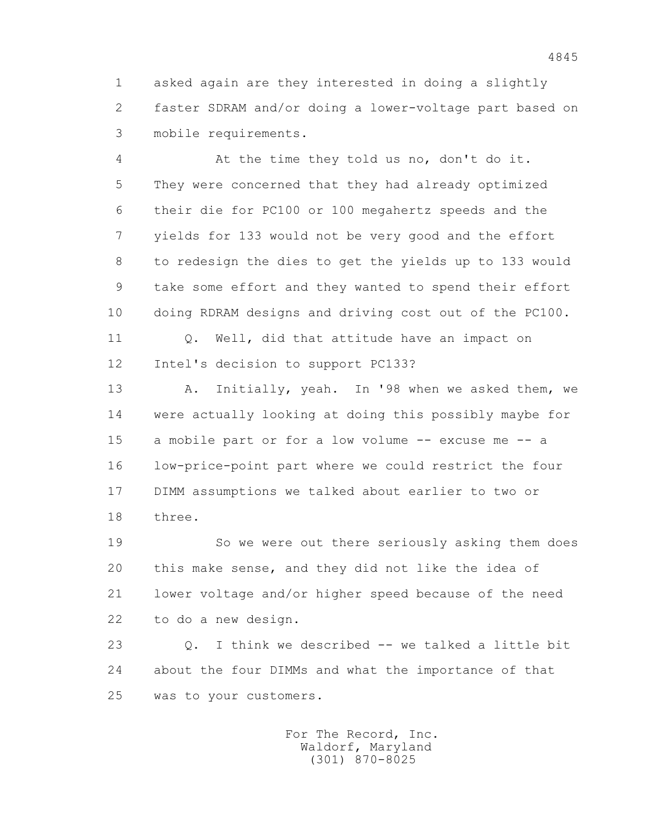1 asked again are they interested in doing a slightly 2 faster SDRAM and/or doing a lower-voltage part based on 3 mobile requirements.

 4 At the time they told us no, don't do it. 5 They were concerned that they had already optimized 6 their die for PC100 or 100 megahertz speeds and the 7 yields for 133 would not be very good and the effort 8 to redesign the dies to get the yields up to 133 would 9 take some effort and they wanted to spend their effort 10 doing RDRAM designs and driving cost out of the PC100.

11 0. Well, did that attitude have an impact on 12 Intel's decision to support PC133?

 13 A. Initially, yeah. In '98 when we asked them, we 14 were actually looking at doing this possibly maybe for 15 a mobile part or for a low volume -- excuse me -- a 16 low-price-point part where we could restrict the four 17 DIMM assumptions we talked about earlier to two or 18 three.

 19 So we were out there seriously asking them does 20 this make sense, and they did not like the idea of 21 lower voltage and/or higher speed because of the need 22 to do a new design.

 23 Q. I think we described -- we talked a little bit 24 about the four DIMMs and what the importance of that 25 was to your customers.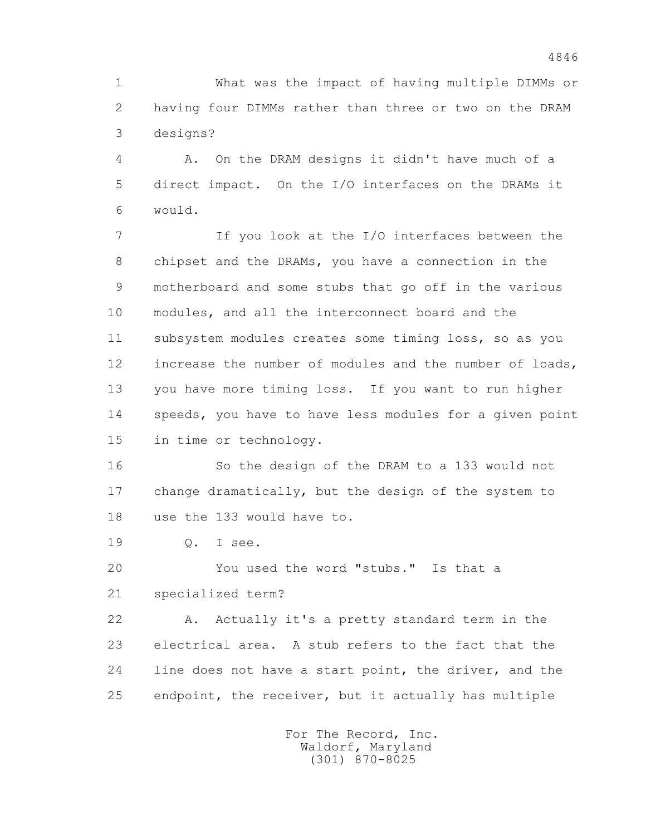1 What was the impact of having multiple DIMMs or 2 having four DIMMs rather than three or two on the DRAM 3 designs?

 4 A. On the DRAM designs it didn't have much of a 5 direct impact. On the I/O interfaces on the DRAMs it 6 would.

 7 If you look at the I/O interfaces between the 8 chipset and the DRAMs, you have a connection in the 9 motherboard and some stubs that go off in the various 10 modules, and all the interconnect board and the 11 subsystem modules creates some timing loss, so as you 12 increase the number of modules and the number of loads, 13 you have more timing loss. If you want to run higher 14 speeds, you have to have less modules for a given point 15 in time or technology.

 16 So the design of the DRAM to a 133 would not 17 change dramatically, but the design of the system to 18 use the 133 would have to.

19 Q. I see.

20 You used the word "stubs." Is that a

21 specialized term?

 22 A. Actually it's a pretty standard term in the 23 electrical area. A stub refers to the fact that the 24 line does not have a start point, the driver, and the 25 endpoint, the receiver, but it actually has multiple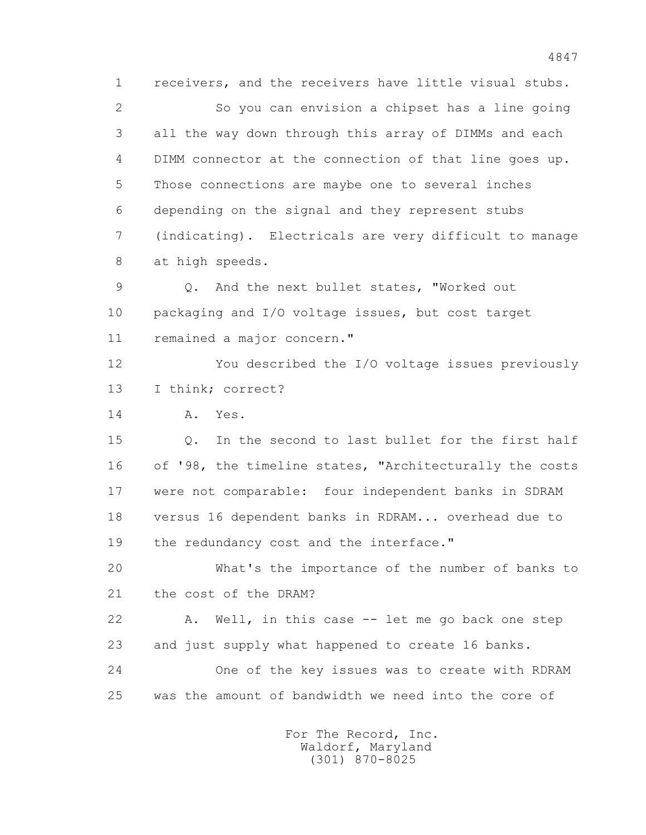1 receivers, and the receivers have little visual stubs. 2 So you can envision a chipset has a line going 3 all the way down through this array of DIMMs and each 4 DIMM connector at the connection of that line goes up. 5 Those connections are maybe one to several inches 6 depending on the signal and they represent stubs 7 (indicating). Electricals are very difficult to manage 8 at high speeds.

 9 Q. And the next bullet states, "Worked out 10 packaging and I/O voltage issues, but cost target 11 remained a major concern."

 12 You described the I/O voltage issues previously 13 I think; correct?

14 A. Yes.

15 0. In the second to last bullet for the first half 16 of '98, the timeline states, "Architecturally the costs 17 were not comparable: four independent banks in SDRAM 18 versus 16 dependent banks in RDRAM... overhead due to 19 the redundancy cost and the interface."

 20 What's the importance of the number of banks to 21 the cost of the DRAM?

 22 A. Well, in this case -- let me go back one step 23 and just supply what happened to create 16 banks. 24 One of the key issues was to create with RDRAM

25 was the amount of bandwidth we need into the core of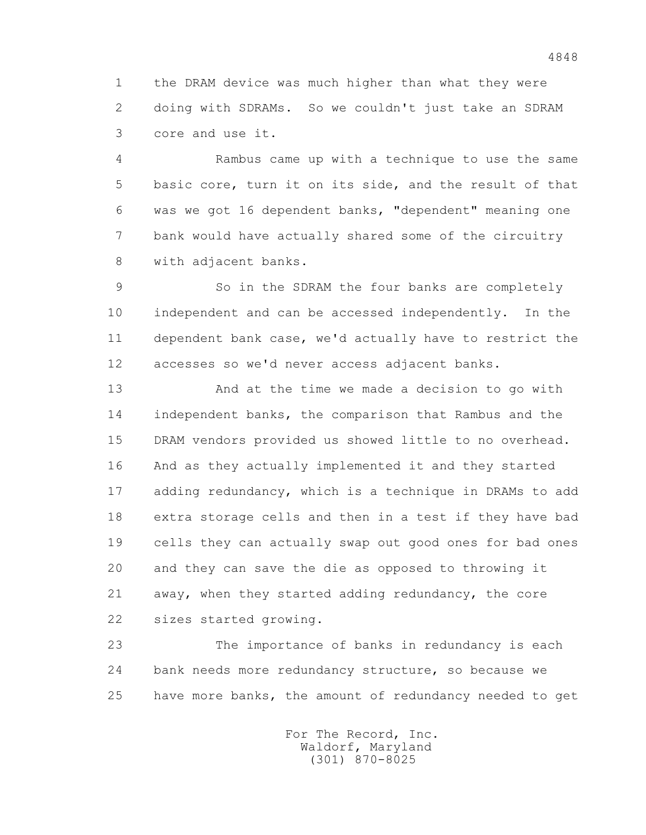1 the DRAM device was much higher than what they were 2 doing with SDRAMs. So we couldn't just take an SDRAM 3 core and use it.

 4 Rambus came up with a technique to use the same 5 basic core, turn it on its side, and the result of that 6 was we got 16 dependent banks, "dependent" meaning one 7 bank would have actually shared some of the circuitry 8 with adjacent banks.

 9 So in the SDRAM the four banks are completely 10 independent and can be accessed independently. In the 11 dependent bank case, we'd actually have to restrict the 12 accesses so we'd never access adjacent banks.

 13 And at the time we made a decision to go with 14 independent banks, the comparison that Rambus and the 15 DRAM vendors provided us showed little to no overhead. 16 And as they actually implemented it and they started 17 adding redundancy, which is a technique in DRAMs to add 18 extra storage cells and then in a test if they have bad 19 cells they can actually swap out good ones for bad ones 20 and they can save the die as opposed to throwing it 21 away, when they started adding redundancy, the core 22 sizes started growing.

 23 The importance of banks in redundancy is each 24 bank needs more redundancy structure, so because we 25 have more banks, the amount of redundancy needed to get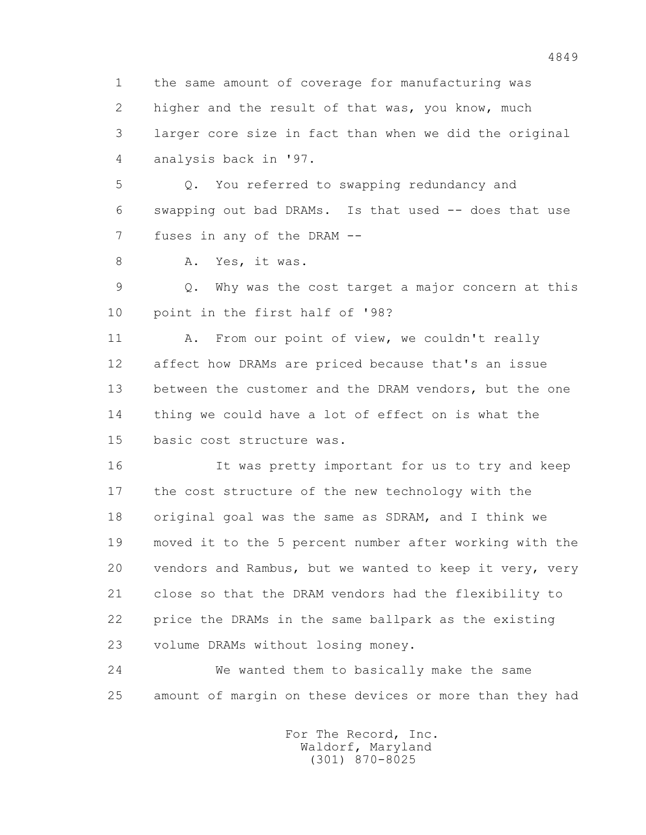1 the same amount of coverage for manufacturing was 2 higher and the result of that was, you know, much 3 larger core size in fact than when we did the original 4 analysis back in '97.

 5 Q. You referred to swapping redundancy and 6 swapping out bad DRAMs. Is that used -- does that use 7 fuses in any of the DRAM --

8 A. Yes, it was.

 9 Q. Why was the cost target a major concern at this 10 point in the first half of '98?

11 A. From our point of view, we couldn't really 12 affect how DRAMs are priced because that's an issue 13 between the customer and the DRAM vendors, but the one 14 thing we could have a lot of effect on is what the 15 basic cost structure was.

 16 It was pretty important for us to try and keep 17 the cost structure of the new technology with the 18 original goal was the same as SDRAM, and I think we 19 moved it to the 5 percent number after working with the 20 vendors and Rambus, but we wanted to keep it very, very 21 close so that the DRAM vendors had the flexibility to 22 price the DRAMs in the same ballpark as the existing 23 volume DRAMs without losing money.

 24 We wanted them to basically make the same 25 amount of margin on these devices or more than they had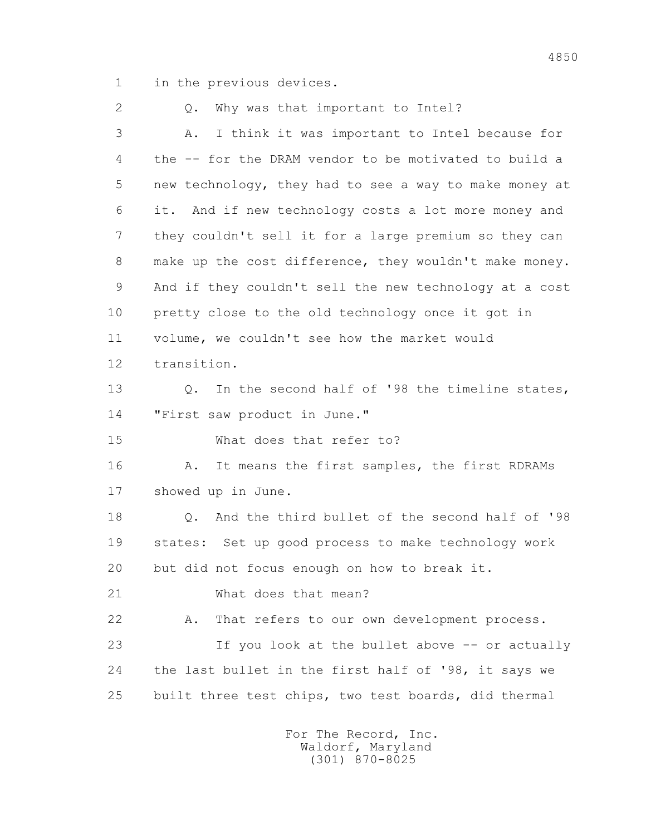1 in the previous devices.

2 0. Why was that important to Intel? 3 A. I think it was important to Intel because for 4 the -- for the DRAM vendor to be motivated to build a 5 new technology, they had to see a way to make money at 6 it. And if new technology costs a lot more money and 7 they couldn't sell it for a large premium so they can 8 make up the cost difference, they wouldn't make money. 9 And if they couldn't sell the new technology at a cost 10 pretty close to the old technology once it got in 11 volume, we couldn't see how the market would 12 transition. 13 Q. In the second half of '98 the timeline states, 14 "First saw product in June." 15 What does that refer to? 16 A. It means the first samples, the first RDRAMs 17 showed up in June. 18 0. And the third bullet of the second half of '98 19 states: Set up good process to make technology work 20 but did not focus enough on how to break it. 21 What does that mean? 22 A. That refers to our own development process. 23 If you look at the bullet above -- or actually 24 the last bullet in the first half of '98, it says we 25 built three test chips, two test boards, did thermal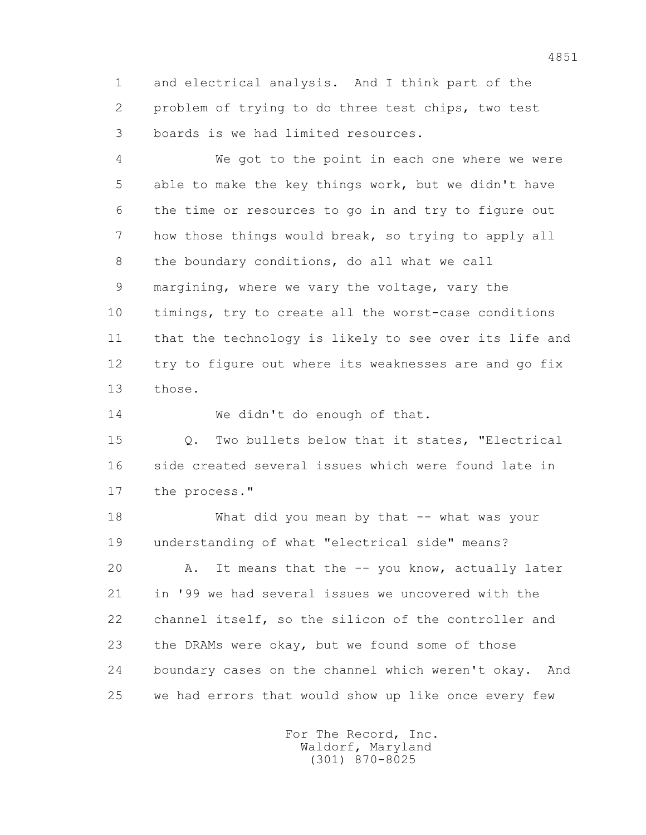1 and electrical analysis. And I think part of the 2 problem of trying to do three test chips, two test 3 boards is we had limited resources.

 4 We got to the point in each one where we were 5 able to make the key things work, but we didn't have 6 the time or resources to go in and try to figure out 7 how those things would break, so trying to apply all 8 the boundary conditions, do all what we call 9 margining, where we vary the voltage, vary the 10 timings, try to create all the worst-case conditions 11 that the technology is likely to see over its life and 12 try to figure out where its weaknesses are and go fix 13 those.

14 We didn't do enough of that.

 15 Q. Two bullets below that it states, "Electrical 16 side created several issues which were found late in 17 the process."

18 What did you mean by that -- what was your 19 understanding of what "electrical side" means? 20 A. It means that the -- you know, actually later 21 in '99 we had several issues we uncovered with the 22 channel itself, so the silicon of the controller and 23 the DRAMs were okay, but we found some of those 24 boundary cases on the channel which weren't okay. And 25 we had errors that would show up like once every few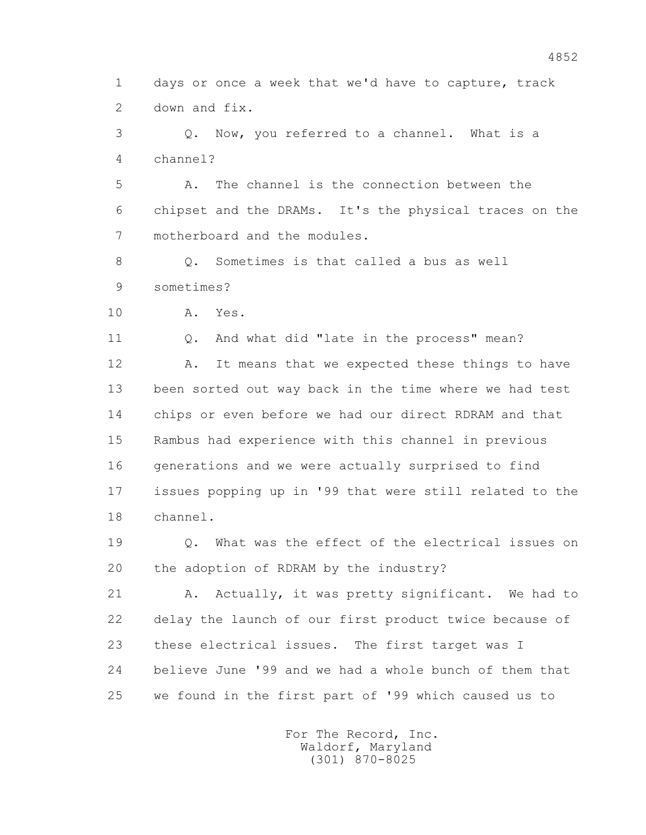1 days or once a week that we'd have to capture, track 2 down and fix.

 3 Q. Now, you referred to a channel. What is a 4 channel?

 5 A. The channel is the connection between the 6 chipset and the DRAMs. It's the physical traces on the 7 motherboard and the modules.

8 0. Sometimes is that called a bus as well 9 sometimes?

10 A. Yes.

11 Q. And what did "late in the process" mean?

12 A. It means that we expected these things to have 13 been sorted out way back in the time where we had test 14 chips or even before we had our direct RDRAM and that 15 Rambus had experience with this channel in previous 16 generations and we were actually surprised to find 17 issues popping up in '99 that were still related to the 18 channel.

 19 Q. What was the effect of the electrical issues on 20 the adoption of RDRAM by the industry?

21 A. Actually, it was pretty significant. We had to 22 delay the launch of our first product twice because of 23 these electrical issues. The first target was I 24 believe June '99 and we had a whole bunch of them that 25 we found in the first part of '99 which caused us to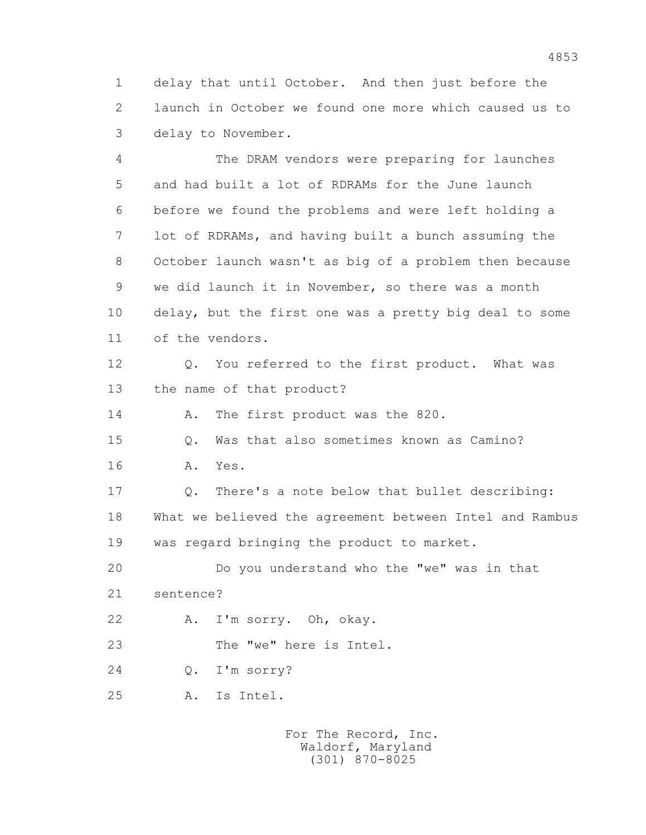1 delay that until October. And then just before the 2 launch in October we found one more which caused us to 3 delay to November.

 4 The DRAM vendors were preparing for launches 5 and had built a lot of RDRAMs for the June launch 6 before we found the problems and were left holding a 7 lot of RDRAMs, and having built a bunch assuming the 8 October launch wasn't as big of a problem then because 9 we did launch it in November, so there was a month 10 delay, but the first one was a pretty big deal to some 11 of the vendors. 12 Q. You referred to the first product. What was 13 the name of that product? 14 A. The first product was the 820. 15 Q. Was that also sometimes known as Camino?

16 A. Yes.

 17 Q. There's a note below that bullet describing: 18 What we believed the agreement between Intel and Rambus 19 was regard bringing the product to market.

20 Do you understand who the "we" was in that

21 sentence?

22 A. I'm sorry. Oh, okay.

23 The "we" here is Intel.

24 Q. I'm sorry?

25 A. Is Intel.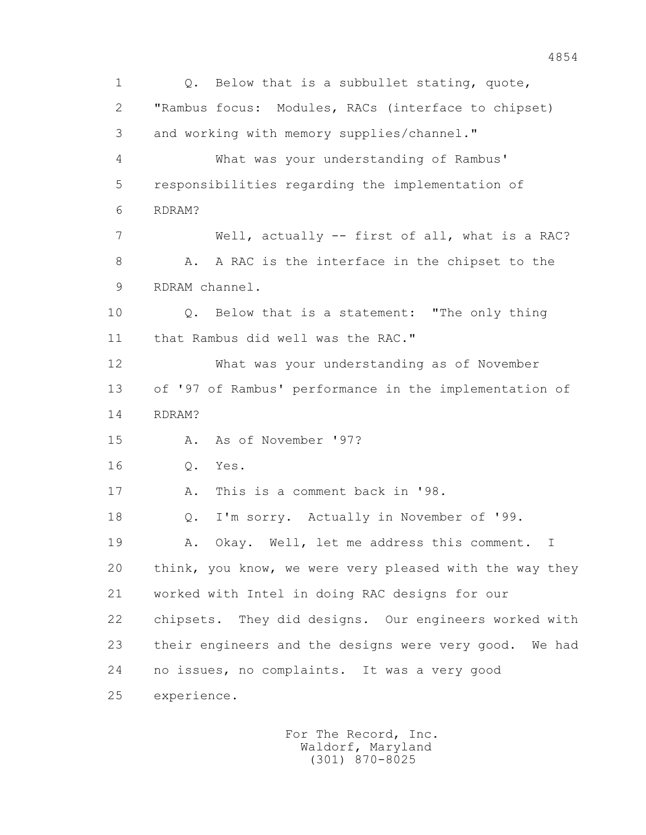1 Q. Below that is a subbullet stating, quote, 2 "Rambus focus: Modules, RACs (interface to chipset) 3 and working with memory supplies/channel." 4 What was your understanding of Rambus' 5 responsibilities regarding the implementation of 6 RDRAM? 7 Well, actually -- first of all, what is a RAC? 8 A. A RAC is the interface in the chipset to the 9 RDRAM channel. 10 Q. Below that is a statement: "The only thing 11 that Rambus did well was the RAC." 12 What was your understanding as of November 13 of '97 of Rambus' performance in the implementation of 14 RDRAM? 15 A. As of November '97? 16 Q. Yes. 17 A. This is a comment back in '98. 18 Q. I'm sorry. Actually in November of '99. 19 A. Okay. Well, let me address this comment. I 20 think, you know, we were very pleased with the way they 21 worked with Intel in doing RAC designs for our 22 chipsets. They did designs. Our engineers worked with 23 their engineers and the designs were very good. We had 24 no issues, no complaints. It was a very good 25 experience.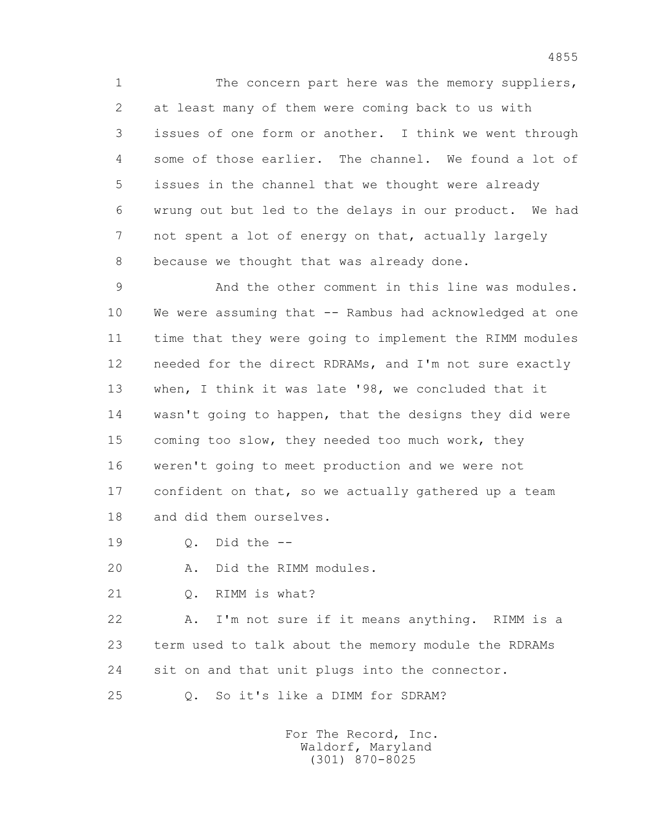1 The concern part here was the memory suppliers, 2 at least many of them were coming back to us with 3 issues of one form or another. I think we went through 4 some of those earlier. The channel. We found a lot of 5 issues in the channel that we thought were already 6 wrung out but led to the delays in our product. We had 7 not spent a lot of energy on that, actually largely 8 because we thought that was already done.

 9 And the other comment in this line was modules. 10 We were assuming that -- Rambus had acknowledged at one 11 time that they were going to implement the RIMM modules 12 needed for the direct RDRAMs, and I'm not sure exactly 13 when, I think it was late '98, we concluded that it 14 wasn't going to happen, that the designs they did were 15 coming too slow, they needed too much work, they 16 weren't going to meet production and we were not 17 confident on that, so we actually gathered up a team 18 and did them ourselves.

19 Q. Did the --

20 A. Did the RIMM modules.

21 Q. RIMM is what?

 22 A. I'm not sure if it means anything. RIMM is a 23 term used to talk about the memory module the RDRAMs 24 sit on and that unit plugs into the connector.

25 Q. So it's like a DIMM for SDRAM?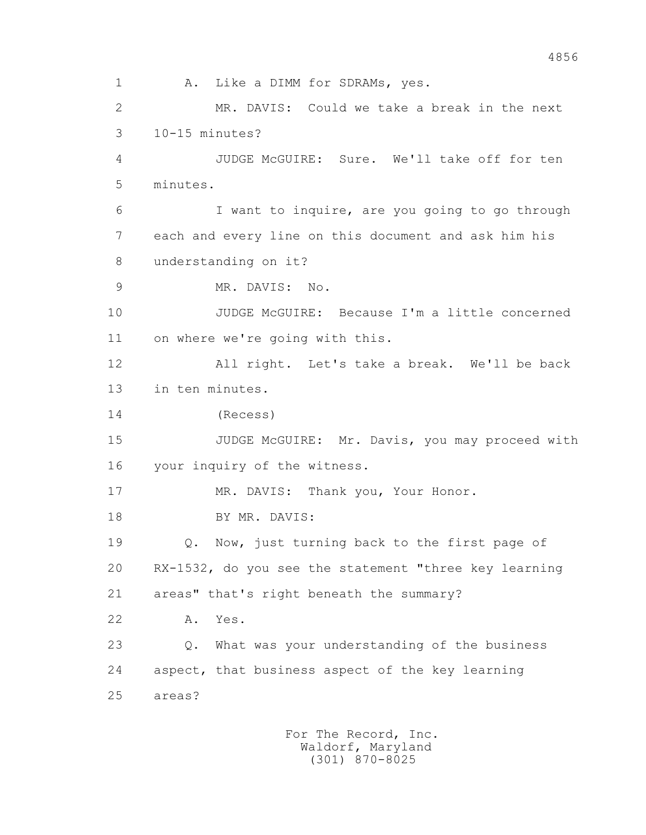1 A. Like a DIMM for SDRAMs, yes. 2 MR. DAVIS: Could we take a break in the next 3 10-15 minutes? 4 JUDGE McGUIRE: Sure. We'll take off for ten 5 minutes. 6 I want to inquire, are you going to go through 7 each and every line on this document and ask him his 8 understanding on it? 9 MR. DAVIS: No. 10 JUDGE McGUIRE: Because I'm a little concerned 11 on where we're going with this. 12 All right. Let's take a break. We'll be back 13 in ten minutes. 14 (Recess) 15 JUDGE McGUIRE: Mr. Davis, you may proceed with 16 your inquiry of the witness. 17 MR. DAVIS: Thank you, Your Honor. 18 BY MR. DAVIS: 19 Q. Now, just turning back to the first page of 20 RX-1532, do you see the statement "three key learning 21 areas" that's right beneath the summary? 22 A. Yes. 23 Q. What was your understanding of the business 24 aspect, that business aspect of the key learning 25 areas?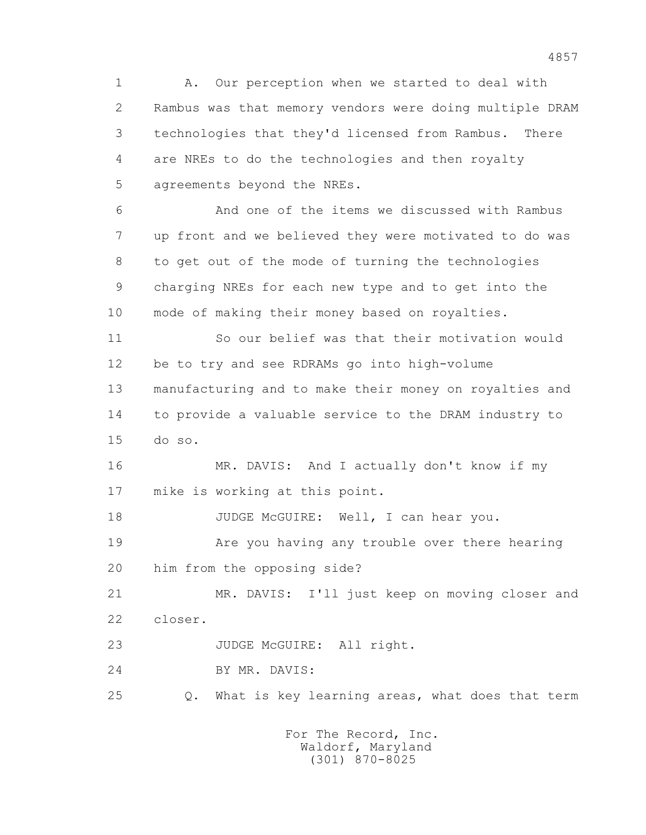1 A. Our perception when we started to deal with 2 Rambus was that memory vendors were doing multiple DRAM 3 technologies that they'd licensed from Rambus. There 4 are NREs to do the technologies and then royalty 5 agreements beyond the NREs.

 6 And one of the items we discussed with Rambus 7 up front and we believed they were motivated to do was 8 to get out of the mode of turning the technologies 9 charging NREs for each new type and to get into the 10 mode of making their money based on royalties.

 11 So our belief was that their motivation would 12 be to try and see RDRAMs go into high-volume 13 manufacturing and to make their money on royalties and 14 to provide a valuable service to the DRAM industry to 15 do so.

 16 MR. DAVIS: And I actually don't know if my 17 mike is working at this point.

18 JUDGE McGUIRE: Well, I can hear you.

 19 Are you having any trouble over there hearing 20 him from the opposing side?

 21 MR. DAVIS: I'll just keep on moving closer and 22 closer.

23 JUDGE McGUIRE: All right.

24 BY MR. DAVIS:

25 Q. What is key learning areas, what does that term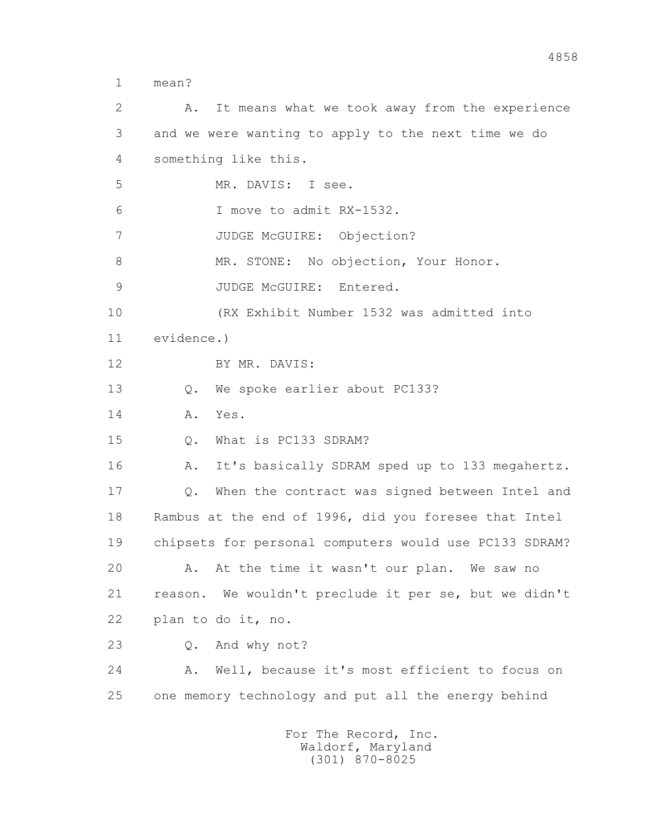1 mean?

 2 A. It means what we took away from the experience 3 and we were wanting to apply to the next time we do 4 something like this. 5 MR. DAVIS: I see. 6 I move to admit RX-1532. 7 JUDGE McGUIRE: Objection? 8 MR. STONE: No objection, Your Honor. 9 JUDGE McGUIRE: Entered. 10 (RX Exhibit Number 1532 was admitted into 11 evidence.) 12 BY MR. DAVIS: 13 Q. We spoke earlier about PC133? 14 A. Yes. 15 Q. What is PC133 SDRAM? 16 A. It's basically SDRAM sped up to 133 megahertz. 17 Q. When the contract was signed between Intel and 18 Rambus at the end of 1996, did you foresee that Intel 19 chipsets for personal computers would use PC133 SDRAM? 20 A. At the time it wasn't our plan. We saw no 21 reason. We wouldn't preclude it per se, but we didn't 22 plan to do it, no. 23 Q. And why not? 24 A. Well, because it's most efficient to focus on 25 one memory technology and put all the energy behind For The Record, Inc.

 Waldorf, Maryland (301) 870-8025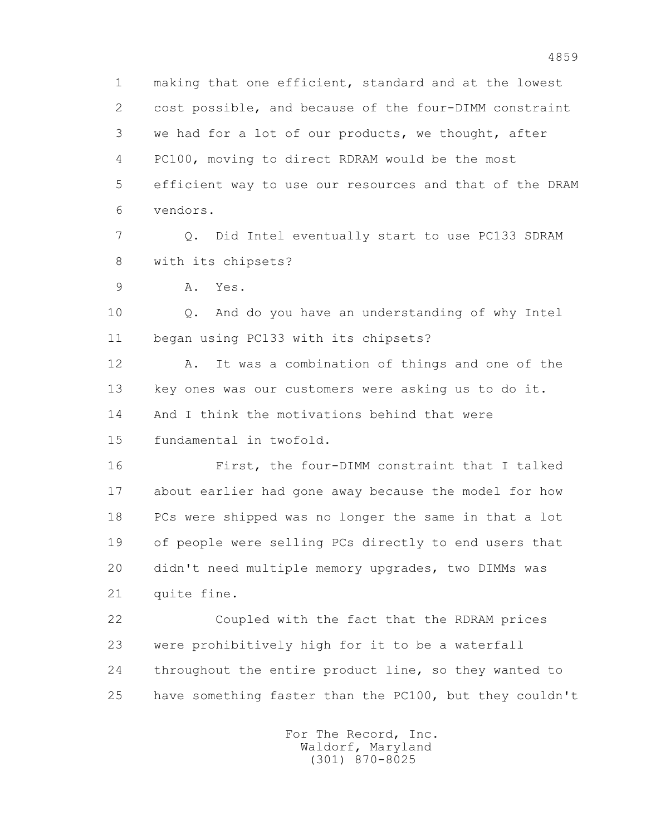1 making that one efficient, standard and at the lowest 2 cost possible, and because of the four-DIMM constraint 3 we had for a lot of our products, we thought, after 4 PC100, moving to direct RDRAM would be the most 5 efficient way to use our resources and that of the DRAM 6 vendors.

 7 Q. Did Intel eventually start to use PC133 SDRAM 8 with its chipsets?

9 A. Yes.

 10 Q. And do you have an understanding of why Intel 11 began using PC133 with its chipsets?

 12 A. It was a combination of things and one of the 13 key ones was our customers were asking us to do it. 14 And I think the motivations behind that were

15 fundamental in twofold.

 16 First, the four-DIMM constraint that I talked 17 about earlier had gone away because the model for how 18 PCs were shipped was no longer the same in that a lot 19 of people were selling PCs directly to end users that 20 didn't need multiple memory upgrades, two DIMMs was 21 quite fine.

 22 Coupled with the fact that the RDRAM prices 23 were prohibitively high for it to be a waterfall 24 throughout the entire product line, so they wanted to 25 have something faster than the PC100, but they couldn't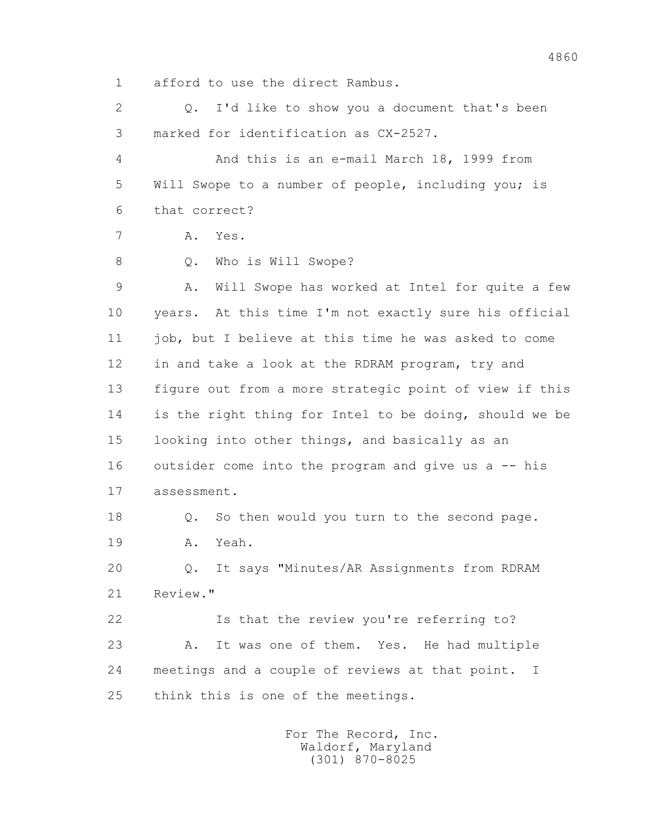1 afford to use the direct Rambus.

 2 Q. I'd like to show you a document that's been 3 marked for identification as CX-2527.

 4 And this is an e-mail March 18, 1999 from 5 Will Swope to a number of people, including you; is 6 that correct?

7 A. Yes.

8 Q. Who is Will Swope?

9 A. Will Swope has worked at Intel for quite a few 10 years. At this time I'm not exactly sure his official 11 job, but I believe at this time he was asked to come 12 in and take a look at the RDRAM program, try and 13 figure out from a more strategic point of view if this 14 is the right thing for Intel to be doing, should we be 15 looking into other things, and basically as an 16 outsider come into the program and give us a -- his 17 assessment.

 18 Q. So then would you turn to the second page. 19 A. Yeah.

 20 Q. It says "Minutes/AR Assignments from RDRAM 21 Review."

 22 Is that the review you're referring to? 23 A. It was one of them. Yes. He had multiple 24 meetings and a couple of reviews at that point. I 25 think this is one of the meetings.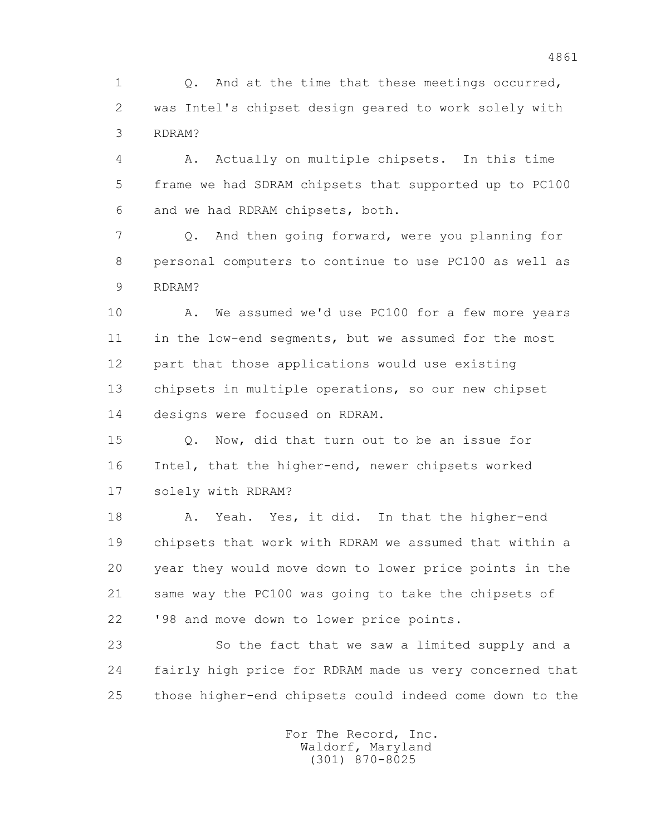1 0. And at the time that these meetings occurred, 2 was Intel's chipset design geared to work solely with 3 RDRAM?

 4 A. Actually on multiple chipsets. In this time 5 frame we had SDRAM chipsets that supported up to PC100 6 and we had RDRAM chipsets, both.

 7 Q. And then going forward, were you planning for 8 personal computers to continue to use PC100 as well as 9 RDRAM?

 10 A. We assumed we'd use PC100 for a few more years 11 in the low-end segments, but we assumed for the most 12 part that those applications would use existing 13 chipsets in multiple operations, so our new chipset 14 designs were focused on RDRAM.

 15 Q. Now, did that turn out to be an issue for 16 Intel, that the higher-end, newer chipsets worked 17 solely with RDRAM?

 18 A. Yeah. Yes, it did. In that the higher-end 19 chipsets that work with RDRAM we assumed that within a 20 year they would move down to lower price points in the 21 same way the PC100 was going to take the chipsets of 22 '98 and move down to lower price points.

 23 So the fact that we saw a limited supply and a 24 fairly high price for RDRAM made us very concerned that 25 those higher-end chipsets could indeed come down to the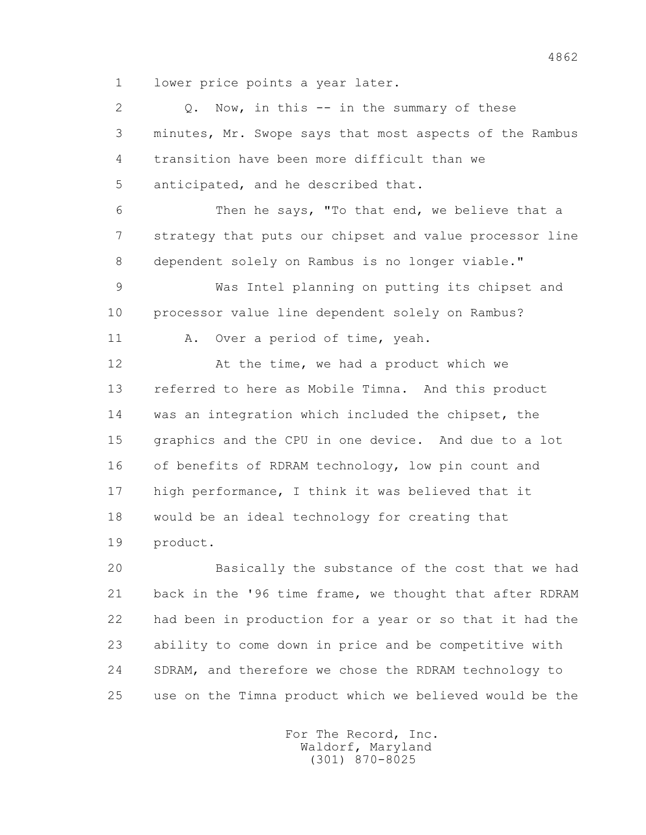1 lower price points a year later.

2 0. Now, in this -- in the summary of these 3 minutes, Mr. Swope says that most aspects of the Rambus 4 transition have been more difficult than we 5 anticipated, and he described that. 6 Then he says, "To that end, we believe that a 7 strategy that puts our chipset and value processor line 8 dependent solely on Rambus is no longer viable." 9 Was Intel planning on putting its chipset and 10 processor value line dependent solely on Rambus? 11 A. Over a period of time, yeah. 12 At the time, we had a product which we 13 referred to here as Mobile Timna. And this product 14 was an integration which included the chipset, the 15 graphics and the CPU in one device. And due to a lot 16 of benefits of RDRAM technology, low pin count and 17 high performance, I think it was believed that it 18 would be an ideal technology for creating that 19 product. 20 Basically the substance of the cost that we had

 21 back in the '96 time frame, we thought that after RDRAM 22 had been in production for a year or so that it had the 23 ability to come down in price and be competitive with 24 SDRAM, and therefore we chose the RDRAM technology to 25 use on the Timna product which we believed would be the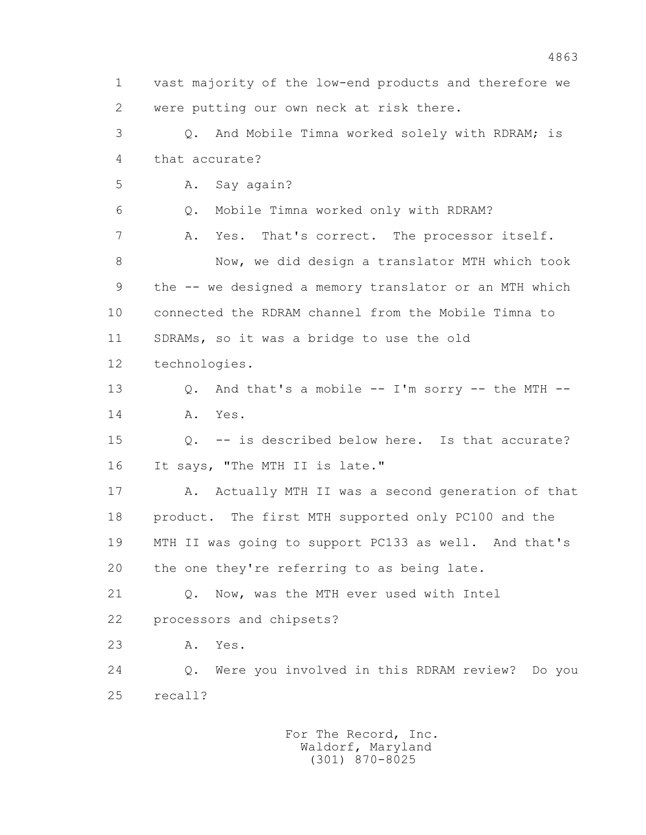1 vast majority of the low-end products and therefore we 2 were putting our own neck at risk there. 3 Q. And Mobile Timna worked solely with RDRAM; is 4 that accurate? 5 A. Say again? 6 Q. Mobile Timna worked only with RDRAM? 7 A. Yes. That's correct. The processor itself. 8 Now, we did design a translator MTH which took 9 the -- we designed a memory translator or an MTH which 10 connected the RDRAM channel from the Mobile Timna to 11 SDRAMs, so it was a bridge to use the old 12 technologies. 13 Q. And that's a mobile -- I'm sorry -- the MTH -- 14 A. Yes. 15 Q. -- is described below here. Is that accurate? 16 It says, "The MTH II is late." 17 A. Actually MTH II was a second generation of that 18 product. The first MTH supported only PC100 and the 19 MTH II was going to support PC133 as well. And that's 20 the one they're referring to as being late. 21 Q. Now, was the MTH ever used with Intel 22 processors and chipsets? 23 A. Yes. 24 Q. Were you involved in this RDRAM review? Do you 25 recall?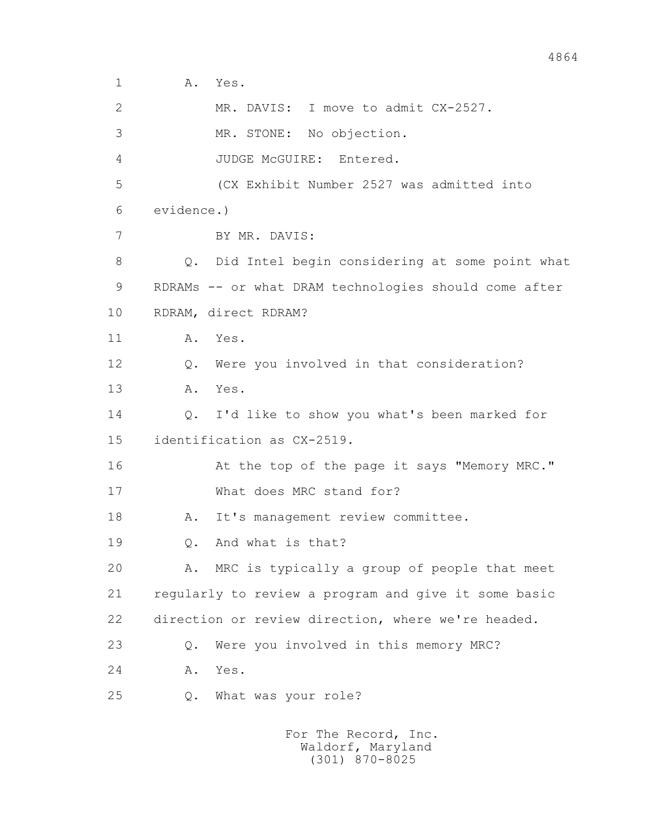1 A. Yes.

 2 MR. DAVIS: I move to admit CX-2527. 3 MR. STONE: No objection. 4 JUDGE McGUIRE: Entered. 5 (CX Exhibit Number 2527 was admitted into 6 evidence.) 7 BY MR. DAVIS: 8 Q. Did Intel begin considering at some point what 9 RDRAMs -- or what DRAM technologies should come after 10 RDRAM, direct RDRAM? 11 A. Yes. 12 Q. Were you involved in that consideration? 13 A. Yes. 14 Q. I'd like to show you what's been marked for 15 identification as CX-2519. 16 At the top of the page it says "Memory MRC." 17 What does MRC stand for? 18 A. It's management review committee. 19 Q. And what is that? 20 A. MRC is typically a group of people that meet 21 regularly to review a program and give it some basic 22 direction or review direction, where we're headed. 23 Q. Were you involved in this memory MRC? 24 A. Yes. 25 Q. What was your role?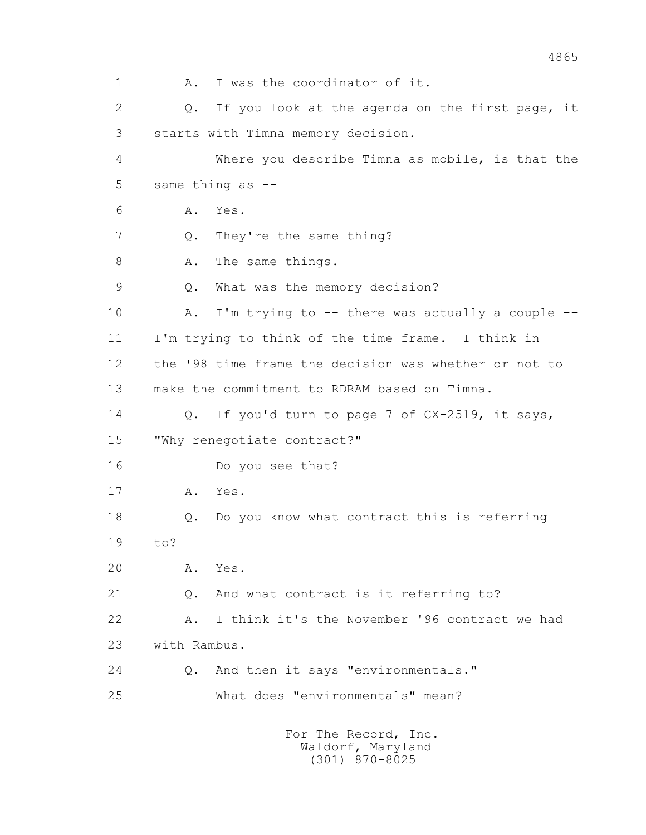1 A. I was the coordinator of it. 2 0. If you look at the agenda on the first page, it 3 starts with Timna memory decision. 4 Where you describe Timna as mobile, is that the 5 same thing as -- 6 A. Yes. 7 Q. They're the same thing? 8 A. The same things. 9 Q. What was the memory decision? 10 A. I'm trying to -- there was actually a couple -- 11 I'm trying to think of the time frame. I think in 12 the '98 time frame the decision was whether or not to 13 make the commitment to RDRAM based on Timna. 14 Q. If you'd turn to page 7 of CX-2519, it says, 15 "Why renegotiate contract?" 16 Do you see that? 17 A. Yes. 18 Q. Do you know what contract this is referring 19 to? 20 A. Yes. 21 Q. And what contract is it referring to? 22 A. I think it's the November '96 contract we had 23 with Rambus. 24 Q. And then it says "environmentals." 25 What does "environmentals" mean? For The Record, Inc.

 Waldorf, Maryland (301) 870-8025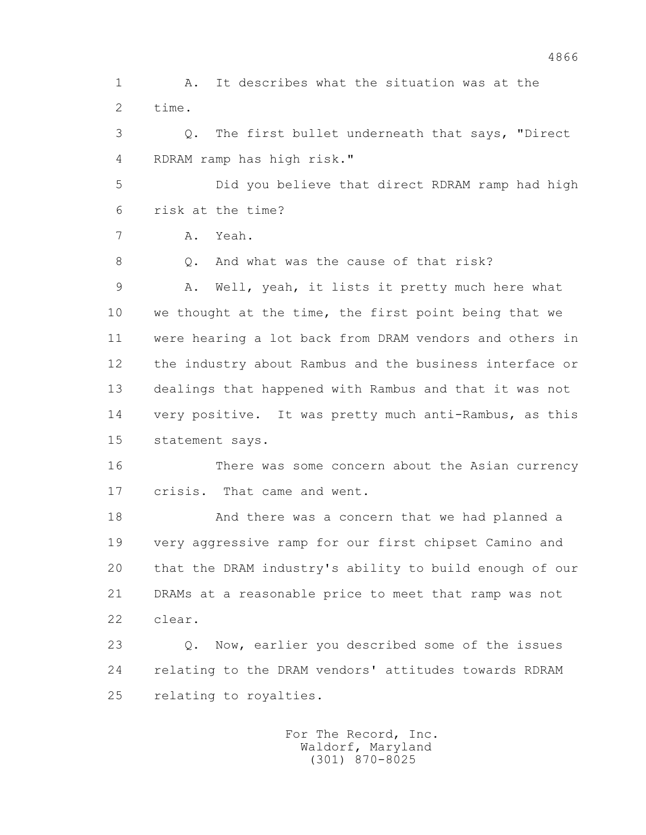1 A. It describes what the situation was at the 2 time. 3 Q. The first bullet underneath that says, "Direct 4 RDRAM ramp has high risk." 5 Did you believe that direct RDRAM ramp had high 6 risk at the time? 7 A. Yeah. 8 0. And what was the cause of that risk? 9 A. Well, yeah, it lists it pretty much here what 10 we thought at the time, the first point being that we 11 were hearing a lot back from DRAM vendors and others in 12 the industry about Rambus and the business interface or 13 dealings that happened with Rambus and that it was not 14 very positive. It was pretty much anti-Rambus, as this 15 statement says. 16 There was some concern about the Asian currency 17 crisis. That came and went. 18 And there was a concern that we had planned a 19 very aggressive ramp for our first chipset Camino and 20 that the DRAM industry's ability to build enough of our 21 DRAMs at a reasonable price to meet that ramp was not

4866

22 clear.

 23 Q. Now, earlier you described some of the issues 24 relating to the DRAM vendors' attitudes towards RDRAM 25 relating to royalties.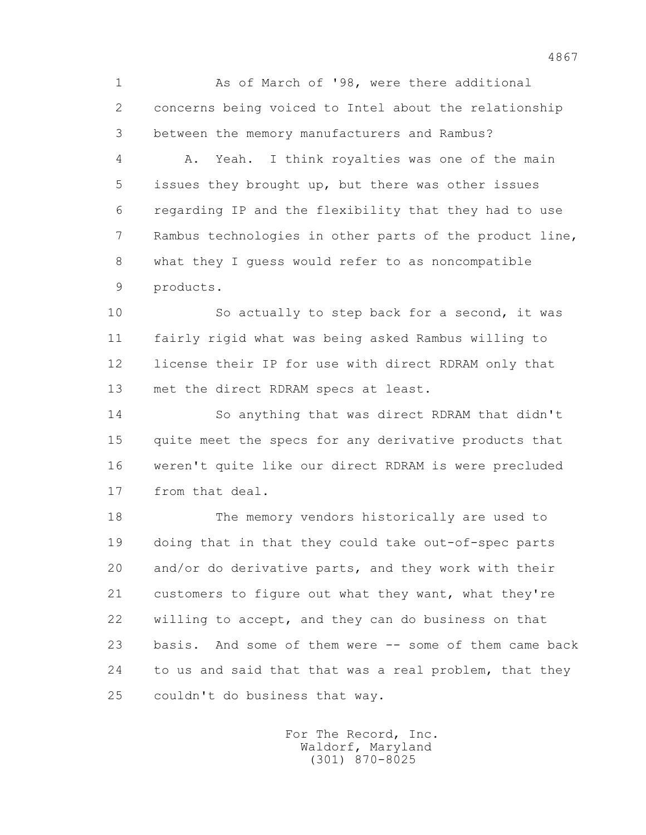1 As of March of '98, were there additional 2 concerns being voiced to Intel about the relationship 3 between the memory manufacturers and Rambus?

 4 A. Yeah. I think royalties was one of the main 5 issues they brought up, but there was other issues 6 regarding IP and the flexibility that they had to use 7 Rambus technologies in other parts of the product line, 8 what they I guess would refer to as noncompatible 9 products.

10 So actually to step back for a second, it was 11 fairly rigid what was being asked Rambus willing to 12 license their IP for use with direct RDRAM only that 13 met the direct RDRAM specs at least.

 14 So anything that was direct RDRAM that didn't 15 quite meet the specs for any derivative products that 16 weren't quite like our direct RDRAM is were precluded 17 from that deal.

 18 The memory vendors historically are used to 19 doing that in that they could take out-of-spec parts 20 and/or do derivative parts, and they work with their 21 customers to figure out what they want, what they're 22 willing to accept, and they can do business on that 23 basis. And some of them were -- some of them came back 24 to us and said that that was a real problem, that they 25 couldn't do business that way.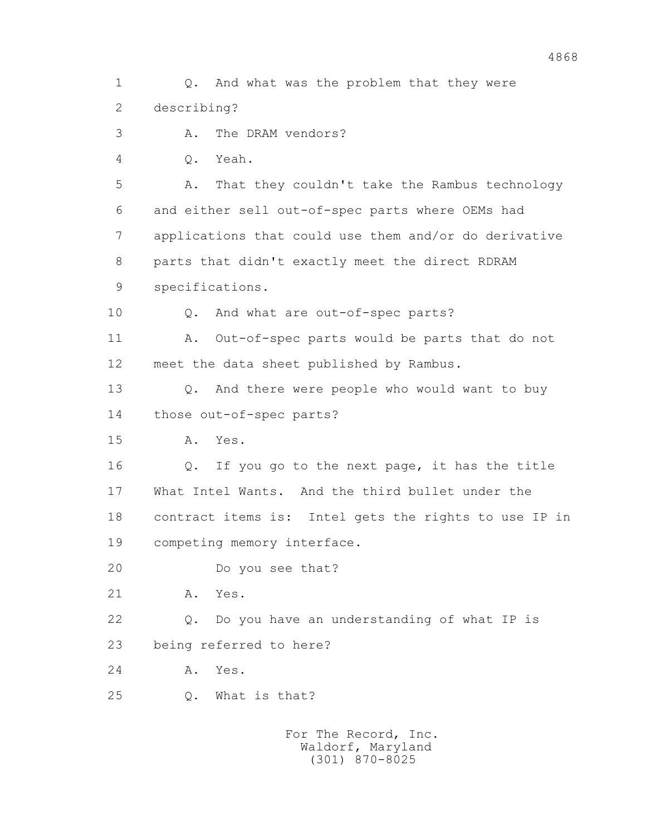1 Q. And what was the problem that they were 2 describing? 3 A. The DRAM vendors? 4 Q. Yeah. 5 A. That they couldn't take the Rambus technology 6 and either sell out-of-spec parts where OEMs had 7 applications that could use them and/or do derivative 8 parts that didn't exactly meet the direct RDRAM 9 specifications. 10 Q. And what are out-of-spec parts? 11 A. Out-of-spec parts would be parts that do not 12 meet the data sheet published by Rambus. 13 Q. And there were people who would want to buy 14 those out-of-spec parts? 15 A. Yes. 16 Q. If you go to the next page, it has the title 17 What Intel Wants. And the third bullet under the 18 contract items is: Intel gets the rights to use IP in 19 competing memory interface. 20 Do you see that? 21 A. Yes. 22 Q. Do you have an understanding of what IP is 23 being referred to here? 24 A. Yes. 25 Q. What is that?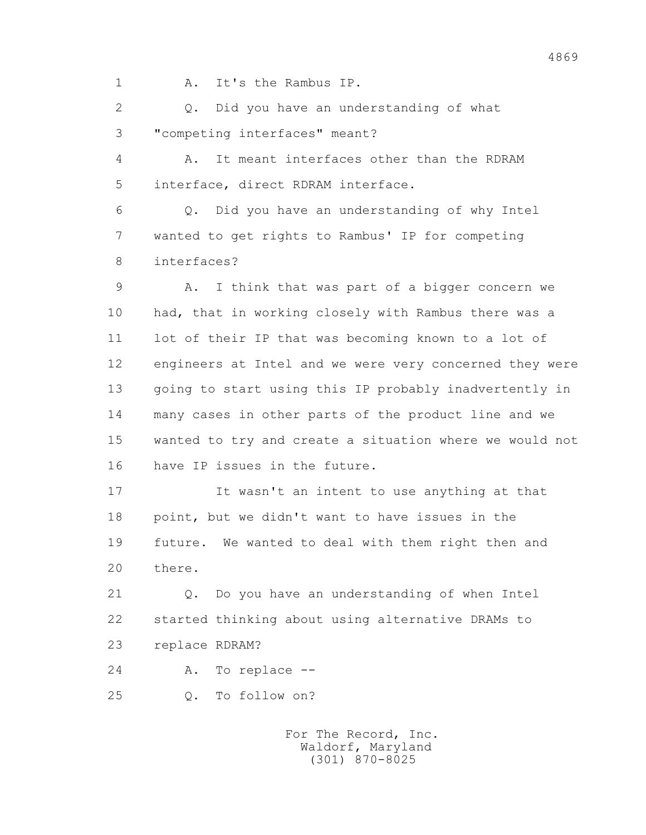1 A. It's the Rambus IP.

 2 Q. Did you have an understanding of what 3 "competing interfaces" meant?

 4 A. It meant interfaces other than the RDRAM 5 interface, direct RDRAM interface.

 6 Q. Did you have an understanding of why Intel 7 wanted to get rights to Rambus' IP for competing 8 interfaces?

 9 A. I think that was part of a bigger concern we 10 had, that in working closely with Rambus there was a 11 lot of their IP that was becoming known to a lot of 12 engineers at Intel and we were very concerned they were 13 going to start using this IP probably inadvertently in 14 many cases in other parts of the product line and we 15 wanted to try and create a situation where we would not 16 have IP issues in the future.

 17 It wasn't an intent to use anything at that 18 point, but we didn't want to have issues in the 19 future. We wanted to deal with them right then and 20 there.

 21 Q. Do you have an understanding of when Intel 22 started thinking about using alternative DRAMs to 23 replace RDRAM?

24 A. To replace --

25 Q. To follow on?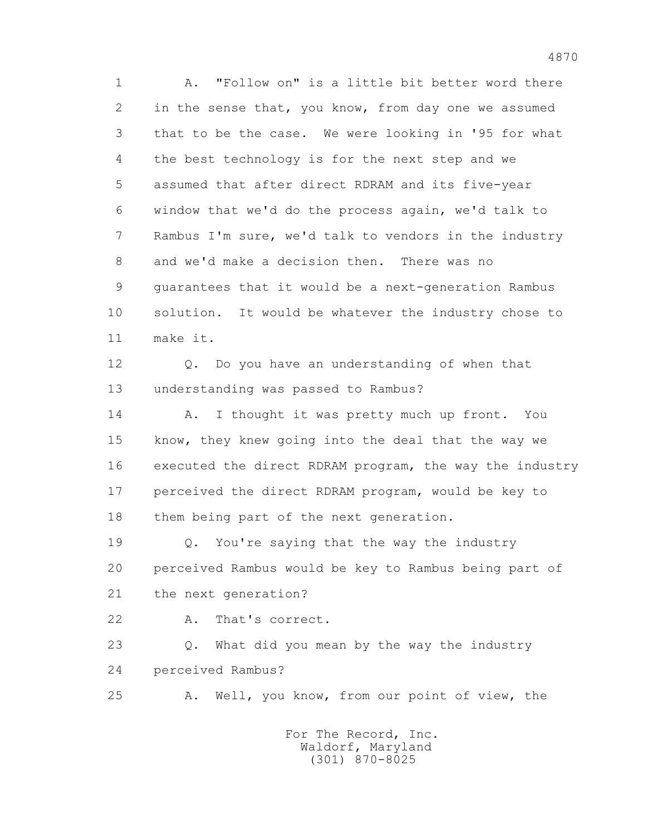1 A. "Follow on" is a little bit better word there 2 in the sense that, you know, from day one we assumed 3 that to be the case. We were looking in '95 for what 4 the best technology is for the next step and we 5 assumed that after direct RDRAM and its five-year 6 window that we'd do the process again, we'd talk to 7 Rambus I'm sure, we'd talk to vendors in the industry 8 and we'd make a decision then. There was no 9 guarantees that it would be a next-generation Rambus 10 solution. It would be whatever the industry chose to 11 make it. 12 Q. Do you have an understanding of when that

13 understanding was passed to Rambus?

14 A. I thought it was pretty much up front. You 15 know, they knew going into the deal that the way we 16 executed the direct RDRAM program, the way the industry 17 perceived the direct RDRAM program, would be key to 18 them being part of the next generation.

 19 Q. You're saying that the way the industry 20 perceived Rambus would be key to Rambus being part of 21 the next generation?

22 A. That's correct.

 23 Q. What did you mean by the way the industry 24 perceived Rambus?

25 A. Well, you know, from our point of view, the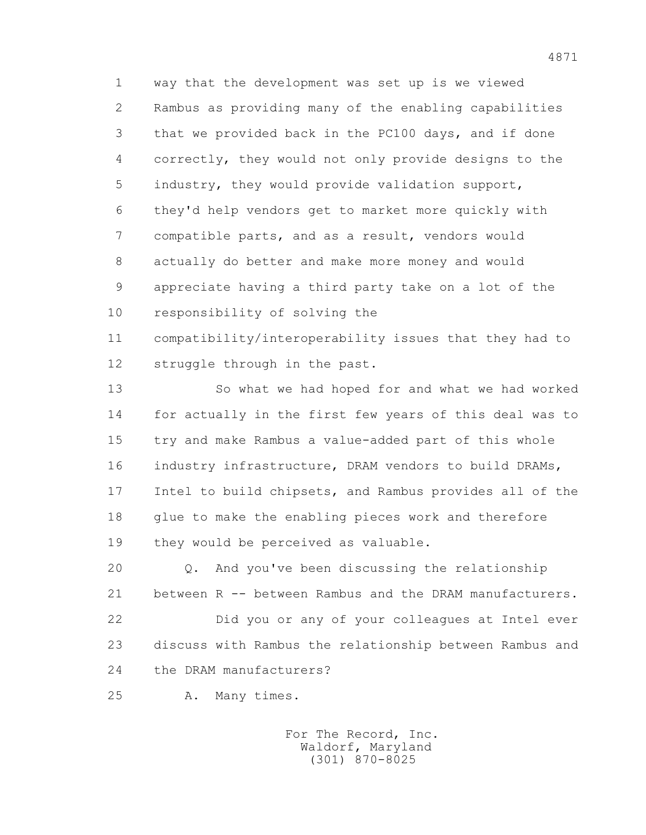1 way that the development was set up is we viewed 2 Rambus as providing many of the enabling capabilities 3 that we provided back in the PC100 days, and if done 4 correctly, they would not only provide designs to the 5 industry, they would provide validation support, 6 they'd help vendors get to market more quickly with 7 compatible parts, and as a result, vendors would 8 actually do better and make more money and would 9 appreciate having a third party take on a lot of the 10 responsibility of solving the

 11 compatibility/interoperability issues that they had to 12 struggle through in the past.

 13 So what we had hoped for and what we had worked 14 for actually in the first few years of this deal was to 15 try and make Rambus a value-added part of this whole 16 industry infrastructure, DRAM vendors to build DRAMs, 17 Intel to build chipsets, and Rambus provides all of the 18 glue to make the enabling pieces work and therefore 19 they would be perceived as valuable.

 20 Q. And you've been discussing the relationship 21 between R -- between Rambus and the DRAM manufacturers. 22 Did you or any of your colleagues at Intel ever 23 discuss with Rambus the relationship between Rambus and 24 the DRAM manufacturers?

25 A. Many times.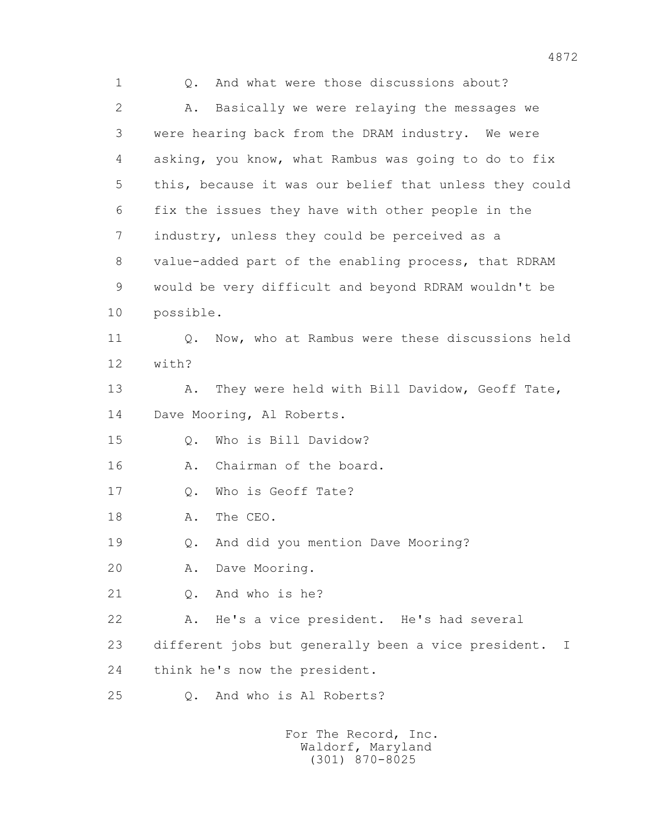1 Q. And what were those discussions about? 2 A. Basically we were relaying the messages we 3 were hearing back from the DRAM industry. We were 4 asking, you know, what Rambus was going to do to fix 5 this, because it was our belief that unless they could 6 fix the issues they have with other people in the 7 industry, unless they could be perceived as a 8 value-added part of the enabling process, that RDRAM 9 would be very difficult and beyond RDRAM wouldn't be 10 possible. 11 0. Now, who at Rambus were these discussions held 12 with? 13 A. They were held with Bill Davidow, Geoff Tate, 14 Dave Mooring, Al Roberts. 15 0. Who is Bill Davidow? 16 A. Chairman of the board. 17 Q. Who is Geoff Tate? 18 A. The CEO. 19 Q. And did you mention Dave Mooring? 20 A. Dave Mooring. 21 Q. And who is he? 22 A. He's a vice president. He's had several 23 different jobs but generally been a vice president. I 24 think he's now the president. 25 Q. And who is Al Roberts?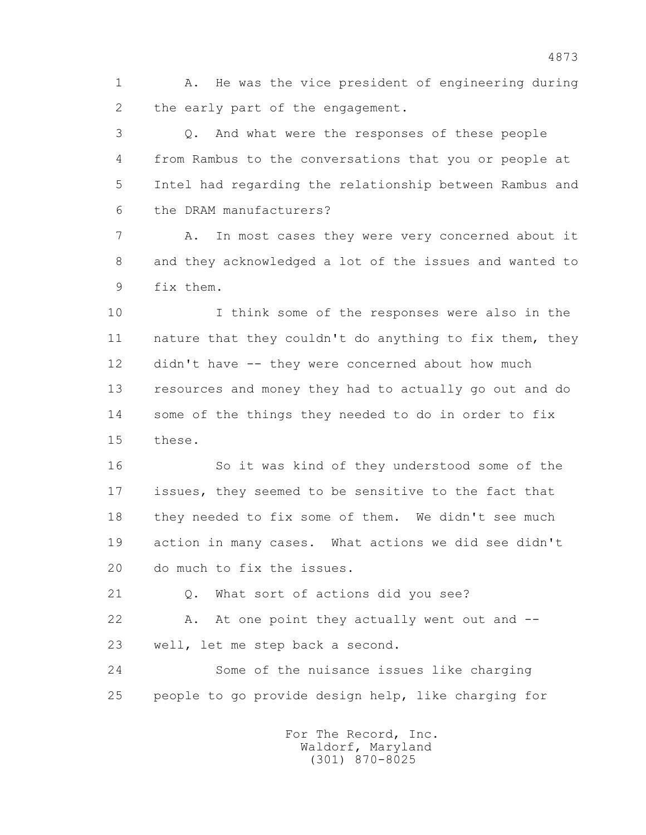1 A. He was the vice president of engineering during 2 the early part of the engagement.

 3 Q. And what were the responses of these people 4 from Rambus to the conversations that you or people at 5 Intel had regarding the relationship between Rambus and 6 the DRAM manufacturers?

 7 A. In most cases they were very concerned about it 8 and they acknowledged a lot of the issues and wanted to 9 fix them.

 10 I think some of the responses were also in the 11 nature that they couldn't do anything to fix them, they 12 didn't have -- they were concerned about how much 13 resources and money they had to actually go out and do 14 some of the things they needed to do in order to fix 15 these.

 16 So it was kind of they understood some of the 17 issues, they seemed to be sensitive to the fact that 18 they needed to fix some of them. We didn't see much 19 action in many cases. What actions we did see didn't 20 do much to fix the issues.

21 Q. What sort of actions did you see?

22 A. At one point they actually went out and --23 well, let me step back a second.

 24 Some of the nuisance issues like charging 25 people to go provide design help, like charging for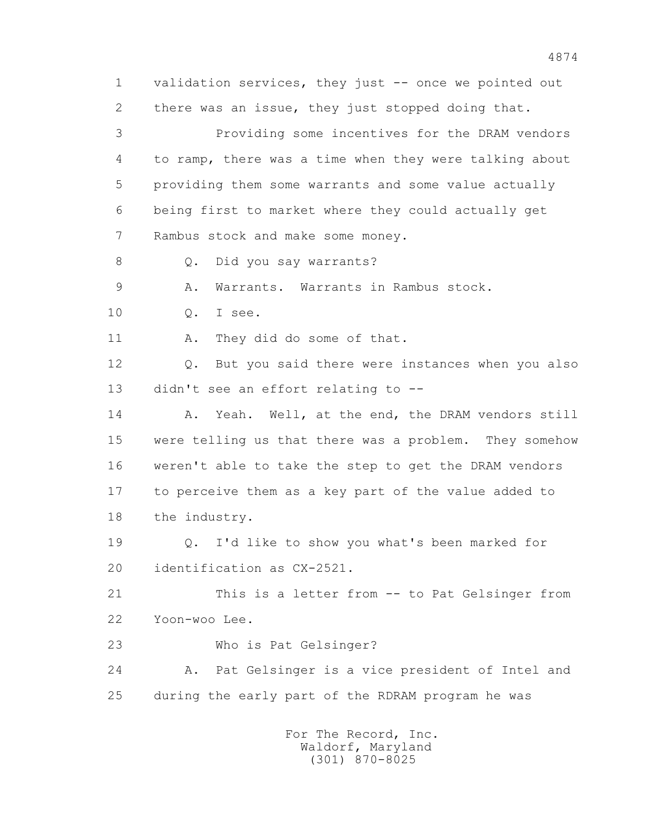1 validation services, they just -- once we pointed out 2 there was an issue, they just stopped doing that. 3 Providing some incentives for the DRAM vendors 4 to ramp, there was a time when they were talking about 5 providing them some warrants and some value actually 6 being first to market where they could actually get 7 Rambus stock and make some money. 8 Q. Did you say warrants? 9 A. Warrants. Warrants in Rambus stock. 10 Q. I see. 11 A. They did do some of that. 12 Q. But you said there were instances when you also 13 didn't see an effort relating to -- 14 A. Yeah. Well, at the end, the DRAM vendors still 15 were telling us that there was a problem. They somehow 16 weren't able to take the step to get the DRAM vendors 17 to perceive them as a key part of the value added to 18 the industry. 19 Q. I'd like to show you what's been marked for 20 identification as CX-2521. 21 This is a letter from -- to Pat Gelsinger from 22 Yoon-woo Lee. 23 Who is Pat Gelsinger? 24 A. Pat Gelsinger is a vice president of Intel and 25 during the early part of the RDRAM program he was For The Record, Inc. Waldorf, Maryland (301) 870-8025

4874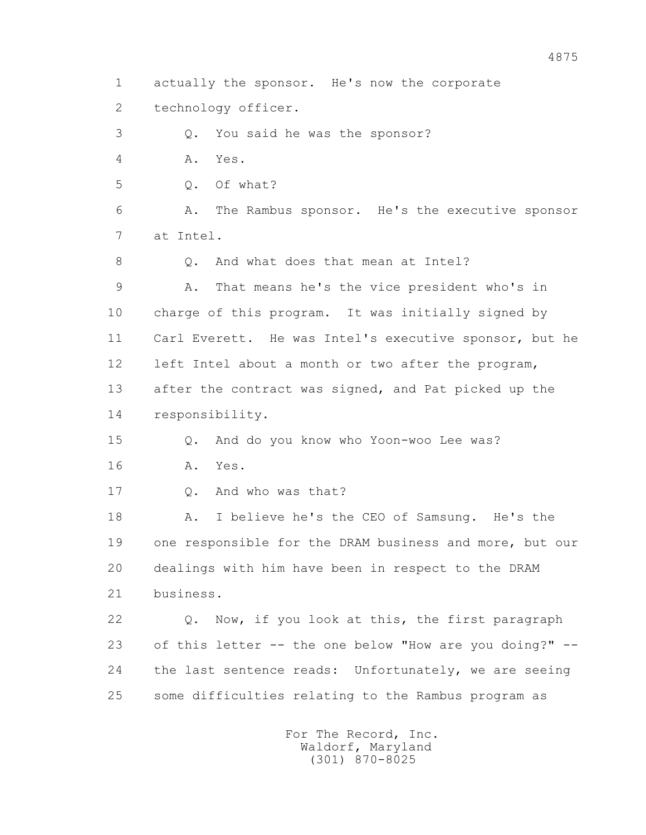1 actually the sponsor. He's now the corporate

2 technology officer.

3 Q. You said he was the sponsor?

4 A. Yes.

5 Q. Of what?

 6 A. The Rambus sponsor. He's the executive sponsor 7 at Intel.

8 0. And what does that mean at Intel?

 9 A. That means he's the vice president who's in 10 charge of this program. It was initially signed by 11 Carl Everett. He was Intel's executive sponsor, but he 12 left Intel about a month or two after the program, 13 after the contract was signed, and Pat picked up the 14 responsibility.

 15 Q. And do you know who Yoon-woo Lee was? 16 A. Yes.

17 Q. And who was that?

 18 A. I believe he's the CEO of Samsung. He's the 19 one responsible for the DRAM business and more, but our 20 dealings with him have been in respect to the DRAM 21 business.

 22 Q. Now, if you look at this, the first paragraph 23 of this letter -- the one below "How are you doing?" -- 24 the last sentence reads: Unfortunately, we are seeing 25 some difficulties relating to the Rambus program as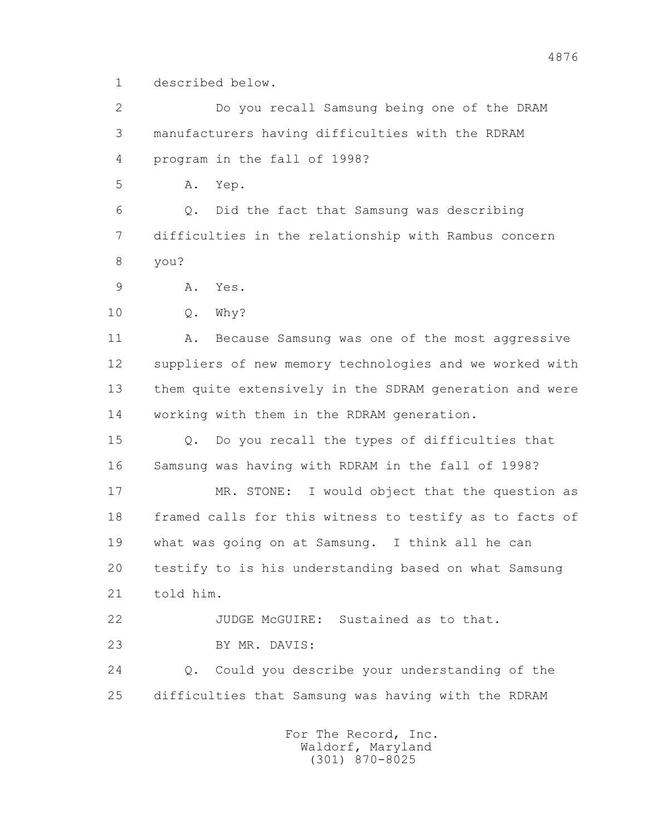1 described below.

 2 Do you recall Samsung being one of the DRAM 3 manufacturers having difficulties with the RDRAM 4 program in the fall of 1998?

5 A. Yep.

 6 Q. Did the fact that Samsung was describing 7 difficulties in the relationship with Rambus concern 8 you?

9 A. Yes.

10 Q. Why?

11 A. Because Samsung was one of the most aggressive 12 suppliers of new memory technologies and we worked with 13 them quite extensively in the SDRAM generation and were 14 working with them in the RDRAM generation.

 15 Q. Do you recall the types of difficulties that 16 Samsung was having with RDRAM in the fall of 1998?

 17 MR. STONE: I would object that the question as 18 framed calls for this witness to testify as to facts of 19 what was going on at Samsung. I think all he can 20 testify to is his understanding based on what Samsung 21 told him.

 22 JUDGE McGUIRE: Sustained as to that. 23 BY MR. DAVIS:

 24 Q. Could you describe your understanding of the 25 difficulties that Samsung was having with the RDRAM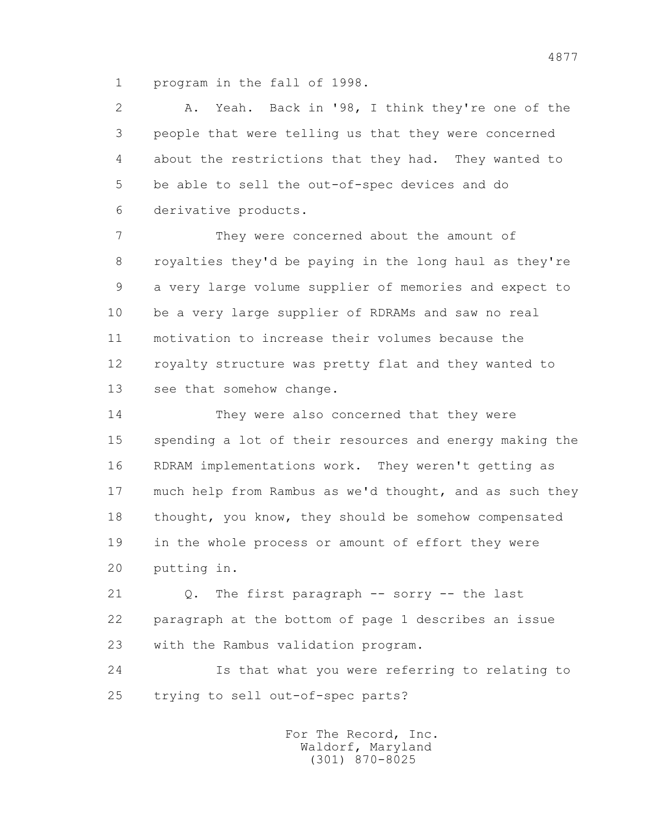1 program in the fall of 1998.

 2 A. Yeah. Back in '98, I think they're one of the 3 people that were telling us that they were concerned 4 about the restrictions that they had. They wanted to 5 be able to sell the out-of-spec devices and do 6 derivative products.

 7 They were concerned about the amount of 8 royalties they'd be paying in the long haul as they're 9 a very large volume supplier of memories and expect to 10 be a very large supplier of RDRAMs and saw no real 11 motivation to increase their volumes because the 12 royalty structure was pretty flat and they wanted to 13 see that somehow change.

 14 They were also concerned that they were 15 spending a lot of their resources and energy making the 16 RDRAM implementations work. They weren't getting as 17 much help from Rambus as we'd thought, and as such they 18 thought, you know, they should be somehow compensated 19 in the whole process or amount of effort they were 20 putting in.

 21 Q. The first paragraph -- sorry -- the last 22 paragraph at the bottom of page 1 describes an issue 23 with the Rambus validation program.

 24 Is that what you were referring to relating to 25 trying to sell out-of-spec parts?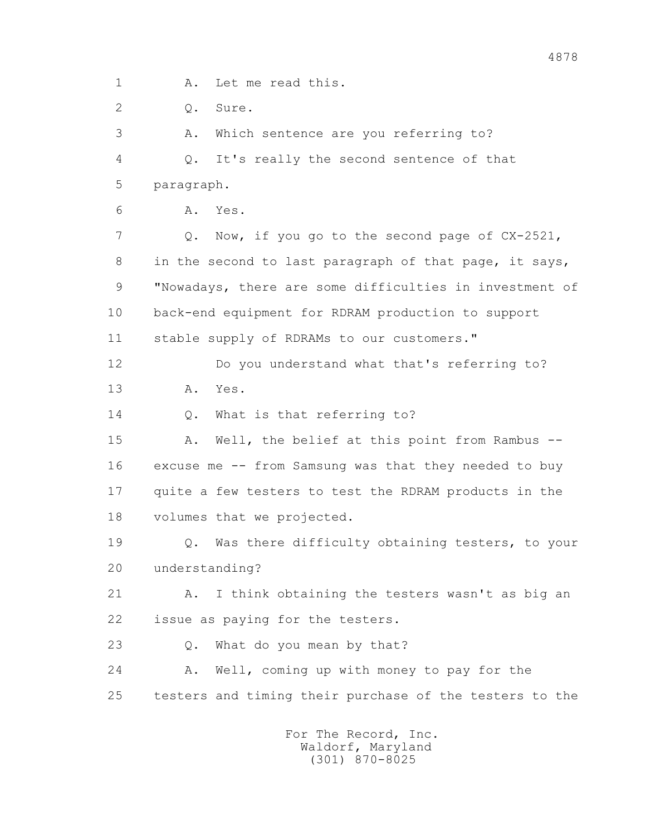1 A. Let me read this.

2 0. Sure.

 3 A. Which sentence are you referring to? 4 Q. It's really the second sentence of that 5 paragraph.

6 A. Yes.

 7 Q. Now, if you go to the second page of CX-2521, 8 in the second to last paragraph of that page, it says, 9 "Nowadays, there are some difficulties in investment of 10 back-end equipment for RDRAM production to support 11 stable supply of RDRAMs to our customers."

 12 Do you understand what that's referring to? 13 A. Yes.

14 0. What is that referring to?

15 A. Well, the belief at this point from Rambus -- 16 excuse me -- from Samsung was that they needed to buy 17 quite a few testers to test the RDRAM products in the 18 volumes that we projected.

 19 Q. Was there difficulty obtaining testers, to your 20 understanding?

 21 A. I think obtaining the testers wasn't as big an 22 issue as paying for the testers.

23 Q. What do you mean by that?

 24 A. Well, coming up with money to pay for the 25 testers and timing their purchase of the testers to the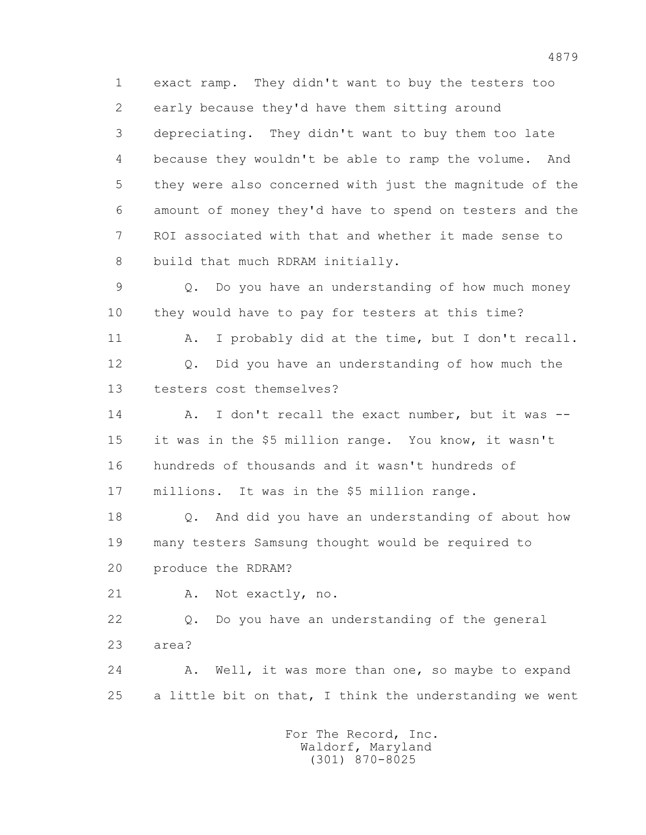1 exact ramp. They didn't want to buy the testers too 2 early because they'd have them sitting around 3 depreciating. They didn't want to buy them too late 4 because they wouldn't be able to ramp the volume. And 5 they were also concerned with just the magnitude of the 6 amount of money they'd have to spend on testers and the 7 ROI associated with that and whether it made sense to 8 build that much RDRAM initially.

 9 Q. Do you have an understanding of how much money 10 they would have to pay for testers at this time?

11 A. I probably did at the time, but I don't recall. 12 Q. Did you have an understanding of how much the 13 testers cost themselves?

14 A. I don't recall the exact number, but it was -- 15 it was in the \$5 million range. You know, it wasn't 16 hundreds of thousands and it wasn't hundreds of 17 millions. It was in the \$5 million range.

 18 Q. And did you have an understanding of about how 19 many testers Samsung thought would be required to 20 produce the RDRAM?

21 A. Not exactly, no.

 22 Q. Do you have an understanding of the general 23 area?

 24 A. Well, it was more than one, so maybe to expand 25 a little bit on that, I think the understanding we went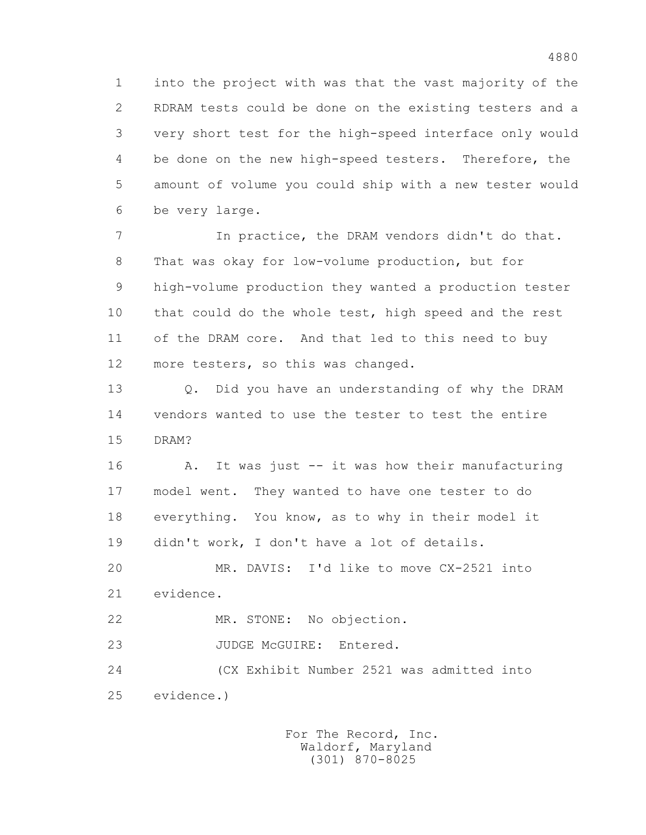1 into the project with was that the vast majority of the 2 RDRAM tests could be done on the existing testers and a 3 very short test for the high-speed interface only would 4 be done on the new high-speed testers. Therefore, the 5 amount of volume you could ship with a new tester would 6 be very large.

 7 In practice, the DRAM vendors didn't do that. 8 That was okay for low-volume production, but for 9 high-volume production they wanted a production tester 10 that could do the whole test, high speed and the rest 11 of the DRAM core. And that led to this need to buy 12 more testers, so this was changed.

 13 Q. Did you have an understanding of why the DRAM 14 vendors wanted to use the tester to test the entire 15 DRAM?

16 A. It was just -- it was how their manufacturing 17 model went. They wanted to have one tester to do 18 everything. You know, as to why in their model it 19 didn't work, I don't have a lot of details.

 20 MR. DAVIS: I'd like to move CX-2521 into 21 evidence.

22 MR. STONE: No objection.

23 JUDGE McGUIRE: Entered.

 24 (CX Exhibit Number 2521 was admitted into 25 evidence.)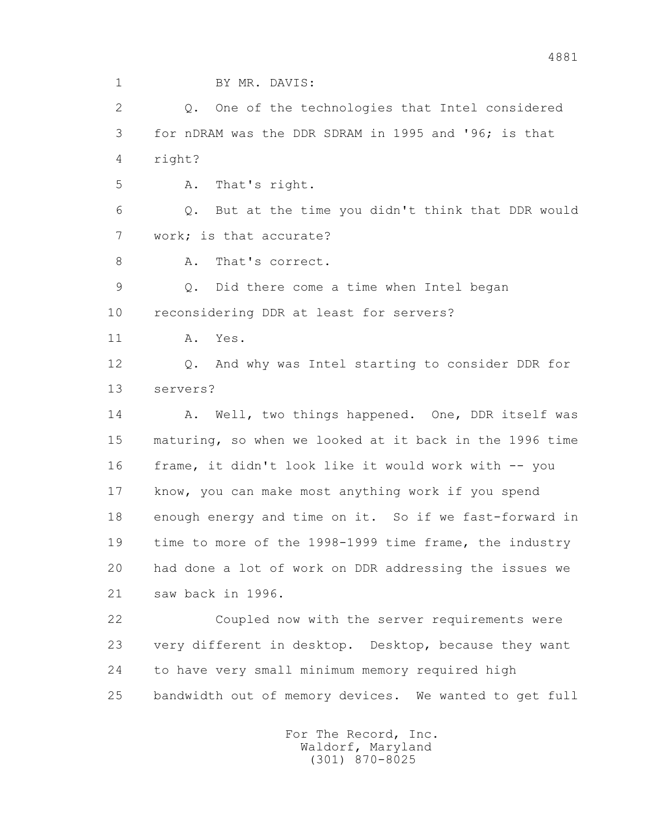1 BY MR. DAVIS:

 2 Q. One of the technologies that Intel considered 3 for nDRAM was the DDR SDRAM in 1995 and '96; is that 4 right?

5 A. That's right.

 6 Q. But at the time you didn't think that DDR would 7 work; is that accurate?

8 A. That's correct.

 9 Q. Did there come a time when Intel began 10 reconsidering DDR at least for servers?

11 A. Yes.

 12 Q. And why was Intel starting to consider DDR for 13 servers?

14 A. Well, two things happened. One, DDR itself was 15 maturing, so when we looked at it back in the 1996 time 16 frame, it didn't look like it would work with -- you 17 know, you can make most anything work if you spend 18 enough energy and time on it. So if we fast-forward in 19 time to more of the 1998-1999 time frame, the industry 20 had done a lot of work on DDR addressing the issues we 21 saw back in 1996.

 22 Coupled now with the server requirements were 23 very different in desktop. Desktop, because they want 24 to have very small minimum memory required high 25 bandwidth out of memory devices. We wanted to get full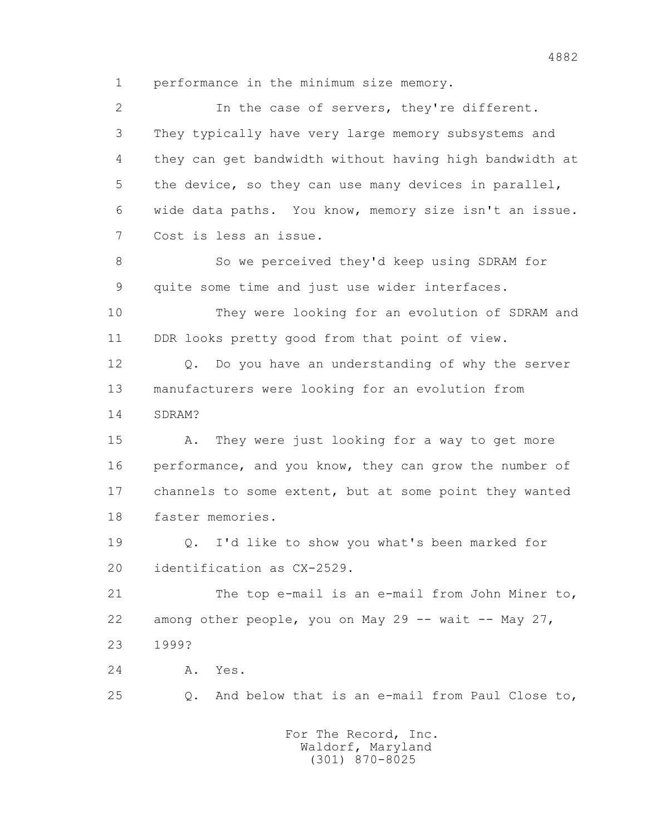1 performance in the minimum size memory.

 2 In the case of servers, they're different. 3 They typically have very large memory subsystems and 4 they can get bandwidth without having high bandwidth at 5 the device, so they can use many devices in parallel, 6 wide data paths. You know, memory size isn't an issue. 7 Cost is less an issue. 8 So we perceived they'd keep using SDRAM for 9 quite some time and just use wider interfaces. 10 They were looking for an evolution of SDRAM and 11 DDR looks pretty good from that point of view. 12 Q. Do you have an understanding of why the server 13 manufacturers were looking for an evolution from 14 SDRAM? 15 A. They were just looking for a way to get more 16 performance, and you know, they can grow the number of 17 channels to some extent, but at some point they wanted 18 faster memories. 19 Q. I'd like to show you what's been marked for 20 identification as CX-2529. 21 The top e-mail is an e-mail from John Miner to, 22 among other people, you on May 29 -- wait -- May 27, 23 1999? 24 A. Yes. 25 Q. And below that is an e-mail from Paul Close to,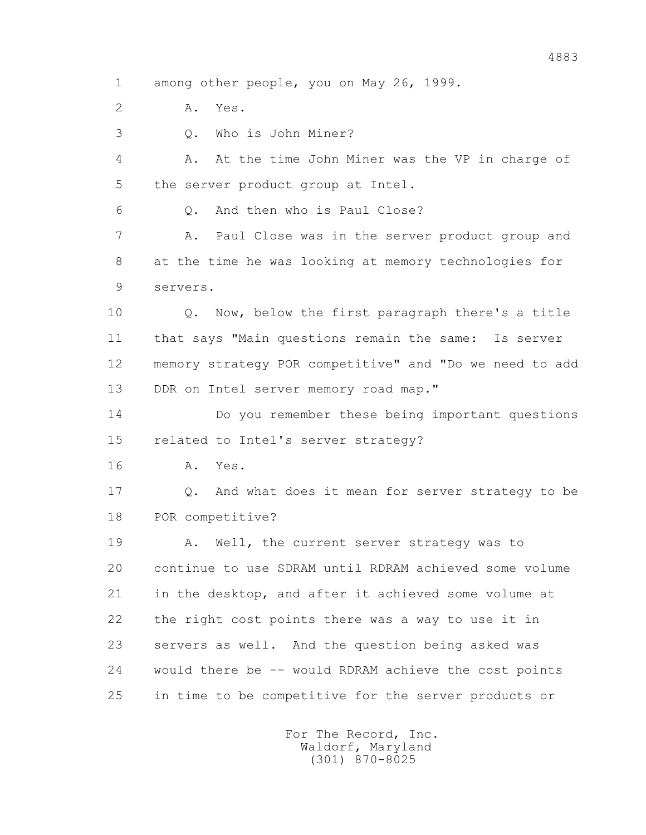1 among other people, you on May 26, 1999.

2 A. Yes.

3 Q. Who is John Miner?

 4 A. At the time John Miner was the VP in charge of 5 the server product group at Intel.

6 Q. And then who is Paul Close?

 7 A. Paul Close was in the server product group and 8 at the time he was looking at memory technologies for 9 servers.

 10 Q. Now, below the first paragraph there's a title 11 that says "Main questions remain the same: Is server 12 memory strategy POR competitive" and "Do we need to add 13 DDR on Intel server memory road map."

 14 Do you remember these being important questions 15 related to Intel's server strategy?

16 A. Yes.

 17 Q. And what does it mean for server strategy to be 18 POR competitive?

 19 A. Well, the current server strategy was to 20 continue to use SDRAM until RDRAM achieved some volume 21 in the desktop, and after it achieved some volume at 22 the right cost points there was a way to use it in 23 servers as well. And the question being asked was 24 would there be -- would RDRAM achieve the cost points 25 in time to be competitive for the server products or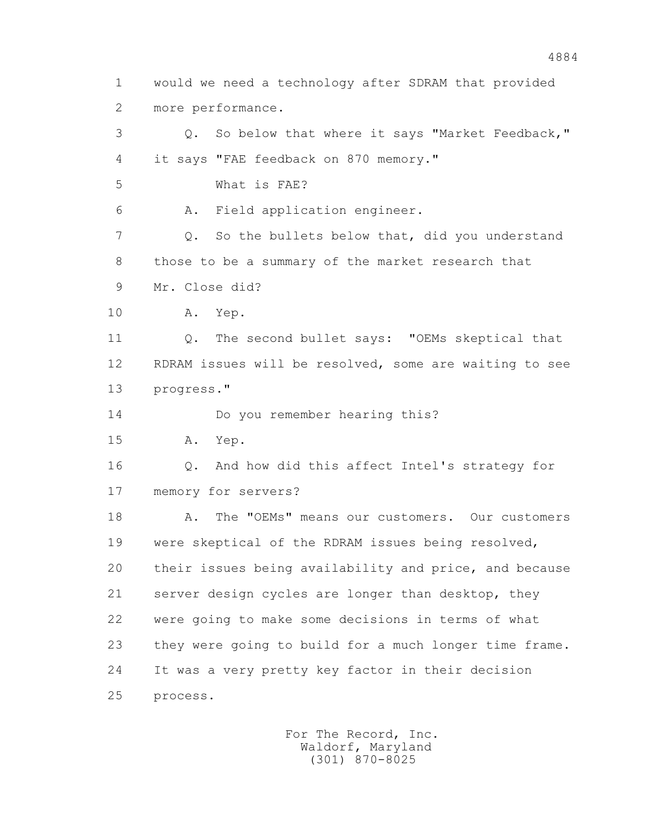1 would we need a technology after SDRAM that provided 2 more performance. 3 Q. So below that where it says "Market Feedback," 4 it says "FAE feedback on 870 memory." 5 What is FAE? 6 A. Field application engineer. 7 Q. So the bullets below that, did you understand 8 those to be a summary of the market research that 9 Mr. Close did? 10 A. Yep. 11 Q. The second bullet says: "OEMs skeptical that 12 RDRAM issues will be resolved, some are waiting to see 13 progress." 14 Do you remember hearing this? 15 A. Yep. 16 Q. And how did this affect Intel's strategy for 17 memory for servers? 18 A. The "OEMs" means our customers. Our customers 19 were skeptical of the RDRAM issues being resolved, 20 their issues being availability and price, and because 21 server design cycles are longer than desktop, they 22 were going to make some decisions in terms of what 23 they were going to build for a much longer time frame. 24 It was a very pretty key factor in their decision 25 process.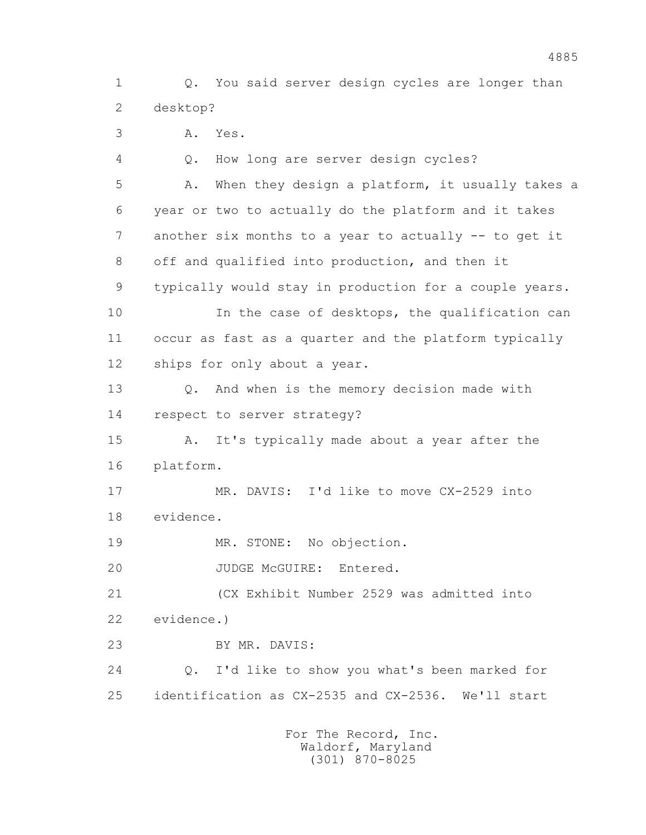1 Q. You said server design cycles are longer than 2 desktop?

3 A. Yes.

 4 Q. How long are server design cycles? 5 A. When they design a platform, it usually takes a 6 year or two to actually do the platform and it takes 7 another six months to a year to actually -- to get it 8 off and qualified into production, and then it 9 typically would stay in production for a couple years. 10 In the case of desktops, the qualification can 11 occur as fast as a quarter and the platform typically 12 ships for only about a year. 13 Q. And when is the memory decision made with 14 respect to server strategy? 15 A. It's typically made about a year after the 16 platform. 17 MR. DAVIS: I'd like to move CX-2529 into 18 evidence. 19 MR. STONE: No objection. 20 JUDGE McGUIRE: Entered. 21 (CX Exhibit Number 2529 was admitted into 22 evidence.) 23 BY MR. DAVIS:

 24 Q. I'd like to show you what's been marked for 25 identification as CX-2535 and CX-2536. We'll start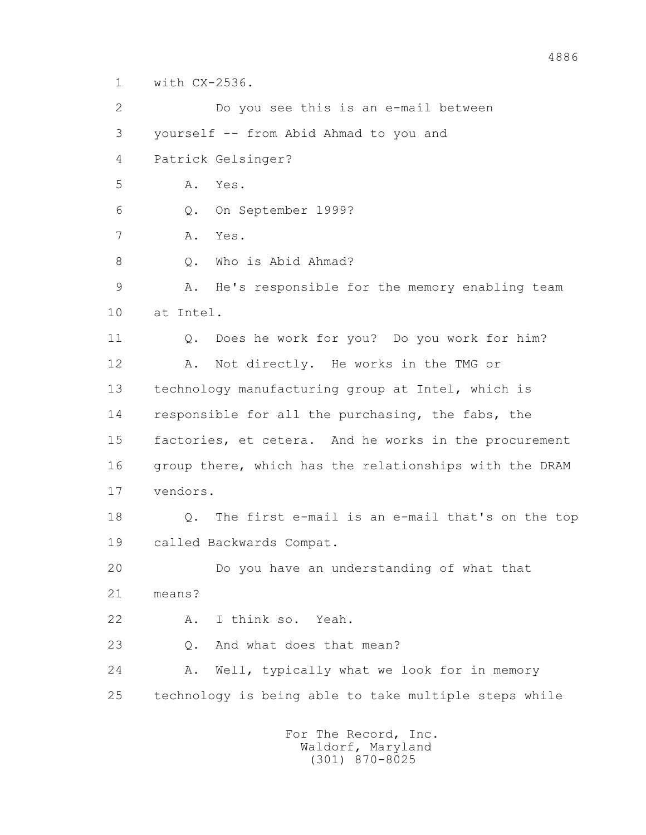1 with CX-2536.

 2 Do you see this is an e-mail between 3 yourself -- from Abid Ahmad to you and 4 Patrick Gelsinger? 5 A. Yes. 6 Q. On September 1999? 7 A. Yes. 8 0. Who is Abid Ahmad? 9 A. He's responsible for the memory enabling team 10 at Intel. 11 Q. Does he work for you? Do you work for him? 12 A. Not directly. He works in the TMG or 13 technology manufacturing group at Intel, which is 14 responsible for all the purchasing, the fabs, the 15 factories, et cetera. And he works in the procurement 16 group there, which has the relationships with the DRAM 17 vendors. 18 Q. The first e-mail is an e-mail that's on the top 19 called Backwards Compat. 20 Do you have an understanding of what that 21 means? 22 A. I think so. Yeah. 23 Q. And what does that mean? 24 A. Well, typically what we look for in memory 25 technology is being able to take multiple steps while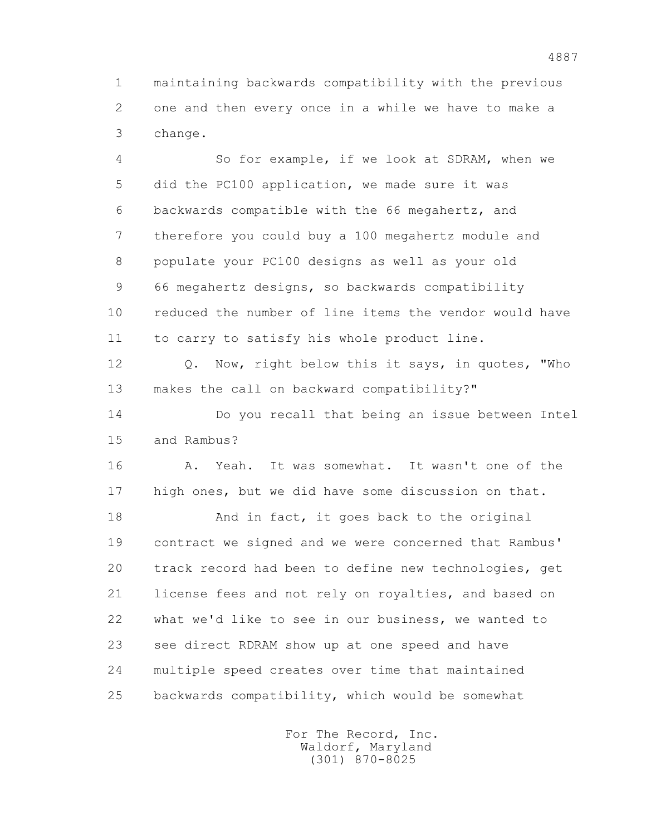1 maintaining backwards compatibility with the previous 2 one and then every once in a while we have to make a 3 change.

 4 So for example, if we look at SDRAM, when we 5 did the PC100 application, we made sure it was 6 backwards compatible with the 66 megahertz, and 7 therefore you could buy a 100 megahertz module and 8 populate your PC100 designs as well as your old 9 66 megahertz designs, so backwards compatibility 10 reduced the number of line items the vendor would have 11 to carry to satisfy his whole product line.

 12 Q. Now, right below this it says, in quotes, "Who 13 makes the call on backward compatibility?"

 14 Do you recall that being an issue between Intel 15 and Rambus?

 16 A. Yeah. It was somewhat. It wasn't one of the 17 high ones, but we did have some discussion on that.

18 And in fact, it goes back to the original 19 contract we signed and we were concerned that Rambus' 20 track record had been to define new technologies, get 21 license fees and not rely on royalties, and based on 22 what we'd like to see in our business, we wanted to 23 see direct RDRAM show up at one speed and have 24 multiple speed creates over time that maintained 25 backwards compatibility, which would be somewhat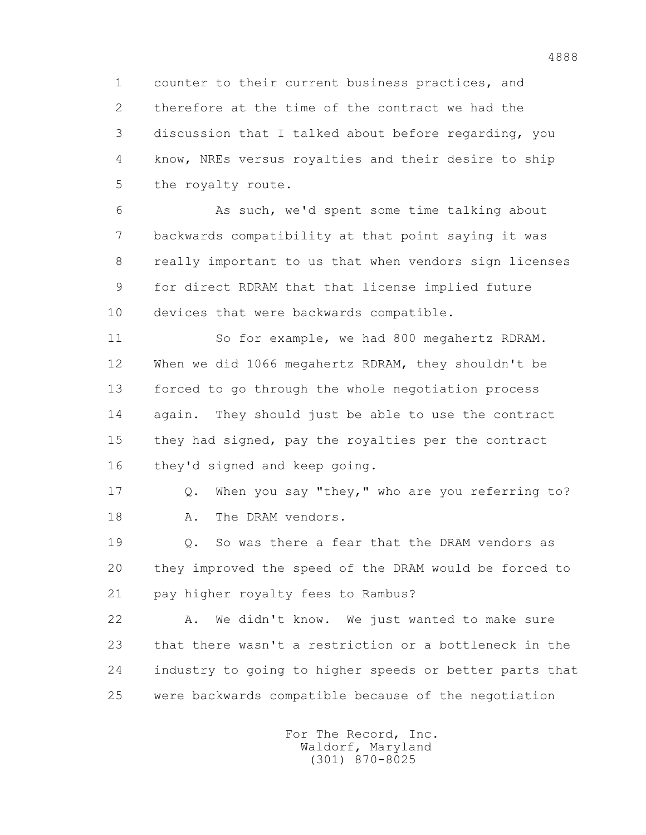1 counter to their current business practices, and 2 therefore at the time of the contract we had the 3 discussion that I talked about before regarding, you 4 know, NREs versus royalties and their desire to ship 5 the royalty route.

 6 As such, we'd spent some time talking about 7 backwards compatibility at that point saying it was 8 really important to us that when vendors sign licenses 9 for direct RDRAM that that license implied future 10 devices that were backwards compatible.

 11 So for example, we had 800 megahertz RDRAM. 12 When we did 1066 megahertz RDRAM, they shouldn't be 13 forced to go through the whole negotiation process 14 again. They should just be able to use the contract 15 they had signed, pay the royalties per the contract 16 they'd signed and keep going.

 17 Q. When you say "they," who are you referring to? 18 A. The DRAM vendors.

 19 Q. So was there a fear that the DRAM vendors as 20 they improved the speed of the DRAM would be forced to 21 pay higher royalty fees to Rambus?

 22 A. We didn't know. We just wanted to make sure 23 that there wasn't a restriction or a bottleneck in the 24 industry to going to higher speeds or better parts that 25 were backwards compatible because of the negotiation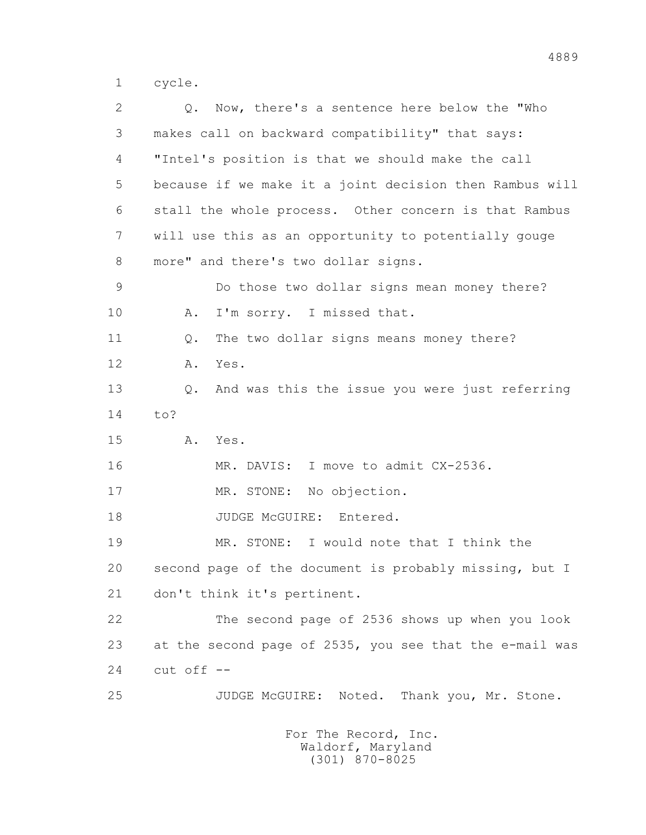1 cycle.

 2 Q. Now, there's a sentence here below the "Who 3 makes call on backward compatibility" that says: 4 "Intel's position is that we should make the call 5 because if we make it a joint decision then Rambus will 6 stall the whole process. Other concern is that Rambus 7 will use this as an opportunity to potentially gouge 8 more" and there's two dollar signs. 9 Do those two dollar signs mean money there? 10 A. I'm sorry. I missed that. 11 0. The two dollar signs means money there? 12 A. Yes. 13 Q. And was this the issue you were just referring 14 to? 15 A. Yes. 16 MR. DAVIS: I move to admit CX-2536. 17 MR. STONE: No objection. 18 JUDGE McGUIRE: Entered. 19 MR. STONE: I would note that I think the 20 second page of the document is probably missing, but I 21 don't think it's pertinent. 22 The second page of 2536 shows up when you look 23 at the second page of 2535, you see that the e-mail was  $24$  cut off  $-$ 25 JUDGE McGUIRE: Noted. Thank you, Mr. Stone.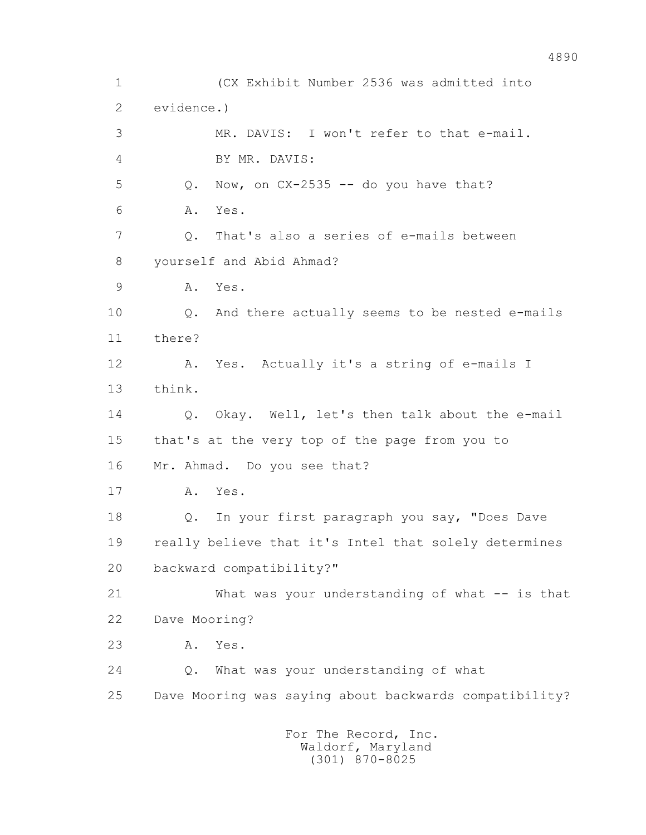1 (CX Exhibit Number 2536 was admitted into 2 evidence.) 3 MR. DAVIS: I won't refer to that e-mail. 4 BY MR. DAVIS:  $5$  Q. Now, on  $CX-2535$  -- do you have that? 6 A. Yes. 7 Q. That's also a series of e-mails between 8 yourself and Abid Ahmad? 9 A. Yes. 10 Q. And there actually seems to be nested e-mails 11 there? 12 A. Yes. Actually it's a string of e-mails I 13 think. 14 O. Okay. Well, let's then talk about the e-mail 15 that's at the very top of the page from you to 16 Mr. Ahmad. Do you see that? 17 A. Yes. 18 Q. In your first paragraph you say, "Does Dave 19 really believe that it's Intel that solely determines 20 backward compatibility?" 21 What was your understanding of what -- is that 22 Dave Mooring? 23 A. Yes. 24 Q. What was your understanding of what 25 Dave Mooring was saying about backwards compatibility? For The Record, Inc. Waldorf, Maryland

(301) 870-8025

## 4890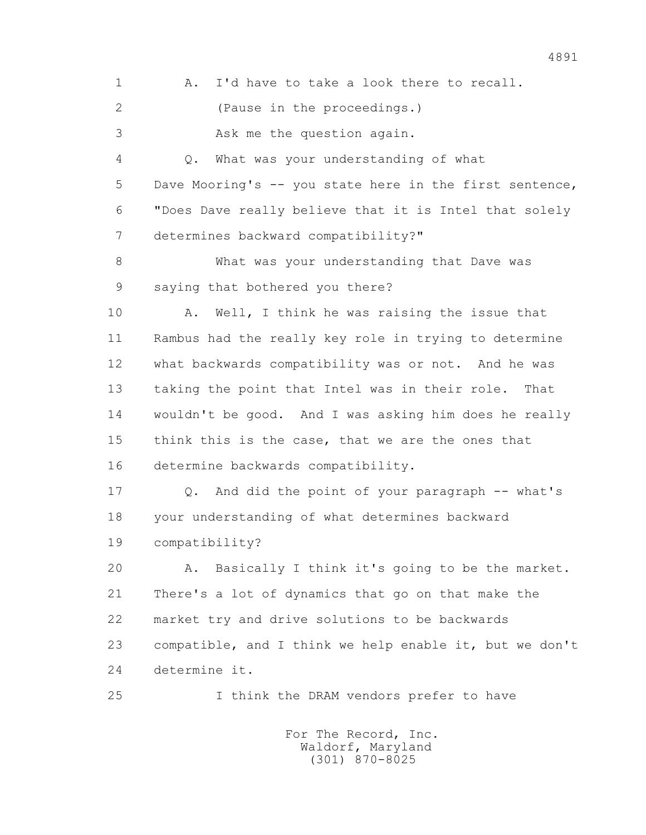1 A. I'd have to take a look there to recall.

2 (Pause in the proceedings.)

3 Ask me the question again.

 4 Q. What was your understanding of what 5 Dave Mooring's -- you state here in the first sentence, 6 "Does Dave really believe that it is Intel that solely 7 determines backward compatibility?"

 8 What was your understanding that Dave was 9 saying that bothered you there?

 10 A. Well, I think he was raising the issue that 11 Rambus had the really key role in trying to determine 12 what backwards compatibility was or not. And he was 13 taking the point that Intel was in their role. That 14 wouldn't be good. And I was asking him does he really 15 think this is the case, that we are the ones that 16 determine backwards compatibility.

 17 Q. And did the point of your paragraph -- what's 18 your understanding of what determines backward 19 compatibility?

 20 A. Basically I think it's going to be the market. 21 There's a lot of dynamics that go on that make the 22 market try and drive solutions to be backwards 23 compatible, and I think we help enable it, but we don't 24 determine it.

25 I think the DRAM vendors prefer to have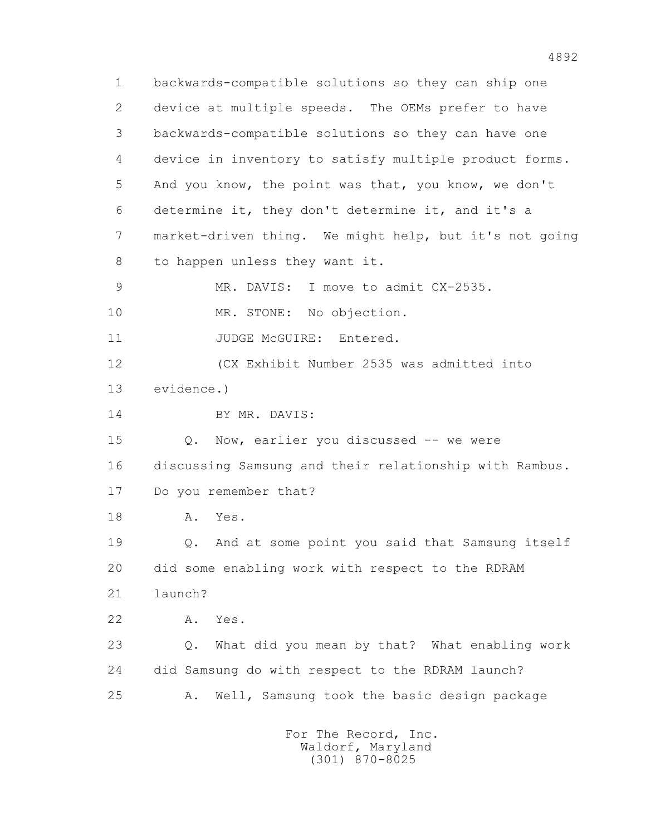1 backwards-compatible solutions so they can ship one 2 device at multiple speeds. The OEMs prefer to have 3 backwards-compatible solutions so they can have one 4 device in inventory to satisfy multiple product forms. 5 And you know, the point was that, you know, we don't 6 determine it, they don't determine it, and it's a 7 market-driven thing. We might help, but it's not going 8 to happen unless they want it. 9 MR. DAVIS: I move to admit CX-2535. 10 MR. STONE: No objection. 11 JUDGE McGUIRE: Entered. 12 (CX Exhibit Number 2535 was admitted into 13 evidence.) 14 BY MR. DAVIS: 15 Q. Now, earlier you discussed -- we were 16 discussing Samsung and their relationship with Rambus. 17 Do you remember that? 18 A. Yes. 19 Q. And at some point you said that Samsung itself 20 did some enabling work with respect to the RDRAM 21 launch? 22 A. Yes. 23 Q. What did you mean by that? What enabling work 24 did Samsung do with respect to the RDRAM launch? 25 A. Well, Samsung took the basic design package For The Record, Inc.

 Waldorf, Maryland (301) 870-8025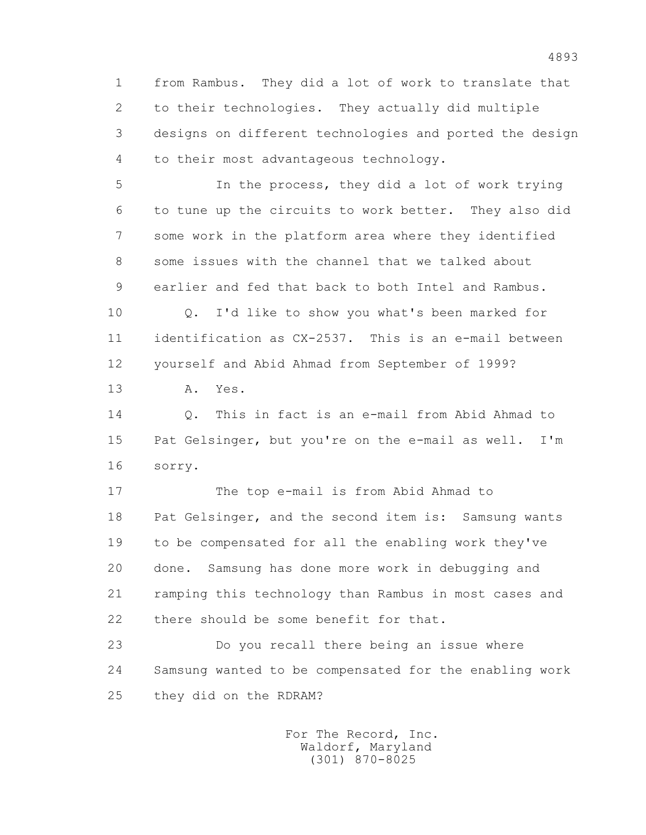1 from Rambus. They did a lot of work to translate that 2 to their technologies. They actually did multiple 3 designs on different technologies and ported the design 4 to their most advantageous technology.

 5 In the process, they did a lot of work trying 6 to tune up the circuits to work better. They also did 7 some work in the platform area where they identified 8 some issues with the channel that we talked about 9 earlier and fed that back to both Intel and Rambus.

 10 Q. I'd like to show you what's been marked for 11 identification as CX-2537. This is an e-mail between 12 yourself and Abid Ahmad from September of 1999?

13 A. Yes.

 14 Q. This in fact is an e-mail from Abid Ahmad to 15 Pat Gelsinger, but you're on the e-mail as well. I'm 16 sorry.

 17 The top e-mail is from Abid Ahmad to 18 Pat Gelsinger, and the second item is: Samsung wants 19 to be compensated for all the enabling work they've 20 done. Samsung has done more work in debugging and 21 ramping this technology than Rambus in most cases and 22 there should be some benefit for that.

 23 Do you recall there being an issue where 24 Samsung wanted to be compensated for the enabling work 25 they did on the RDRAM?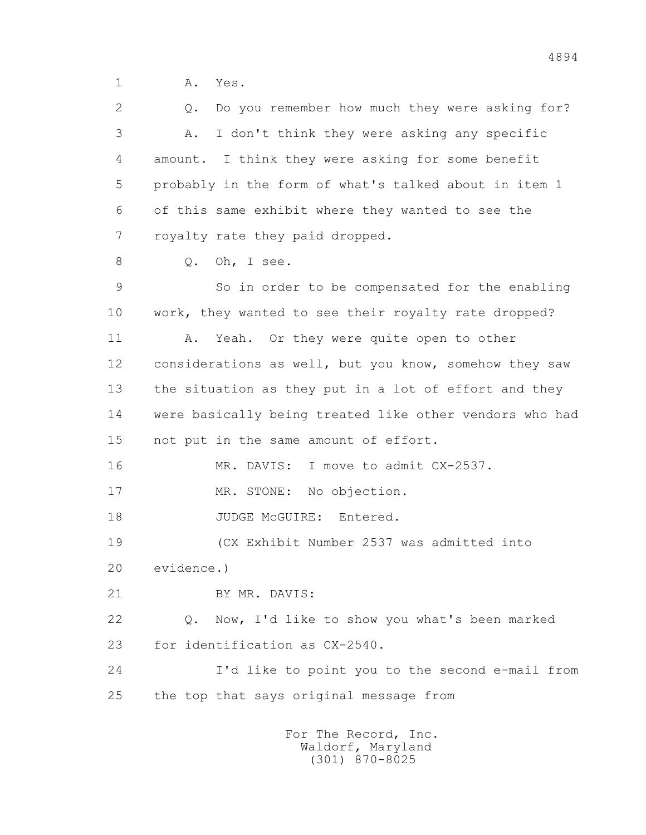1 A. Yes.

 2 Q. Do you remember how much they were asking for? 3 A. I don't think they were asking any specific 4 amount. I think they were asking for some benefit 5 probably in the form of what's talked about in item 1 6 of this same exhibit where they wanted to see the 7 royalty rate they paid dropped. 8 0. Oh, I see. 9 So in order to be compensated for the enabling 10 work, they wanted to see their royalty rate dropped? 11 A. Yeah. Or they were quite open to other 12 considerations as well, but you know, somehow they saw 13 the situation as they put in a lot of effort and they 14 were basically being treated like other vendors who had 15 not put in the same amount of effort. 16 MR. DAVIS: I move to admit CX-2537. 17 MR. STONE: No objection. 18 JUDGE McGUIRE: Entered. 19 (CX Exhibit Number 2537 was admitted into 20 evidence.) 21 BY MR. DAVIS: 22 Q. Now, I'd like to show you what's been marked 23 for identification as CX-2540. 24 I'd like to point you to the second e-mail from 25 the top that says original message from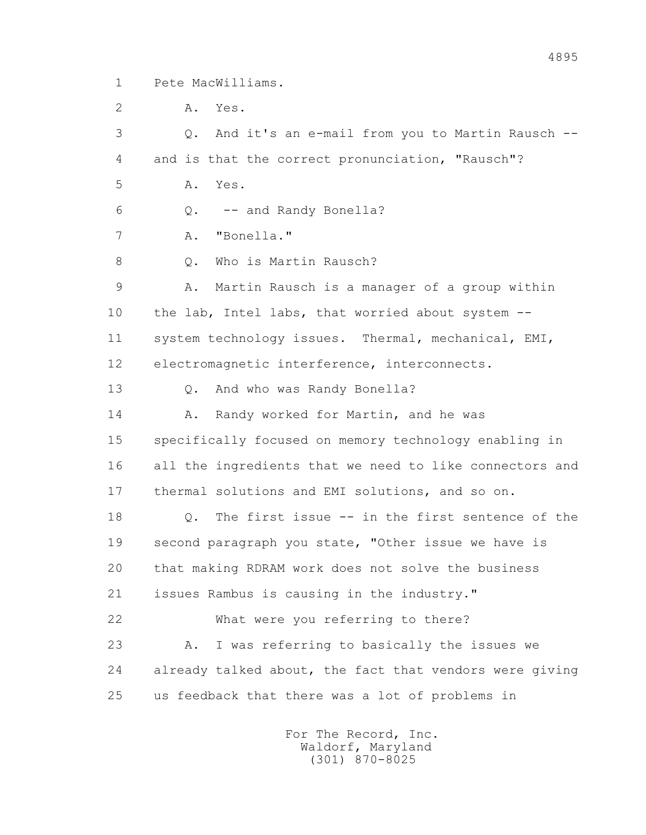1 Pete MacWilliams.

2 A. Yes.

 3 Q. And it's an e-mail from you to Martin Rausch -- 4 and is that the correct pronunciation, "Rausch"? 5 A. Yes. 6 Q. -- and Randy Bonella? 7 A. "Bonella." 8 0. Who is Martin Rausch? 9 A. Martin Rausch is a manager of a group within 10 the lab, Intel labs, that worried about system -- 11 system technology issues. Thermal, mechanical, EMI, 12 electromagnetic interference, interconnects. 13 Q. And who was Randy Bonella? 14 A. Randy worked for Martin, and he was 15 specifically focused on memory technology enabling in 16 all the ingredients that we need to like connectors and 17 thermal solutions and EMI solutions, and so on. 18 Q. The first issue -- in the first sentence of the 19 second paragraph you state, "Other issue we have is 20 that making RDRAM work does not solve the business 21 issues Rambus is causing in the industry." 22 What were you referring to there? 23 A. I was referring to basically the issues we 24 already talked about, the fact that vendors were giving 25 us feedback that there was a lot of problems in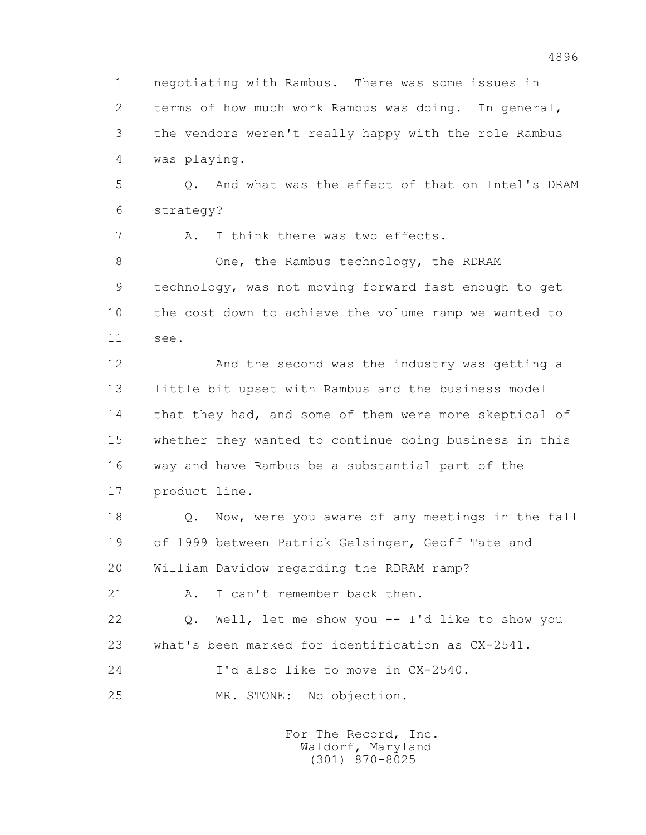1 negotiating with Rambus. There was some issues in 2 terms of how much work Rambus was doing. In general, 3 the vendors weren't really happy with the role Rambus 4 was playing. 5 Q. And what was the effect of that on Intel's DRAM 6 strategy? 7 A. I think there was two effects. 8 One, the Rambus technology, the RDRAM 9 technology, was not moving forward fast enough to get 10 the cost down to achieve the volume ramp we wanted to 11 see. 12 And the second was the industry was getting a 13 little bit upset with Rambus and the business model 14 that they had, and some of them were more skeptical of 15 whether they wanted to continue doing business in this 16 way and have Rambus be a substantial part of the 17 product line. 18 Q. Now, were you aware of any meetings in the fall 19 of 1999 between Patrick Gelsinger, Geoff Tate and 20 William Davidow regarding the RDRAM ramp? 21 A. I can't remember back then. 22 Q. Well, let me show you -- I'd like to show you 23 what's been marked for identification as CX-2541. 24 I'd also like to move in CX-2540. 25 MR. STONE: No objection.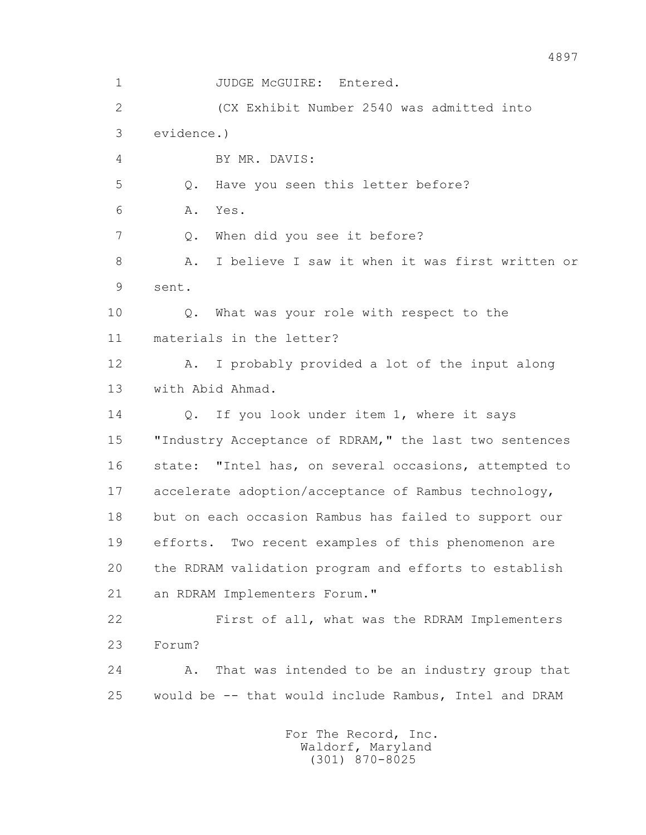1 JUDGE McGUIRE: Entered. 2 (CX Exhibit Number 2540 was admitted into 3 evidence.) 4 BY MR. DAVIS: 5 Q. Have you seen this letter before? 6 A. Yes. 7 Q. When did you see it before? 8 A. I believe I saw it when it was first written or 9 sent. 10 Q. What was your role with respect to the 11 materials in the letter? 12 A. I probably provided a lot of the input along 13 with Abid Ahmad. 14 Q. If you look under item 1, where it says 15 "Industry Acceptance of RDRAM," the last two sentences 16 state: "Intel has, on several occasions, attempted to 17 accelerate adoption/acceptance of Rambus technology, 18 but on each occasion Rambus has failed to support our 19 efforts. Two recent examples of this phenomenon are 20 the RDRAM validation program and efforts to establish 21 an RDRAM Implementers Forum." 22 First of all, what was the RDRAM Implementers 23 Forum? 24 A. That was intended to be an industry group that 25 would be -- that would include Rambus, Intel and DRAM For The Record, Inc. Waldorf, Maryland

(301) 870-8025

4897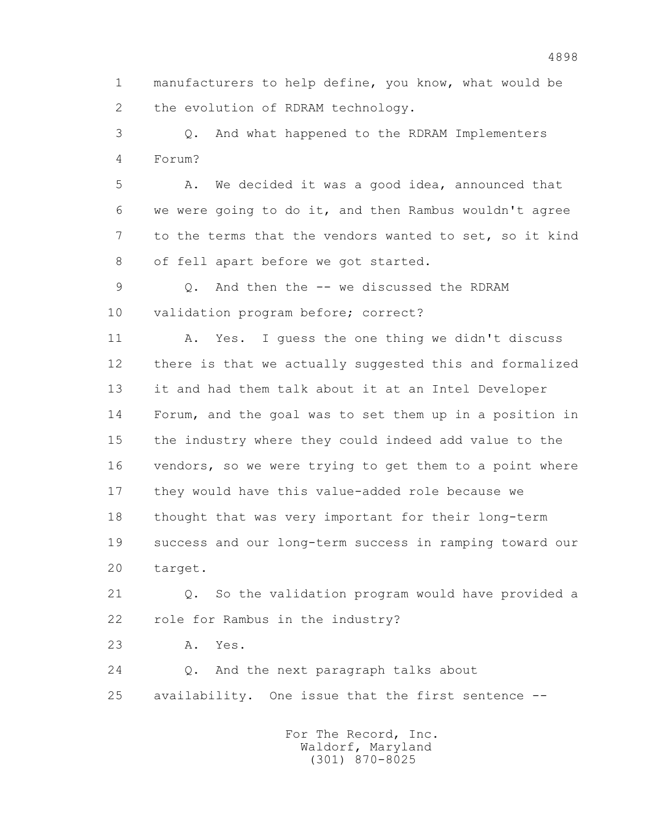1 manufacturers to help define, you know, what would be 2 the evolution of RDRAM technology.

 3 Q. And what happened to the RDRAM Implementers 4 Forum?

 5 A. We decided it was a good idea, announced that 6 we were going to do it, and then Rambus wouldn't agree 7 to the terms that the vendors wanted to set, so it kind 8 of fell apart before we got started.

 9 Q. And then the -- we discussed the RDRAM 10 validation program before; correct?

 11 A. Yes. I guess the one thing we didn't discuss 12 there is that we actually suggested this and formalized 13 it and had them talk about it at an Intel Developer 14 Forum, and the goal was to set them up in a position in 15 the industry where they could indeed add value to the 16 vendors, so we were trying to get them to a point where 17 they would have this value-added role because we 18 thought that was very important for their long-term 19 success and our long-term success in ramping toward our 20 target.

 21 Q. So the validation program would have provided a 22 role for Rambus in the industry?

23 A. Yes.

 24 Q. And the next paragraph talks about 25 availability. One issue that the first sentence --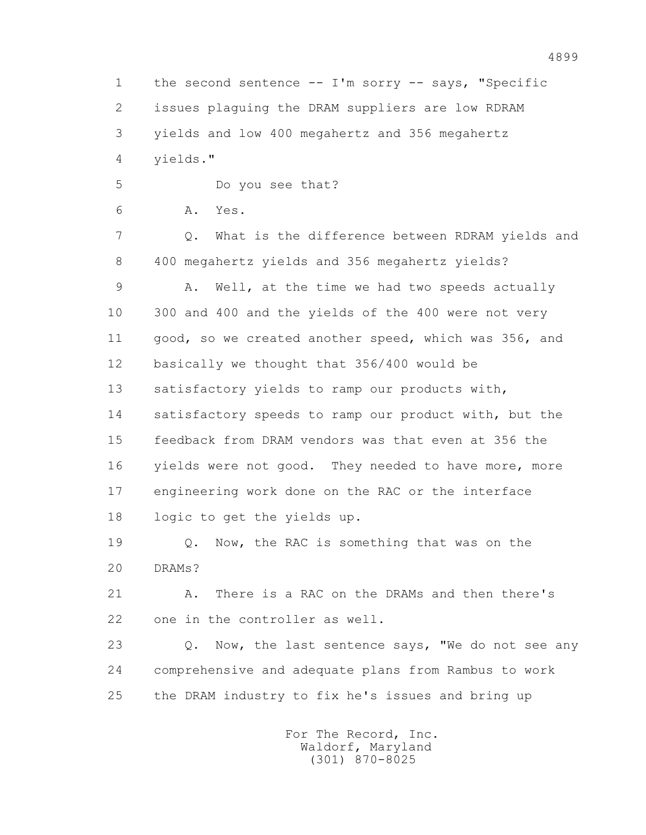1 the second sentence -- I'm sorry -- says, "Specific 2 issues plaguing the DRAM suppliers are low RDRAM 3 yields and low 400 megahertz and 356 megahertz 4 yields."

5 Do you see that?

6 A. Yes.

 7 Q. What is the difference between RDRAM yields and 8 400 megahertz yields and 356 megahertz yields?

 9 A. Well, at the time we had two speeds actually 10 300 and 400 and the yields of the 400 were not very 11 good, so we created another speed, which was 356, and 12 basically we thought that 356/400 would be 13 satisfactory yields to ramp our products with, 14 satisfactory speeds to ramp our product with, but the 15 feedback from DRAM vendors was that even at 356 the 16 yields were not good. They needed to have more, more 17 engineering work done on the RAC or the interface 18 logic to get the yields up.

 19 Q. Now, the RAC is something that was on the 20 DRAMs?

21 A. There is a RAC on the DRAMs and then there's 22 one in the controller as well.

23 0. Now, the last sentence says, "We do not see any 24 comprehensive and adequate plans from Rambus to work 25 the DRAM industry to fix he's issues and bring up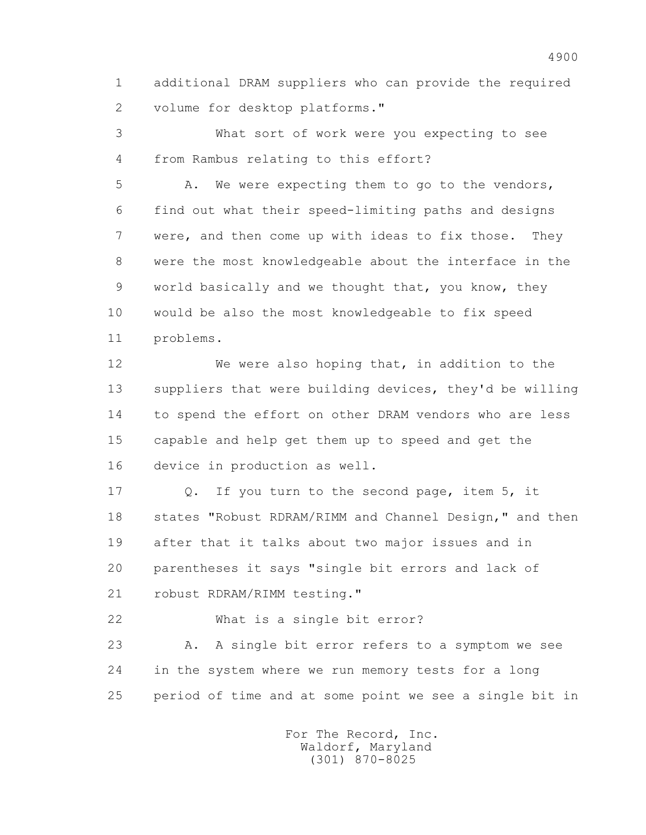1 additional DRAM suppliers who can provide the required 2 volume for desktop platforms."

 3 What sort of work were you expecting to see 4 from Rambus relating to this effort?

 5 A. We were expecting them to go to the vendors, 6 find out what their speed-limiting paths and designs 7 were, and then come up with ideas to fix those. They 8 were the most knowledgeable about the interface in the 9 world basically and we thought that, you know, they 10 would be also the most knowledgeable to fix speed 11 problems.

 12 We were also hoping that, in addition to the 13 suppliers that were building devices, they'd be willing 14 to spend the effort on other DRAM vendors who are less 15 capable and help get them up to speed and get the 16 device in production as well.

 17 Q. If you turn to the second page, item 5, it 18 states "Robust RDRAM/RIMM and Channel Design," and then 19 after that it talks about two major issues and in 20 parentheses it says "single bit errors and lack of 21 robust RDRAM/RIMM testing."

22 What is a single bit error?

23 A. A single bit error refers to a symptom we see 24 in the system where we run memory tests for a long 25 period of time and at some point we see a single bit in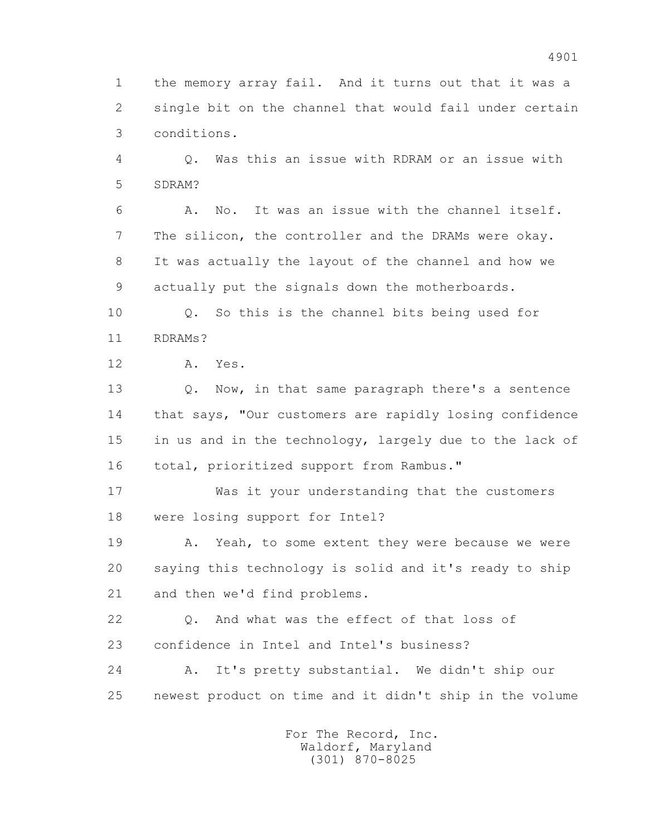1 the memory array fail. And it turns out that it was a 2 single bit on the channel that would fail under certain 3 conditions.

 4 Q. Was this an issue with RDRAM or an issue with 5 SDRAM?

 6 A. No. It was an issue with the channel itself. 7 The silicon, the controller and the DRAMs were okay. 8 It was actually the layout of the channel and how we 9 actually put the signals down the motherboards.

 10 Q. So this is the channel bits being used for 11 RDRAMs?

12 A. Yes.

 13 Q. Now, in that same paragraph there's a sentence 14 that says, "Our customers are rapidly losing confidence 15 in us and in the technology, largely due to the lack of 16 total, prioritized support from Rambus."

 17 Was it your understanding that the customers 18 were losing support for Intel?

19 A. Yeah, to some extent they were because we were 20 saying this technology is solid and it's ready to ship 21 and then we'd find problems.

 22 Q. And what was the effect of that loss of 23 confidence in Intel and Intel's business?

 24 A. It's pretty substantial. We didn't ship our 25 newest product on time and it didn't ship in the volume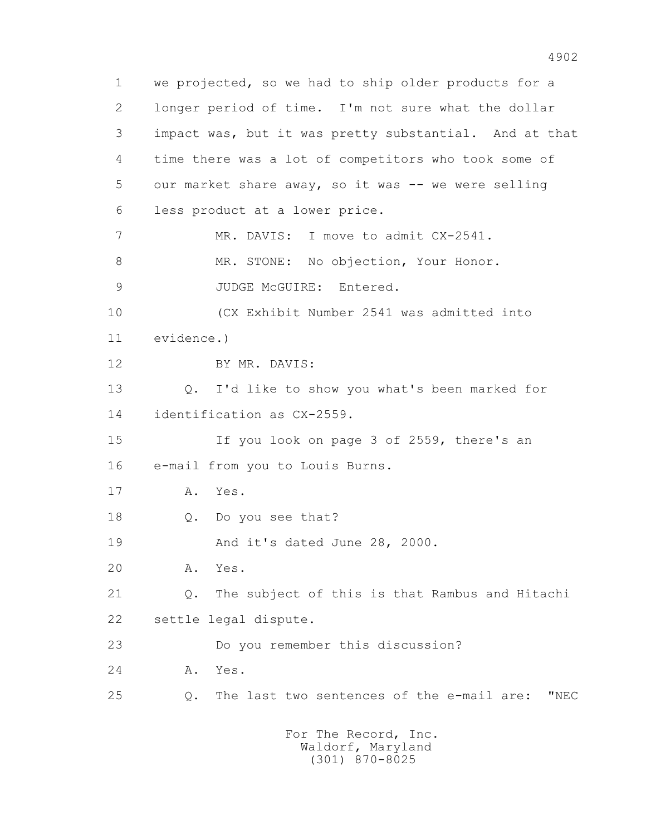1 we projected, so we had to ship older products for a 2 longer period of time. I'm not sure what the dollar 3 impact was, but it was pretty substantial. And at that 4 time there was a lot of competitors who took some of 5 our market share away, so it was -- we were selling 6 less product at a lower price. 7 MR. DAVIS: I move to admit CX-2541. 8 MR. STONE: No objection, Your Honor. 9 JUDGE McGUIRE: Entered. 10 (CX Exhibit Number 2541 was admitted into 11 evidence.) 12 BY MR. DAVIS: 13 Q. I'd like to show you what's been marked for 14 identification as CX-2559. 15 If you look on page 3 of 2559, there's an 16 e-mail from you to Louis Burns. 17 A. Yes. 18 Q. Do you see that? 19 And it's dated June 28, 2000. 20 A. Yes. 21 Q. The subject of this is that Rambus and Hitachi 22 settle legal dispute. 23 Do you remember this discussion? 24 A. Yes. 25 Q. The last two sentences of the e-mail are: "NEC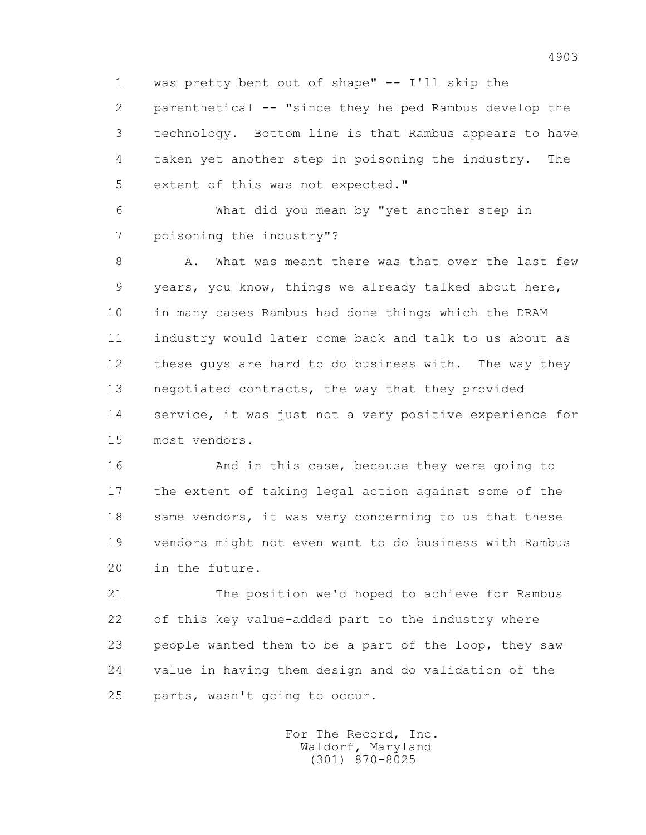1 was pretty bent out of shape" -- I'll skip the

 2 parenthetical -- "since they helped Rambus develop the 3 technology. Bottom line is that Rambus appears to have 4 taken yet another step in poisoning the industry. The 5 extent of this was not expected."

 6 What did you mean by "yet another step in 7 poisoning the industry"?

8 A. What was meant there was that over the last few 9 years, you know, things we already talked about here, 10 in many cases Rambus had done things which the DRAM 11 industry would later come back and talk to us about as 12 these guys are hard to do business with. The way they 13 negotiated contracts, the way that they provided 14 service, it was just not a very positive experience for 15 most vendors.

 16 And in this case, because they were going to 17 the extent of taking legal action against some of the 18 same vendors, it was very concerning to us that these 19 vendors might not even want to do business with Rambus 20 in the future.

 21 The position we'd hoped to achieve for Rambus 22 of this key value-added part to the industry where 23 people wanted them to be a part of the loop, they saw 24 value in having them design and do validation of the 25 parts, wasn't going to occur.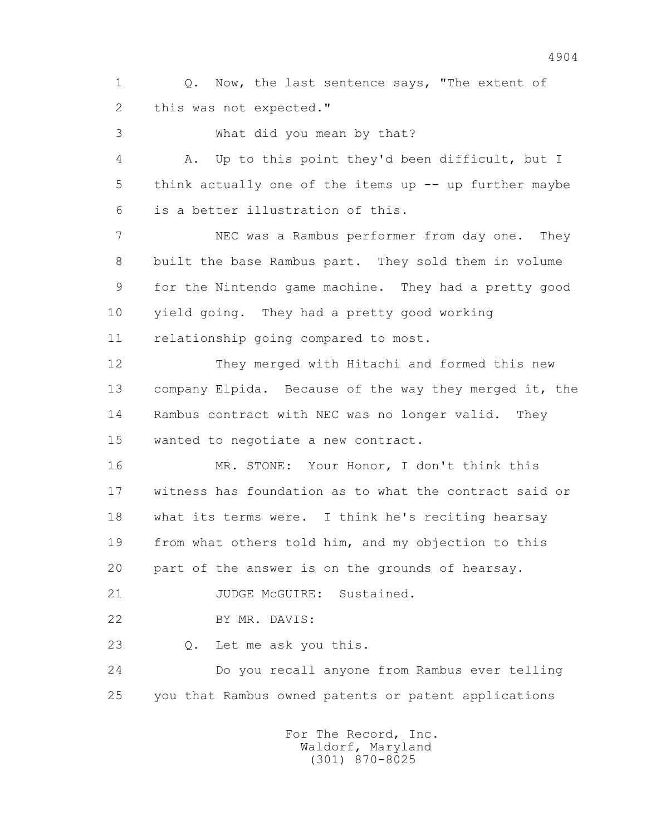1 0. Now, the last sentence says, "The extent of 2 this was not expected."

3 What did you mean by that?

 4 A. Up to this point they'd been difficult, but I 5 think actually one of the items up -- up further maybe 6 is a better illustration of this. 7 NEC was a Rambus performer from day one. They 8 built the base Rambus part. They sold them in volume 9 for the Nintendo game machine. They had a pretty good 10 yield going. They had a pretty good working 11 relationship going compared to most. 12 They merged with Hitachi and formed this new 13 company Elpida. Because of the way they merged it, the 14 Rambus contract with NEC was no longer valid. They 15 wanted to negotiate a new contract.

 16 MR. STONE: Your Honor, I don't think this 17 witness has foundation as to what the contract said or 18 what its terms were. I think he's reciting hearsay 19 from what others told him, and my objection to this 20 part of the answer is on the grounds of hearsay.

21 JUDGE McGUIRE: Sustained.

22 BY MR. DAVIS:

23 Q. Let me ask you this.

 24 Do you recall anyone from Rambus ever telling 25 you that Rambus owned patents or patent applications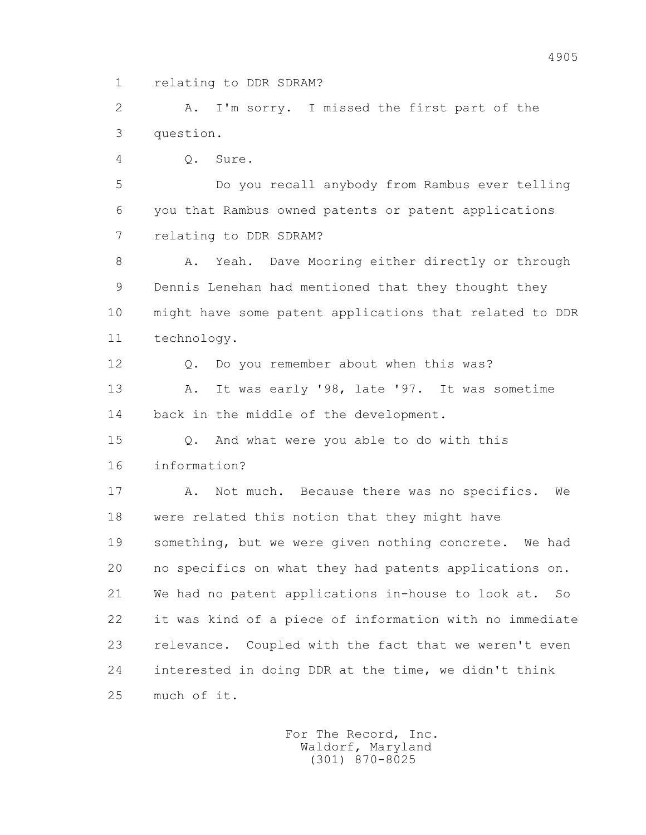1 relating to DDR SDRAM?

 2 A. I'm sorry. I missed the first part of the 3 question.

4 Q. Sure.

 5 Do you recall anybody from Rambus ever telling 6 you that Rambus owned patents or patent applications 7 relating to DDR SDRAM?

8 A. Yeah. Dave Mooring either directly or through 9 Dennis Lenehan had mentioned that they thought they 10 might have some patent applications that related to DDR 11 technology.

 12 Q. Do you remember about when this was? 13 A. It was early '98, late '97. It was sometime 14 back in the middle of the development.

 15 Q. And what were you able to do with this 16 information?

 17 A. Not much. Because there was no specifics. We 18 were related this notion that they might have 19 something, but we were given nothing concrete. We had 20 no specifics on what they had patents applications on. 21 We had no patent applications in-house to look at. So 22 it was kind of a piece of information with no immediate 23 relevance. Coupled with the fact that we weren't even 24 interested in doing DDR at the time, we didn't think 25 much of it.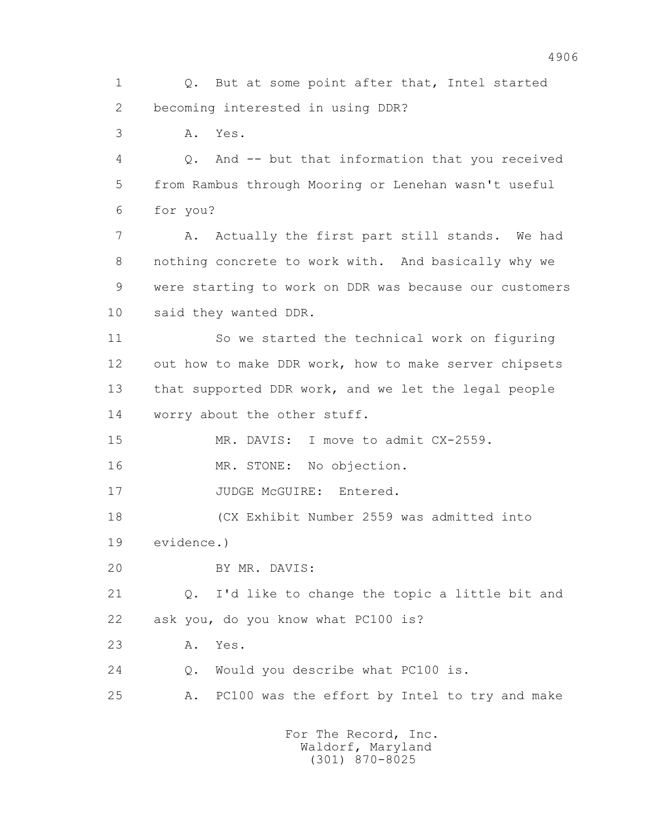1 Q. But at some point after that, Intel started 2 becoming interested in using DDR? 3 A. Yes. 4 Q. And -- but that information that you received 5 from Rambus through Mooring or Lenehan wasn't useful 6 for you? 7 A. Actually the first part still stands. We had 8 nothing concrete to work with. And basically why we 9 were starting to work on DDR was because our customers 10 said they wanted DDR. 11 So we started the technical work on figuring 12 out how to make DDR work, how to make server chipsets 13 that supported DDR work, and we let the legal people 14 worry about the other stuff. 15 MR. DAVIS: I move to admit CX-2559. 16 MR. STONE: No objection. 17 JUDGE McGUIRE: Entered. 18 (CX Exhibit Number 2559 was admitted into 19 evidence.) 20 BY MR. DAVIS: 21 Q. I'd like to change the topic a little bit and 22 ask you, do you know what PC100 is? 23 A. Yes. 24 Q. Would you describe what PC100 is. 25 A. PC100 was the effort by Intel to try and make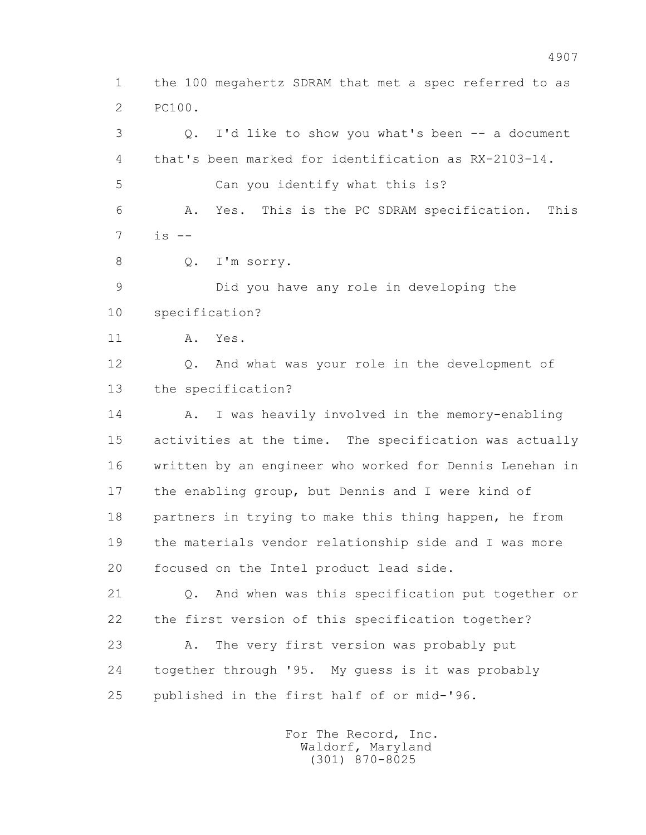1 the 100 megahertz SDRAM that met a spec referred to as 2 PC100. 3 Q. I'd like to show you what's been -- a document 4 that's been marked for identification as RX-2103-14. 5 Can you identify what this is? 6 A. Yes. This is the PC SDRAM specification. This 7 is -- 8 Q. I'm sorry. 9 Did you have any role in developing the 10 specification? 11 A. Yes. 12 Q. And what was your role in the development of 13 the specification? 14 A. I was heavily involved in the memory-enabling 15 activities at the time. The specification was actually 16 written by an engineer who worked for Dennis Lenehan in 17 the enabling group, but Dennis and I were kind of 18 partners in trying to make this thing happen, he from 19 the materials vendor relationship side and I was more 20 focused on the Intel product lead side. 21 Q. And when was this specification put together or 22 the first version of this specification together? 23 A. The very first version was probably put 24 together through '95. My guess is it was probably 25 published in the first half of or mid-'96.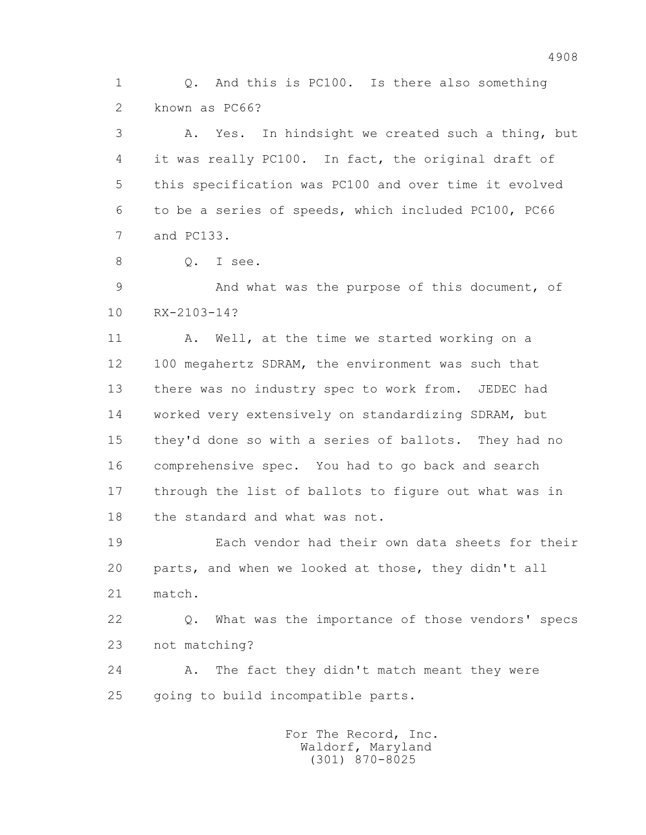1 Q. And this is PC100. Is there also something 2 known as PC66?

 3 A. Yes. In hindsight we created such a thing, but 4 it was really PC100. In fact, the original draft of 5 this specification was PC100 and over time it evolved 6 to be a series of speeds, which included PC100, PC66 7 and PC133.

8 Q. I see.

 9 And what was the purpose of this document, of 10 RX-2103-14?

11 A. Well, at the time we started working on a 12 100 megahertz SDRAM, the environment was such that 13 there was no industry spec to work from. JEDEC had 14 worked very extensively on standardizing SDRAM, but 15 they'd done so with a series of ballots. They had no 16 comprehensive spec. You had to go back and search 17 through the list of ballots to figure out what was in 18 the standard and what was not.

 19 Each vendor had their own data sheets for their 20 parts, and when we looked at those, they didn't all 21 match.

 22 Q. What was the importance of those vendors' specs 23 not matching?

24 A. The fact they didn't match meant they were 25 going to build incompatible parts.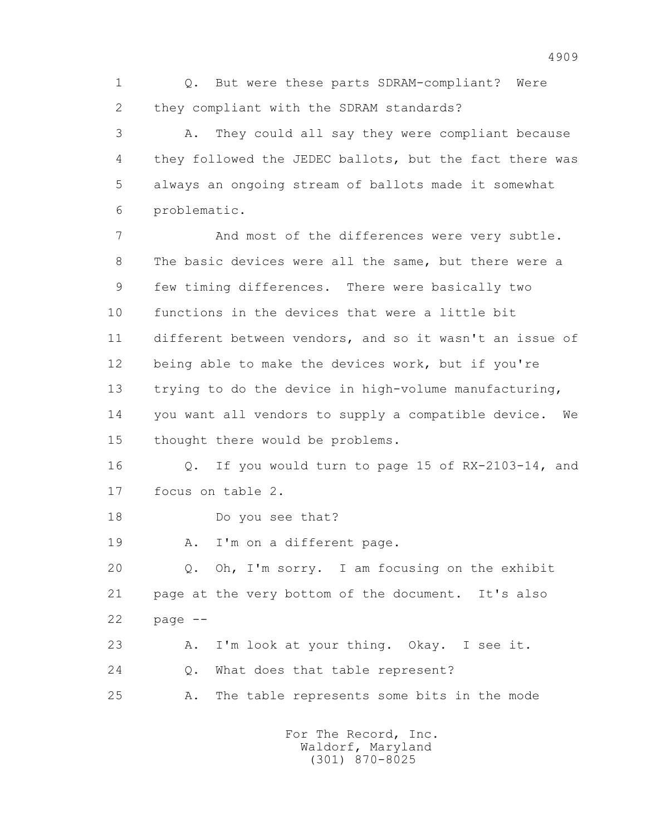1 Q. But were these parts SDRAM-compliant? Were 2 they compliant with the SDRAM standards?

 3 A. They could all say they were compliant because 4 they followed the JEDEC ballots, but the fact there was 5 always an ongoing stream of ballots made it somewhat 6 problematic.

 7 And most of the differences were very subtle. 8 The basic devices were all the same, but there were a 9 few timing differences. There were basically two 10 functions in the devices that were a little bit 11 different between vendors, and so it wasn't an issue of 12 being able to make the devices work, but if you're 13 trying to do the device in high-volume manufacturing, 14 you want all vendors to supply a compatible device. We 15 thought there would be problems.

 16 Q. If you would turn to page 15 of RX-2103-14, and 17 focus on table 2.

18 Do you see that?

19 A. I'm on a different page.

 20 Q. Oh, I'm sorry. I am focusing on the exhibit 21 page at the very bottom of the document. It's also 22 page --

 23 A. I'm look at your thing. Okay. I see it. 24 O. What does that table represent? 25 A. The table represents some bits in the mode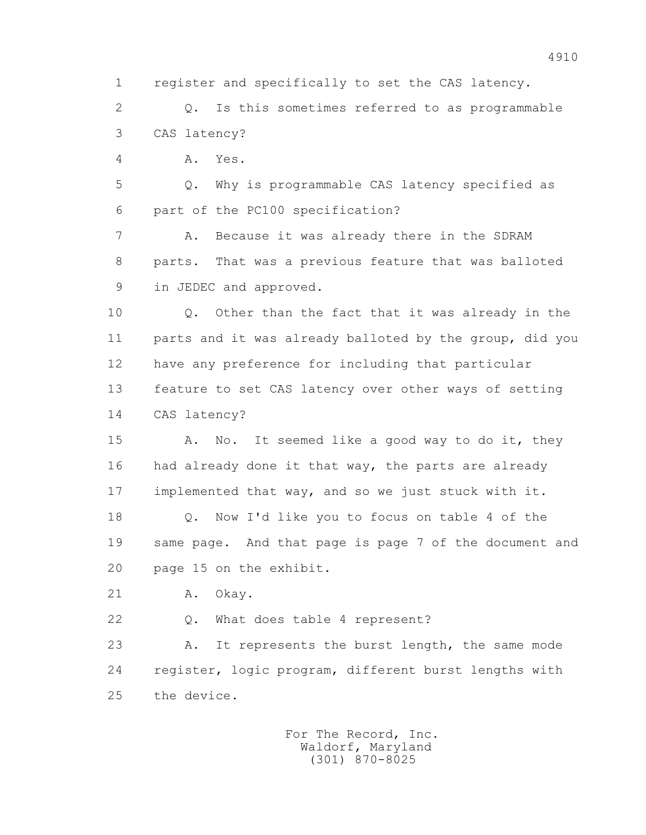1 register and specifically to set the CAS latency.

 2 Q. Is this sometimes referred to as programmable 3 CAS latency?

4 A. Yes.

 5 Q. Why is programmable CAS latency specified as 6 part of the PC100 specification?

 7 A. Because it was already there in the SDRAM 8 parts. That was a previous feature that was balloted 9 in JEDEC and approved.

 10 Q. Other than the fact that it was already in the 11 parts and it was already balloted by the group, did you 12 have any preference for including that particular 13 feature to set CAS latency over other ways of setting 14 CAS latency?

15 A. No. It seemed like a good way to do it, they 16 had already done it that way, the parts are already 17 implemented that way, and so we just stuck with it. 18 Q. Now I'd like you to focus on table 4 of the 19 same page. And that page is page 7 of the document and

20 page 15 on the exhibit.

21 A. Okay.

22 Q. What does table 4 represent?

23 A. It represents the burst length, the same mode 24 register, logic program, different burst lengths with 25 the device.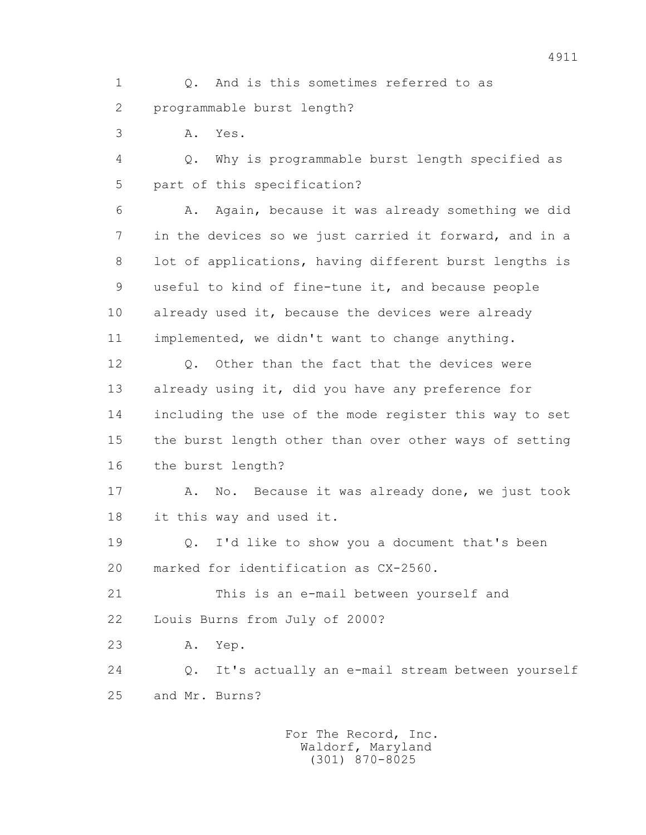1 Q. And is this sometimes referred to as 2 programmable burst length?

3 A. Yes.

 4 Q. Why is programmable burst length specified as 5 part of this specification?

 6 A. Again, because it was already something we did 7 in the devices so we just carried it forward, and in a 8 lot of applications, having different burst lengths is 9 useful to kind of fine-tune it, and because people 10 already used it, because the devices were already 11 implemented, we didn't want to change anything.

12 0. Other than the fact that the devices were 13 already using it, did you have any preference for 14 including the use of the mode register this way to set 15 the burst length other than over other ways of setting 16 the burst length?

17 A. No. Because it was already done, we just took 18 it this way and used it.

 19 Q. I'd like to show you a document that's been 20 marked for identification as CX-2560.

 21 This is an e-mail between yourself and 22 Louis Burns from July of 2000?

23 A. Yep.

 24 Q. It's actually an e-mail stream between yourself 25 and Mr. Burns?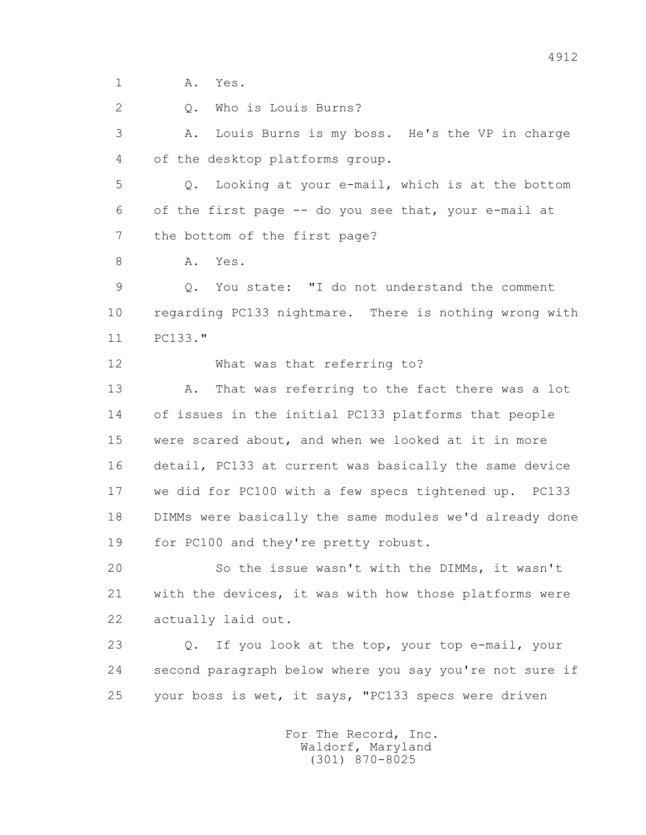1 A. Yes.

2 Q. Who is Louis Burns?

 3 A. Louis Burns is my boss. He's the VP in charge 4 of the desktop platforms group.

 5 Q. Looking at your e-mail, which is at the bottom 6 of the first page -- do you see that, your e-mail at 7 the bottom of the first page?

8 A. Yes.

 9 Q. You state: "I do not understand the comment 10 regarding PC133 nightmare. There is nothing wrong with 11 PC133."

12 What was that referring to?

 13 A. That was referring to the fact there was a lot 14 of issues in the initial PC133 platforms that people 15 were scared about, and when we looked at it in more 16 detail, PC133 at current was basically the same device 17 we did for PC100 with a few specs tightened up. PC133 18 DIMMs were basically the same modules we'd already done 19 for PC100 and they're pretty robust.

 20 So the issue wasn't with the DIMMs, it wasn't 21 with the devices, it was with how those platforms were 22 actually laid out.

 23 Q. If you look at the top, your top e-mail, your 24 second paragraph below where you say you're not sure if 25 your boss is wet, it says, "PC133 specs were driven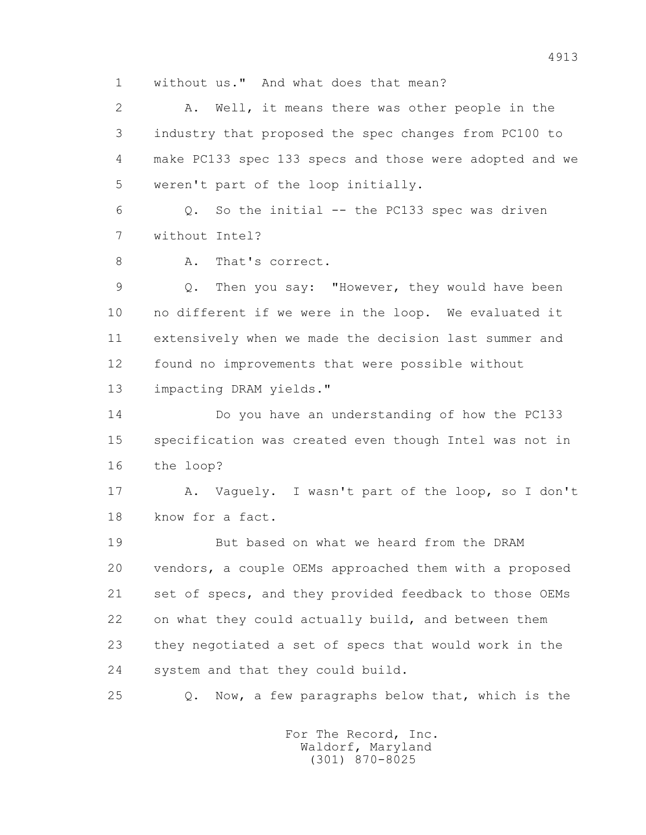1 without us." And what does that mean?

 2 A. Well, it means there was other people in the 3 industry that proposed the spec changes from PC100 to 4 make PC133 spec 133 specs and those were adopted and we 5 weren't part of the loop initially.

 $6$  Q. So the initial  $-$  the PC133 spec was driven 7 without Intel?

8 A. That's correct.

 9 Q. Then you say: "However, they would have been 10 no different if we were in the loop. We evaluated it 11 extensively when we made the decision last summer and 12 found no improvements that were possible without 13 impacting DRAM yields."

 14 Do you have an understanding of how the PC133 15 specification was created even though Intel was not in 16 the loop?

 17 A. Vaguely. I wasn't part of the loop, so I don't 18 know for a fact.

 19 But based on what we heard from the DRAM 20 vendors, a couple OEMs approached them with a proposed 21 set of specs, and they provided feedback to those OEMs 22 on what they could actually build, and between them 23 they negotiated a set of specs that would work in the 24 system and that they could build.

25 Q. Now, a few paragraphs below that, which is the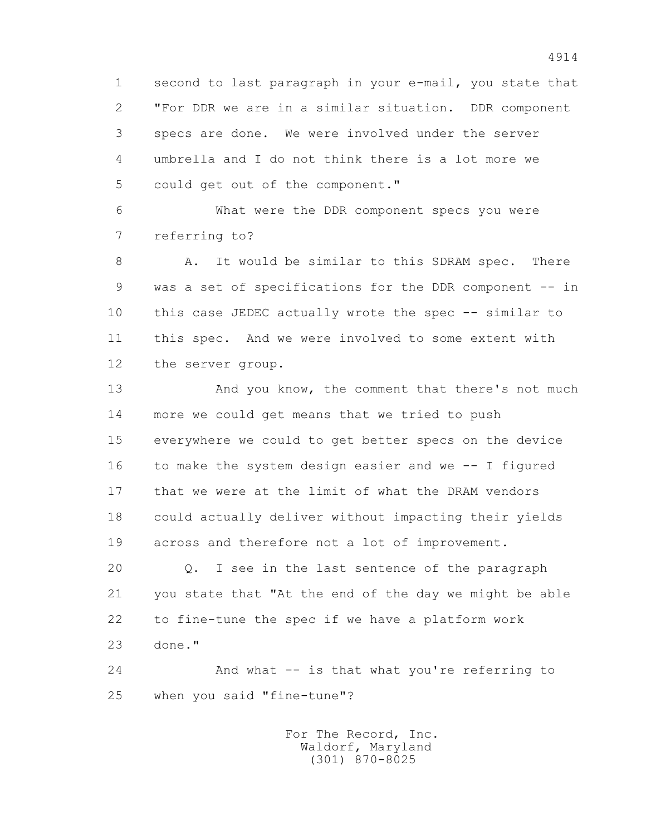1 second to last paragraph in your e-mail, you state that 2 "For DDR we are in a similar situation. DDR component 3 specs are done. We were involved under the server 4 umbrella and I do not think there is a lot more we 5 could get out of the component."

 6 What were the DDR component specs you were 7 referring to?

8 A. It would be similar to this SDRAM spec. There 9 was a set of specifications for the DDR component -- in 10 this case JEDEC actually wrote the spec -- similar to 11 this spec. And we were involved to some extent with 12 the server group.

 13 And you know, the comment that there's not much 14 more we could get means that we tried to push 15 everywhere we could to get better specs on the device 16 to make the system design easier and we -- I figured 17 that we were at the limit of what the DRAM vendors 18 could actually deliver without impacting their yields 19 across and therefore not a lot of improvement.

 20 Q. I see in the last sentence of the paragraph 21 you state that "At the end of the day we might be able 22 to fine-tune the spec if we have a platform work 23 done."

 24 And what -- is that what you're referring to 25 when you said "fine-tune"?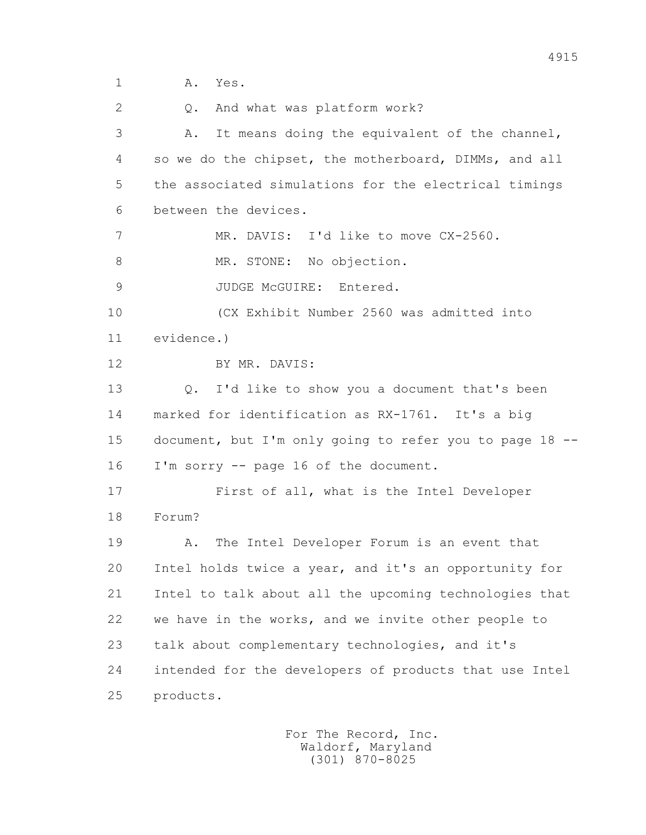2 0. And what was platform work? 3 A. It means doing the equivalent of the channel, 4 so we do the chipset, the motherboard, DIMMs, and all 5 the associated simulations for the electrical timings 6 between the devices. 7 MR. DAVIS: I'd like to move CX-2560. 8 MR. STONE: No objection. 9 JUDGE McGUIRE: Entered. 10 (CX Exhibit Number 2560 was admitted into 11 evidence.) 12 BY MR. DAVIS: 13 Q. I'd like to show you a document that's been 14 marked for identification as RX-1761. It's a big 15 document, but I'm only going to refer you to page 18 -- 16 I'm sorry -- page 16 of the document. 17 First of all, what is the Intel Developer 18 Forum? 19 A. The Intel Developer Forum is an event that 20 Intel holds twice a year, and it's an opportunity for 21 Intel to talk about all the upcoming technologies that 22 we have in the works, and we invite other people to 23 talk about complementary technologies, and it's 24 intended for the developers of products that use Intel 25 products.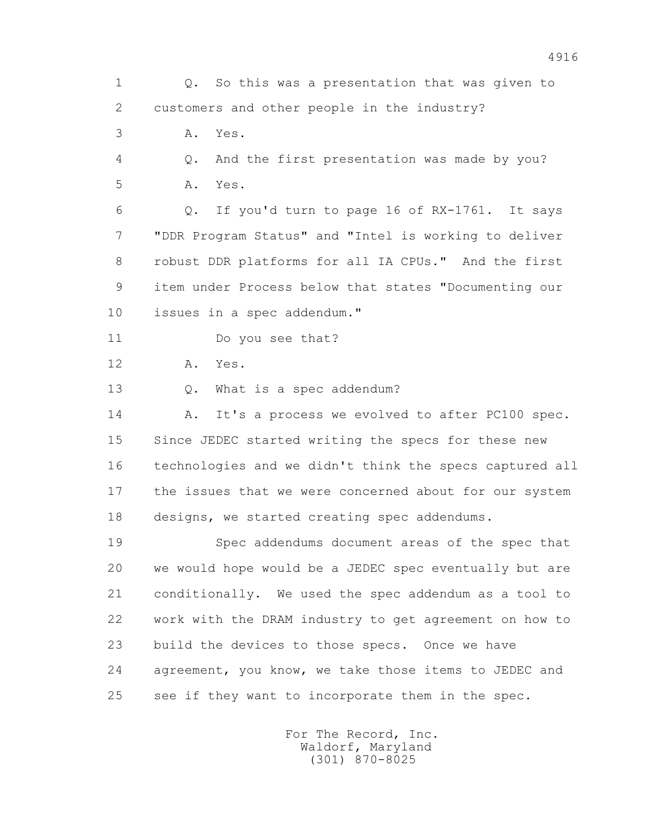1 Q. So this was a presentation that was given to 2 customers and other people in the industry?

3 A. Yes.

 4 Q. And the first presentation was made by you? 5 A. Yes.

 6 Q. If you'd turn to page 16 of RX-1761. It says 7 "DDR Program Status" and "Intel is working to deliver 8 robust DDR platforms for all IA CPUs." And the first 9 item under Process below that states "Documenting our 10 issues in a spec addendum."

11 Do you see that?

12 A. Yes.

13 Q. What is a spec addendum?

14 A. It's a process we evolved to after PC100 spec. 15 Since JEDEC started writing the specs for these new 16 technologies and we didn't think the specs captured all 17 the issues that we were concerned about for our system 18 designs, we started creating spec addendums.

 19 Spec addendums document areas of the spec that 20 we would hope would be a JEDEC spec eventually but are 21 conditionally. We used the spec addendum as a tool to 22 work with the DRAM industry to get agreement on how to 23 build the devices to those specs. Once we have 24 agreement, you know, we take those items to JEDEC and 25 see if they want to incorporate them in the spec.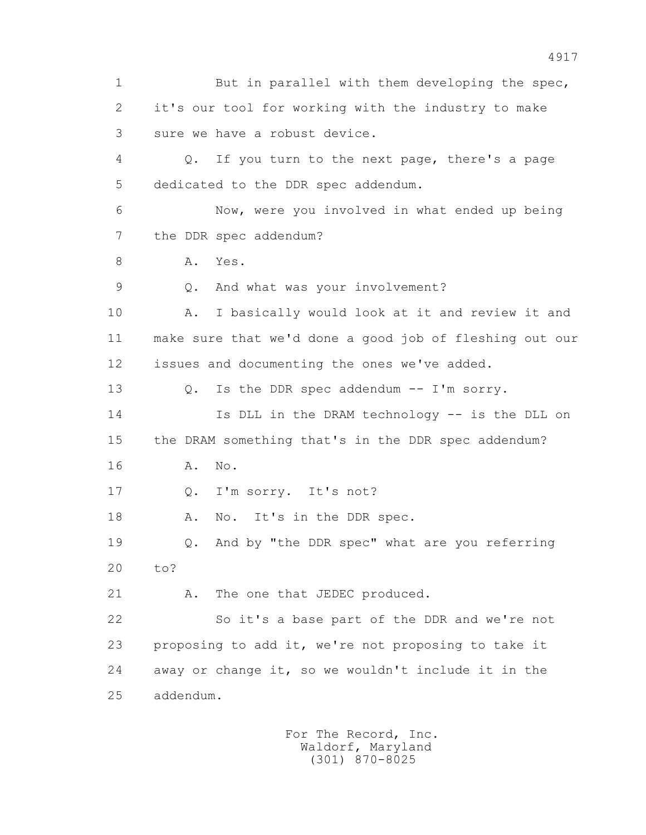1 But in parallel with them developing the spec, 2 it's our tool for working with the industry to make 3 sure we have a robust device. 4 Q. If you turn to the next page, there's a page 5 dedicated to the DDR spec addendum. 6 Now, were you involved in what ended up being 7 the DDR spec addendum? 8 A. Yes. 9 Q. And what was your involvement? 10 A. I basically would look at it and review it and 11 make sure that we'd done a good job of fleshing out our 12 issues and documenting the ones we've added. 13 Q. Is the DDR spec addendum -- I'm sorry. 14 Is DLL in the DRAM technology -- is the DLL on 15 the DRAM something that's in the DDR spec addendum? 16 A. No. 17 Q. I'm sorry. It's not? 18 A. No. It's in the DDR spec. 19 Q. And by "the DDR spec" what are you referring 20 to? 21 A. The one that JEDEC produced. 22 So it's a base part of the DDR and we're not 23 proposing to add it, we're not proposing to take it 24 away or change it, so we wouldn't include it in the 25 addendum.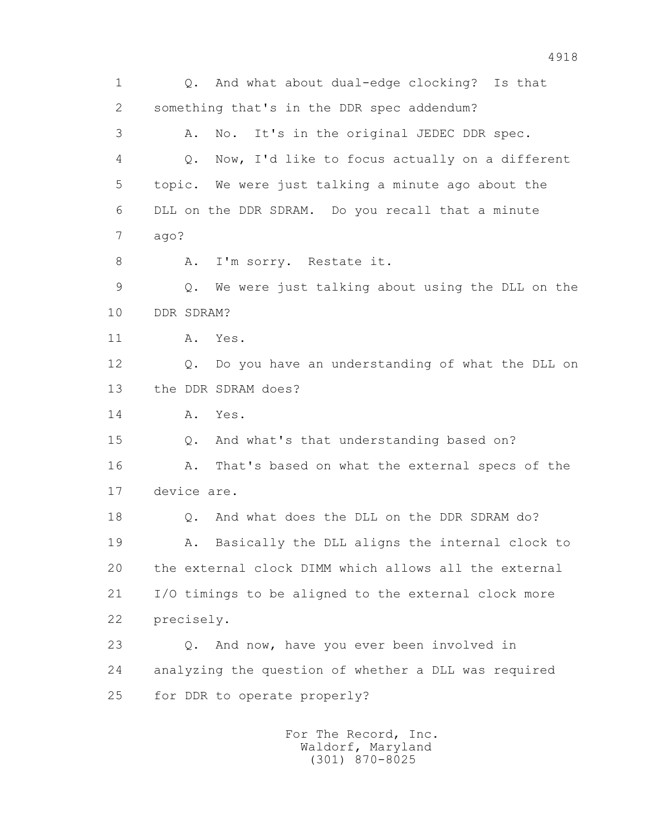1 Q. And what about dual-edge clocking? Is that 2 something that's in the DDR spec addendum? 3 A. No. It's in the original JEDEC DDR spec. 4 Q. Now, I'd like to focus actually on a different 5 topic. We were just talking a minute ago about the 6 DLL on the DDR SDRAM. Do you recall that a minute 7 ago? 8 A. I'm sorry. Restate it. 9 Q. We were just talking about using the DLL on the 10 DDR SDRAM? 11 A. Yes. 12 Q. Do you have an understanding of what the DLL on 13 the DDR SDRAM does? 14 A. Yes. 15 Q. And what's that understanding based on? 16 A. That's based on what the external specs of the 17 device are. 18 Q. And what does the DLL on the DDR SDRAM do? 19 A. Basically the DLL aligns the internal clock to 20 the external clock DIMM which allows all the external 21 I/O timings to be aligned to the external clock more 22 precisely. 23 Q. And now, have you ever been involved in 24 analyzing the question of whether a DLL was required 25 for DDR to operate properly? For The Record, Inc.

 Waldorf, Maryland (301) 870-8025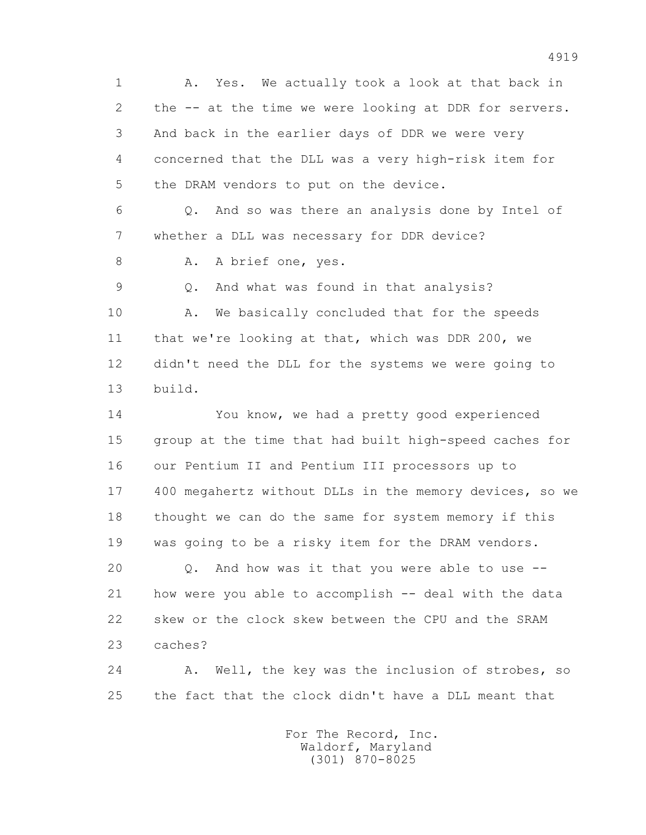1 A. Yes. We actually took a look at that back in 2 the -- at the time we were looking at DDR for servers. 3 And back in the earlier days of DDR we were very 4 concerned that the DLL was a very high-risk item for 5 the DRAM vendors to put on the device. 6 Q. And so was there an analysis done by Intel of 7 whether a DLL was necessary for DDR device? 8 A. A brief one, yes. 9 Q. And what was found in that analysis? 10 A. We basically concluded that for the speeds 11 that we're looking at that, which was DDR 200, we 12 didn't need the DLL for the systems we were going to 13 build. 14 You know, we had a pretty good experienced 15 group at the time that had built high-speed caches for 16 our Pentium II and Pentium III processors up to 17 400 megahertz without DLLs in the memory devices, so we 18 thought we can do the same for system memory if this 19 was going to be a risky item for the DRAM vendors. 20 Q. And how was it that you were able to use -- 21 how were you able to accomplish -- deal with the data 22 skew or the clock skew between the CPU and the SRAM 23 caches? 24 A. Well, the key was the inclusion of strobes, so 25 the fact that the clock didn't have a DLL meant that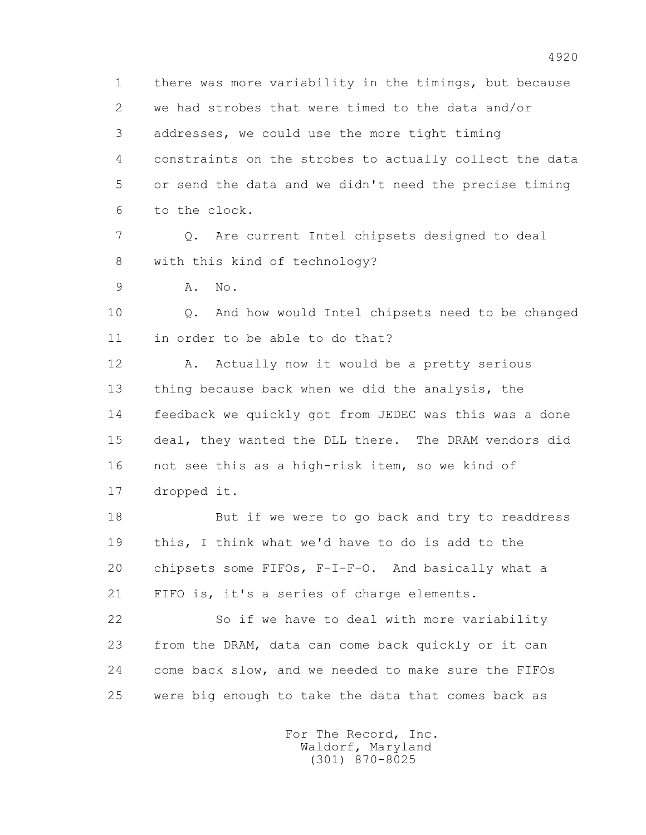1 there was more variability in the timings, but because 2 we had strobes that were timed to the data and/or 3 addresses, we could use the more tight timing 4 constraints on the strobes to actually collect the data 5 or send the data and we didn't need the precise timing 6 to the clock.

 7 Q. Are current Intel chipsets designed to deal 8 with this kind of technology?

9 A. No.

 10 Q. And how would Intel chipsets need to be changed 11 in order to be able to do that?

12 A. Actually now it would be a pretty serious 13 thing because back when we did the analysis, the 14 feedback we quickly got from JEDEC was this was a done 15 deal, they wanted the DLL there. The DRAM vendors did 16 not see this as a high-risk item, so we kind of 17 dropped it.

 18 But if we were to go back and try to readdress 19 this, I think what we'd have to do is add to the 20 chipsets some FIFOs, F-I-F-O. And basically what a 21 FIFO is, it's a series of charge elements.

 22 So if we have to deal with more variability 23 from the DRAM, data can come back quickly or it can 24 come back slow, and we needed to make sure the FIFOs 25 were big enough to take the data that comes back as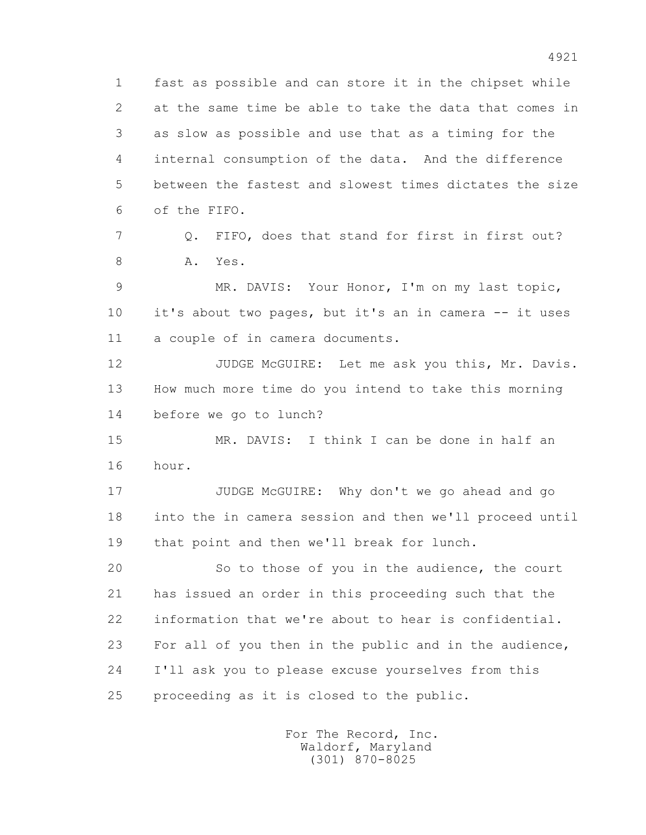1 fast as possible and can store it in the chipset while 2 at the same time be able to take the data that comes in 3 as slow as possible and use that as a timing for the 4 internal consumption of the data. And the difference 5 between the fastest and slowest times dictates the size 6 of the FIFO.

 7 Q. FIFO, does that stand for first in first out? 8 A. Yes.

 9 MR. DAVIS: Your Honor, I'm on my last topic, 10 it's about two pages, but it's an in camera -- it uses 11 a couple of in camera documents.

12 JUDGE McGUIRE: Let me ask you this, Mr. Davis. 13 How much more time do you intend to take this morning 14 before we go to lunch?

 15 MR. DAVIS: I think I can be done in half an 16 hour.

 17 JUDGE McGUIRE: Why don't we go ahead and go 18 into the in camera session and then we'll proceed until 19 that point and then we'll break for lunch.

 20 So to those of you in the audience, the court 21 has issued an order in this proceeding such that the 22 information that we're about to hear is confidential. 23 For all of you then in the public and in the audience, 24 I'll ask you to please excuse yourselves from this 25 proceeding as it is closed to the public.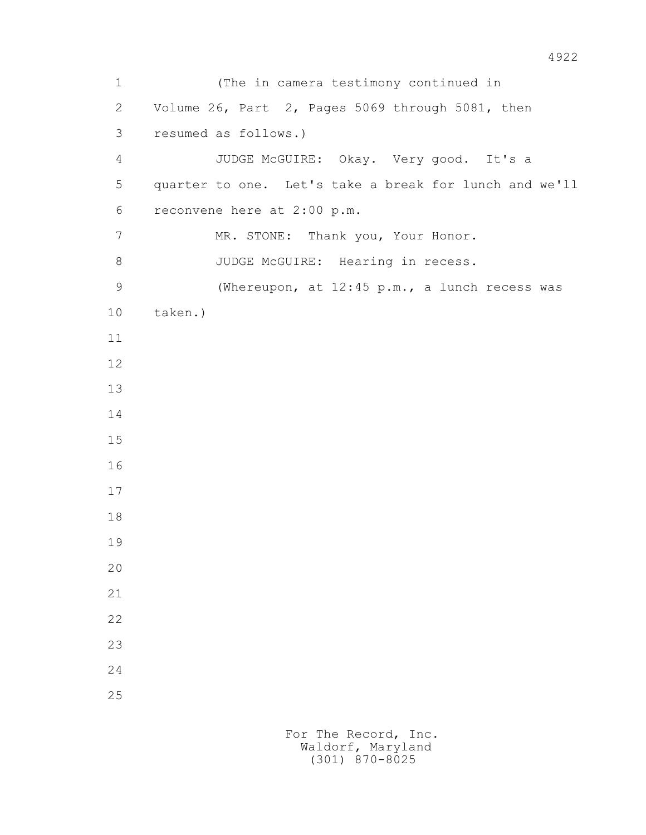1 (The in camera testimony continued in 2 Volume 26, Part 2, Pages 5069 through 5081, then 3 resumed as follows.) 4 JUDGE McGUIRE: Okay. Very good. It's a 5 quarter to one. Let's take a break for lunch and we'll 6 reconvene here at 2:00 p.m. 7 MR. STONE: Thank you, Your Honor. 8 JUDGE McGUIRE: Hearing in recess. 9 (Whereupon, at 12:45 p.m., a lunch recess was 10 taken.) 11 12 13 14 15 16 17 18 19 20 21 22 23 24 25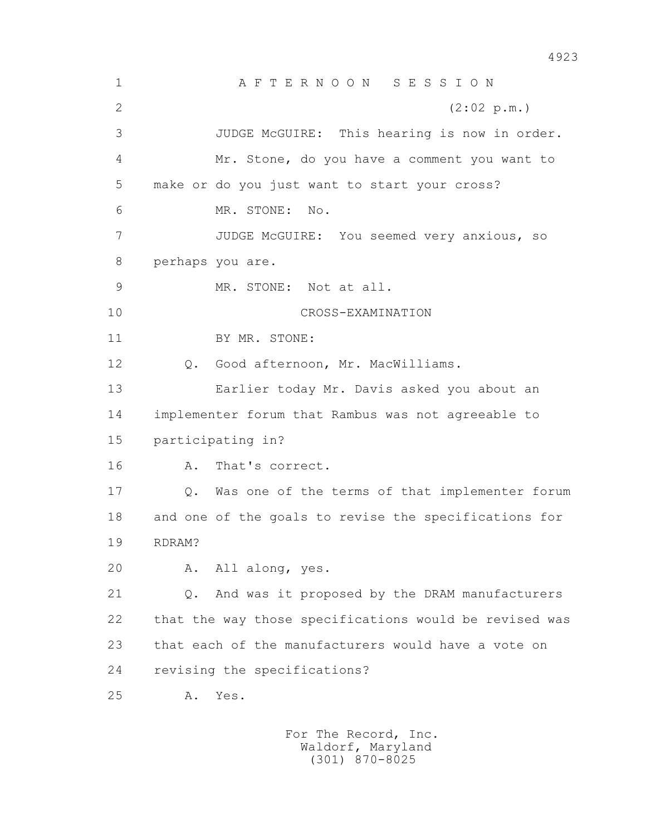1 A F T E R N O O N S E S S I O N 2 (2:02 p.m.) 3 JUDGE McGUIRE: This hearing is now in order. 4 Mr. Stone, do you have a comment you want to 5 make or do you just want to start your cross? 6 MR. STONE: No. 7 JUDGE McGUIRE: You seemed very anxious, so 8 perhaps you are. 9 MR. STONE: Not at all. 10 CROSS-EXAMINATION 11 BY MR. STONE: 12 Q. Good afternoon, Mr. MacWilliams. 13 Earlier today Mr. Davis asked you about an 14 implementer forum that Rambus was not agreeable to 15 participating in? 16 A. That's correct. 17 Q. Was one of the terms of that implementer forum 18 and one of the goals to revise the specifications for 19 RDRAM? 20 A. All along, yes. 21 Q. And was it proposed by the DRAM manufacturers 22 that the way those specifications would be revised was 23 that each of the manufacturers would have a vote on 24 revising the specifications? 25 A. Yes.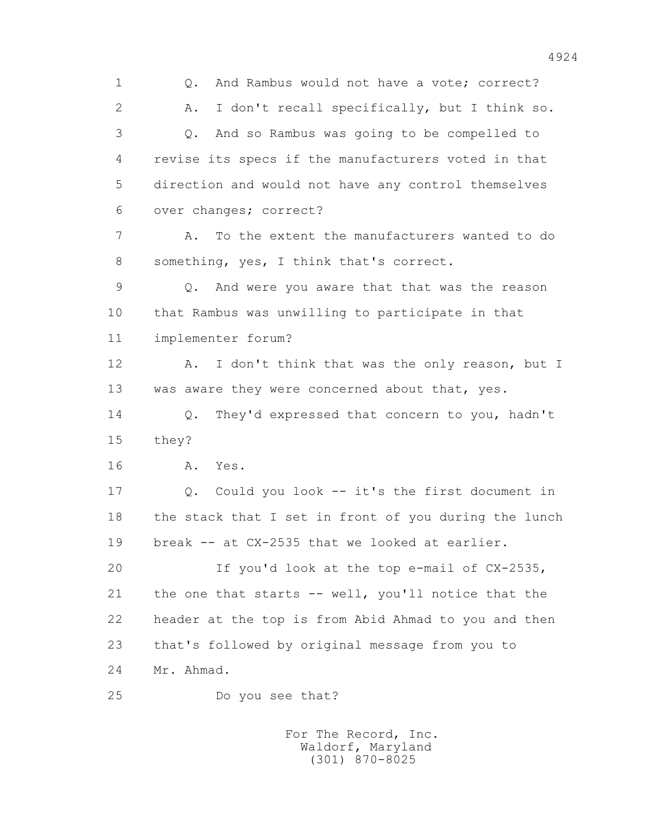1 Q. And Rambus would not have a vote; correct? 2 A. I don't recall specifically, but I think so. 3 Q. And so Rambus was going to be compelled to 4 revise its specs if the manufacturers voted in that 5 direction and would not have any control themselves 6 over changes; correct? 7 A. To the extent the manufacturers wanted to do 8 something, yes, I think that's correct. 9 Q. And were you aware that that was the reason 10 that Rambus was unwilling to participate in that 11 implementer forum? 12 A. I don't think that was the only reason, but I 13 was aware they were concerned about that, yes. 14 Q. They'd expressed that concern to you, hadn't 15 they? 16 A. Yes. 17 Q. Could you look -- it's the first document in 18 the stack that I set in front of you during the lunch 19 break -- at CX-2535 that we looked at earlier. 20 If you'd look at the top e-mail of CX-2535, 21 the one that starts -- well, you'll notice that the 22 header at the top is from Abid Ahmad to you and then 23 that's followed by original message from you to 24 Mr. Ahmad. 25 Do you see that?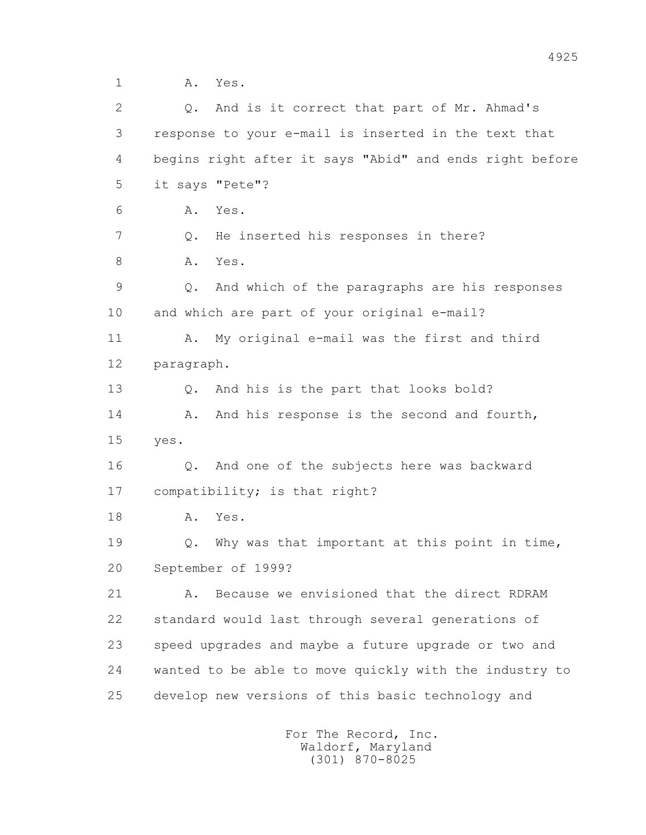1 A. Yes.

 2 Q. And is it correct that part of Mr. Ahmad's 3 response to your e-mail is inserted in the text that 4 begins right after it says "Abid" and ends right before 5 it says "Pete"? 6 A. Yes. 7 Q. He inserted his responses in there? 8 A. Yes. 9 Q. And which of the paragraphs are his responses 10 and which are part of your original e-mail? 11 A. My original e-mail was the first and third 12 paragraph. 13 Q. And his is the part that looks bold? 14 A. And his response is the second and fourth, 15 yes. 16 Q. And one of the subjects here was backward 17 compatibility; is that right? 18 A. Yes. 19 Q. Why was that important at this point in time, 20 September of 1999? 21 A. Because we envisioned that the direct RDRAM 22 standard would last through several generations of 23 speed upgrades and maybe a future upgrade or two and 24 wanted to be able to move quickly with the industry to 25 develop new versions of this basic technology and For The Record, Inc.

 Waldorf, Maryland (301) 870-8025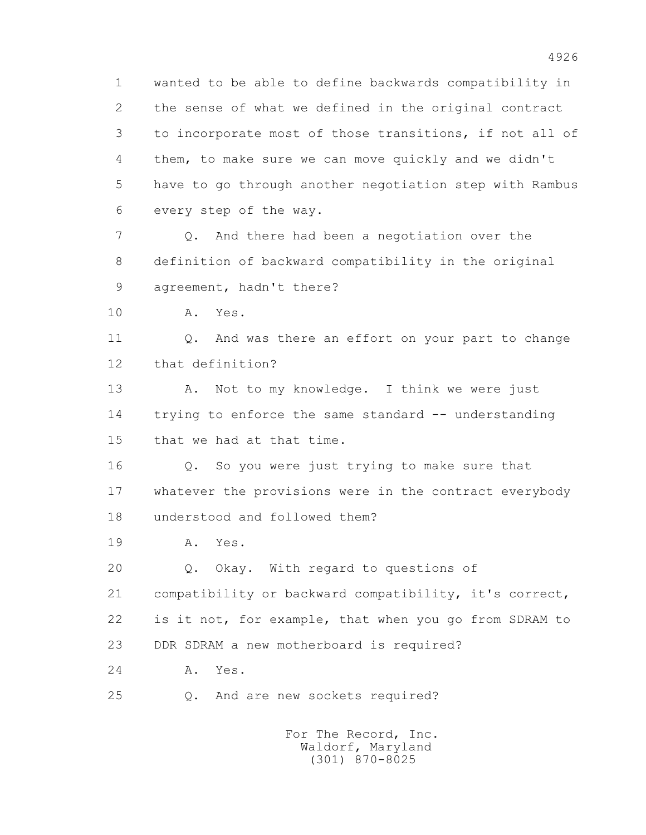1 wanted to be able to define backwards compatibility in 2 the sense of what we defined in the original contract 3 to incorporate most of those transitions, if not all of 4 them, to make sure we can move quickly and we didn't 5 have to go through another negotiation step with Rambus 6 every step of the way. 7 Q. And there had been a negotiation over the

 8 definition of backward compatibility in the original 9 agreement, hadn't there?

10 A. Yes.

11 0. And was there an effort on your part to change 12 that definition?

13 A. Not to my knowledge. I think we were just 14 trying to enforce the same standard -- understanding 15 that we had at that time.

 16 Q. So you were just trying to make sure that 17 whatever the provisions were in the contract everybody 18 understood and followed them?

19 A. Yes.

20 Q. Okay. With regard to questions of

21 compatibility or backward compatibility, it's correct,

22 is it not, for example, that when you go from SDRAM to

23 DDR SDRAM a new motherboard is required?

24 A. Yes.

25 Q. And are new sockets required?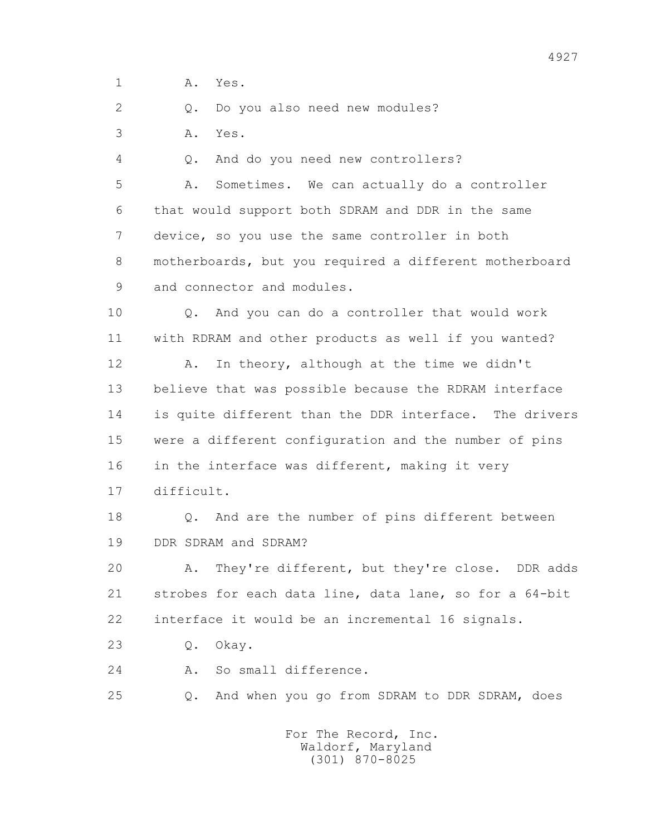1 **A.** Yes.

2 0. Do you also need new modules?

3 A. Yes.

4 Q. And do you need new controllers?

 5 A. Sometimes. We can actually do a controller 6 that would support both SDRAM and DDR in the same 7 device, so you use the same controller in both 8 motherboards, but you required a different motherboard 9 and connector and modules.

 10 Q. And you can do a controller that would work 11 with RDRAM and other products as well if you wanted?

 12 A. In theory, although at the time we didn't 13 believe that was possible because the RDRAM interface 14 is quite different than the DDR interface. The drivers 15 were a different configuration and the number of pins 16 in the interface was different, making it very 17 difficult.

 18 Q. And are the number of pins different between 19 DDR SDRAM and SDRAM?

 20 A. They're different, but they're close. DDR adds 21 strobes for each data line, data lane, so for a 64-bit 22 interface it would be an incremental 16 signals.

23 Q. Okay.

24 A. So small difference.

25 Q. And when you go from SDRAM to DDR SDRAM, does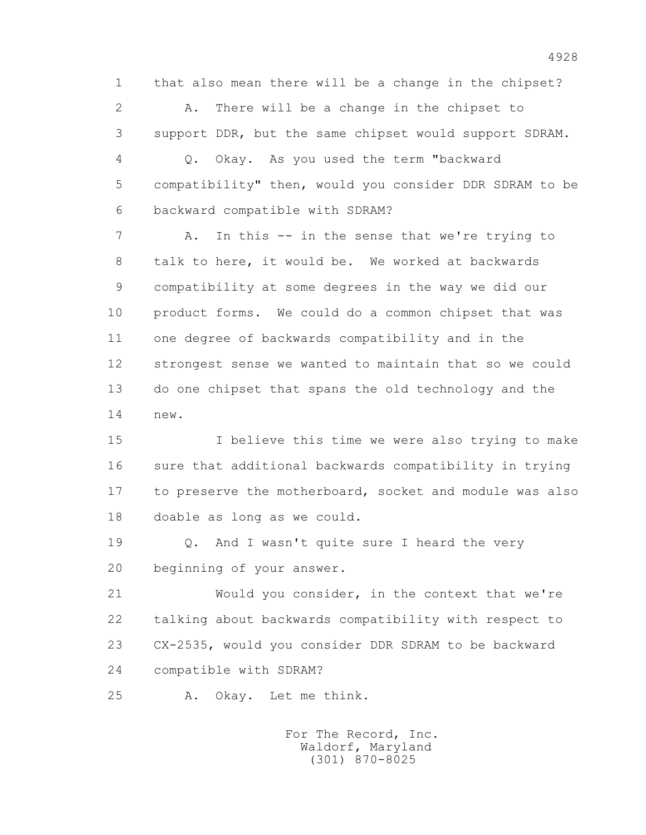1 that also mean there will be a change in the chipset?

 2 A. There will be a change in the chipset to 3 support DDR, but the same chipset would support SDRAM.

 4 Q. Okay. As you used the term "backward 5 compatibility" then, would you consider DDR SDRAM to be 6 backward compatible with SDRAM?

 7 A. In this -- in the sense that we're trying to 8 talk to here, it would be. We worked at backwards 9 compatibility at some degrees in the way we did our 10 product forms. We could do a common chipset that was 11 one degree of backwards compatibility and in the 12 strongest sense we wanted to maintain that so we could 13 do one chipset that spans the old technology and the 14 new.

 15 I believe this time we were also trying to make 16 sure that additional backwards compatibility in trying 17 to preserve the motherboard, socket and module was also 18 doable as long as we could.

 19 Q. And I wasn't quite sure I heard the very 20 beginning of your answer.

 21 Would you consider, in the context that we're 22 talking about backwards compatibility with respect to 23 CX-2535, would you consider DDR SDRAM to be backward 24 compatible with SDRAM?

25 A. Okay. Let me think.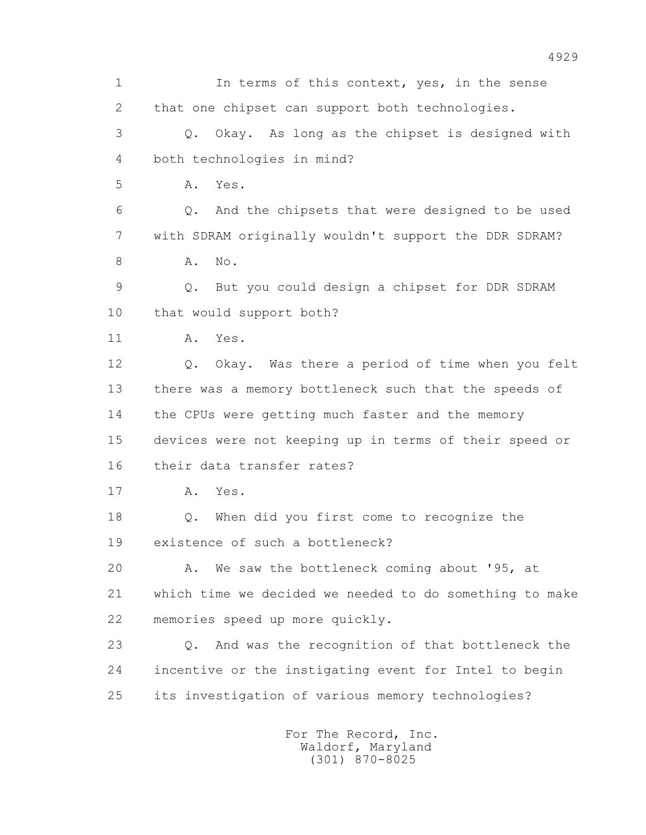1 In terms of this context, yes, in the sense 2 that one chipset can support both technologies. 3 Q. Okay. As long as the chipset is designed with 4 both technologies in mind? 5 A. Yes. 6 Q. And the chipsets that were designed to be used 7 with SDRAM originally wouldn't support the DDR SDRAM? 8 **A.** No. 9 Q. But you could design a chipset for DDR SDRAM 10 that would support both? 11 A. Yes. 12 Q. Okay. Was there a period of time when you felt 13 there was a memory bottleneck such that the speeds of 14 the CPUs were getting much faster and the memory 15 devices were not keeping up in terms of their speed or 16 their data transfer rates? 17 A. Yes. 18 Q. When did you first come to recognize the 19 existence of such a bottleneck? 20 A. We saw the bottleneck coming about '95, at 21 which time we decided we needed to do something to make 22 memories speed up more quickly. 23 Q. And was the recognition of that bottleneck the 24 incentive or the instigating event for Intel to begin 25 its investigation of various memory technologies? For The Record, Inc. Waldorf, Maryland

(301) 870-8025

4929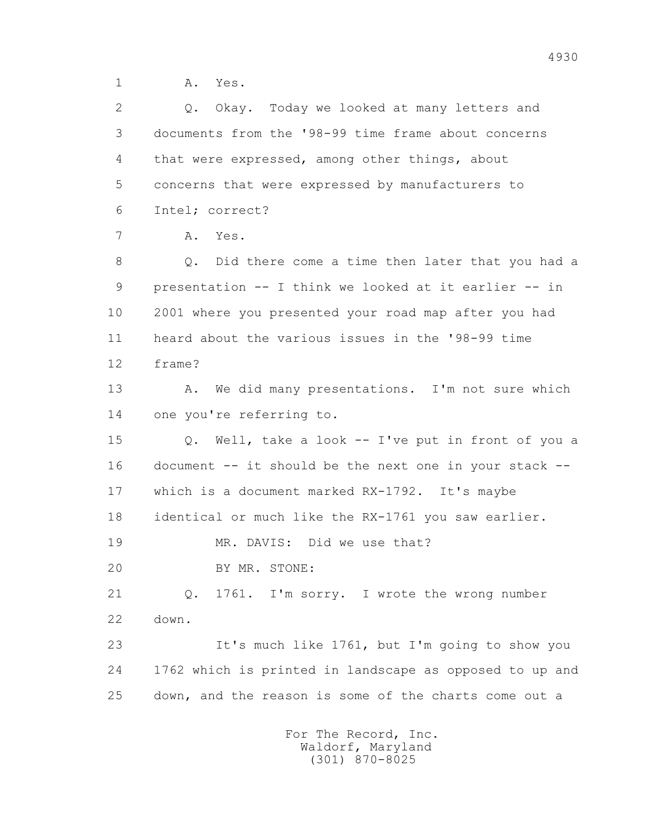1 A. Yes.

 2 Q. Okay. Today we looked at many letters and 3 documents from the '98-99 time frame about concerns 4 that were expressed, among other things, about 5 concerns that were expressed by manufacturers to 6 Intel; correct? 7 A. Yes. 8 Q. Did there come a time then later that you had a 9 presentation -- I think we looked at it earlier -- in 10 2001 where you presented your road map after you had 11 heard about the various issues in the '98-99 time 12 frame? 13 A. We did many presentations. I'm not sure which 14 one you're referring to. 15 Q. Well, take a look -- I've put in front of you a 16 document -- it should be the next one in your stack -- 17 which is a document marked RX-1792. It's maybe 18 identical or much like the RX-1761 you saw earlier. 19 MR. DAVIS: Did we use that? 20 BY MR. STONE: 21 Q. 1761. I'm sorry. I wrote the wrong number 22 down. 23 It's much like 1761, but I'm going to show you 24 1762 which is printed in landscape as opposed to up and 25 down, and the reason is some of the charts come out a For The Record, Inc.

 Waldorf, Maryland (301) 870-8025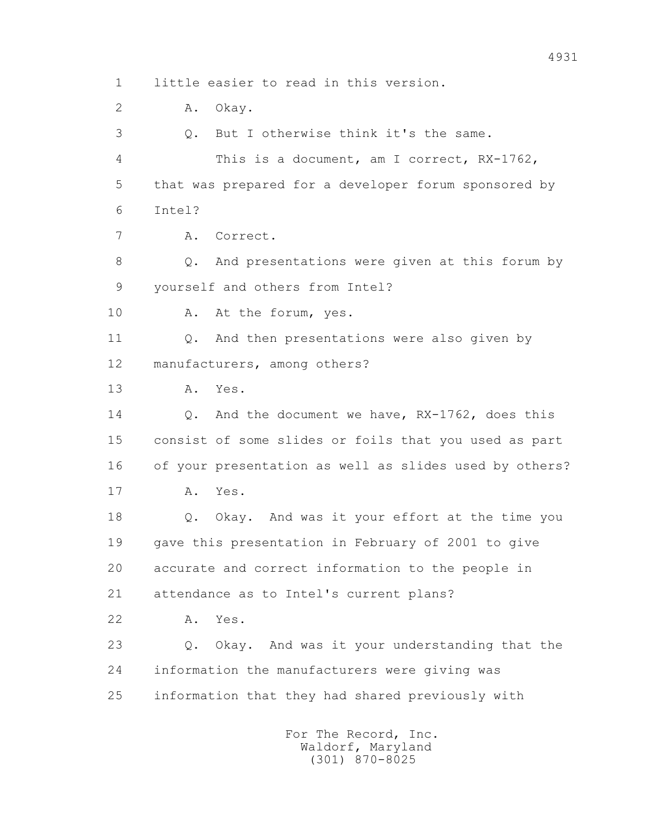1 little easier to read in this version. 2 A. Okay. 3 Q. But I otherwise think it's the same. 4 This is a document, am I correct, RX-1762, 5 that was prepared for a developer forum sponsored by 6 Intel? 7 A. Correct. 8 Q. And presentations were given at this forum by 9 yourself and others from Intel? 10 A. At the forum, yes. 11 Q. And then presentations were also given by 12 manufacturers, among others? 13 A. Yes. 14 0. And the document we have, RX-1762, does this 15 consist of some slides or foils that you used as part 16 of your presentation as well as slides used by others? 17 A. Yes. 18 Q. Okay. And was it your effort at the time you 19 gave this presentation in February of 2001 to give 20 accurate and correct information to the people in 21 attendance as to Intel's current plans? 22 A. Yes. 23 Q. Okay. And was it your understanding that the 24 information the manufacturers were giving was 25 information that they had shared previously with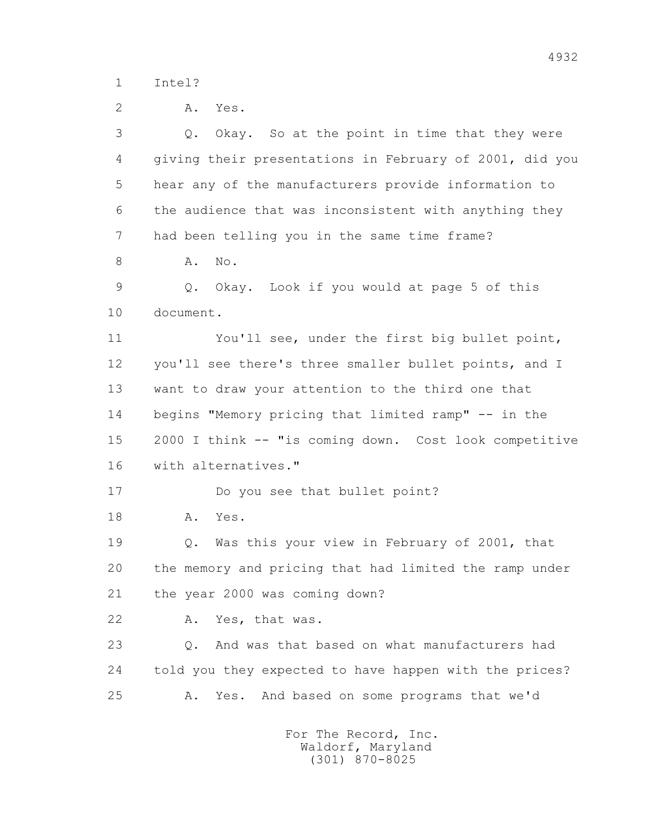1 Intel?

 2 A. Yes. 3 Q. Okay. So at the point in time that they were 4 giving their presentations in February of 2001, did you 5 hear any of the manufacturers provide information to 6 the audience that was inconsistent with anything they 7 had been telling you in the same time frame? 8 **A.** No. 9 Q. Okay. Look if you would at page 5 of this 10 document. 11 You'll see, under the first big bullet point, 12 you'll see there's three smaller bullet points, and I 13 want to draw your attention to the third one that 14 begins "Memory pricing that limited ramp" -- in the 15 2000 I think -- "is coming down. Cost look competitive 16 with alternatives." 17 Do you see that bullet point? 18 A. Yes. 19 Q. Was this your view in February of 2001, that 20 the memory and pricing that had limited the ramp under 21 the year 2000 was coming down? 22 A. Yes, that was. 23 Q. And was that based on what manufacturers had 24 told you they expected to have happen with the prices? 25 A. Yes. And based on some programs that we'd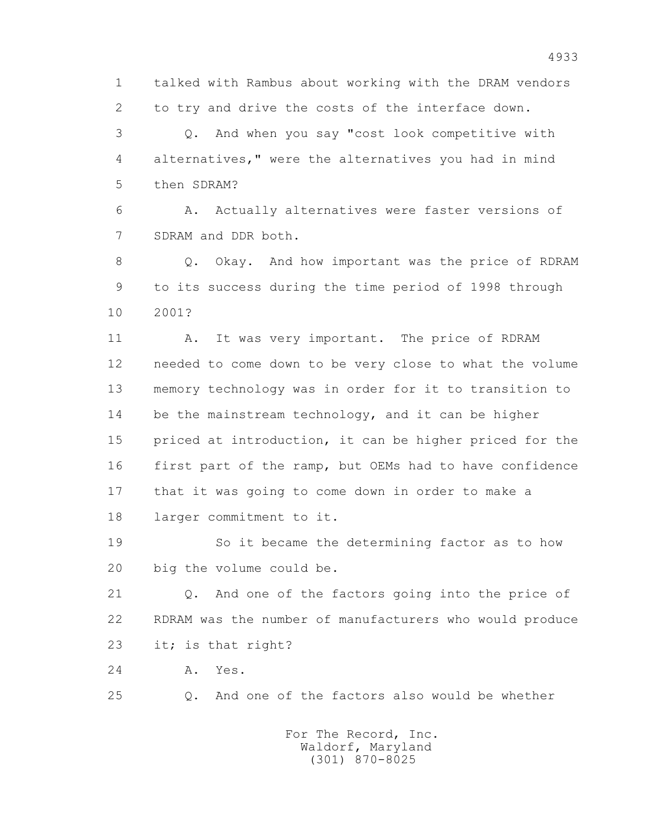1 talked with Rambus about working with the DRAM vendors 2 to try and drive the costs of the interface down.

 3 Q. And when you say "cost look competitive with 4 alternatives," were the alternatives you had in mind 5 then SDRAM?

 6 A. Actually alternatives were faster versions of 7 SDRAM and DDR both.

8 Q. Okay. And how important was the price of RDRAM 9 to its success during the time period of 1998 through 10 2001?

11 A. It was very important. The price of RDRAM 12 needed to come down to be very close to what the volume 13 memory technology was in order for it to transition to 14 be the mainstream technology, and it can be higher 15 priced at introduction, it can be higher priced for the 16 first part of the ramp, but OEMs had to have confidence 17 that it was going to come down in order to make a 18 larger commitment to it.

 19 So it became the determining factor as to how 20 big the volume could be.

 21 Q. And one of the factors going into the price of 22 RDRAM was the number of manufacturers who would produce 23 it; is that right?

24 A. Yes.

25 Q. And one of the factors also would be whether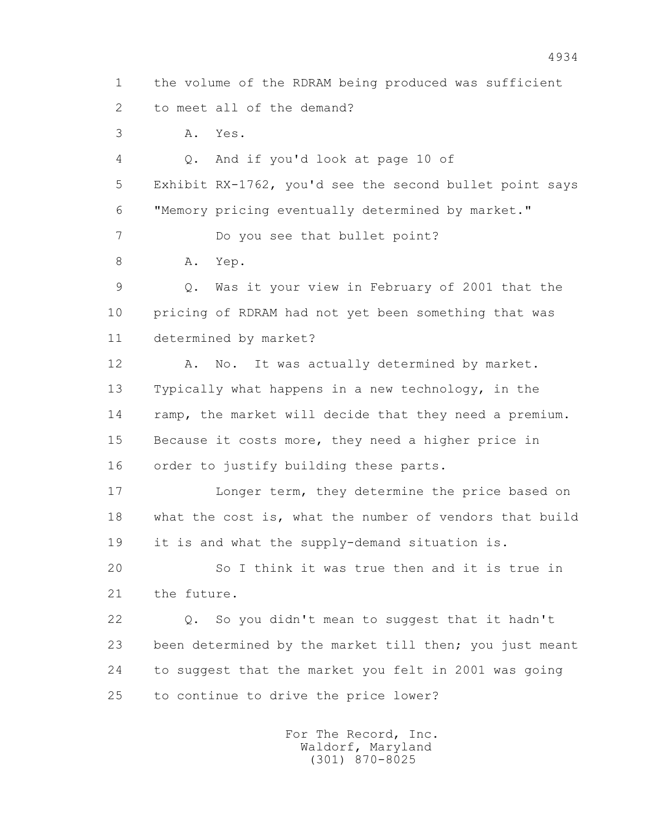1 the volume of the RDRAM being produced was sufficient 2 to meet all of the demand?

3 A. Yes.

 4 Q. And if you'd look at page 10 of 5 Exhibit RX-1762, you'd see the second bullet point says 6 "Memory pricing eventually determined by market." 7 Do you see that bullet point? 8 A. Yep. 9 Q. Was it your view in February of 2001 that the 10 pricing of RDRAM had not yet been something that was 11 determined by market? 12 A. No. It was actually determined by market. 13 Typically what happens in a new technology, in the 14 ramp, the market will decide that they need a premium. 15 Because it costs more, they need a higher price in 16 order to justify building these parts. 17 **Longer term, they determine the price based on**  18 what the cost is, what the number of vendors that build 19 it is and what the supply-demand situation is. 20 So I think it was true then and it is true in 21 the future. 22 Q. So you didn't mean to suggest that it hadn't 23 been determined by the market till then; you just meant 24 to suggest that the market you felt in 2001 was going 25 to continue to drive the price lower?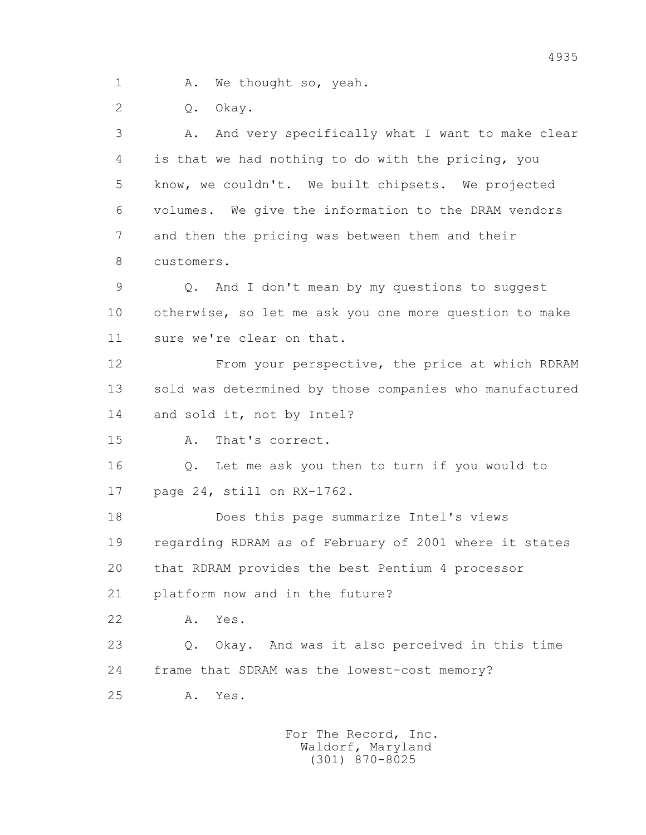1 A. We thought so, yeah.

2 Q. Okay.

 3 A. And very specifically what I want to make clear 4 is that we had nothing to do with the pricing, you 5 know, we couldn't. We built chipsets. We projected 6 volumes. We give the information to the DRAM vendors 7 and then the pricing was between them and their 8 customers.

 9 Q. And I don't mean by my questions to suggest 10 otherwise, so let me ask you one more question to make 11 sure we're clear on that.

 12 From your perspective, the price at which RDRAM 13 sold was determined by those companies who manufactured 14 and sold it, not by Intel?

15 A. That's correct.

 16 Q. Let me ask you then to turn if you would to 17 page 24, still on RX-1762.

 18 Does this page summarize Intel's views 19 regarding RDRAM as of February of 2001 where it states 20 that RDRAM provides the best Pentium 4 processor 21 platform now and in the future?

22 A. Yes.

 23 Q. Okay. And was it also perceived in this time 24 frame that SDRAM was the lowest-cost memory?

25 A. Yes.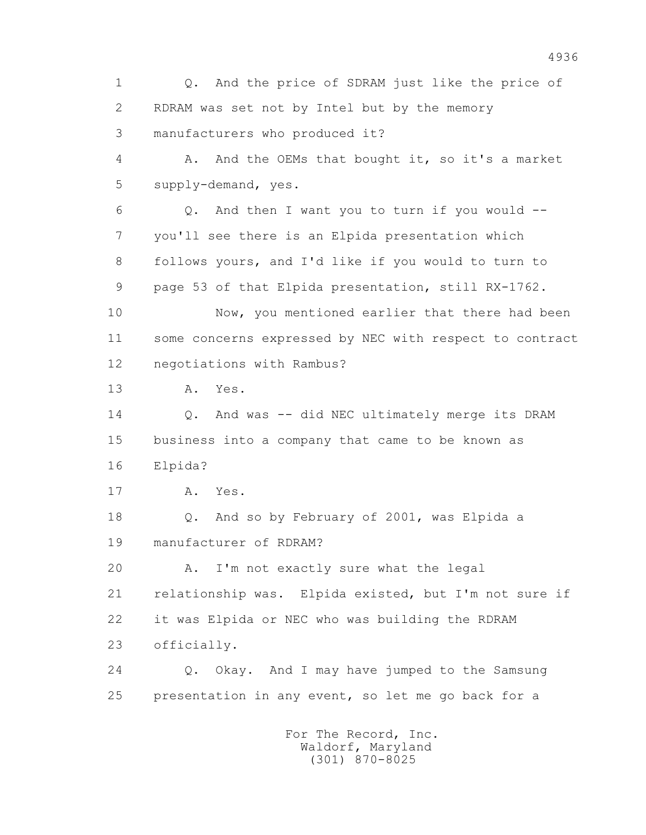1 Q. And the price of SDRAM just like the price of 2 RDRAM was set not by Intel but by the memory 3 manufacturers who produced it? 4 A. And the OEMs that bought it, so it's a market 5 supply-demand, yes.  $6$  Q. And then I want you to turn if you would  $-$  7 you'll see there is an Elpida presentation which 8 follows yours, and I'd like if you would to turn to 9 page 53 of that Elpida presentation, still RX-1762. 10 Now, you mentioned earlier that there had been 11 some concerns expressed by NEC with respect to contract 12 negotiations with Rambus? 13 A. Yes. 14 0. And was -- did NEC ultimately merge its DRAM 15 business into a company that came to be known as 16 Elpida? 17 A. Yes. 18 Q. And so by February of 2001, was Elpida a 19 manufacturer of RDRAM? 20 A. I'm not exactly sure what the legal 21 relationship was. Elpida existed, but I'm not sure if 22 it was Elpida or NEC who was building the RDRAM 23 officially. 24 Q. Okay. And I may have jumped to the Samsung 25 presentation in any event, so let me go back for a For The Record, Inc.

 Waldorf, Maryland (301) 870-8025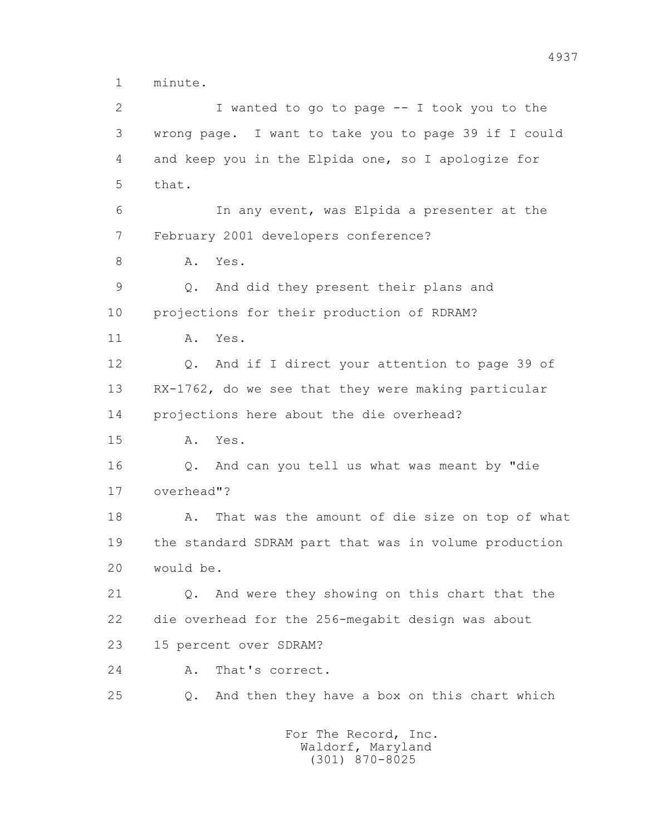1 minute.

 2 I wanted to go to page -- I took you to the 3 wrong page. I want to take you to page 39 if I could 4 and keep you in the Elpida one, so I apologize for 5 that. 6 In any event, was Elpida a presenter at the 7 February 2001 developers conference? 8 A. Yes. 9 Q. And did they present their plans and 10 projections for their production of RDRAM? 11 A. Yes. 12 Q. And if I direct your attention to page 39 of 13 RX-1762, do we see that they were making particular 14 projections here about the die overhead? 15 A. Yes. 16 Q. And can you tell us what was meant by "die 17 overhead"? 18 A. That was the amount of die size on top of what 19 the standard SDRAM part that was in volume production 20 would be. 21 Q. And were they showing on this chart that the 22 die overhead for the 256-megabit design was about 23 15 percent over SDRAM? 24 A. That's correct. 25 Q. And then they have a box on this chart which For The Record, Inc. Waldorf, Maryland

(301) 870-8025

4937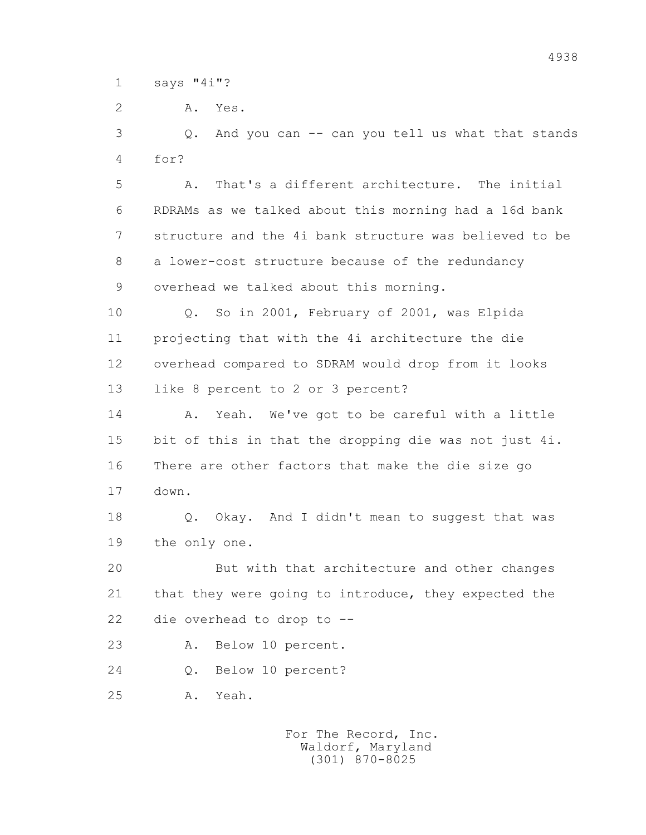1 says "4i"?

2 A. Yes.

 3 Q. And you can -- can you tell us what that stands 4 for?

 5 A. That's a different architecture. The initial 6 RDRAMs as we talked about this morning had a 16d bank 7 structure and the 4i bank structure was believed to be 8 a lower-cost structure because of the redundancy 9 overhead we talked about this morning.

 10 Q. So in 2001, February of 2001, was Elpida 11 projecting that with the 4i architecture the die 12 overhead compared to SDRAM would drop from it looks 13 like 8 percent to 2 or 3 percent?

14 A. Yeah. We've got to be careful with a little 15 bit of this in that the dropping die was not just 4i. 16 There are other factors that make the die size go 17 down.

 18 Q. Okay. And I didn't mean to suggest that was 19 the only one.

 20 But with that architecture and other changes 21 that they were going to introduce, they expected the 22 die overhead to drop to --

23 A. Below 10 percent.

24 Q. Below 10 percent?

25 A. Yeah.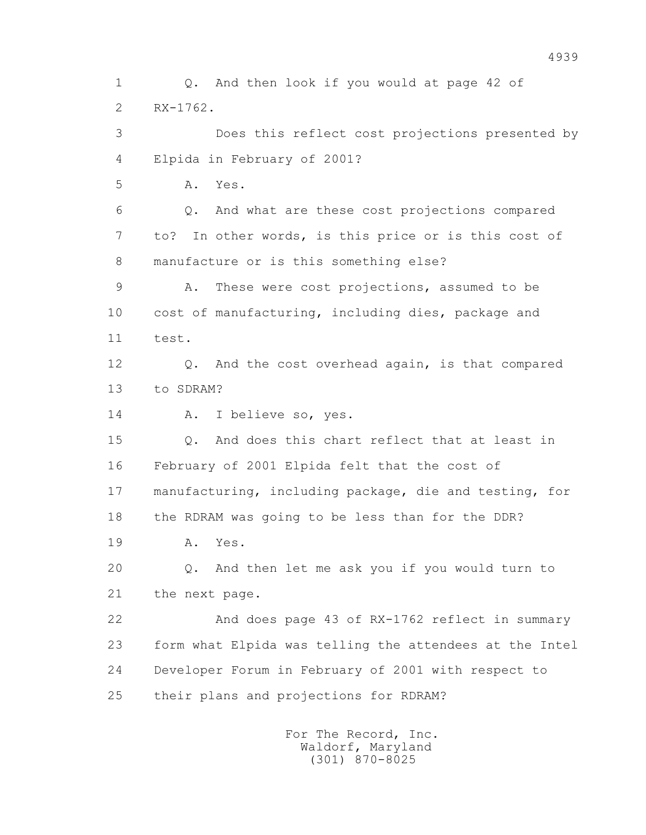1 Q. And then look if you would at page 42 of 2 RX-1762. 3 Does this reflect cost projections presented by 4 Elpida in February of 2001? 5 A. Yes. 6 Q. And what are these cost projections compared 7 to? In other words, is this price or is this cost of 8 manufacture or is this something else? 9 A. These were cost projections, assumed to be 10 cost of manufacturing, including dies, package and 11 test. 12 Q. And the cost overhead again, is that compared 13 to SDRAM? 14 A. I believe so, yes. 15 Q. And does this chart reflect that at least in 16 February of 2001 Elpida felt that the cost of 17 manufacturing, including package, die and testing, for 18 the RDRAM was going to be less than for the DDR? 19 A. Yes. 20 Q. And then let me ask you if you would turn to 21 the next page. 22 And does page 43 of RX-1762 reflect in summary 23 form what Elpida was telling the attendees at the Intel 24 Developer Forum in February of 2001 with respect to 25 their plans and projections for RDRAM?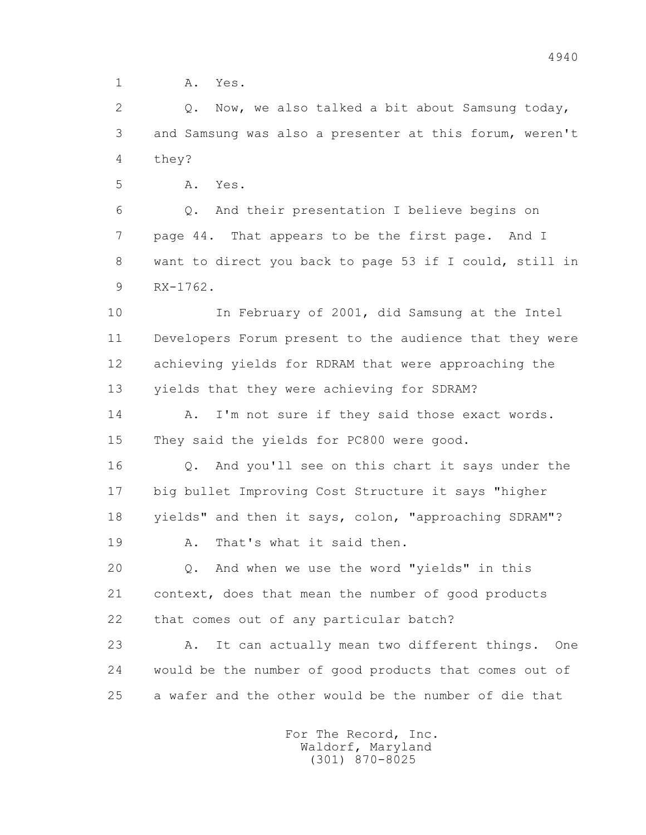1 **A.** Yes.

 2 Q. Now, we also talked a bit about Samsung today, 3 and Samsung was also a presenter at this forum, weren't 4 they?

5 A. Yes.

 6 Q. And their presentation I believe begins on 7 page 44. That appears to be the first page. And I 8 want to direct you back to page 53 if I could, still in 9 RX-1762.

 10 In February of 2001, did Samsung at the Intel 11 Developers Forum present to the audience that they were 12 achieving yields for RDRAM that were approaching the 13 yields that they were achieving for SDRAM?

14 A. I'm not sure if they said those exact words. 15 They said the yields for PC800 were good.

 16 Q. And you'll see on this chart it says under the 17 big bullet Improving Cost Structure it says "higher 18 yields" and then it says, colon, "approaching SDRAM"?

19 A. That's what it said then.

 20 Q. And when we use the word "yields" in this 21 context, does that mean the number of good products 22 that comes out of any particular batch?

 23 A. It can actually mean two different things. One 24 would be the number of good products that comes out of 25 a wafer and the other would be the number of die that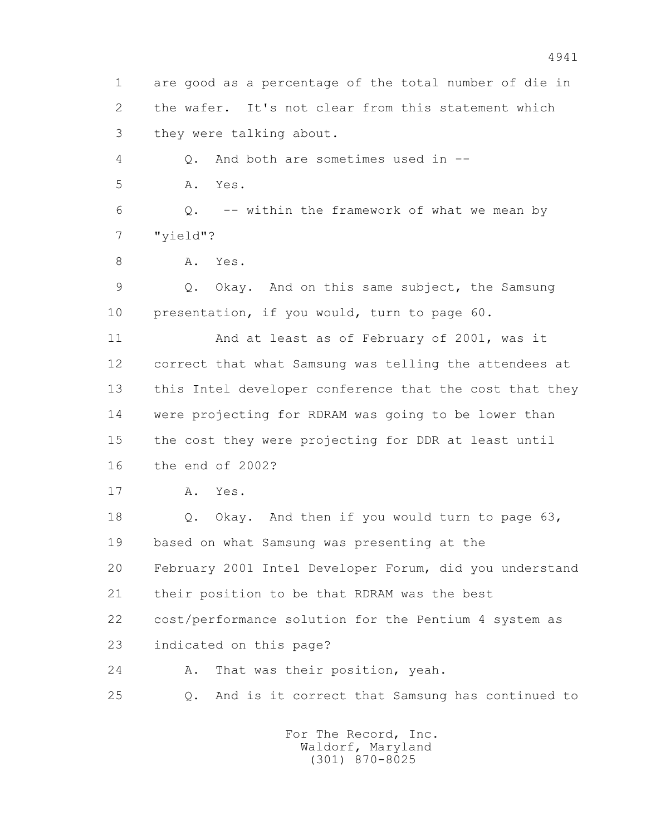1 are good as a percentage of the total number of die in 2 the wafer. It's not clear from this statement which 3 they were talking about. 4 Q. And both are sometimes used in -- 5 A. Yes. 6  $Q. -$ - within the framework of what we mean by 7 "yield"? 8 A. Yes. 9 Q. Okay. And on this same subject, the Samsung 10 presentation, if you would, turn to page 60. 11 And at least as of February of 2001, was it 12 correct that what Samsung was telling the attendees at 13 this Intel developer conference that the cost that they 14 were projecting for RDRAM was going to be lower than 15 the cost they were projecting for DDR at least until 16 the end of 2002? 17 A. Yes. 18 Q. Okay. And then if you would turn to page 63, 19 based on what Samsung was presenting at the 20 February 2001 Intel Developer Forum, did you understand 21 their position to be that RDRAM was the best 22 cost/performance solution for the Pentium 4 system as 23 indicated on this page? 24 A. That was their position, yeah. 25 Q. And is it correct that Samsung has continued to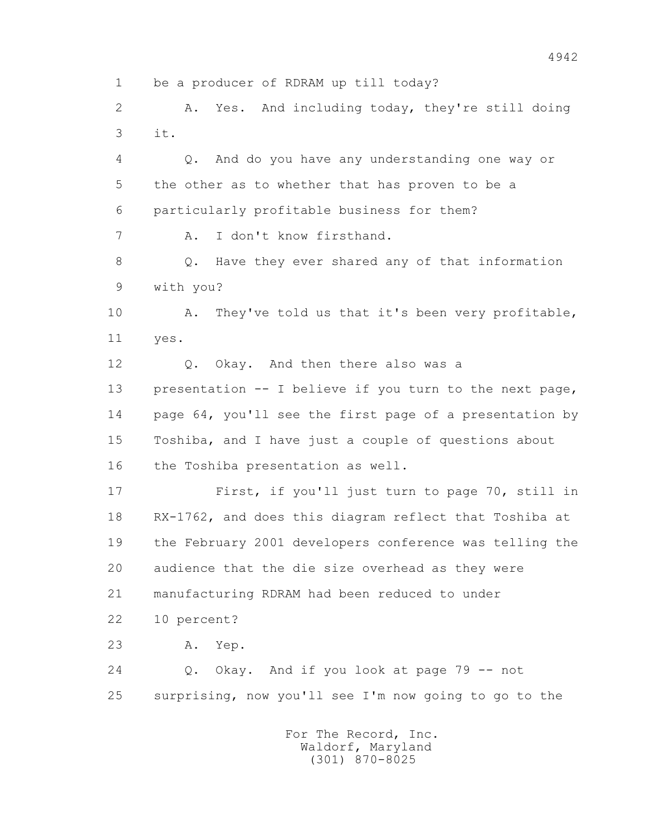1 be a producer of RDRAM up till today?

 2 A. Yes. And including today, they're still doing 3 it.

 4 Q. And do you have any understanding one way or 5 the other as to whether that has proven to be a 6 particularly profitable business for them?

7 A. I don't know firsthand.

 8 Q. Have they ever shared any of that information 9 with you?

 10 A. They've told us that it's been very profitable, 11 yes.

 12 Q. Okay. And then there also was a 13 presentation -- I believe if you turn to the next page, 14 page 64, you'll see the first page of a presentation by 15 Toshiba, and I have just a couple of questions about 16 the Toshiba presentation as well.

 17 First, if you'll just turn to page 70, still in 18 RX-1762, and does this diagram reflect that Toshiba at 19 the February 2001 developers conference was telling the 20 audience that the die size overhead as they were 21 manufacturing RDRAM had been reduced to under

22 10 percent?

23 A. Yep.

 24 Q. Okay. And if you look at page 79 -- not 25 surprising, now you'll see I'm now going to go to the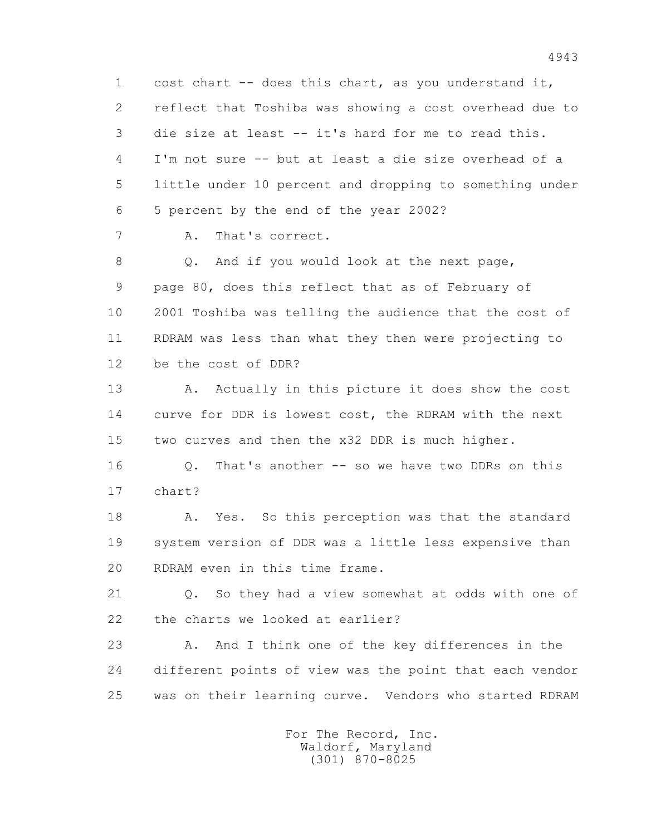1 cost chart -- does this chart, as you understand it, 2 reflect that Toshiba was showing a cost overhead due to 3 die size at least -- it's hard for me to read this. 4 I'm not sure -- but at least a die size overhead of a 5 little under 10 percent and dropping to something under 6 5 percent by the end of the year 2002?

7 A. That's correct.

8 Q. And if you would look at the next page, 9 page 80, does this reflect that as of February of 10 2001 Toshiba was telling the audience that the cost of 11 RDRAM was less than what they then were projecting to 12 be the cost of DDR?

13 A. Actually in this picture it does show the cost 14 curve for DDR is lowest cost, the RDRAM with the next 15 two curves and then the x32 DDR is much higher.

 16 Q. That's another -- so we have two DDRs on this 17 chart?

18 A. Yes. So this perception was that the standard 19 system version of DDR was a little less expensive than 20 RDRAM even in this time frame.

 21 Q. So they had a view somewhat at odds with one of 22 the charts we looked at earlier?

 23 A. And I think one of the key differences in the 24 different points of view was the point that each vendor 25 was on their learning curve. Vendors who started RDRAM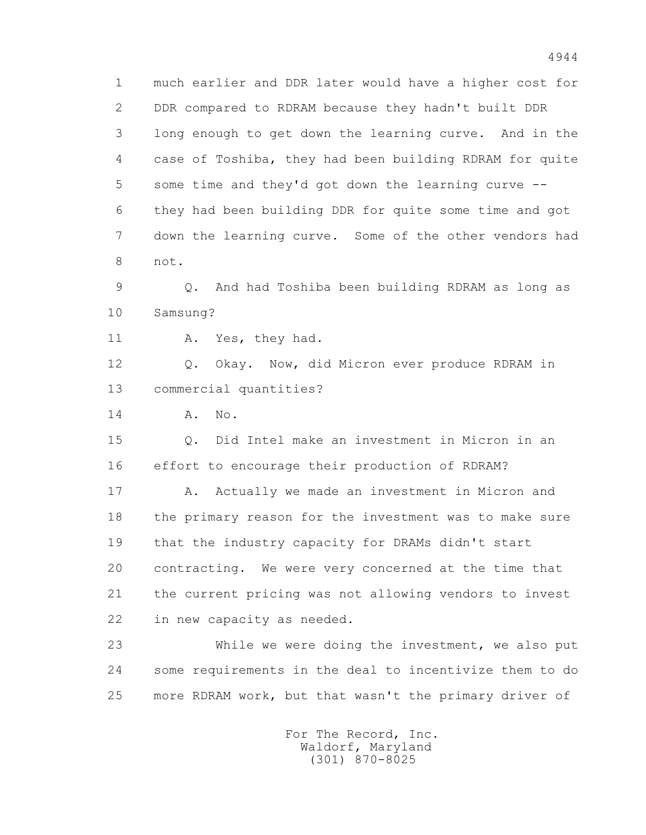1 much earlier and DDR later would have a higher cost for 2 DDR compared to RDRAM because they hadn't built DDR 3 long enough to get down the learning curve. And in the 4 case of Toshiba, they had been building RDRAM for quite 5 some time and they'd got down the learning curve -- 6 they had been building DDR for quite some time and got 7 down the learning curve. Some of the other vendors had 8 not.

 9 Q. And had Toshiba been building RDRAM as long as 10 Samsung?

11 A. Yes, they had.

 12 Q. Okay. Now, did Micron ever produce RDRAM in 13 commercial quantities?

14 **A.** No.

 15 Q. Did Intel make an investment in Micron in an 16 effort to encourage their production of RDRAM?

17 A. Actually we made an investment in Micron and 18 the primary reason for the investment was to make sure 19 that the industry capacity for DRAMs didn't start 20 contracting. We were very concerned at the time that 21 the current pricing was not allowing vendors to invest 22 in new capacity as needed.

 23 While we were doing the investment, we also put 24 some requirements in the deal to incentivize them to do 25 more RDRAM work, but that wasn't the primary driver of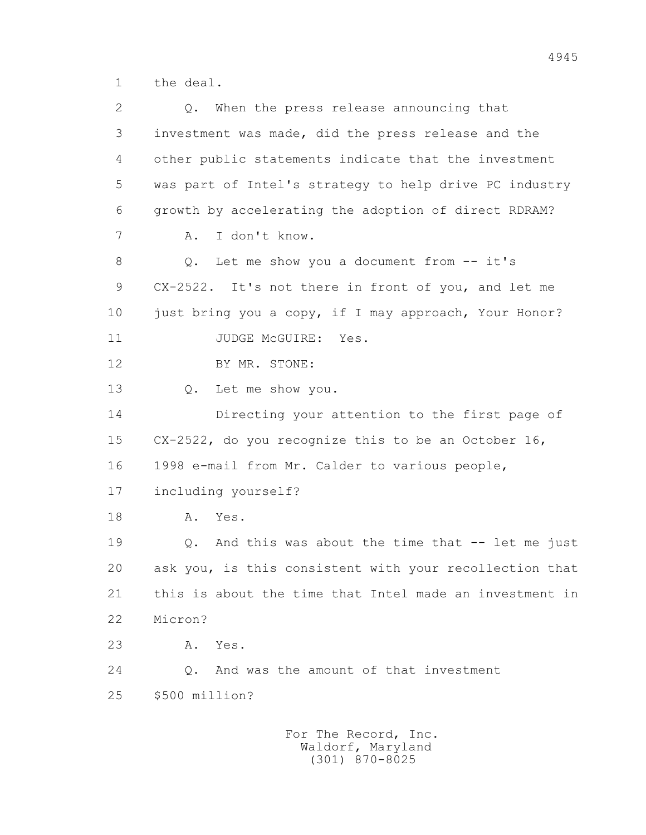1 the deal.

| 2  | When the press release announcing that<br>Q.               |
|----|------------------------------------------------------------|
| 3  | investment was made, did the press release and the         |
| 4  | other public statements indicate that the investment       |
| 5  | was part of Intel's strategy to help drive PC industry     |
| 6  | growth by accelerating the adoption of direct RDRAM?       |
| 7  | I don't know.<br>Α.                                        |
| 8  | Let me show you a document from $--$ it's<br>Q.            |
| 9  | CX-2522. It's not there in front of you, and let me        |
| 10 | just bring you a copy, if I may approach, Your Honor?      |
| 11 | JUDGE MCGUIRE:<br>Yes.                                     |
| 12 | BY MR. STONE:                                              |
| 13 | Let me show you.<br>Q.                                     |
| 14 | Directing your attention to the first page of              |
| 15 | CX-2522, do you recognize this to be an October 16,        |
| 16 | 1998 e-mail from Mr. Calder to various people,             |
| 17 | including yourself?                                        |
| 18 | Yes.<br>Α.                                                 |
| 19 | And this was about the time that $--$ let me just<br>$Q$ . |
| 20 | ask you, is this consistent with your recollection that    |
| 21 | this is about the time that Intel made an investment in    |
| 22 | Micron?                                                    |
| 23 | Yes.<br>Α.                                                 |
| 24 | And was the amount of that investment<br>$\circ$ .         |
| 25 | \$500 million?                                             |
|    |                                                            |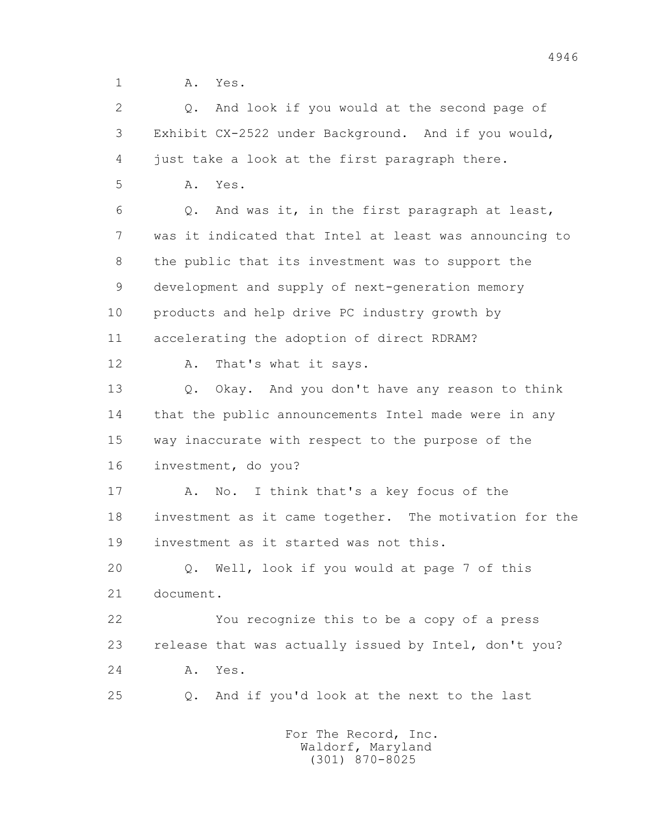1 A. Yes.

 2 Q. And look if you would at the second page of 3 Exhibit CX-2522 under Background. And if you would, 4 just take a look at the first paragraph there. 5 A. Yes. 6 Q. And was it, in the first paragraph at least, 7 was it indicated that Intel at least was announcing to 8 the public that its investment was to support the 9 development and supply of next-generation memory 10 products and help drive PC industry growth by 11 accelerating the adoption of direct RDRAM? 12 A. That's what it says. 13 Q. Okay. And you don't have any reason to think 14 that the public announcements Intel made were in any 15 way inaccurate with respect to the purpose of the 16 investment, do you? 17 A. No. I think that's a key focus of the 18 investment as it came together. The motivation for the 19 investment as it started was not this. 20 Q. Well, look if you would at page 7 of this 21 document. 22 You recognize this to be a copy of a press 23 release that was actually issued by Intel, don't you? 24 A. Yes. 25 Q. And if you'd look at the next to the last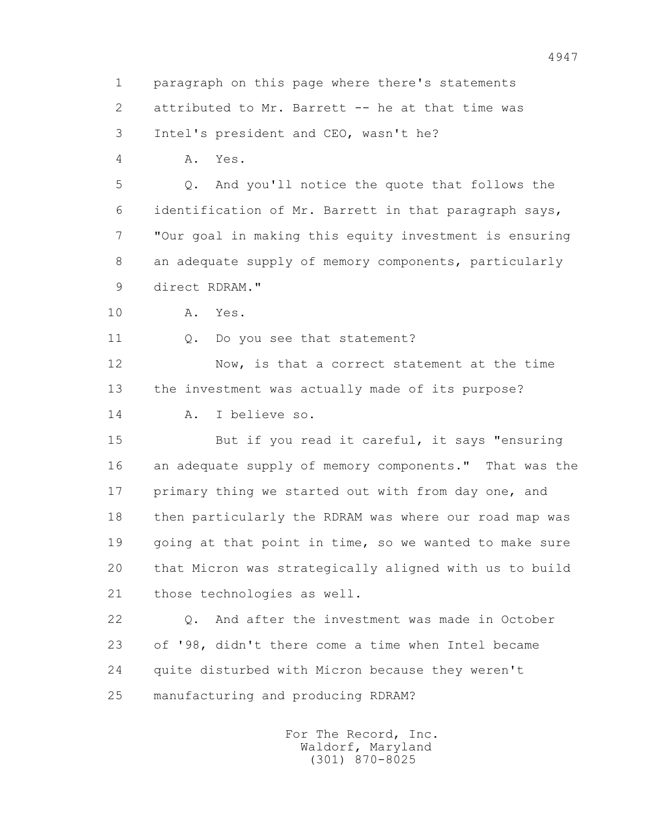1 paragraph on this page where there's statements 2 attributed to Mr. Barrett -- he at that time was

3 Intel's president and CEO, wasn't he?

4 A. Yes.

 5 Q. And you'll notice the quote that follows the 6 identification of Mr. Barrett in that paragraph says, 7 "Our goal in making this equity investment is ensuring 8 an adequate supply of memory components, particularly 9 direct RDRAM."

10 A. Yes.

11 0. Do you see that statement?

 12 Now, is that a correct statement at the time 13 the investment was actually made of its purpose? 14 A. I believe so.

 15 But if you read it careful, it says "ensuring 16 an adequate supply of memory components." That was the 17 primary thing we started out with from day one, and 18 then particularly the RDRAM was where our road map was 19 going at that point in time, so we wanted to make sure 20 that Micron was strategically aligned with us to build 21 those technologies as well.

 22 Q. And after the investment was made in October 23 of '98, didn't there come a time when Intel became 24 quite disturbed with Micron because they weren't 25 manufacturing and producing RDRAM?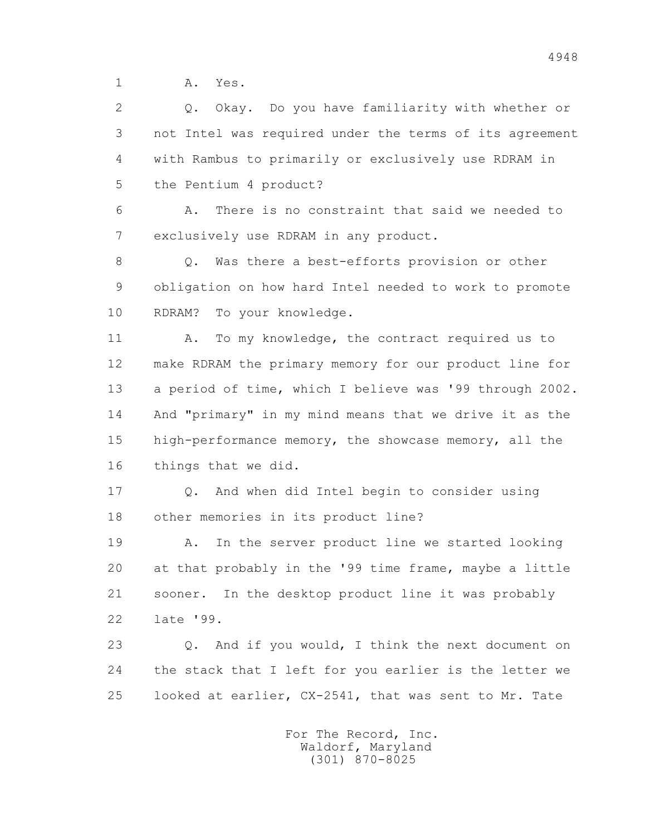1 A. Yes.

 2 Q. Okay. Do you have familiarity with whether or 3 not Intel was required under the terms of its agreement 4 with Rambus to primarily or exclusively use RDRAM in 5 the Pentium 4 product?

 6 A. There is no constraint that said we needed to 7 exclusively use RDRAM in any product.

8 0. Was there a best-efforts provision or other 9 obligation on how hard Intel needed to work to promote 10 RDRAM? To your knowledge.

11 A. To my knowledge, the contract required us to 12 make RDRAM the primary memory for our product line for 13 a period of time, which I believe was '99 through 2002. 14 And "primary" in my mind means that we drive it as the 15 high-performance memory, the showcase memory, all the 16 things that we did.

 17 Q. And when did Intel begin to consider using 18 other memories in its product line?

 19 A. In the server product line we started looking 20 at that probably in the '99 time frame, maybe a little 21 sooner. In the desktop product line it was probably 22 late '99.

 23 Q. And if you would, I think the next document on 24 the stack that I left for you earlier is the letter we 25 looked at earlier, CX-2541, that was sent to Mr. Tate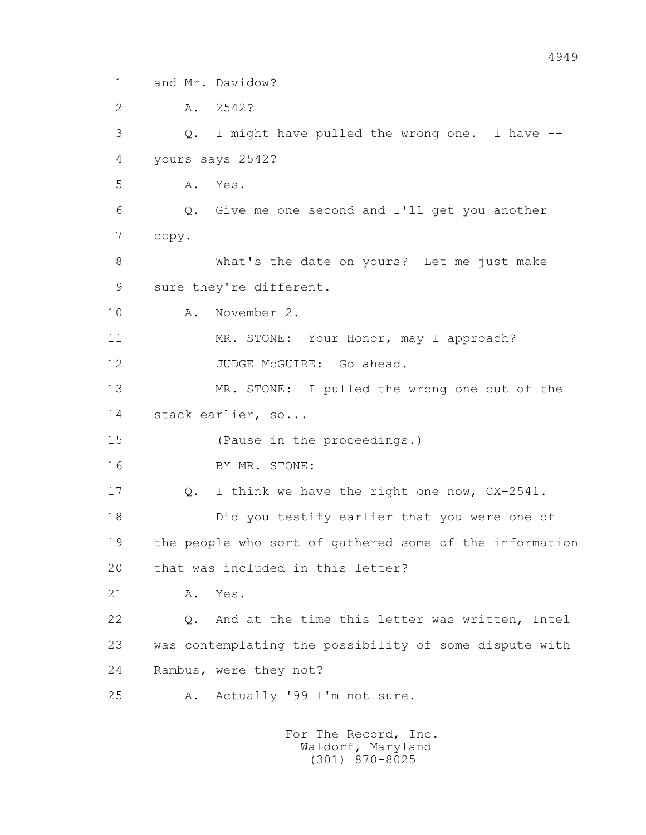1 and Mr. Davidow?

2 A. 2542?

 3 Q. I might have pulled the wrong one. I have -- 4 yours says 2542?

5 A. Yes.

 6 Q. Give me one second and I'll get you another 7 copy.

 8 What's the date on yours? Let me just make 9 sure they're different.

10 A. November 2.

11 MR. STONE: Your Honor, may I approach?

12 JUDGE McGUIRE: Go ahead.

 13 MR. STONE: I pulled the wrong one out of the 14 stack earlier, so...

15 (Pause in the proceedings.)

16 BY MR. STONE:

17 Q. I think we have the right one now, CX-2541.

18 Did you testify earlier that you were one of

 19 the people who sort of gathered some of the information 20 that was included in this letter?

21 A. Yes.

 22 Q. And at the time this letter was written, Intel 23 was contemplating the possibility of some dispute with 24 Rambus, were they not?

25 A. Actually '99 I'm not sure.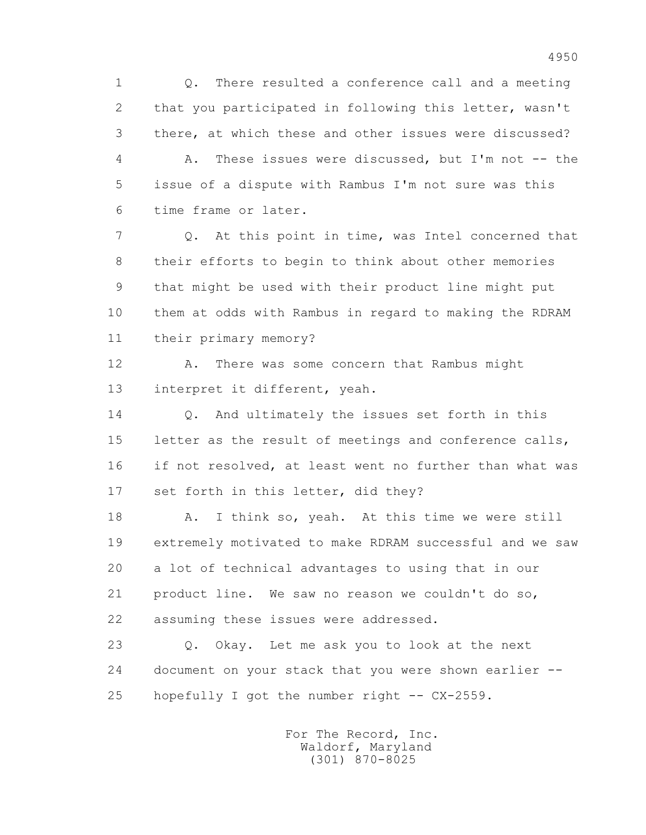1 Q. There resulted a conference call and a meeting 2 that you participated in following this letter, wasn't 3 there, at which these and other issues were discussed? 4 A. These issues were discussed, but I'm not -- the 5 issue of a dispute with Rambus I'm not sure was this 6 time frame or later.

 7 Q. At this point in time, was Intel concerned that 8 their efforts to begin to think about other memories 9 that might be used with their product line might put 10 them at odds with Rambus in regard to making the RDRAM 11 their primary memory?

12 A. There was some concern that Rambus might 13 interpret it different, yeah.

 14 Q. And ultimately the issues set forth in this 15 letter as the result of meetings and conference calls, 16 if not resolved, at least went no further than what was 17 set forth in this letter, did they?

18 A. I think so, yeah. At this time we were still 19 extremely motivated to make RDRAM successful and we saw 20 a lot of technical advantages to using that in our 21 product line. We saw no reason we couldn't do so, 22 assuming these issues were addressed.

 23 Q. Okay. Let me ask you to look at the next 24 document on your stack that you were shown earlier -- 25 hopefully I got the number right -- CX-2559.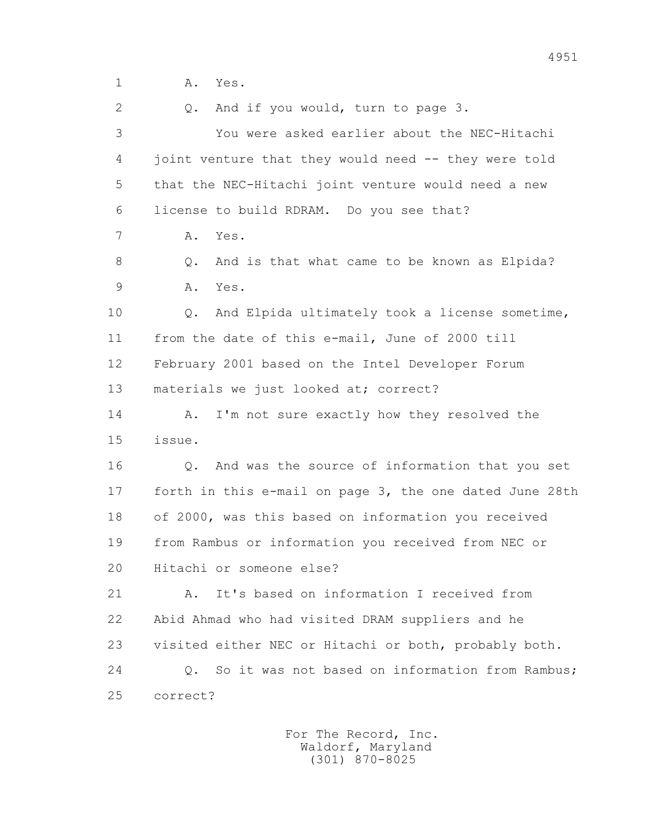2 0. And if you would, turn to page 3.

 3 You were asked earlier about the NEC-Hitachi 4 joint venture that they would need -- they were told 5 that the NEC-Hitachi joint venture would need a new 6 license to build RDRAM. Do you see that?

7 A. Yes.

 8 Q. And is that what came to be known as Elpida? 9 A. Yes.

 10 Q. And Elpida ultimately took a license sometime, 11 from the date of this e-mail, June of 2000 till 12 February 2001 based on the Intel Developer Forum 13 materials we just looked at; correct?

14 A. I'm not sure exactly how they resolved the 15 issue.

 16 Q. And was the source of information that you set 17 forth in this e-mail on page 3, the one dated June 28th 18 of 2000, was this based on information you received 19 from Rambus or information you received from NEC or 20 Hitachi or someone else?

 21 A. It's based on information I received from 22 Abid Ahmad who had visited DRAM suppliers and he 23 visited either NEC or Hitachi or both, probably both. 24 Q. So it was not based on information from Rambus; 25 correct?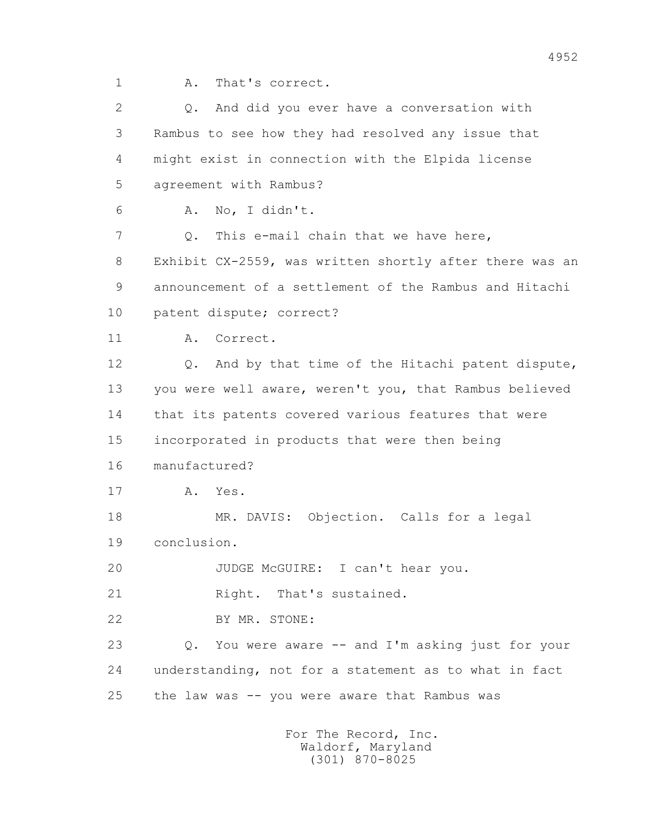1 A. That's correct.

 2 Q. And did you ever have a conversation with 3 Rambus to see how they had resolved any issue that 4 might exist in connection with the Elpida license 5 agreement with Rambus? 6 A. No, I didn't. 7 Q. This e-mail chain that we have here, 8 Exhibit CX-2559, was written shortly after there was an 9 announcement of a settlement of the Rambus and Hitachi 10 patent dispute; correct? 11 A. Correct. 12 Q. And by that time of the Hitachi patent dispute, 13 you were well aware, weren't you, that Rambus believed 14 that its patents covered various features that were 15 incorporated in products that were then being 16 manufactured? 17 A. Yes. 18 MR. DAVIS: Objection. Calls for a legal 19 conclusion. 20 JUDGE McGUIRE: I can't hear you. 21 Right. That's sustained. 22 BY MR. STONE: 23 Q. You were aware -- and I'm asking just for your 24 understanding, not for a statement as to what in fact 25 the law was -- you were aware that Rambus was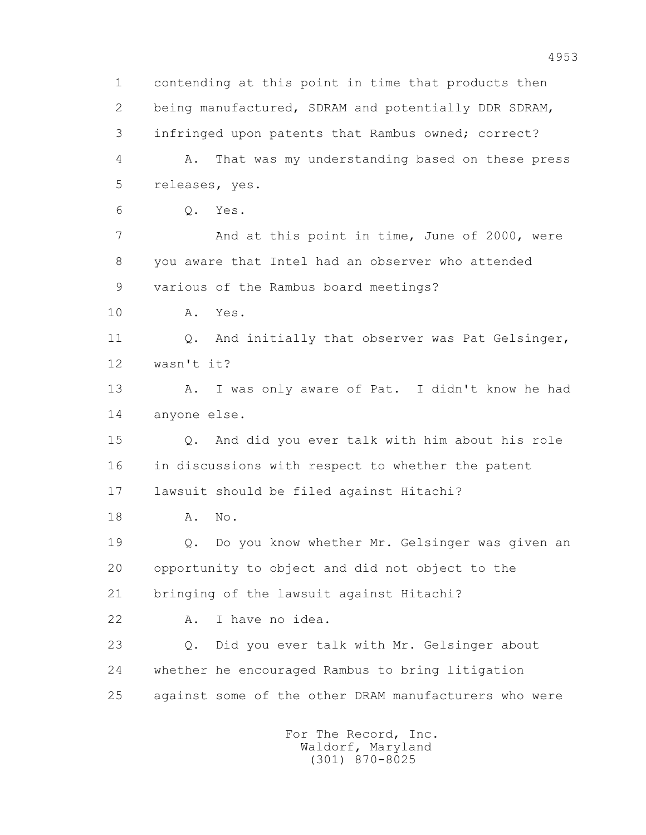1 contending at this point in time that products then 2 being manufactured, SDRAM and potentially DDR SDRAM, 3 infringed upon patents that Rambus owned; correct? 4 A. That was my understanding based on these press 5 releases, yes. 6 Q. Yes. 7 And at this point in time, June of 2000, were 8 you aware that Intel had an observer who attended 9 various of the Rambus board meetings? 10 A. Yes. 11 0. And initially that observer was Pat Gelsinger, 12 wasn't it? 13 A. I was only aware of Pat. I didn't know he had 14 anyone else. 15 Q. And did you ever talk with him about his role 16 in discussions with respect to whether the patent 17 lawsuit should be filed against Hitachi? 18 A. No. 19 Q. Do you know whether Mr. Gelsinger was given an 20 opportunity to object and did not object to the 21 bringing of the lawsuit against Hitachi? 22 A. I have no idea. 23 Q. Did you ever talk with Mr. Gelsinger about 24 whether he encouraged Rambus to bring litigation 25 against some of the other DRAM manufacturers who were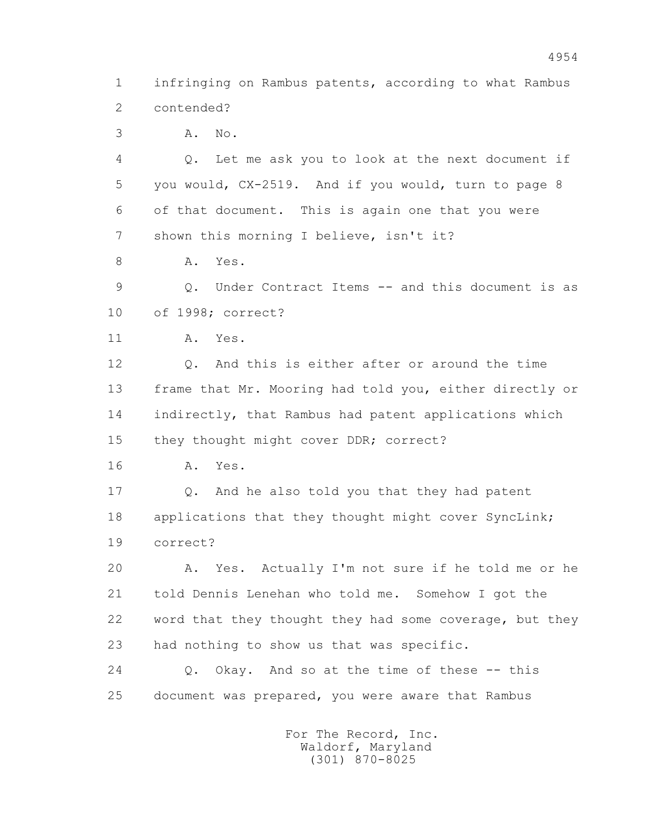1 infringing on Rambus patents, according to what Rambus 2 contended?

3 A. No.

 4 Q. Let me ask you to look at the next document if 5 you would, CX-2519. And if you would, turn to page 8 6 of that document. This is again one that you were 7 shown this morning I believe, isn't it?

8 A. Yes.

 9 Q. Under Contract Items -- and this document is as 10 of 1998; correct?

11 A. Yes.

 12 Q. And this is either after or around the time 13 frame that Mr. Mooring had told you, either directly or 14 indirectly, that Rambus had patent applications which 15 they thought might cover DDR; correct?

16 A. Yes.

 17 Q. And he also told you that they had patent 18 applications that they thought might cover SyncLink; 19 correct?

 20 A. Yes. Actually I'm not sure if he told me or he 21 told Dennis Lenehan who told me. Somehow I got the 22 word that they thought they had some coverage, but they 23 had nothing to show us that was specific.

 24 Q. Okay. And so at the time of these -- this 25 document was prepared, you were aware that Rambus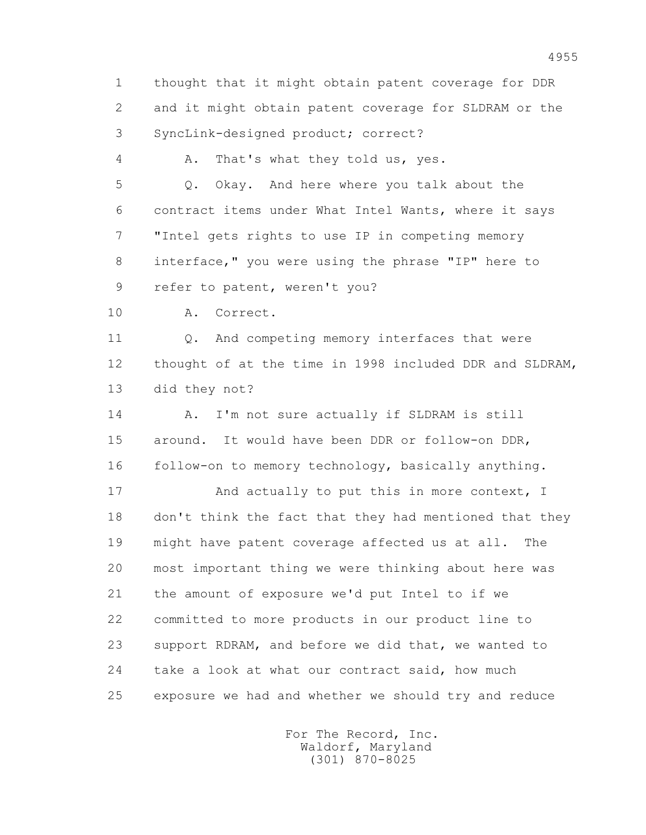1 thought that it might obtain patent coverage for DDR 2 and it might obtain patent coverage for SLDRAM or the 3 SyncLink-designed product; correct?

4 A. That's what they told us, yes.

 5 Q. Okay. And here where you talk about the 6 contract items under What Intel Wants, where it says 7 "Intel gets rights to use IP in competing memory 8 interface," you were using the phrase "IP" here to 9 refer to patent, weren't you?

10 A. Correct.

11 0. And competing memory interfaces that were 12 thought of at the time in 1998 included DDR and SLDRAM, 13 did they not?

14 A. I'm not sure actually if SLDRAM is still 15 around. It would have been DDR or follow-on DDR, 16 follow-on to memory technology, basically anything.

17 And actually to put this in more context, I 18 don't think the fact that they had mentioned that they 19 might have patent coverage affected us at all. The 20 most important thing we were thinking about here was 21 the amount of exposure we'd put Intel to if we 22 committed to more products in our product line to 23 support RDRAM, and before we did that, we wanted to 24 take a look at what our contract said, how much 25 exposure we had and whether we should try and reduce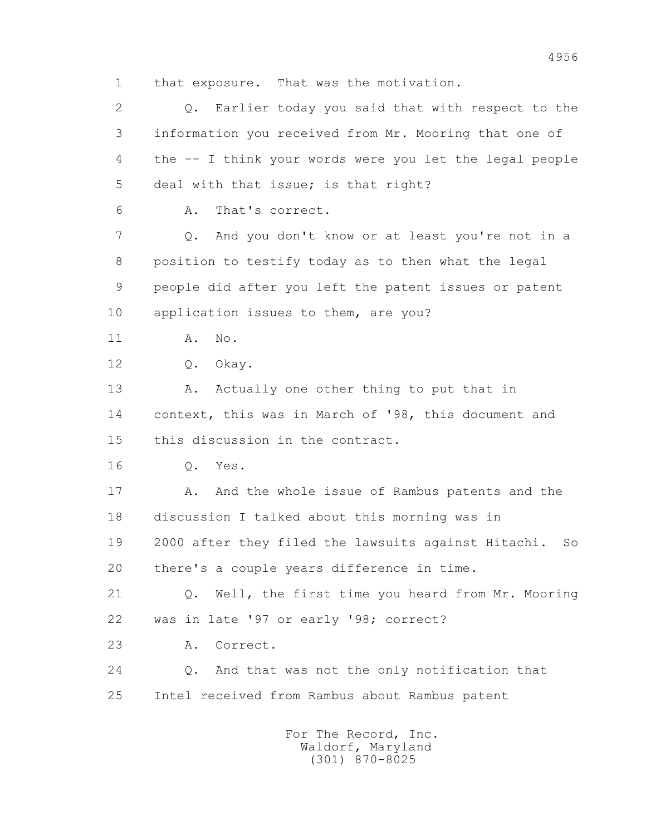1 that exposure. That was the motivation.

 2 Q. Earlier today you said that with respect to the 3 information you received from Mr. Mooring that one of 4 the -- I think your words were you let the legal people 5 deal with that issue; is that right? 6 A. That's correct. 7 Q. And you don't know or at least you're not in a 8 position to testify today as to then what the legal 9 people did after you left the patent issues or patent 10 application issues to them, are you? 11 A. No. 12 Q. Okay. 13 A. Actually one other thing to put that in 14 context, this was in March of '98, this document and 15 this discussion in the contract. 16 Q. Yes. 17 A. And the whole issue of Rambus patents and the 18 discussion I talked about this morning was in 19 2000 after they filed the lawsuits against Hitachi. So 20 there's a couple years difference in time. 21 Q. Well, the first time you heard from Mr. Mooring 22 was in late '97 or early '98; correct? 23 A. Correct. 24 Q. And that was not the only notification that 25 Intel received from Rambus about Rambus patent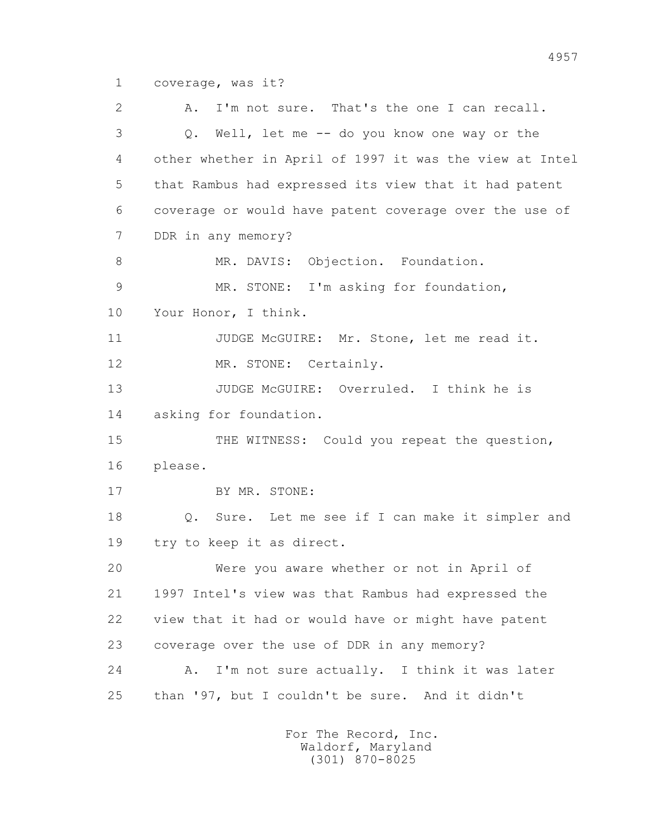1 coverage, was it?

 2 A. I'm not sure. That's the one I can recall. 3 Q. Well, let me -- do you know one way or the 4 other whether in April of 1997 it was the view at Intel 5 that Rambus had expressed its view that it had patent 6 coverage or would have patent coverage over the use of 7 DDR in any memory? 8 MR. DAVIS: Objection. Foundation. 9 MR. STONE: I'm asking for foundation, 10 Your Honor, I think. 11 JUDGE McGUIRE: Mr. Stone, let me read it. 12 MR. STONE: Certainly. 13 JUDGE McGUIRE: Overruled. I think he is 14 asking for foundation. 15 THE WITNESS: Could you repeat the question, 16 please. 17 BY MR. STONE: 18 Q. Sure. Let me see if I can make it simpler and 19 try to keep it as direct. 20 Were you aware whether or not in April of 21 1997 Intel's view was that Rambus had expressed the 22 view that it had or would have or might have patent 23 coverage over the use of DDR in any memory? 24 A. I'm not sure actually. I think it was later 25 than '97, but I couldn't be sure. And it didn't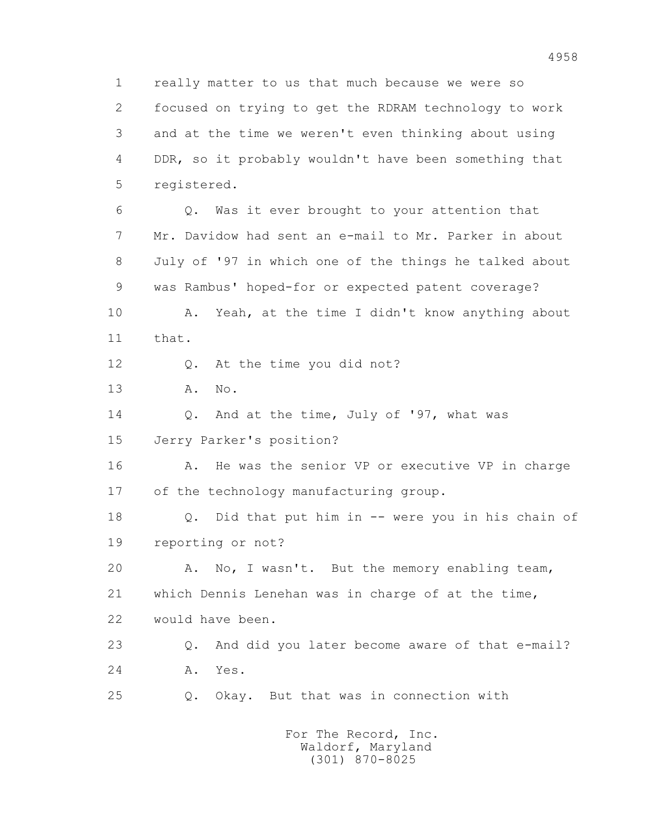1 really matter to us that much because we were so 2 focused on trying to get the RDRAM technology to work 3 and at the time we weren't even thinking about using 4 DDR, so it probably wouldn't have been something that 5 registered. 6 Q. Was it ever brought to your attention that 7 Mr. Davidow had sent an e-mail to Mr. Parker in about 8 July of '97 in which one of the things he talked about 9 was Rambus' hoped-for or expected patent coverage? 10 A. Yeah, at the time I didn't know anything about 11 that. 12 Q. At the time you did not? 13 A. No. 14 Q. And at the time, July of '97, what was 15 Jerry Parker's position? 16 A. He was the senior VP or executive VP in charge 17 of the technology manufacturing group. 18 Q. Did that put him in -- were you in his chain of 19 reporting or not? 20 A. No, I wasn't. But the memory enabling team, 21 which Dennis Lenehan was in charge of at the time, 22 would have been. 23 Q. And did you later become aware of that e-mail? 24 A. Yes. 25 Q. Okay. But that was in connection with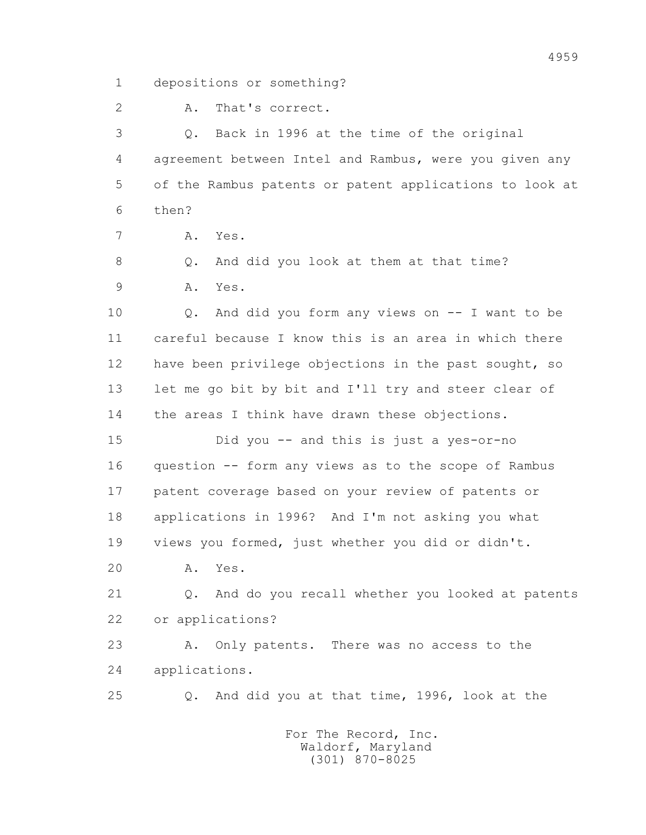1 depositions or something?

2 A. That's correct.

 3 Q. Back in 1996 at the time of the original 4 agreement between Intel and Rambus, were you given any 5 of the Rambus patents or patent applications to look at 6 then?

7 A. Yes.

8 Q. And did you look at them at that time?

9 A. Yes.

 10 Q. And did you form any views on -- I want to be 11 careful because I know this is an area in which there 12 have been privilege objections in the past sought, so 13 let me go bit by bit and I'll try and steer clear of 14 the areas I think have drawn these objections.

 15 Did you -- and this is just a yes-or-no 16 question -- form any views as to the scope of Rambus 17 patent coverage based on your review of patents or 18 applications in 1996? And I'm not asking you what 19 views you formed, just whether you did or didn't.

20 A. Yes.

 21 Q. And do you recall whether you looked at patents 22 or applications?

 23 A. Only patents. There was no access to the 24 applications.

25 Q. And did you at that time, 1996, look at the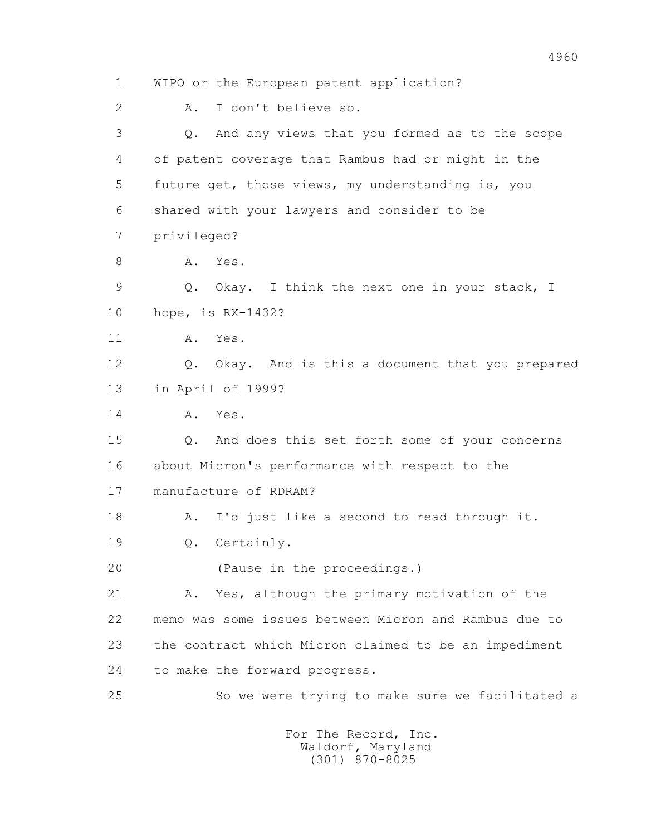1 WIPO or the European patent application? 2 A. I don't believe so. 3 Q. And any views that you formed as to the scope 4 of patent coverage that Rambus had or might in the 5 future get, those views, my understanding is, you 6 shared with your lawyers and consider to be 7 privileged? 8 A. Yes. 9 Q. Okay. I think the next one in your stack, I 10 hope, is RX-1432? 11 A. Yes. 12 Q. Okay. And is this a document that you prepared 13 in April of 1999? 14 A. Yes. 15 Q. And does this set forth some of your concerns 16 about Micron's performance with respect to the 17 manufacture of RDRAM? 18 A. I'd just like a second to read through it. 19 Q. Certainly. 20 (Pause in the proceedings.) 21 A. Yes, although the primary motivation of the 22 memo was some issues between Micron and Rambus due to 23 the contract which Micron claimed to be an impediment 24 to make the forward progress. 25 So we were trying to make sure we facilitated a For The Record, Inc.

 Waldorf, Maryland (301) 870-8025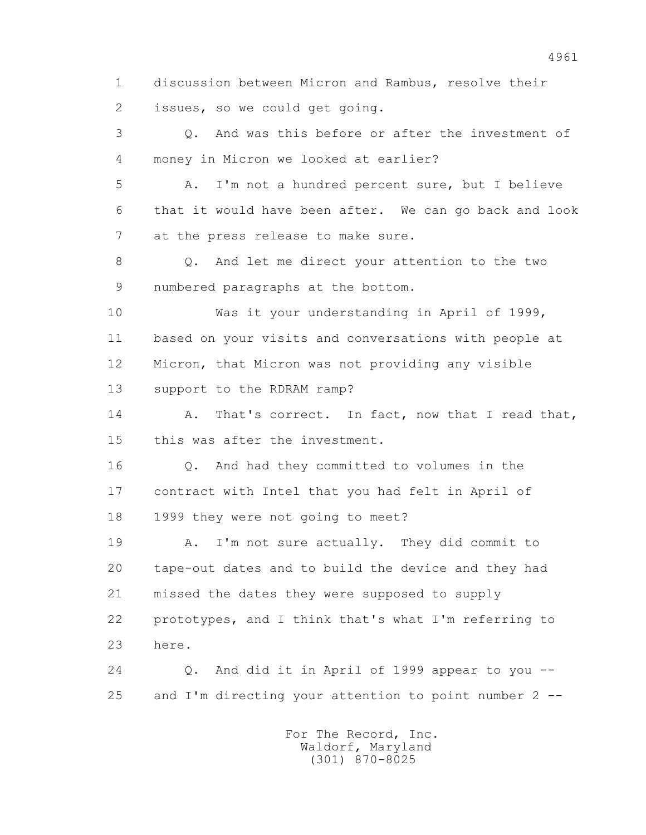1 discussion between Micron and Rambus, resolve their 2 issues, so we could get going.

 3 Q. And was this before or after the investment of 4 money in Micron we looked at earlier?

 5 A. I'm not a hundred percent sure, but I believe 6 that it would have been after. We can go back and look 7 at the press release to make sure.

 8 Q. And let me direct your attention to the two 9 numbered paragraphs at the bottom.

 10 Was it your understanding in April of 1999, 11 based on your visits and conversations with people at 12 Micron, that Micron was not providing any visible 13 support to the RDRAM ramp?

14 A. That's correct. In fact, now that I read that, 15 this was after the investment.

 16 Q. And had they committed to volumes in the 17 contract with Intel that you had felt in April of 18 1999 they were not going to meet?

 19 A. I'm not sure actually. They did commit to 20 tape-out dates and to build the device and they had 21 missed the dates they were supposed to supply 22 prototypes, and I think that's what I'm referring to 23 here.

 24 Q. And did it in April of 1999 appear to you -- 25 and I'm directing your attention to point number 2 --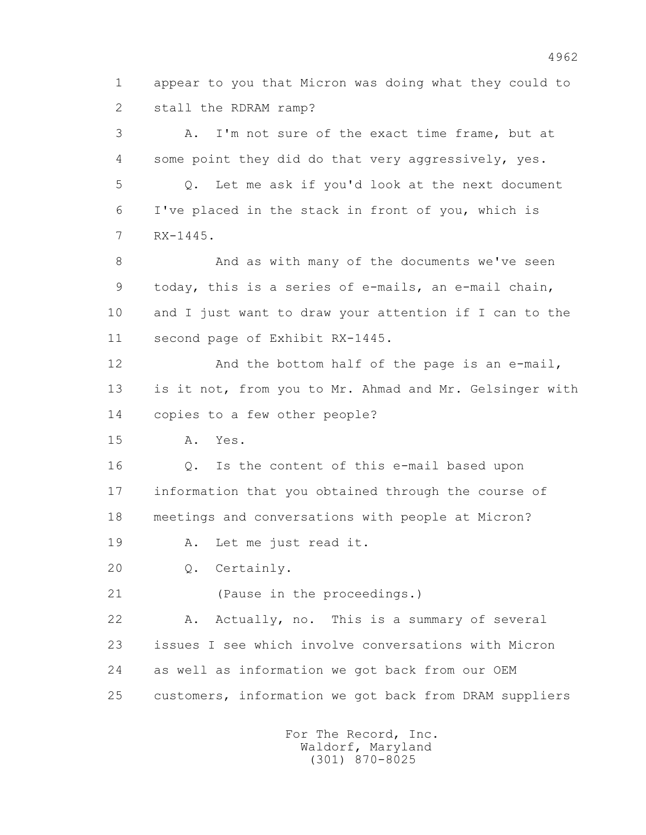1 appear to you that Micron was doing what they could to 2 stall the RDRAM ramp?

 3 A. I'm not sure of the exact time frame, but at 4 some point they did do that very aggressively, yes. 5 Q. Let me ask if you'd look at the next document 6 I've placed in the stack in front of you, which is 7 RX-1445.

8 And as with many of the documents we've seen 9 today, this is a series of e-mails, an e-mail chain, 10 and I just want to draw your attention if I can to the 11 second page of Exhibit RX-1445.

12 And the bottom half of the page is an e-mail, 13 is it not, from you to Mr. Ahmad and Mr. Gelsinger with 14 copies to a few other people?

15 A. Yes.

 16 Q. Is the content of this e-mail based upon 17 information that you obtained through the course of 18 meetings and conversations with people at Micron?

19 A. Let me just read it.

20 Q. Certainly.

21 (Pause in the proceedings.)

 22 A. Actually, no. This is a summary of several 23 issues I see which involve conversations with Micron 24 as well as information we got back from our OEM 25 customers, information we got back from DRAM suppliers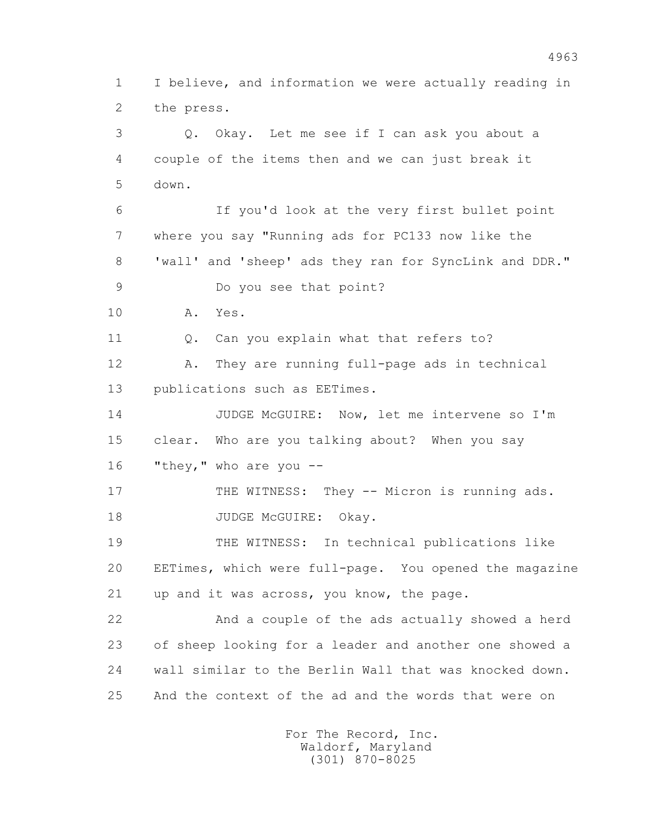1 I believe, and information we were actually reading in 2 the press. 3 Q. Okay. Let me see if I can ask you about a 4 couple of the items then and we can just break it 5 down. 6 If you'd look at the very first bullet point 7 where you say "Running ads for PC133 now like the 8 'wall' and 'sheep' ads they ran for SyncLink and DDR." 9 Do you see that point? 10 A. Yes. 11 0. Can you explain what that refers to? 12 A. They are running full-page ads in technical 13 publications such as EETimes. 14 JUDGE McGUIRE: Now, let me intervene so I'm 15 clear. Who are you talking about? When you say 16 "they," who are you -- 17 THE WITNESS: They -- Micron is running ads. 18 JUDGE McGUIRE: Okay. 19 THE WITNESS: In technical publications like 20 EETimes, which were full-page. You opened the magazine 21 up and it was across, you know, the page. 22 And a couple of the ads actually showed a herd 23 of sheep looking for a leader and another one showed a 24 wall similar to the Berlin Wall that was knocked down. 25 And the context of the ad and the words that were on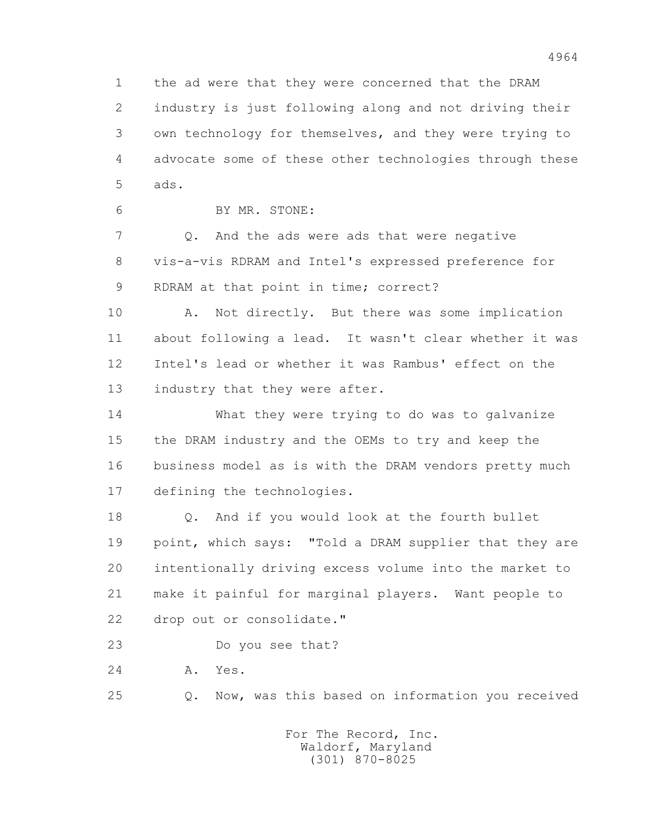1 the ad were that they were concerned that the DRAM 2 industry is just following along and not driving their 3 own technology for themselves, and they were trying to 4 advocate some of these other technologies through these 5 ads.

6 BY MR. STONE:

 7 Q. And the ads were ads that were negative 8 vis-a-vis RDRAM and Intel's expressed preference for 9 RDRAM at that point in time; correct?

 10 A. Not directly. But there was some implication 11 about following a lead. It wasn't clear whether it was 12 Intel's lead or whether it was Rambus' effect on the 13 industry that they were after.

 14 What they were trying to do was to galvanize 15 the DRAM industry and the OEMs to try and keep the 16 business model as is with the DRAM vendors pretty much 17 defining the technologies.

 18 Q. And if you would look at the fourth bullet 19 point, which says: "Told a DRAM supplier that they are 20 intentionally driving excess volume into the market to 21 make it painful for marginal players. Want people to 22 drop out or consolidate."

23 Do you see that?

24 A. Yes.

25 Q. Now, was this based on information you received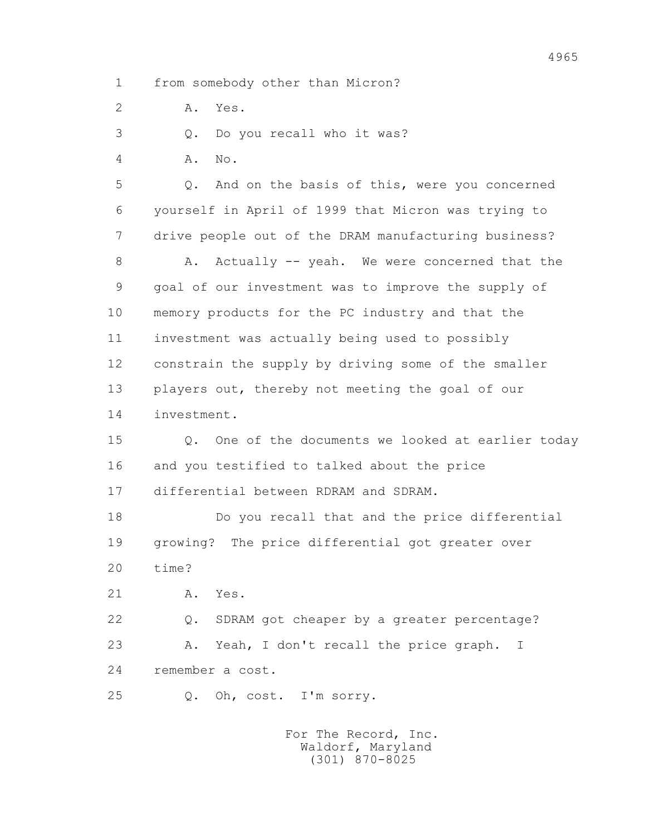1 from somebody other than Micron?

2 A. Yes.

3 Q. Do you recall who it was?

4 A. No.

 5 Q. And on the basis of this, were you concerned 6 yourself in April of 1999 that Micron was trying to 7 drive people out of the DRAM manufacturing business?

8 A. Actually -- yeah. We were concerned that the 9 goal of our investment was to improve the supply of 10 memory products for the PC industry and that the 11 investment was actually being used to possibly 12 constrain the supply by driving some of the smaller 13 players out, thereby not meeting the goal of our 14 investment.

 15 Q. One of the documents we looked at earlier today 16 and you testified to talked about the price 17 differential between RDRAM and SDRAM.

 18 Do you recall that and the price differential 19 growing? The price differential got greater over 20 time?

21 A. Yes.

 22 Q. SDRAM got cheaper by a greater percentage? 23 A. Yeah, I don't recall the price graph. I 24 remember a cost.

25 Q. Oh, cost. I'm sorry.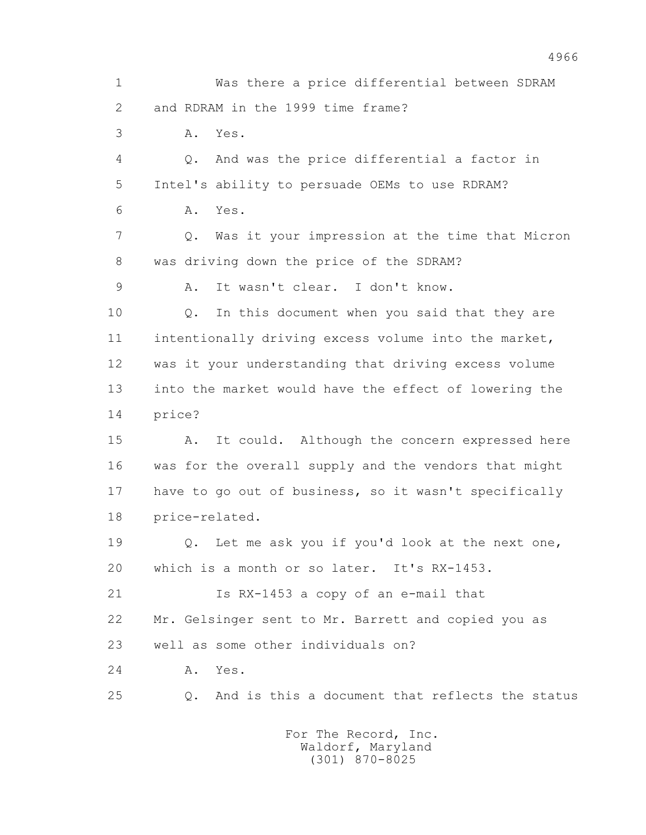1 Was there a price differential between SDRAM 2 and RDRAM in the 1999 time frame? 3 A. Yes. 4 Q. And was the price differential a factor in 5 Intel's ability to persuade OEMs to use RDRAM? 6 A. Yes. 7 Q. Was it your impression at the time that Micron 8 was driving down the price of the SDRAM? 9 A. It wasn't clear. I don't know. 10 Q. In this document when you said that they are 11 intentionally driving excess volume into the market, 12 was it your understanding that driving excess volume 13 into the market would have the effect of lowering the 14 price? 15 A. It could. Although the concern expressed here 16 was for the overall supply and the vendors that might 17 have to go out of business, so it wasn't specifically 18 price-related. 19 Q. Let me ask you if you'd look at the next one, 20 which is a month or so later. It's RX-1453. 21 Is RX-1453 a copy of an e-mail that 22 Mr. Gelsinger sent to Mr. Barrett and copied you as 23 well as some other individuals on? 24 A. Yes. 25 Q. And is this a document that reflects the status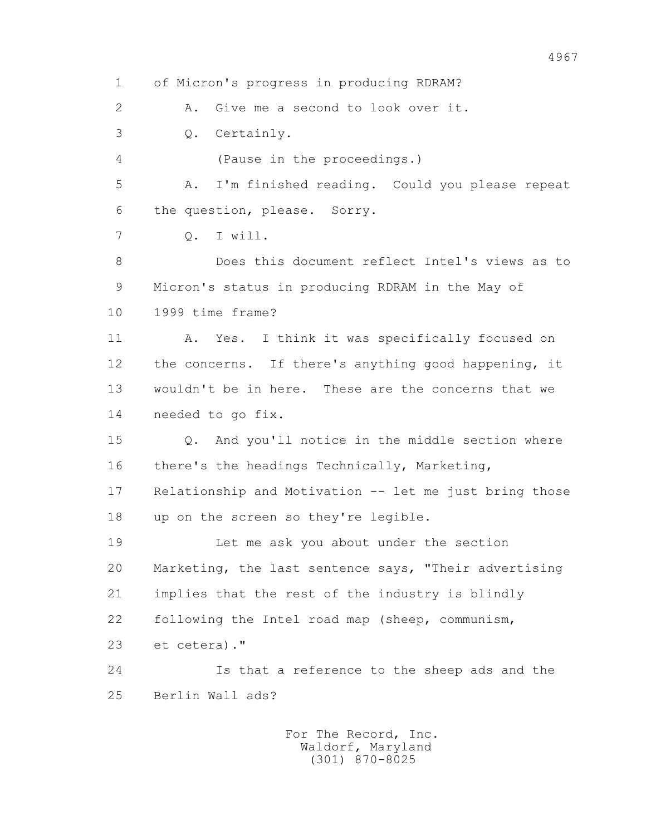1 of Micron's progress in producing RDRAM? 2 A. Give me a second to look over it. 3 Q. Certainly. 4 (Pause in the proceedings.) 5 A. I'm finished reading. Could you please repeat 6 the question, please. Sorry. 7 Q. I will. 8 Does this document reflect Intel's views as to 9 Micron's status in producing RDRAM in the May of 10 1999 time frame? 11 A. Yes. I think it was specifically focused on 12 the concerns. If there's anything good happening, it 13 wouldn't be in here. These are the concerns that we 14 needed to go fix. 15 Q. And you'll notice in the middle section where 16 there's the headings Technically, Marketing, 17 Relationship and Motivation -- let me just bring those 18 up on the screen so they're legible. 19 Let me ask you about under the section 20 Marketing, the last sentence says, "Their advertising 21 implies that the rest of the industry is blindly 22 following the Intel road map (sheep, communism, 23 et cetera)." 24 Is that a reference to the sheep ads and the 25 Berlin Wall ads? For The Record, Inc.

 Waldorf, Maryland (301) 870-8025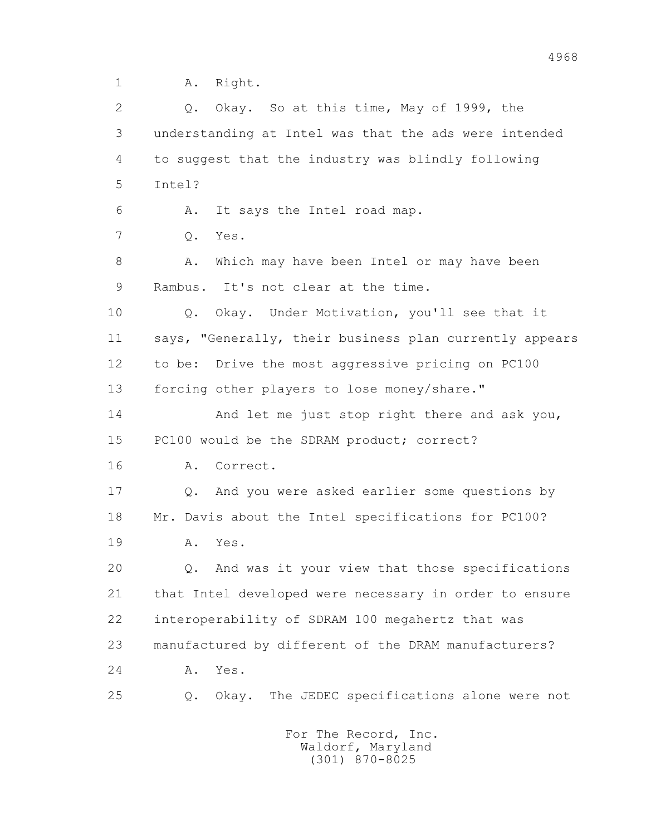1 A. Right.

2 O. Okay. So at this time, May of 1999, the 3 understanding at Intel was that the ads were intended 4 to suggest that the industry was blindly following 5 Intel? 6 A. It says the Intel road map. 7 Q. Yes. 8 A. Which may have been Intel or may have been 9 Rambus. It's not clear at the time. 10 Q. Okay. Under Motivation, you'll see that it 11 says, "Generally, their business plan currently appears 12 to be: Drive the most aggressive pricing on PC100 13 forcing other players to lose money/share." 14 And let me just stop right there and ask you, 15 PC100 would be the SDRAM product; correct? 16 A. Correct. 17 Q. And you were asked earlier some questions by 18 Mr. Davis about the Intel specifications for PC100? 19 A. Yes. 20 Q. And was it your view that those specifications 21 that Intel developed were necessary in order to ensure 22 interoperability of SDRAM 100 megahertz that was 23 manufactured by different of the DRAM manufacturers? 24 A. Yes. 25 Q. Okay. The JEDEC specifications alone were not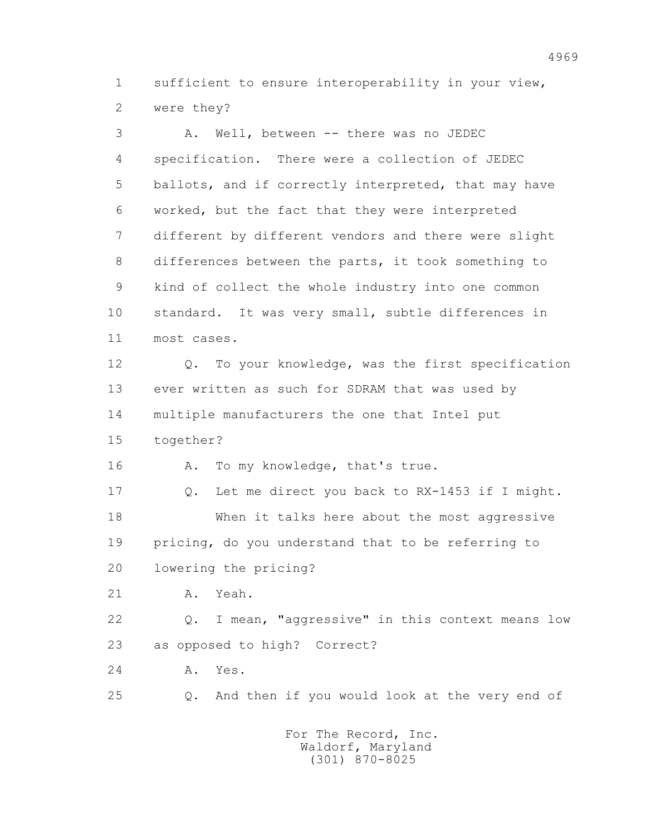1 sufficient to ensure interoperability in your view, 2 were they?

 3 A. Well, between -- there was no JEDEC 4 specification. There were a collection of JEDEC 5 ballots, and if correctly interpreted, that may have 6 worked, but the fact that they were interpreted 7 different by different vendors and there were slight 8 differences between the parts, it took something to 9 kind of collect the whole industry into one common 10 standard. It was very small, subtle differences in 11 most cases. 12 Q. To your knowledge, was the first specification 13 ever written as such for SDRAM that was used by 14 multiple manufacturers the one that Intel put 15 together? 16 A. To my knowledge, that's true. 17 Q. Let me direct you back to RX-1453 if I might. 18 When it talks here about the most aggressive 19 pricing, do you understand that to be referring to 20 lowering the pricing? 21 A. Yeah. 22 Q. I mean, "aggressive" in this context means low 23 as opposed to high? Correct? 24 A. Yes. 25 Q. And then if you would look at the very end of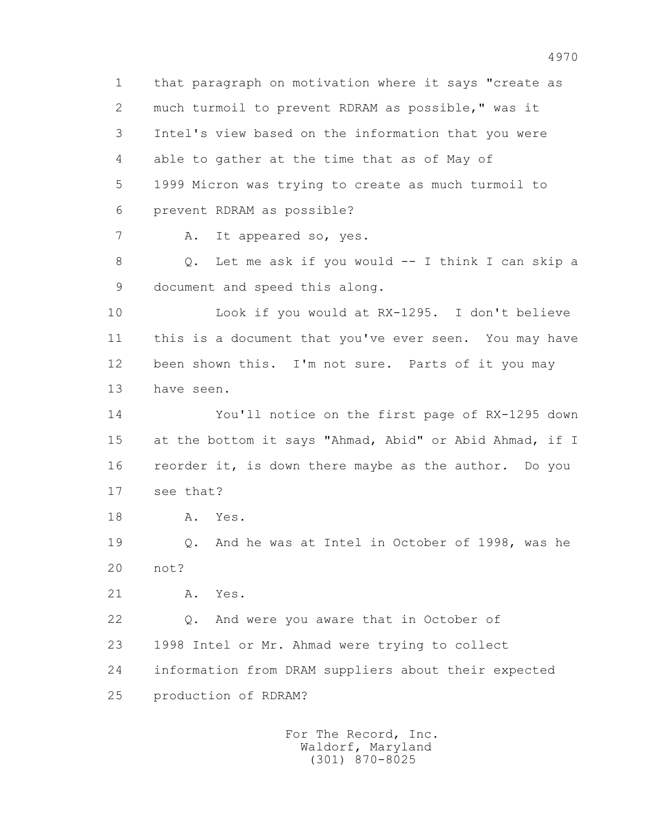1 that paragraph on motivation where it says "create as 2 much turmoil to prevent RDRAM as possible," was it 3 Intel's view based on the information that you were 4 able to gather at the time that as of May of 5 1999 Micron was trying to create as much turmoil to 6 prevent RDRAM as possible? 7 A. It appeared so, yes. 8 Q. Let me ask if you would -- I think I can skip a 9 document and speed this along. 10 Look if you would at RX-1295. I don't believe 11 this is a document that you've ever seen. You may have 12 been shown this. I'm not sure. Parts of it you may 13 have seen. 14 You'll notice on the first page of RX-1295 down 15 at the bottom it says "Ahmad, Abid" or Abid Ahmad, if I 16 reorder it, is down there maybe as the author. Do you 17 see that? 18 A. Yes. 19 Q. And he was at Intel in October of 1998, was he 20 not? 21 A. Yes. 22 Q. And were you aware that in October of 23 1998 Intel or Mr. Ahmad were trying to collect 24 information from DRAM suppliers about their expected 25 production of RDRAM? For The Record, Inc. Waldorf, Maryland

(301) 870-8025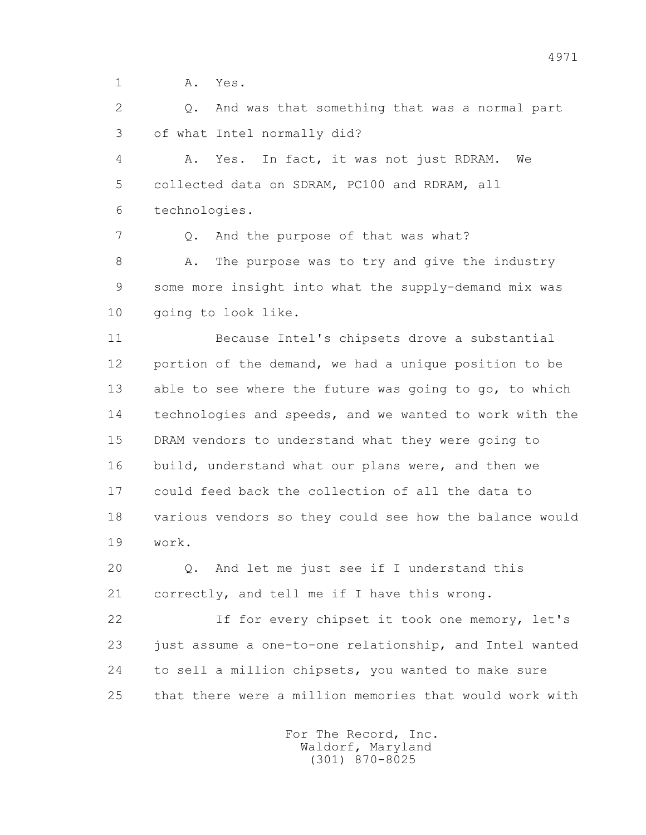1 A. Yes.

 2 Q. And was that something that was a normal part 3 of what Intel normally did?

 4 A. Yes. In fact, it was not just RDRAM. We 5 collected data on SDRAM, PC100 and RDRAM, all 6 technologies.

7 Q. And the purpose of that was what?

8 A. The purpose was to try and give the industry 9 some more insight into what the supply-demand mix was 10 going to look like.

 11 Because Intel's chipsets drove a substantial 12 portion of the demand, we had a unique position to be 13 able to see where the future was going to go, to which 14 technologies and speeds, and we wanted to work with the 15 DRAM vendors to understand what they were going to 16 build, understand what our plans were, and then we 17 could feed back the collection of all the data to 18 various vendors so they could see how the balance would 19 work.

 20 Q. And let me just see if I understand this 21 correctly, and tell me if I have this wrong.

 22 If for every chipset it took one memory, let's 23 just assume a one-to-one relationship, and Intel wanted 24 to sell a million chipsets, you wanted to make sure 25 that there were a million memories that would work with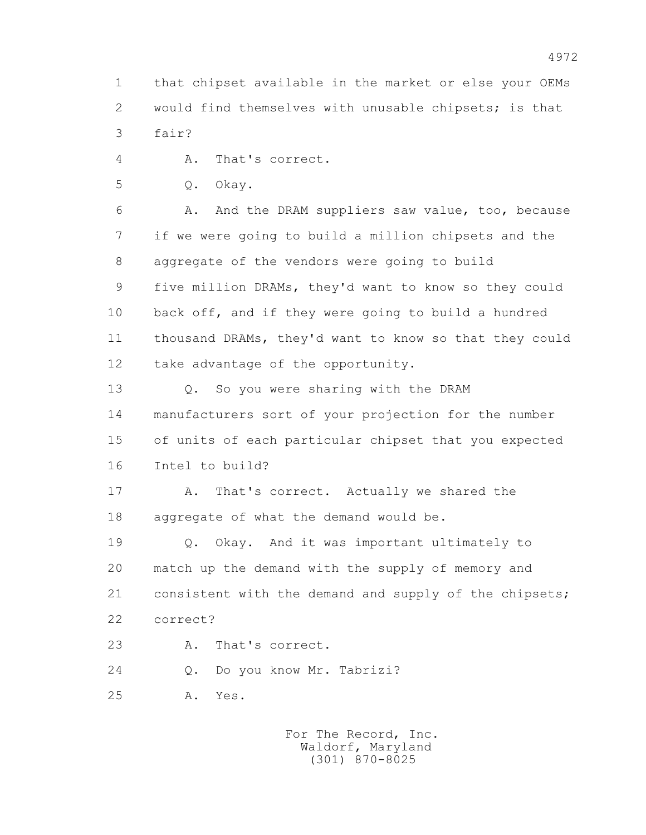1 that chipset available in the market or else your OEMs 2 would find themselves with unusable chipsets; is that 3 fair?

4 A. That's correct.

5 Q. Okay.

 6 A. And the DRAM suppliers saw value, too, because 7 if we were going to build a million chipsets and the 8 aggregate of the vendors were going to build 9 five million DRAMs, they'd want to know so they could 10 back off, and if they were going to build a hundred 11 thousand DRAMs, they'd want to know so that they could 12 take advantage of the opportunity.

 13 Q. So you were sharing with the DRAM 14 manufacturers sort of your projection for the number 15 of units of each particular chipset that you expected 16 Intel to build?

17 A. That's correct. Actually we shared the 18 aggregate of what the demand would be.

 19 Q. Okay. And it was important ultimately to 20 match up the demand with the supply of memory and 21 consistent with the demand and supply of the chipsets; 22 correct?

23 A. That's correct.

24 Q. Do you know Mr. Tabrizi?

25 A. Yes.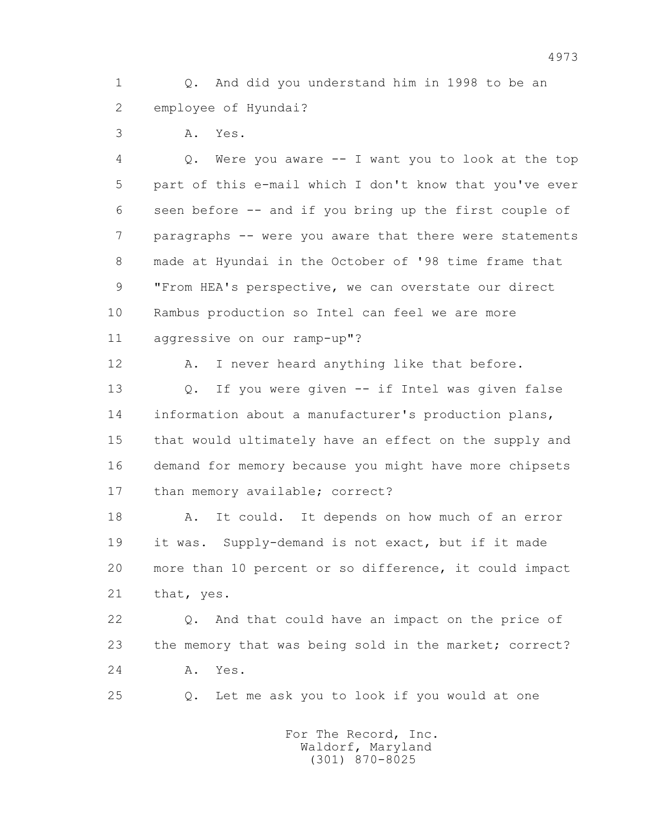1 Q. And did you understand him in 1998 to be an 2 employee of Hyundai?

3 A. Yes.

 4 Q. Were you aware -- I want you to look at the top 5 part of this e-mail which I don't know that you've ever 6 seen before -- and if you bring up the first couple of 7 paragraphs -- were you aware that there were statements 8 made at Hyundai in the October of '98 time frame that 9 "From HEA's perspective, we can overstate our direct 10 Rambus production so Intel can feel we are more 11 aggressive on our ramp-up"?

12 A. I never heard anything like that before.

 13 Q. If you were given -- if Intel was given false 14 information about a manufacturer's production plans, 15 that would ultimately have an effect on the supply and 16 demand for memory because you might have more chipsets 17 than memory available; correct?

 18 A. It could. It depends on how much of an error 19 it was. Supply-demand is not exact, but if it made 20 more than 10 percent or so difference, it could impact 21 that, yes.

 22 Q. And that could have an impact on the price of 23 the memory that was being sold in the market; correct? 24 A. Yes.

25 Q. Let me ask you to look if you would at one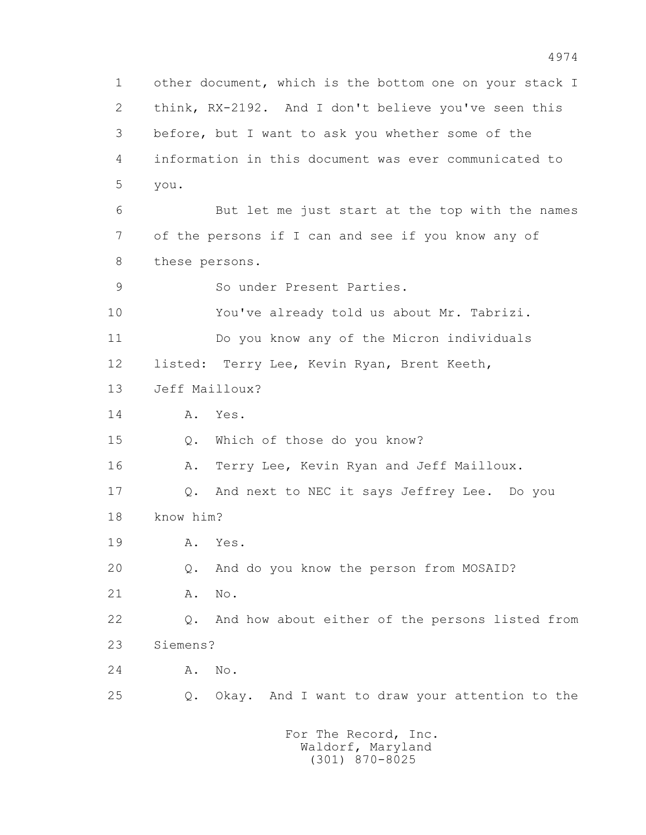1 other document, which is the bottom one on your stack I 2 think, RX-2192. And I don't believe you've seen this 3 before, but I want to ask you whether some of the 4 information in this document was ever communicated to 5 you. 6 But let me just start at the top with the names 7 of the persons if I can and see if you know any of 8 these persons. 9 So under Present Parties. 10 You've already told us about Mr. Tabrizi. 11 Do you know any of the Micron individuals 12 listed: Terry Lee, Kevin Ryan, Brent Keeth, 13 Jeff Mailloux? 14 A. Yes. 15 Q. Which of those do you know? 16 A. Terry Lee, Kevin Ryan and Jeff Mailloux. 17 Q. And next to NEC it says Jeffrey Lee. Do you 18 know him? 19 A. Yes. 20 Q. And do you know the person from MOSAID? 21 A. No. 22 Q. And how about either of the persons listed from 23 Siemens? 24 A. No. 25 Q. Okay. And I want to draw your attention to the For The Record, Inc.

 Waldorf, Maryland (301) 870-8025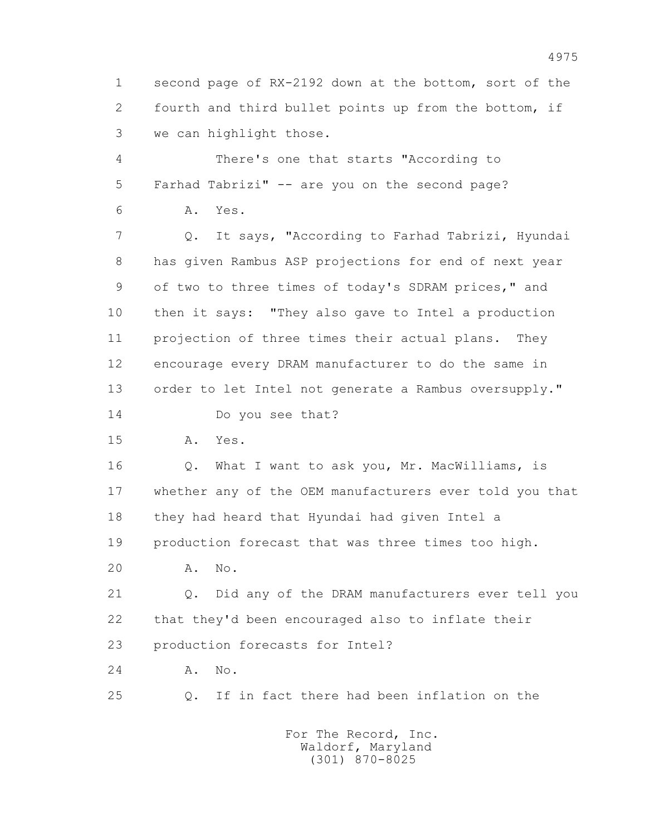1 second page of RX-2192 down at the bottom, sort of the 2 fourth and third bullet points up from the bottom, if 3 we can highlight those.

 4 There's one that starts "According to 5 Farhad Tabrizi" -- are you on the second page?

6 A. Yes.

 7 Q. It says, "According to Farhad Tabrizi, Hyundai 8 has given Rambus ASP projections for end of next year 9 of two to three times of today's SDRAM prices," and 10 then it says: "They also gave to Intel a production 11 projection of three times their actual plans. They 12 encourage every DRAM manufacturer to do the same in 13 order to let Intel not generate a Rambus oversupply."

14 Do you see that?

15 A. Yes.

16 0. What I want to ask you, Mr. MacWilliams, is 17 whether any of the OEM manufacturers ever told you that 18 they had heard that Hyundai had given Intel a 19 production forecast that was three times too high.

20 A. No.

 21 Q. Did any of the DRAM manufacturers ever tell you 22 that they'd been encouraged also to inflate their 23 production forecasts for Intel?

24 A. No.

25 Q. If in fact there had been inflation on the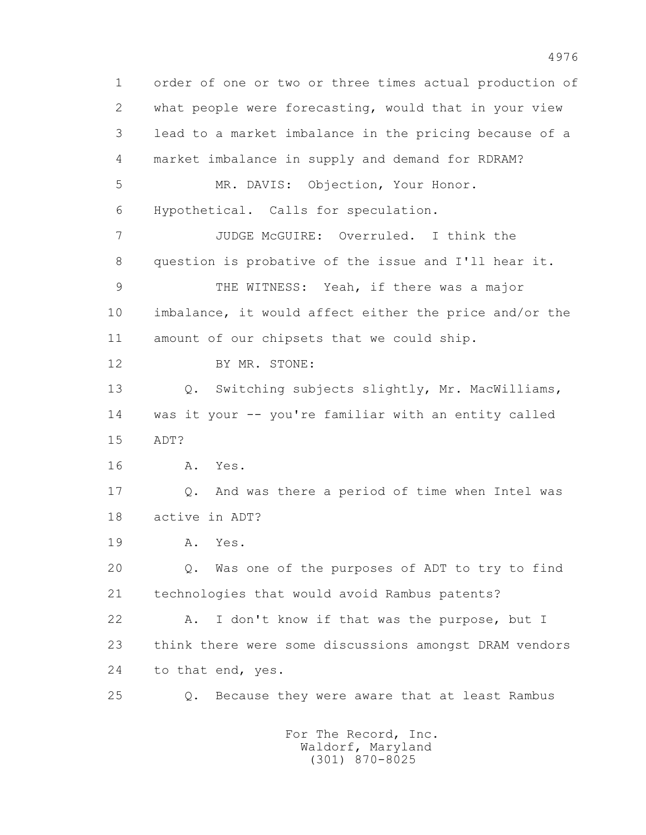1 order of one or two or three times actual production of 2 what people were forecasting, would that in your view 3 lead to a market imbalance in the pricing because of a 4 market imbalance in supply and demand for RDRAM? 5 MR. DAVIS: Objection, Your Honor. 6 Hypothetical. Calls for speculation. 7 JUDGE McGUIRE: Overruled. I think the 8 question is probative of the issue and I'll hear it. 9 THE WITNESS: Yeah, if there was a major 10 imbalance, it would affect either the price and/or the 11 amount of our chipsets that we could ship. 12 BY MR. STONE: 13 O. Switching subjects slightly, Mr. MacWilliams, 14 was it your -- you're familiar with an entity called 15 ADT? 16 A. Yes. 17 Q. And was there a period of time when Intel was 18 active in ADT? 19 A. Yes. 20 Q. Was one of the purposes of ADT to try to find 21 technologies that would avoid Rambus patents? 22 A. I don't know if that was the purpose, but I 23 think there were some discussions amongst DRAM vendors 24 to that end, yes. 25 Q. Because they were aware that at least Rambus

4976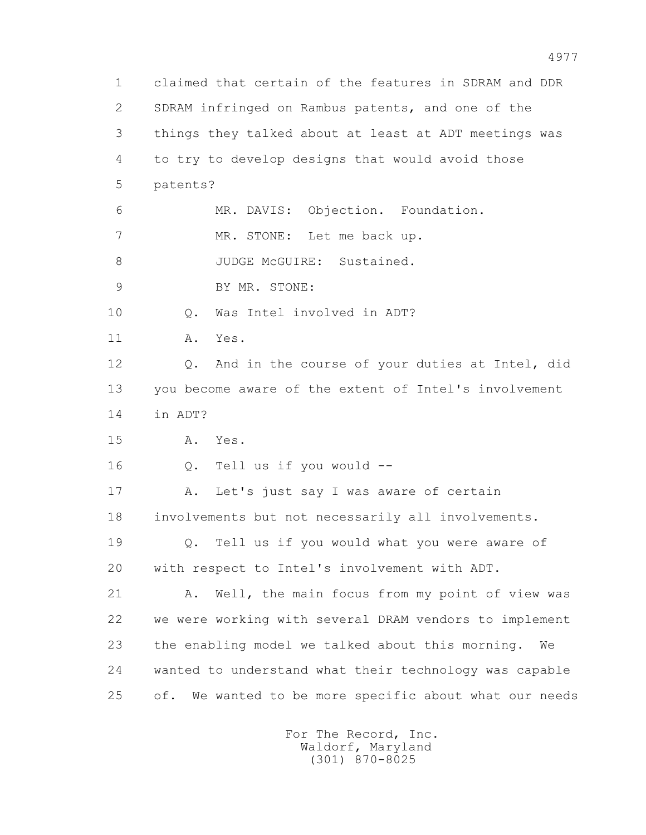1 claimed that certain of the features in SDRAM and DDR 2 SDRAM infringed on Rambus patents, and one of the 3 things they talked about at least at ADT meetings was 4 to try to develop designs that would avoid those 5 patents? 6 MR. DAVIS: Objection. Foundation. 7 MR. STONE: Let me back up. 8 JUDGE McGUIRE: Sustained. 9 BY MR. STONE: 10 Q. Was Intel involved in ADT? 11 A. Yes. 12 Q. And in the course of your duties at Intel, did 13 you become aware of the extent of Intel's involvement 14 in ADT? 15 A. Yes. 16 Q. Tell us if you would -- 17 A. Let's just say I was aware of certain 18 involvements but not necessarily all involvements. 19 Q. Tell us if you would what you were aware of 20 with respect to Intel's involvement with ADT. 21 A. Well, the main focus from my point of view was 22 we were working with several DRAM vendors to implement 23 the enabling model we talked about this morning. We 24 wanted to understand what their technology was capable 25 of. We wanted to be more specific about what our needs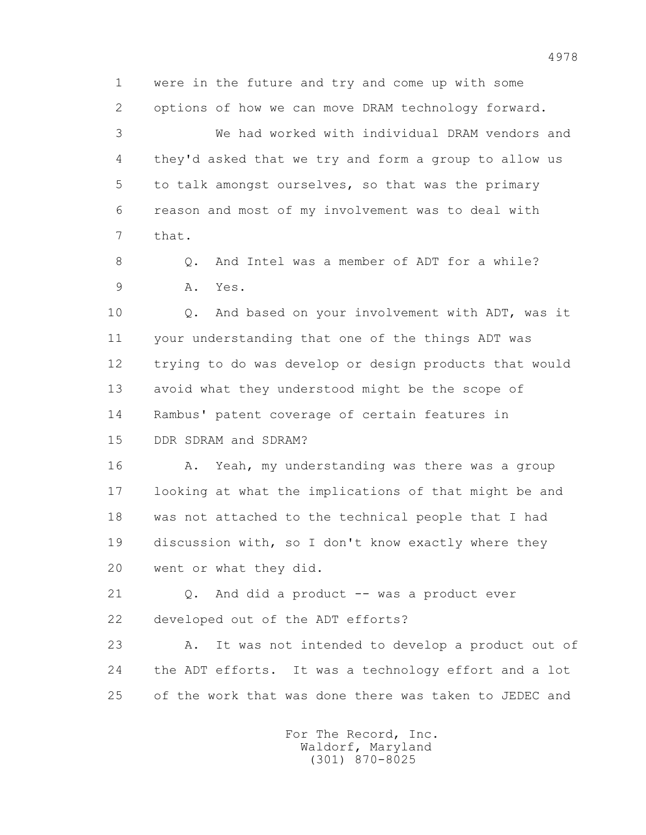1 were in the future and try and come up with some 2 options of how we can move DRAM technology forward. 3 We had worked with individual DRAM vendors and 4 they'd asked that we try and form a group to allow us 5 to talk amongst ourselves, so that was the primary 6 reason and most of my involvement was to deal with 7 that.

8 0. And Intel was a member of ADT for a while? 9 A. Yes.

 10 Q. And based on your involvement with ADT, was it 11 your understanding that one of the things ADT was 12 trying to do was develop or design products that would 13 avoid what they understood might be the scope of 14 Rambus' patent coverage of certain features in 15 DDR SDRAM and SDRAM?

16 A. Yeah, my understanding was there was a group 17 looking at what the implications of that might be and 18 was not attached to the technical people that I had 19 discussion with, so I don't know exactly where they 20 went or what they did.

 21 Q. And did a product -- was a product ever 22 developed out of the ADT efforts?

 23 A. It was not intended to develop a product out of 24 the ADT efforts. It was a technology effort and a lot 25 of the work that was done there was taken to JEDEC and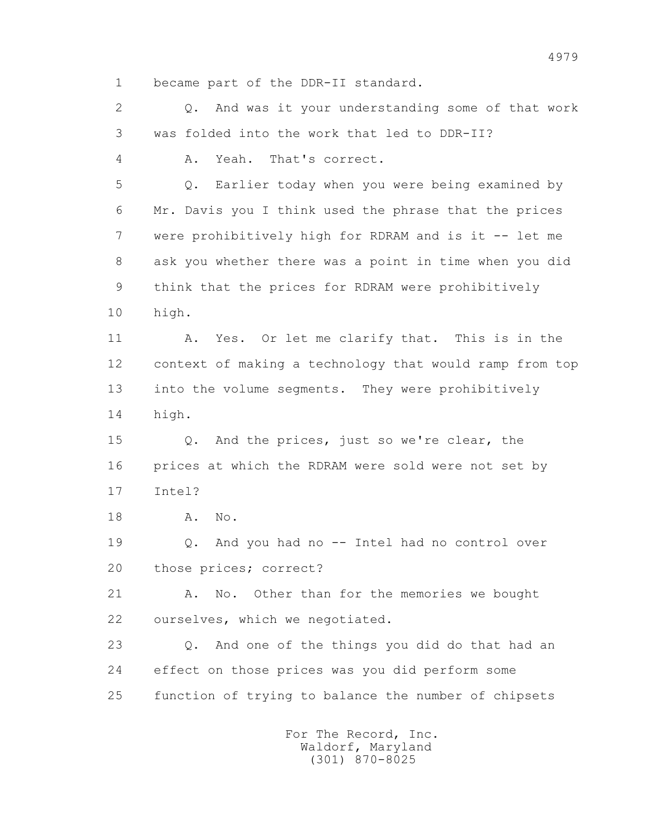1 became part of the DDR-II standard.

 2 Q. And was it your understanding some of that work 3 was folded into the work that led to DDR-II?

4 A. Yeah. That's correct.

 5 Q. Earlier today when you were being examined by 6 Mr. Davis you I think used the phrase that the prices 7 were prohibitively high for RDRAM and is it -- let me 8 ask you whether there was a point in time when you did 9 think that the prices for RDRAM were prohibitively 10 high.

 11 A. Yes. Or let me clarify that. This is in the 12 context of making a technology that would ramp from top 13 into the volume segments. They were prohibitively 14 high.

 15 Q. And the prices, just so we're clear, the 16 prices at which the RDRAM were sold were not set by 17 Intel?

18 **A.** No.

 19 Q. And you had no -- Intel had no control over 20 those prices; correct?

 21 A. No. Other than for the memories we bought 22 ourselves, which we negotiated.

 23 Q. And one of the things you did do that had an 24 effect on those prices was you did perform some 25 function of trying to balance the number of chipsets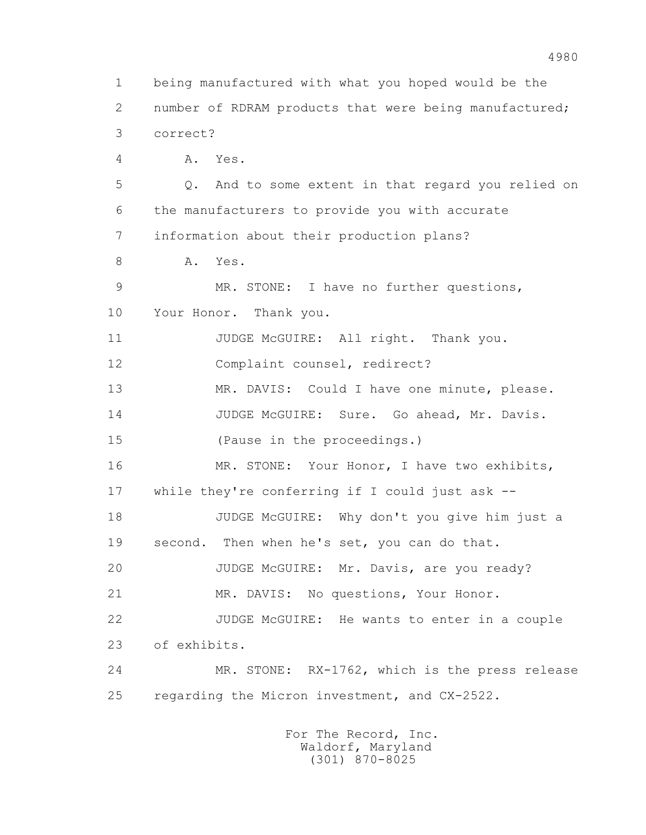1 being manufactured with what you hoped would be the 2 number of RDRAM products that were being manufactured; 3 correct? 4 A. Yes. 5 Q. And to some extent in that regard you relied on 6 the manufacturers to provide you with accurate 7 information about their production plans? 8 A. Yes. 9 MR. STONE: I have no further questions, 10 Your Honor. Thank you. 11 JUDGE McGUIRE: All right. Thank you. 12 Complaint counsel, redirect? 13 MR. DAVIS: Could I have one minute, please. 14 JUDGE McGUIRE: Sure. Go ahead, Mr. Davis. 15 (Pause in the proceedings.) 16 MR. STONE: Your Honor, I have two exhibits, 17 while they're conferring if I could just ask -- 18 JUDGE McGUIRE: Why don't you give him just a 19 second. Then when he's set, you can do that. 20 JUDGE McGUIRE: Mr. Davis, are you ready? 21 MR. DAVIS: No questions, Your Honor. 22 JUDGE McGUIRE: He wants to enter in a couple 23 of exhibits. 24 MR. STONE: RX-1762, which is the press release 25 regarding the Micron investment, and CX-2522. For The Record, Inc.

> Waldorf, Maryland (301) 870-8025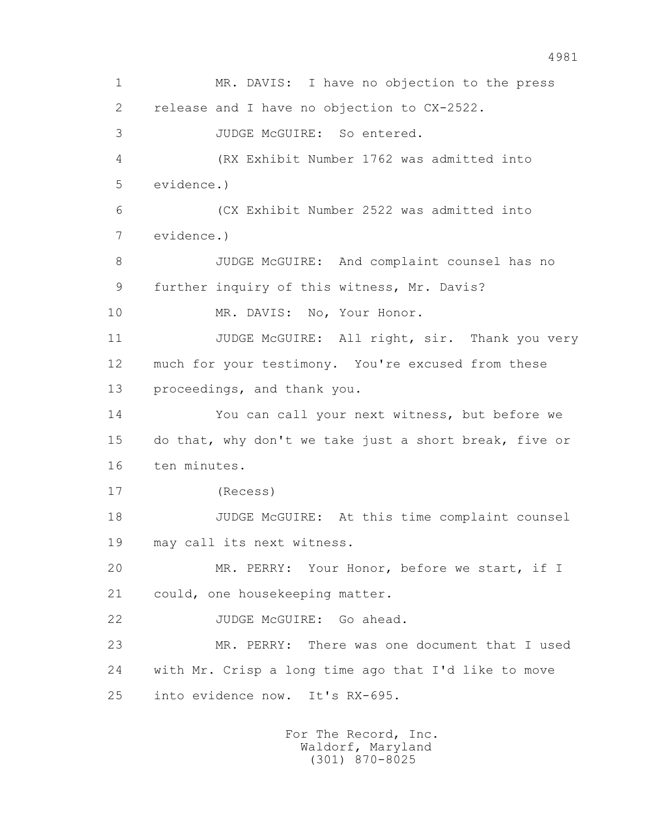1 MR. DAVIS: I have no objection to the press 2 release and I have no objection to CX-2522. 3 JUDGE McGUIRE: So entered. 4 (RX Exhibit Number 1762 was admitted into 5 evidence.) 6 (CX Exhibit Number 2522 was admitted into 7 evidence.) 8 JUDGE McGUIRE: And complaint counsel has no 9 further inquiry of this witness, Mr. Davis? 10 MR. DAVIS: No, Your Honor. 11 JUDGE McGUIRE: All right, sir. Thank you very 12 much for your testimony. You're excused from these 13 proceedings, and thank you. 14 You can call your next witness, but before we 15 do that, why don't we take just a short break, five or 16 ten minutes. 17 (Recess) 18 JUDGE McGUIRE: At this time complaint counsel 19 may call its next witness. 20 MR. PERRY: Your Honor, before we start, if I 21 could, one housekeeping matter. 22 JUDGE McGUIRE: Go ahead. 23 MR. PERRY: There was one document that I used 24 with Mr. Crisp a long time ago that I'd like to move 25 into evidence now. It's RX-695.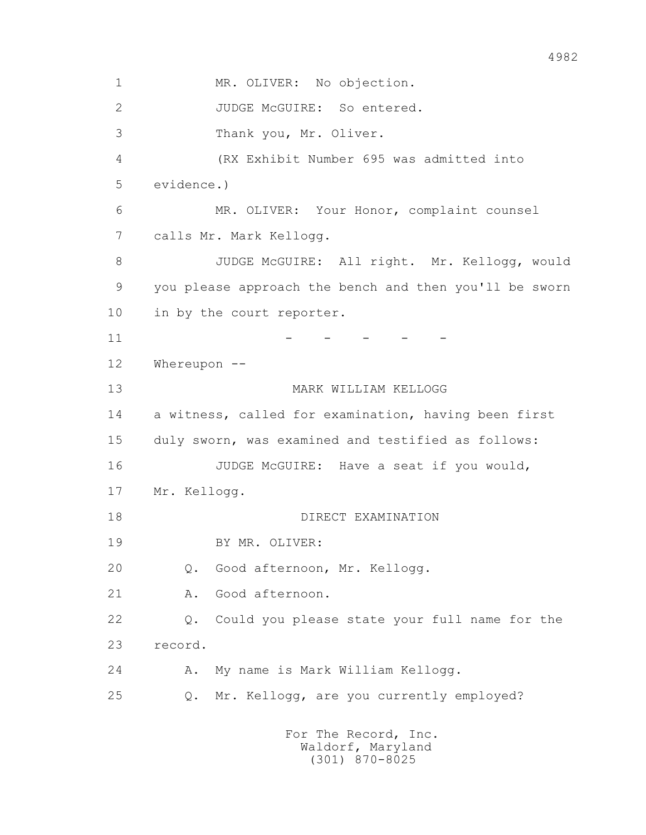1 MR. OLIVER: No objection. 2 JUDGE McGUIRE: So entered. 3 Thank you, Mr. Oliver. 4 (RX Exhibit Number 695 was admitted into 5 evidence.) 6 MR. OLIVER: Your Honor, complaint counsel 7 calls Mr. Mark Kellogg. 8 JUDGE McGUIRE: All right. Mr. Kellogg, would 9 you please approach the bench and then you'll be sworn 10 in by the court reporter.  $11$  -  $-$  -  $-$  -  $-$  -  $-$  12 Whereupon -- 13 MARK WILLIAM KELLOGG 14 a witness, called for examination, having been first 15 duly sworn, was examined and testified as follows: 16 JUDGE McGUIRE: Have a seat if you would, 17 Mr. Kellogg. 18 DIRECT EXAMINATION 19 BY MR. OLIVER: 20 Q. Good afternoon, Mr. Kellogg. 21 A. Good afternoon. 22 Q. Could you please state your full name for the 23 record. 24 A. My name is Mark William Kellogg. 25 Q. Mr. Kellogg, are you currently employed?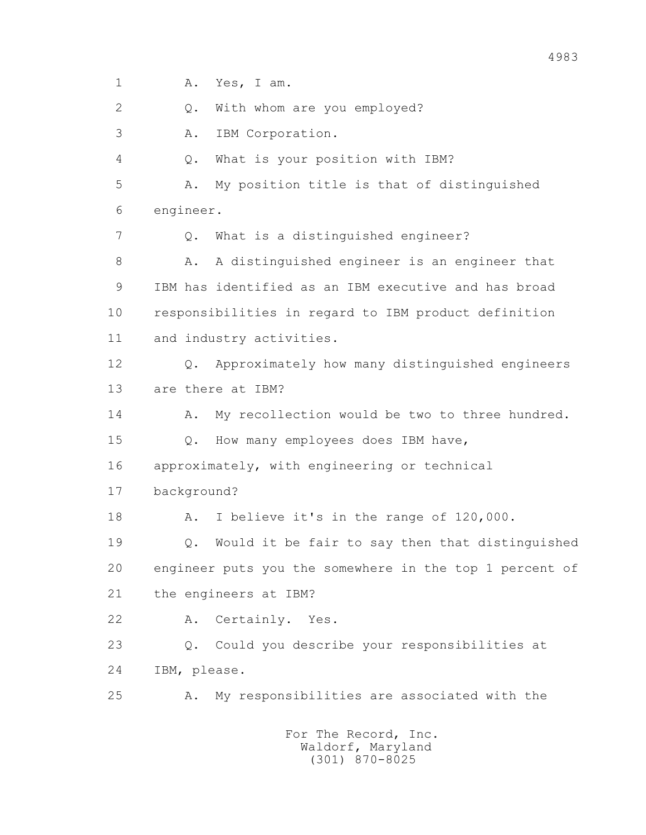1 A. Yes, I am. 2 0. With whom are you employed? 3 A. IBM Corporation. 4 Q. What is your position with IBM? 5 A. My position title is that of distinguished 6 engineer. 7 Q. What is a distinguished engineer? 8 A. A distinguished engineer is an engineer that 9 IBM has identified as an IBM executive and has broad 10 responsibilities in regard to IBM product definition 11 and industry activities. 12 Q. Approximately how many distinguished engineers 13 are there at IBM? 14 A. My recollection would be two to three hundred. 15 Q. How many employees does IBM have, 16 approximately, with engineering or technical 17 background? 18 A. I believe it's in the range of 120,000. 19 Q. Would it be fair to say then that distinguished 20 engineer puts you the somewhere in the top 1 percent of 21 the engineers at IBM? 22 A. Certainly. Yes. 23 Q. Could you describe your responsibilities at 24 IBM, please. 25 A. My responsibilities are associated with the For The Record, Inc. Waldorf, Maryland

4983

(301) 870-8025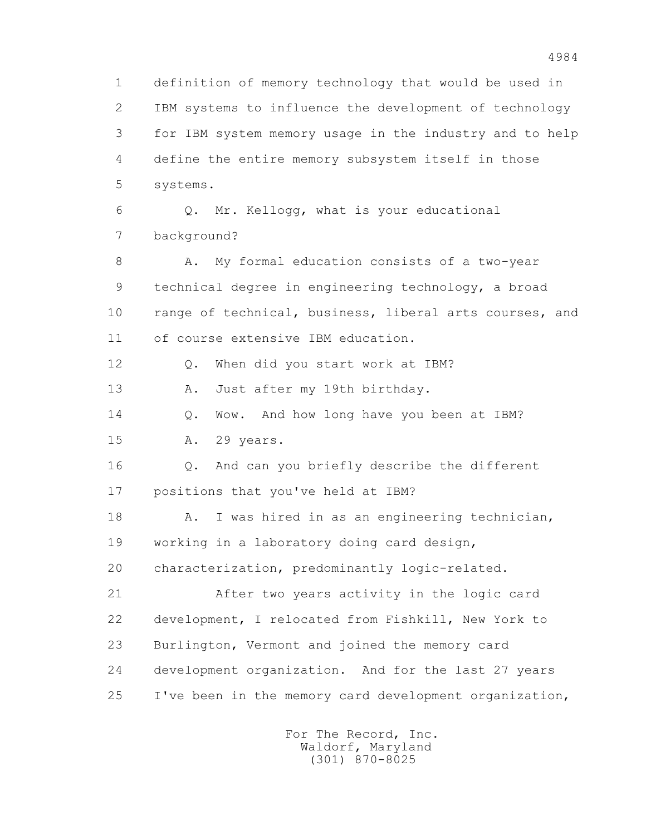1 definition of memory technology that would be used in 2 IBM systems to influence the development of technology 3 for IBM system memory usage in the industry and to help 4 define the entire memory subsystem itself in those 5 systems. 6 Q. Mr. Kellogg, what is your educational 7 background? 8 A. My formal education consists of a two-year 9 technical degree in engineering technology, a broad 10 range of technical, business, liberal arts courses, and 11 of course extensive IBM education. 12 Q. When did you start work at IBM? 13 A. Just after my 19th birthday. 14 O. Wow. And how long have you been at IBM? 15 A. 29 years. 16 Q. And can you briefly describe the different 17 positions that you've held at IBM? 18 A. I was hired in as an engineering technician, 19 working in a laboratory doing card design, 20 characterization, predominantly logic-related. 21 After two years activity in the logic card 22 development, I relocated from Fishkill, New York to 23 Burlington, Vermont and joined the memory card 24 development organization. And for the last 27 years 25 I've been in the memory card development organization,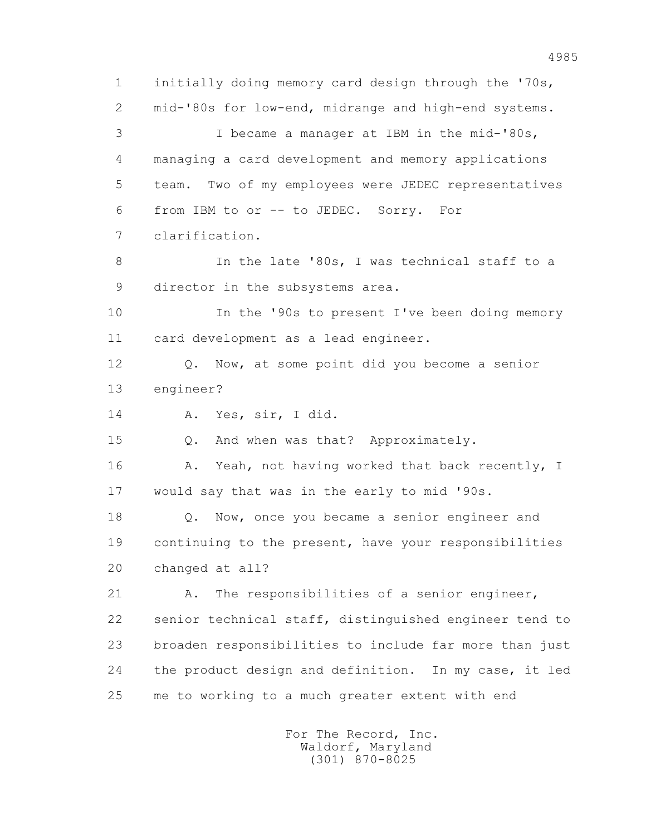1 initially doing memory card design through the '70s, 2 mid-'80s for low-end, midrange and high-end systems. 3 I became a manager at IBM in the mid-'80s, 4 managing a card development and memory applications 5 team. Two of my employees were JEDEC representatives 6 from IBM to or -- to JEDEC. Sorry. For 7 clarification. 8 In the late '80s, I was technical staff to a 9 director in the subsystems area. 10 In the '90s to present I've been doing memory 11 card development as a lead engineer. 12 Q. Now, at some point did you become a senior 13 engineer? 14 A. Yes, sir, I did. 15 Q. And when was that? Approximately. 16 A. Yeah, not having worked that back recently, I 17 would say that was in the early to mid '90s. 18 Q. Now, once you became a senior engineer and 19 continuing to the present, have your responsibilities 20 changed at all? 21 A. The responsibilities of a senior engineer, 22 senior technical staff, distinguished engineer tend to 23 broaden responsibilities to include far more than just 24 the product design and definition. In my case, it led 25 me to working to a much greater extent with end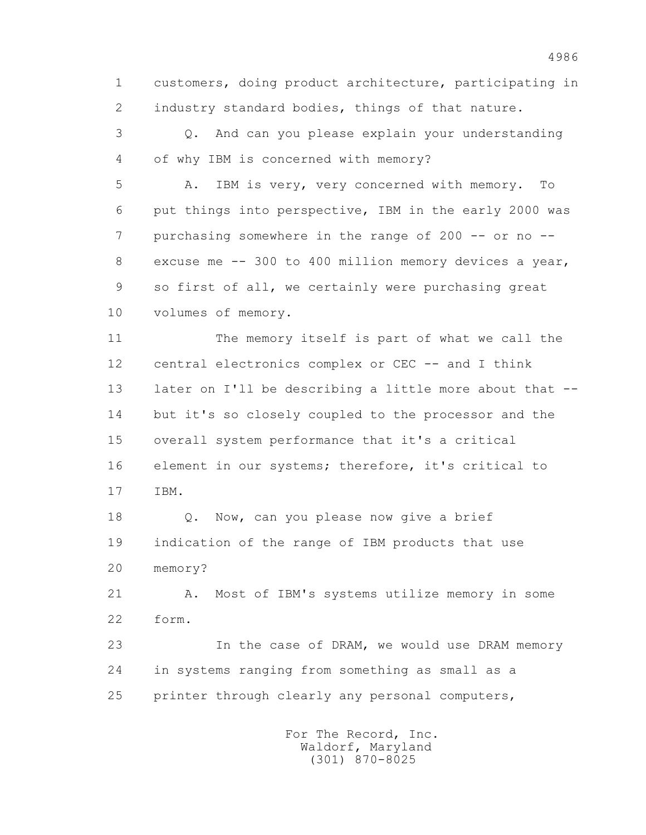1 customers, doing product architecture, participating in 2 industry standard bodies, things of that nature.

 3 Q. And can you please explain your understanding 4 of why IBM is concerned with memory?

 5 A. IBM is very, very concerned with memory. To 6 put things into perspective, IBM in the early 2000 was 7 purchasing somewhere in the range of 200 -- or no -- 8 excuse me -- 300 to 400 million memory devices a year, 9 so first of all, we certainly were purchasing great 10 volumes of memory.

 11 The memory itself is part of what we call the 12 central electronics complex or CEC -- and I think 13 later on I'll be describing a little more about that -- 14 but it's so closely coupled to the processor and the 15 overall system performance that it's a critical 16 element in our systems; therefore, it's critical to 17 IBM.

 18 Q. Now, can you please now give a brief 19 indication of the range of IBM products that use 20 memory?

 21 A. Most of IBM's systems utilize memory in some 22 form.

 23 In the case of DRAM, we would use DRAM memory 24 in systems ranging from something as small as a 25 printer through clearly any personal computers,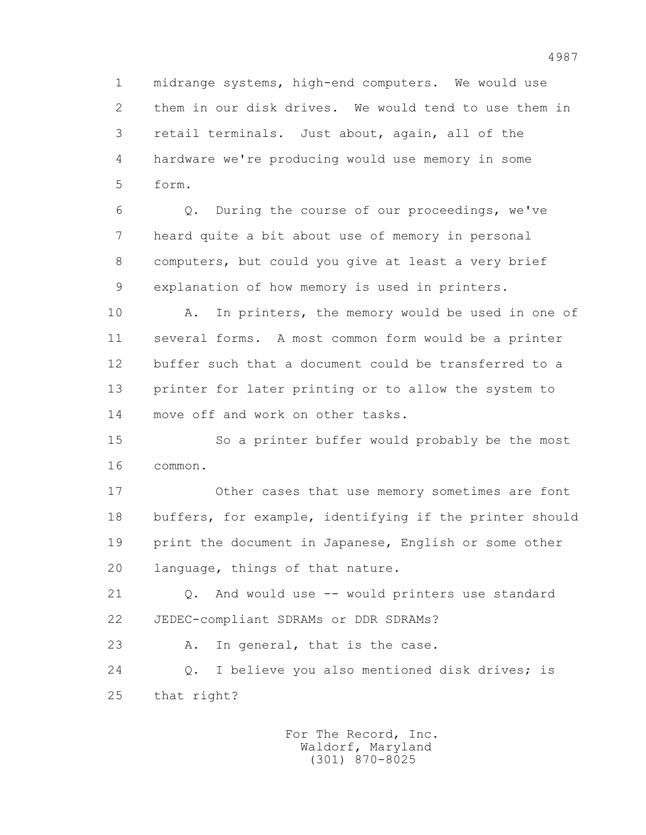1 midrange systems, high-end computers. We would use 2 them in our disk drives. We would tend to use them in 3 retail terminals. Just about, again, all of the 4 hardware we're producing would use memory in some 5 form.

 6 Q. During the course of our proceedings, we've 7 heard quite a bit about use of memory in personal 8 computers, but could you give at least a very brief 9 explanation of how memory is used in printers.

 10 A. In printers, the memory would be used in one of 11 several forms. A most common form would be a printer 12 buffer such that a document could be transferred to a 13 printer for later printing or to allow the system to 14 move off and work on other tasks.

 15 So a printer buffer would probably be the most 16 common.

 17 Other cases that use memory sometimes are font 18 buffers, for example, identifying if the printer should 19 print the document in Japanese, English or some other 20 language, things of that nature.

 21 Q. And would use -- would printers use standard 22 JEDEC-compliant SDRAMs or DDR SDRAMs?

23 A. In general, that is the case.

 24 Q. I believe you also mentioned disk drives; is 25 that right?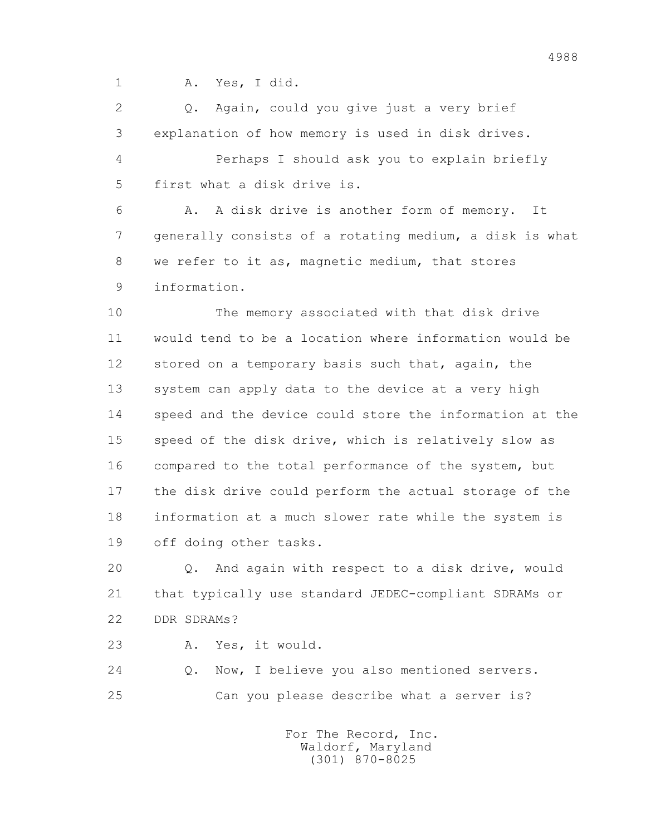1 A. Yes, I did.

 2 Q. Again, could you give just a very brief 3 explanation of how memory is used in disk drives. 4 Perhaps I should ask you to explain briefly 5 first what a disk drive is.

 6 A. A disk drive is another form of memory. It 7 generally consists of a rotating medium, a disk is what 8 we refer to it as, magnetic medium, that stores 9 information.

 10 The memory associated with that disk drive 11 would tend to be a location where information would be 12 stored on a temporary basis such that, again, the 13 system can apply data to the device at a very high 14 speed and the device could store the information at the 15 speed of the disk drive, which is relatively slow as 16 compared to the total performance of the system, but 17 the disk drive could perform the actual storage of the 18 information at a much slower rate while the system is 19 off doing other tasks.

 20 Q. And again with respect to a disk drive, would 21 that typically use standard JEDEC-compliant SDRAMs or 22 DDR SDRAMs?

23 A. Yes, it would.

 24 Q. Now, I believe you also mentioned servers. 25 Can you please describe what a server is?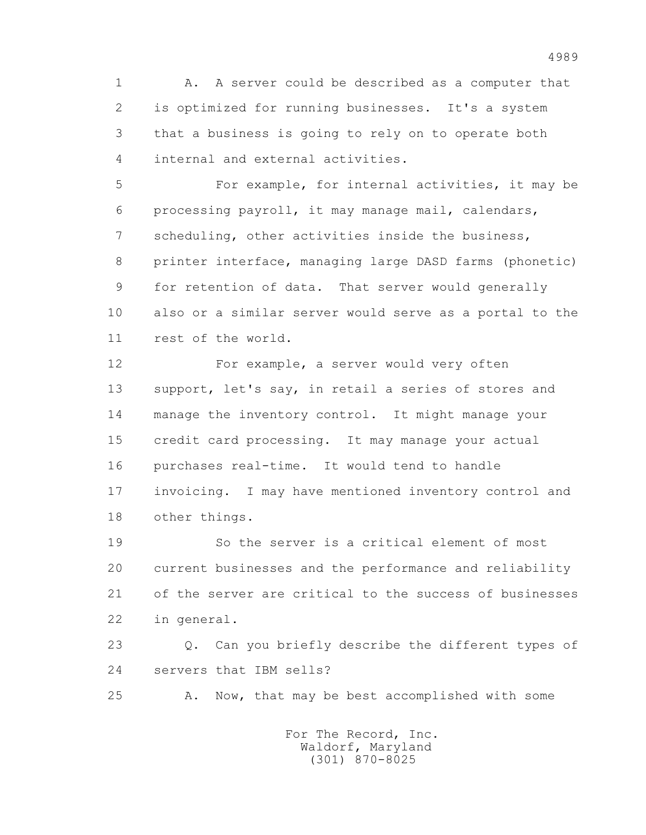1 A. A server could be described as a computer that 2 is optimized for running businesses. It's a system 3 that a business is going to rely on to operate both 4 internal and external activities.

 5 For example, for internal activities, it may be 6 processing payroll, it may manage mail, calendars, 7 scheduling, other activities inside the business, 8 printer interface, managing large DASD farms (phonetic) 9 for retention of data. That server would generally 10 also or a similar server would serve as a portal to the 11 rest of the world.

 12 For example, a server would very often 13 support, let's say, in retail a series of stores and 14 manage the inventory control. It might manage your 15 credit card processing. It may manage your actual 16 purchases real-time. It would tend to handle 17 invoicing. I may have mentioned inventory control and 18 other things.

 19 So the server is a critical element of most 20 current businesses and the performance and reliability 21 of the server are critical to the success of businesses 22 in general.

 23 Q. Can you briefly describe the different types of 24 servers that IBM sells?

25 A. Now, that may be best accomplished with some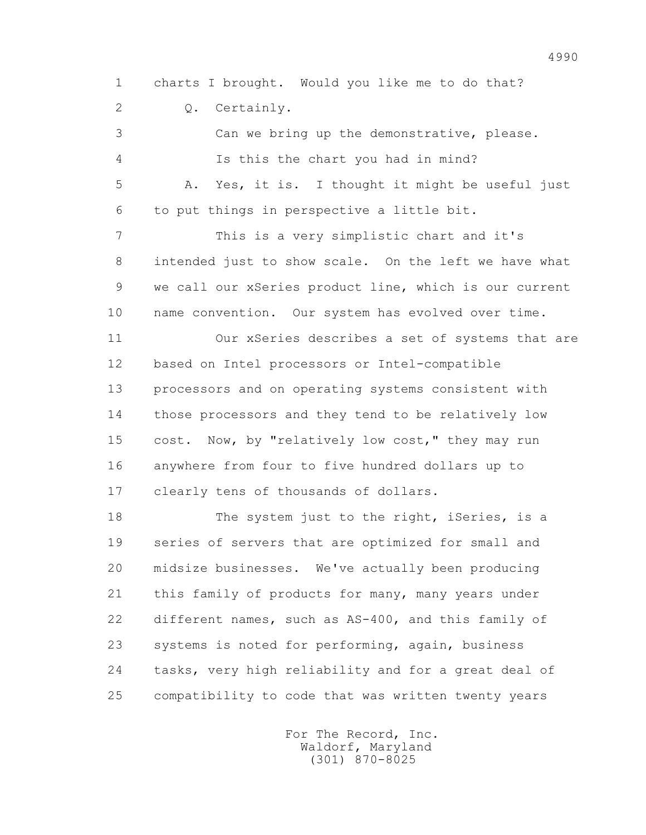1 charts I brought. Would you like me to do that? 2 Q. Certainly.

 3 Can we bring up the demonstrative, please. 4 Is this the chart you had in mind? 5 A. Yes, it is. I thought it might be useful just 6 to put things in perspective a little bit. 7 This is a very simplistic chart and it's 8 intended just to show scale. On the left we have what 9 we call our xSeries product line, which is our current 10 name convention. Our system has evolved over time. 11 Our xSeries describes a set of systems that are 12 based on Intel processors or Intel-compatible 13 processors and on operating systems consistent with 14 those processors and they tend to be relatively low 15 cost. Now, by "relatively low cost," they may run 16 anywhere from four to five hundred dollars up to 17 clearly tens of thousands of dollars.

18 The system just to the right, iSeries, is a 19 series of servers that are optimized for small and 20 midsize businesses. We've actually been producing 21 this family of products for many, many years under 22 different names, such as AS-400, and this family of 23 systems is noted for performing, again, business 24 tasks, very high reliability and for a great deal of 25 compatibility to code that was written twenty years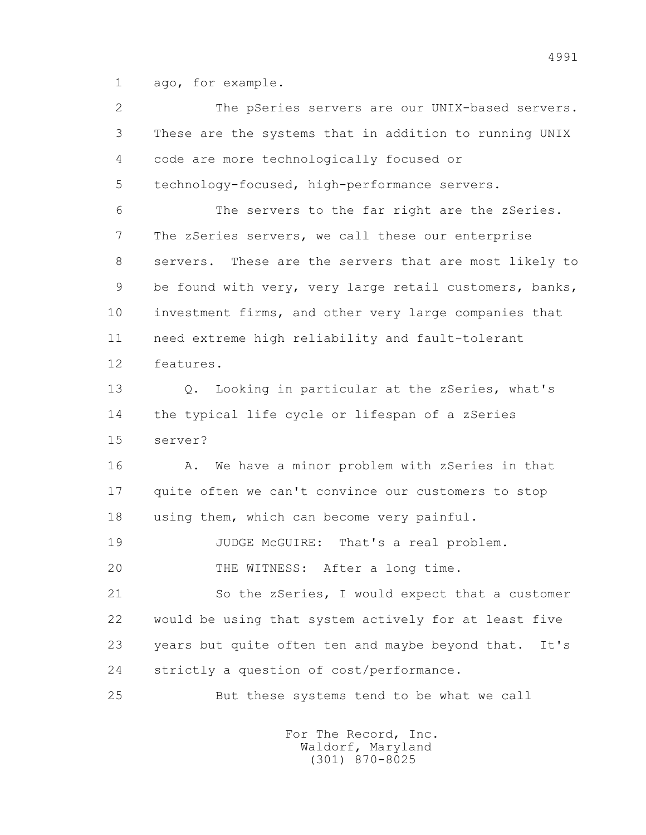1 ago, for example.

| $\mathbf{2}$ | The pSeries servers are our UNIX-based servers.           |
|--------------|-----------------------------------------------------------|
| 3            | These are the systems that in addition to running UNIX    |
| 4            | code are more technologically focused or                  |
| 5            | technology-focused, high-performance servers.             |
| 6            | The servers to the far right are the zSeries.             |
| 7            | The zSeries servers, we call these our enterprise         |
| 8            | These are the servers that are most likely to<br>servers. |
| 9            | be found with very, very large retail customers, banks,   |
| 10           | investment firms, and other very large companies that     |
| 11           | need extreme high reliability and fault-tolerant          |
| 12           | features.                                                 |
| 13           | Looking in particular at the zSeries, what's<br>Q.        |
| 14           | the typical life cycle or lifespan of a zSeries           |
| 15           | server?                                                   |
| 16           | We have a minor problem with zSeries in that<br>Α.        |
| 17           | quite often we can't convince our customers to stop       |
| 18           | using them, which can become very painful.                |
| 19           | JUDGE McGUIRE: That's a real problem.                     |
| 20           | THE WITNESS: After a long time.                           |
| 21           | So the zSeries, I would expect that a customer            |
| 22           | would be using that system actively for at least five     |
| 23           | years but quite often ten and maybe beyond that.<br>It's  |
| 24           | strictly a question of cost/performance.                  |
| 25           | But these systems tend to be what we call                 |
|              |                                                           |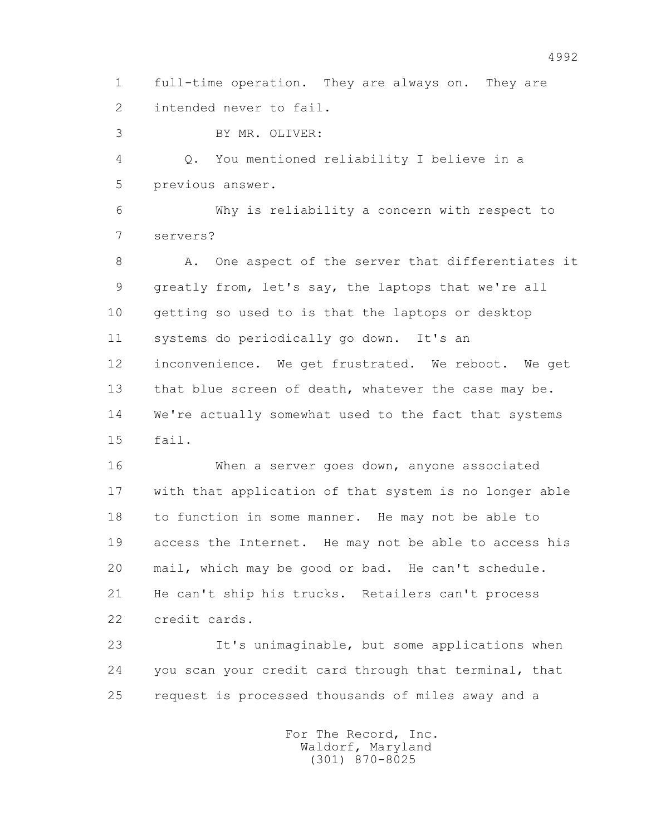1 full-time operation. They are always on. They are 2 intended never to fail.

3 BY MR. OLIVER:

 4 Q. You mentioned reliability I believe in a 5 previous answer.

 6 Why is reliability a concern with respect to 7 servers?

8 A. One aspect of the server that differentiates it 9 greatly from, let's say, the laptops that we're all 10 getting so used to is that the laptops or desktop 11 systems do periodically go down. It's an 12 inconvenience. We get frustrated. We reboot. We get 13 that blue screen of death, whatever the case may be. 14 We're actually somewhat used to the fact that systems 15 fail.

 16 When a server goes down, anyone associated 17 with that application of that system is no longer able 18 to function in some manner. He may not be able to 19 access the Internet. He may not be able to access his 20 mail, which may be good or bad. He can't schedule. 21 He can't ship his trucks. Retailers can't process 22 credit cards.

 23 It's unimaginable, but some applications when 24 you scan your credit card through that terminal, that 25 request is processed thousands of miles away and a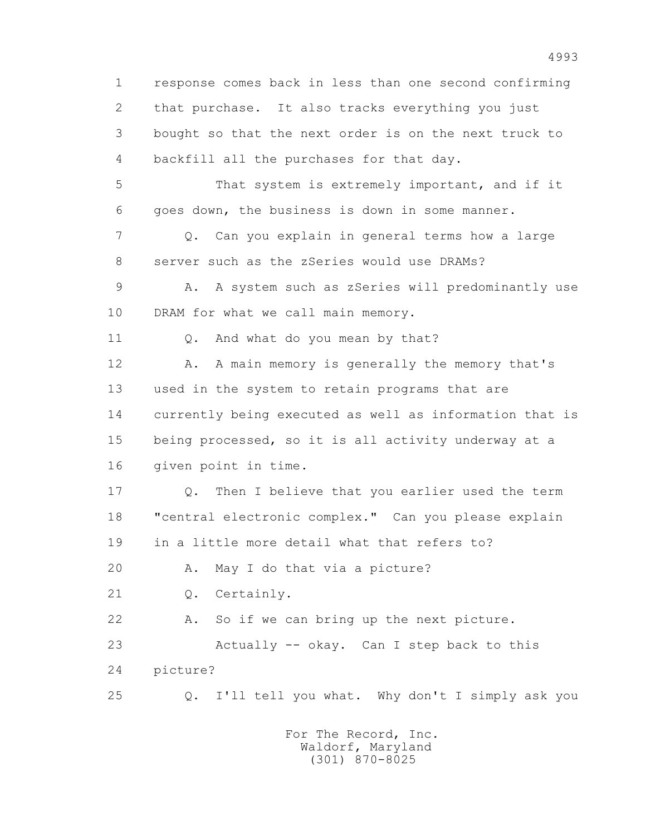1 response comes back in less than one second confirming 2 that purchase. It also tracks everything you just 3 bought so that the next order is on the next truck to 4 backfill all the purchases for that day. 5 That system is extremely important, and if it 6 goes down, the business is down in some manner. 7 Q. Can you explain in general terms how a large 8 server such as the zSeries would use DRAMs? 9 A. A system such as zSeries will predominantly use 10 DRAM for what we call main memory. 11 0. And what do you mean by that? 12 A. A main memory is generally the memory that's 13 used in the system to retain programs that are 14 currently being executed as well as information that is 15 being processed, so it is all activity underway at a 16 given point in time. 17 Q. Then I believe that you earlier used the term 18 "central electronic complex." Can you please explain 19 in a little more detail what that refers to? 20 A. May I do that via a picture? 21 Q. Certainly. 22 A. So if we can bring up the next picture. 23 Actually -- okay. Can I step back to this 24 picture? 25 Q. I'll tell you what. Why don't I simply ask you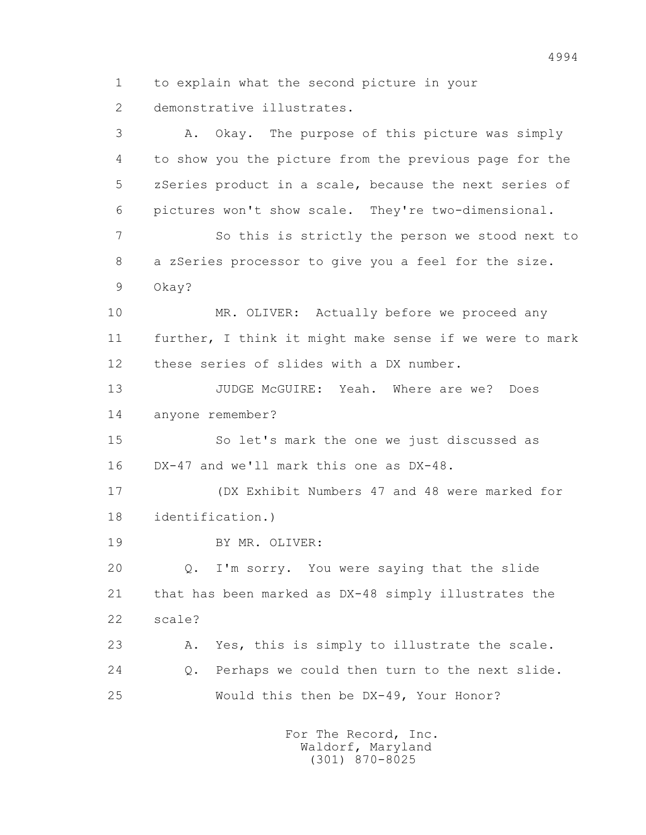1 to explain what the second picture in your 2 demonstrative illustrates.

 3 A. Okay. The purpose of this picture was simply 4 to show you the picture from the previous page for the 5 zSeries product in a scale, because the next series of 6 pictures won't show scale. They're two-dimensional. 7 So this is strictly the person we stood next to 8 a zSeries processor to give you a feel for the size. 9 Okay? 10 MR. OLIVER: Actually before we proceed any 11 further, I think it might make sense if we were to mark 12 these series of slides with a DX number. 13 JUDGE McGUIRE: Yeah. Where are we? Does 14 anyone remember? 15 So let's mark the one we just discussed as 16 DX-47 and we'll mark this one as DX-48. 17 (DX Exhibit Numbers 47 and 48 were marked for 18 identification.) 19 BY MR. OLIVER: 20 Q. I'm sorry. You were saying that the slide 21 that has been marked as DX-48 simply illustrates the 22 scale? 23 A. Yes, this is simply to illustrate the scale. 24 Q. Perhaps we could then turn to the next slide. 25 Would this then be DX-49, Your Honor?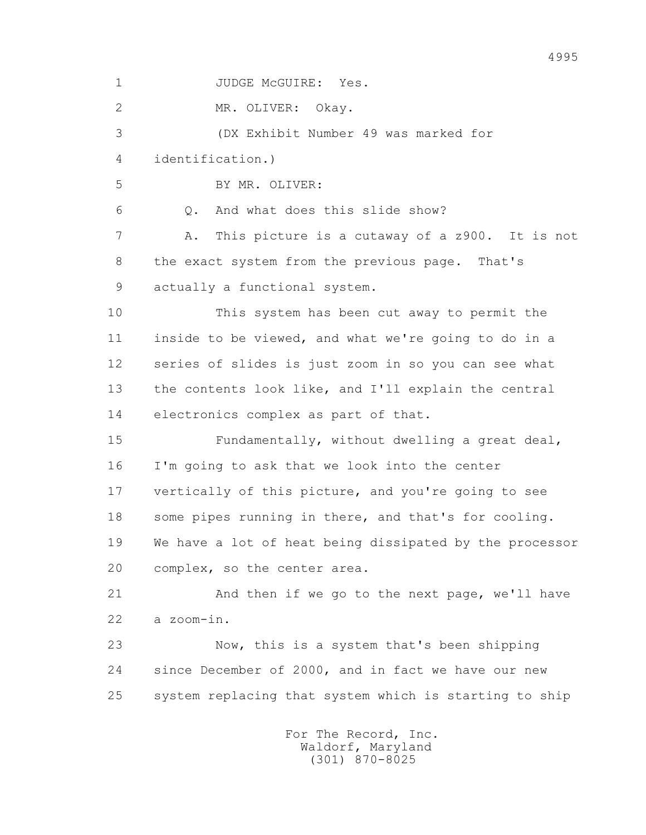1 JUDGE McGUIRE: Yes. 2 MR. OLIVER: Okay. 3 (DX Exhibit Number 49 was marked for 4 identification.) 5 BY MR. OLIVER: 6 Q. And what does this slide show? 7 A. This picture is a cutaway of a z900. It is not 8 the exact system from the previous page. That's 9 actually a functional system. 10 This system has been cut away to permit the 11 inside to be viewed, and what we're going to do in a 12 series of slides is just zoom in so you can see what 13 the contents look like, and I'll explain the central 14 electronics complex as part of that. 15 Fundamentally, without dwelling a great deal, 16 I'm going to ask that we look into the center 17 vertically of this picture, and you're going to see 18 some pipes running in there, and that's for cooling. 19 We have a lot of heat being dissipated by the processor 20 complex, so the center area. 21 And then if we go to the next page, we'll have 22 a zoom-in. 23 Now, this is a system that's been shipping 24 since December of 2000, and in fact we have our new 25 system replacing that system which is starting to ship For The Record, Inc.

 Waldorf, Maryland (301) 870-8025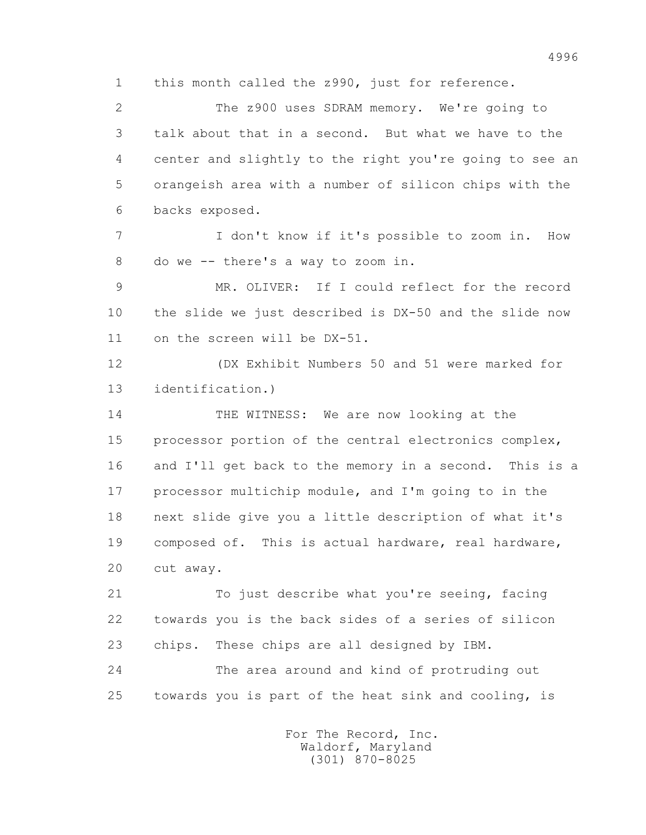1 this month called the z990, just for reference.

 2 The z900 uses SDRAM memory. We're going to 3 talk about that in a second. But what we have to the 4 center and slightly to the right you're going to see an 5 orangeish area with a number of silicon chips with the 6 backs exposed.

 7 I don't know if it's possible to zoom in. How 8 do we -- there's a way to zoom in.

 9 MR. OLIVER: If I could reflect for the record 10 the slide we just described is DX-50 and the slide now 11 on the screen will be DX-51.

 12 (DX Exhibit Numbers 50 and 51 were marked for 13 identification.)

 14 THE WITNESS: We are now looking at the 15 processor portion of the central electronics complex, 16 and I'll get back to the memory in a second. This is a 17 processor multichip module, and I'm going to in the 18 next slide give you a little description of what it's 19 composed of. This is actual hardware, real hardware, 20 cut away.

 21 To just describe what you're seeing, facing 22 towards you is the back sides of a series of silicon 23 chips. These chips are all designed by IBM. 24 The area around and kind of protruding out

25 towards you is part of the heat sink and cooling, is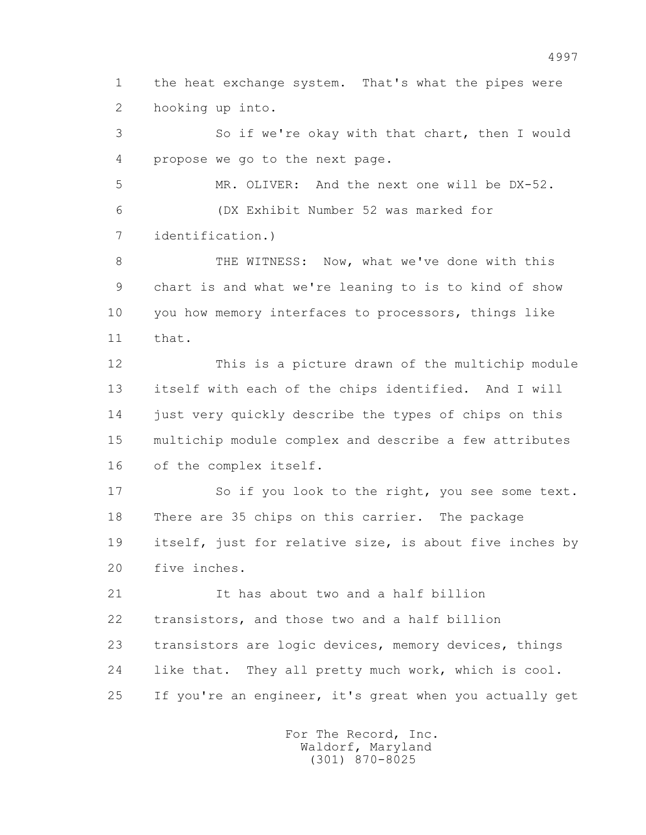1 the heat exchange system. That's what the pipes were 2 hooking up into.

 3 So if we're okay with that chart, then I would 4 propose we go to the next page.

 5 MR. OLIVER: And the next one will be DX-52. 6 (DX Exhibit Number 52 was marked for 7 identification.)

8 THE WITNESS: Now, what we've done with this 9 chart is and what we're leaning to is to kind of show 10 you how memory interfaces to processors, things like 11 that.

 12 This is a picture drawn of the multichip module 13 itself with each of the chips identified. And I will 14 just very quickly describe the types of chips on this 15 multichip module complex and describe a few attributes 16 of the complex itself.

17 So if you look to the right, you see some text. 18 There are 35 chips on this carrier. The package 19 itself, just for relative size, is about five inches by 20 five inches.

 21 It has about two and a half billion 22 transistors, and those two and a half billion 23 transistors are logic devices, memory devices, things 24 like that. They all pretty much work, which is cool. 25 If you're an engineer, it's great when you actually get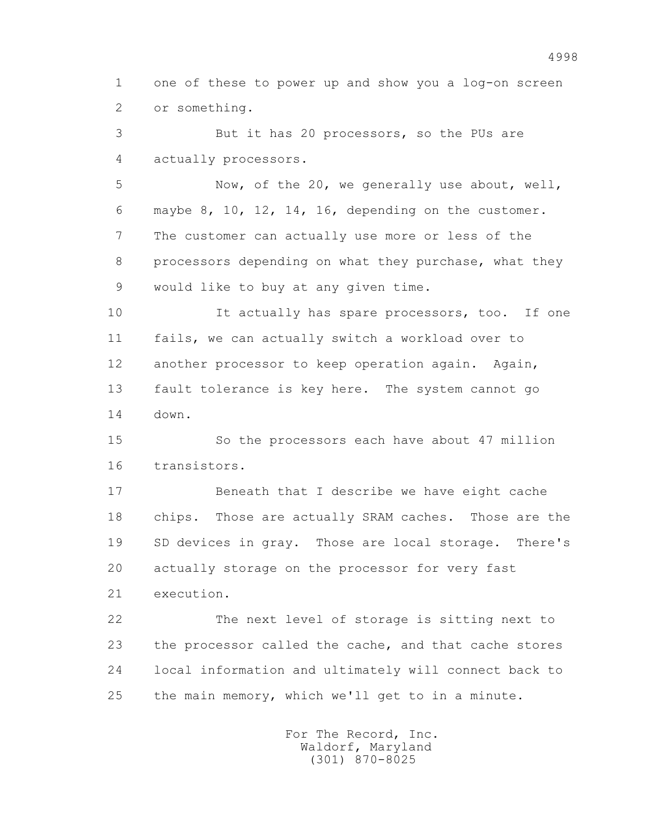1 one of these to power up and show you a log-on screen 2 or something.

 3 But it has 20 processors, so the PUs are 4 actually processors.

 5 Now, of the 20, we generally use about, well, 6 maybe 8, 10, 12, 14, 16, depending on the customer. 7 The customer can actually use more or less of the 8 processors depending on what they purchase, what they 9 would like to buy at any given time.

10 It actually has spare processors, too. If one 11 fails, we can actually switch a workload over to 12 another processor to keep operation again. Again, 13 fault tolerance is key here. The system cannot go 14 down.

 15 So the processors each have about 47 million 16 transistors.

 17 Beneath that I describe we have eight cache 18 chips. Those are actually SRAM caches. Those are the 19 SD devices in gray. Those are local storage. There's 20 actually storage on the processor for very fast 21 execution.

 22 The next level of storage is sitting next to 23 the processor called the cache, and that cache stores 24 local information and ultimately will connect back to 25 the main memory, which we'll get to in a minute.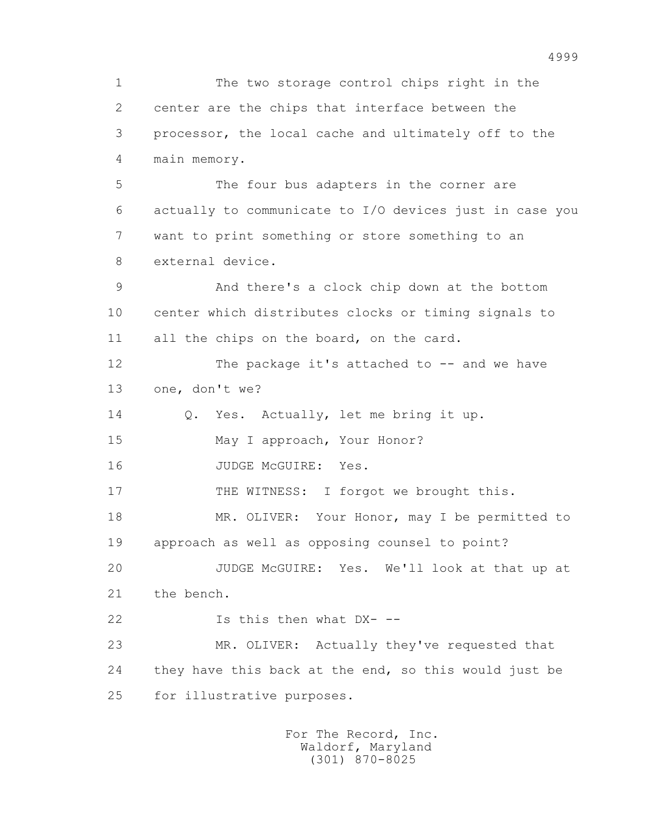1 The two storage control chips right in the 2 center are the chips that interface between the 3 processor, the local cache and ultimately off to the 4 main memory. 5 The four bus adapters in the corner are 6 actually to communicate to I/O devices just in case you 7 want to print something or store something to an 8 external device. 9 And there's a clock chip down at the bottom 10 center which distributes clocks or timing signals to 11 all the chips on the board, on the card. 12 The package it's attached to -- and we have 13 one, don't we? 14 Q. Yes. Actually, let me bring it up. 15 May I approach, Your Honor? 16 JUDGE McGUIRE: Yes. 17 THE WITNESS: I forgot we brought this. 18 MR. OLIVER: Your Honor, may I be permitted to 19 approach as well as opposing counsel to point? 20 JUDGE McGUIRE: Yes. We'll look at that up at 21 the bench. 22 Is this then what DX- -- 23 MR. OLIVER: Actually they've requested that 24 they have this back at the end, so this would just be 25 for illustrative purposes.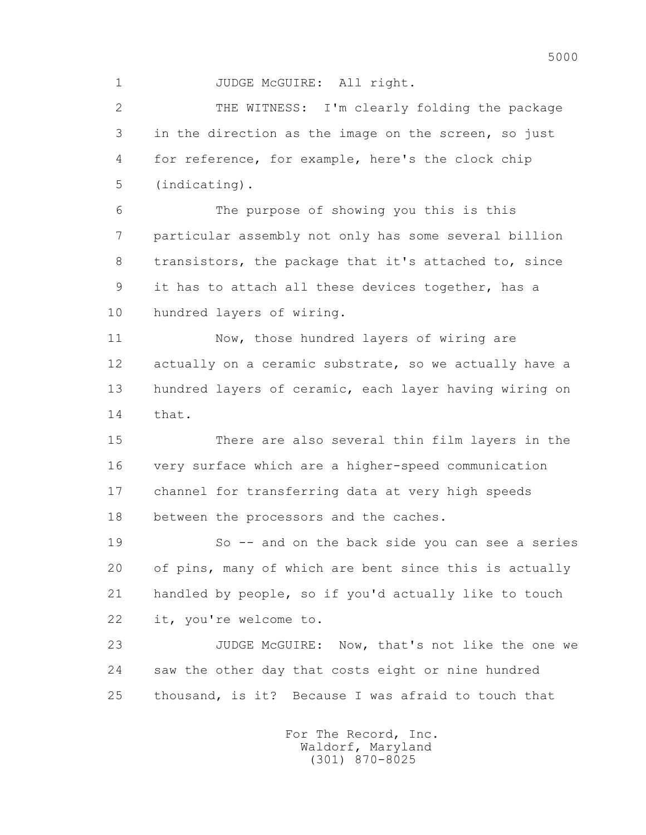1 JUDGE McGUIRE: All right.

 2 THE WITNESS: I'm clearly folding the package 3 in the direction as the image on the screen, so just 4 for reference, for example, here's the clock chip 5 (indicating).

 6 The purpose of showing you this is this 7 particular assembly not only has some several billion 8 transistors, the package that it's attached to, since 9 it has to attach all these devices together, has a 10 hundred layers of wiring.

 11 Now, those hundred layers of wiring are 12 actually on a ceramic substrate, so we actually have a 13 hundred layers of ceramic, each layer having wiring on 14 that.

 15 There are also several thin film layers in the 16 very surface which are a higher-speed communication 17 channel for transferring data at very high speeds 18 between the processors and the caches.

 19 So -- and on the back side you can see a series 20 of pins, many of which are bent since this is actually 21 handled by people, so if you'd actually like to touch 22 it, you're welcome to.

 23 JUDGE McGUIRE: Now, that's not like the one we 24 saw the other day that costs eight or nine hundred 25 thousand, is it? Because I was afraid to touch that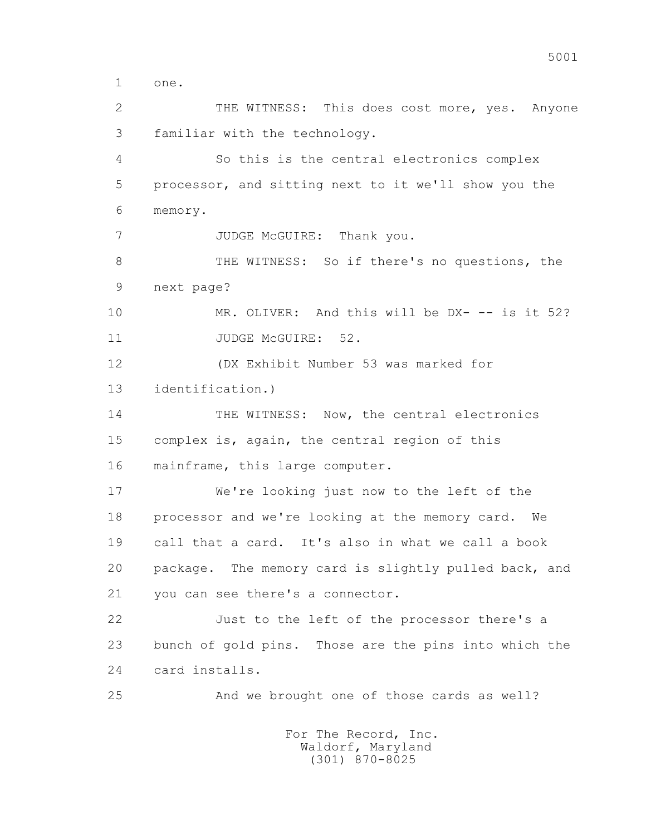1 one.

 2 THE WITNESS: This does cost more, yes. Anyone 3 familiar with the technology.

 4 So this is the central electronics complex 5 processor, and sitting next to it we'll show you the 6 memory.

7 JUDGE McGUIRE: Thank you.

8 THE WITNESS: So if there's no questions, the 9 next page?

 10 MR. OLIVER: And this will be DX- -- is it 52? 11 JUDGE McGUIRE: 52.

 12 (DX Exhibit Number 53 was marked for 13 identification.)

14 THE WITNESS: Now, the central electronics 15 complex is, again, the central region of this 16 mainframe, this large computer.

 17 We're looking just now to the left of the 18 processor and we're looking at the memory card. We 19 call that a card. It's also in what we call a book 20 package. The memory card is slightly pulled back, and 21 you can see there's a connector.

 22 Just to the left of the processor there's a 23 bunch of gold pins. Those are the pins into which the 24 card installs.

25 And we brought one of those cards as well?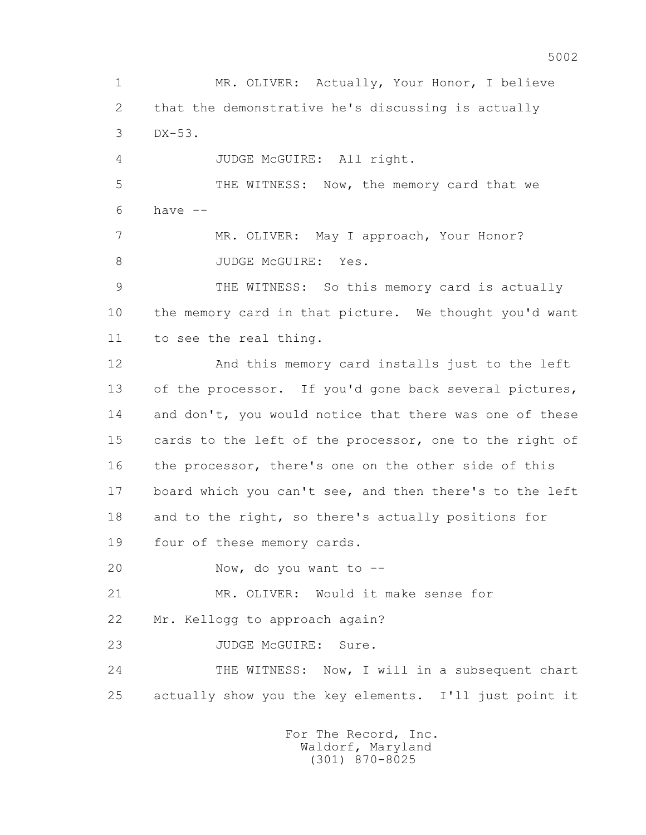1 MR. OLIVER: Actually, Your Honor, I believe 2 that the demonstrative he's discussing is actually 3 DX-53. 4 JUDGE McGUIRE: All right. 5 THE WITNESS: Now, the memory card that we  $6$  have  $-$  7 MR. OLIVER: May I approach, Your Honor? 8 JUDGE McGUIRE: Yes. 9 THE WITNESS: So this memory card is actually 10 the memory card in that picture. We thought you'd want 11 to see the real thing. 12 And this memory card installs just to the left 13 of the processor. If you'd gone back several pictures, 14 and don't, you would notice that there was one of these 15 cards to the left of the processor, one to the right of 16 the processor, there's one on the other side of this 17 board which you can't see, and then there's to the left 18 and to the right, so there's actually positions for 19 four of these memory cards. 20 Now, do you want to -- 21 MR. OLIVER: Would it make sense for 22 Mr. Kellogg to approach again? 23 JUDGE McGUIRE: Sure. 24 THE WITNESS: Now, I will in a subsequent chart 25 actually show you the key elements. I'll just point it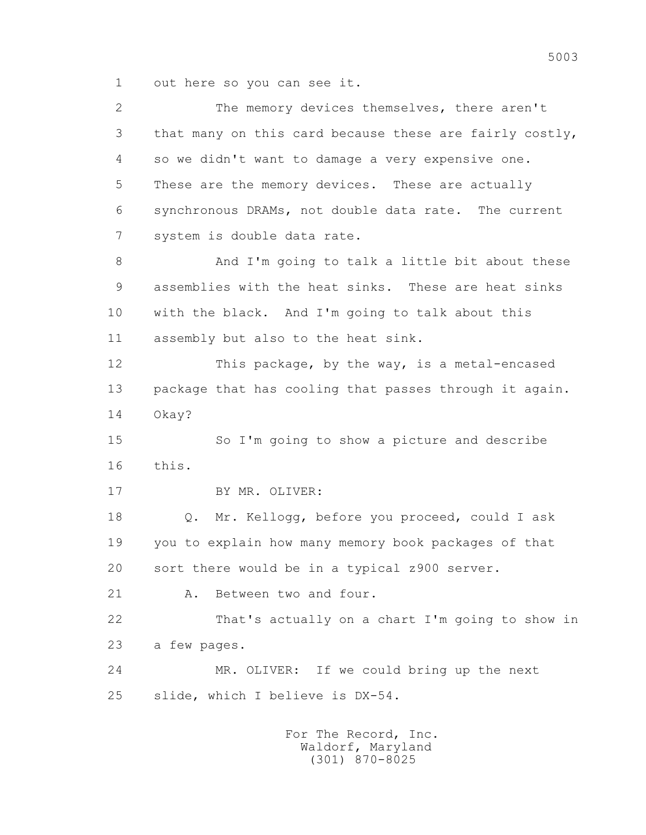1 out here so you can see it.

 2 The memory devices themselves, there aren't 3 that many on this card because these are fairly costly, 4 so we didn't want to damage a very expensive one. 5 These are the memory devices. These are actually 6 synchronous DRAMs, not double data rate. The current 7 system is double data rate. 8 And I'm going to talk a little bit about these 9 assemblies with the heat sinks. These are heat sinks 10 with the black. And I'm going to talk about this 11 assembly but also to the heat sink. 12 This package, by the way, is a metal-encased 13 package that has cooling that passes through it again. 14 Okay? 15 So I'm going to show a picture and describe 16 this. 17 BY MR. OLIVER: 18 Q. Mr. Kellogg, before you proceed, could I ask 19 you to explain how many memory book packages of that 20 sort there would be in a typical z900 server. 21 A. Between two and four. 22 That's actually on a chart I'm going to show in 23 a few pages. 24 MR. OLIVER: If we could bring up the next 25 slide, which I believe is DX-54.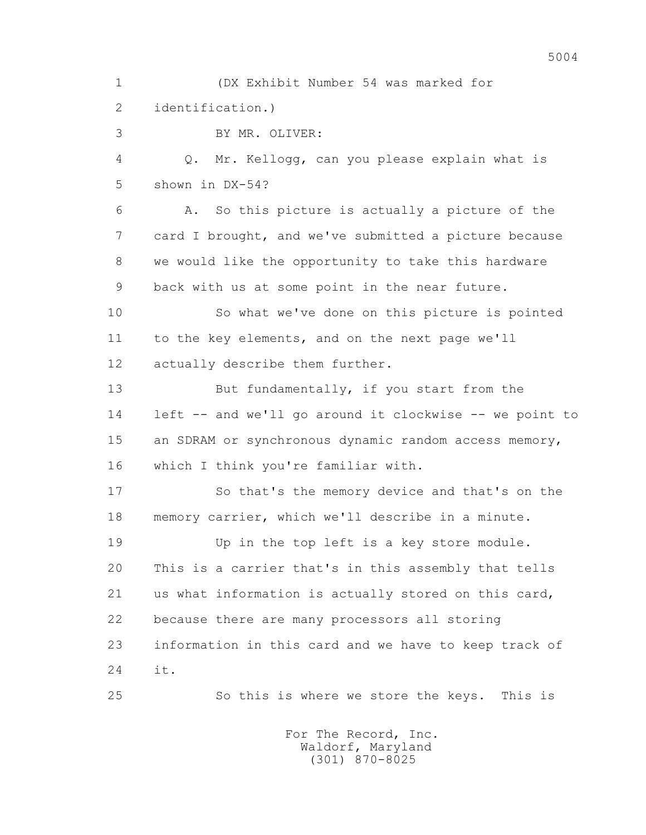1 (DX Exhibit Number 54 was marked for 2 identification.)

3 BY MR. OLIVER:

 4 Q. Mr. Kellogg, can you please explain what is 5 shown in DX-54?

 6 A. So this picture is actually a picture of the 7 card I brought, and we've submitted a picture because 8 we would like the opportunity to take this hardware 9 back with us at some point in the near future.

 10 So what we've done on this picture is pointed 11 to the key elements, and on the next page we'll 12 actually describe them further.

13 But fundamentally, if you start from the 14 left -- and we'll go around it clockwise -- we point to 15 an SDRAM or synchronous dynamic random access memory, 16 which I think you're familiar with.

 17 So that's the memory device and that's on the 18 memory carrier, which we'll describe in a minute.

 19 Up in the top left is a key store module. 20 This is a carrier that's in this assembly that tells 21 us what information is actually stored on this card, 22 because there are many processors all storing 23 information in this card and we have to keep track of 24 it.

25 So this is where we store the keys. This is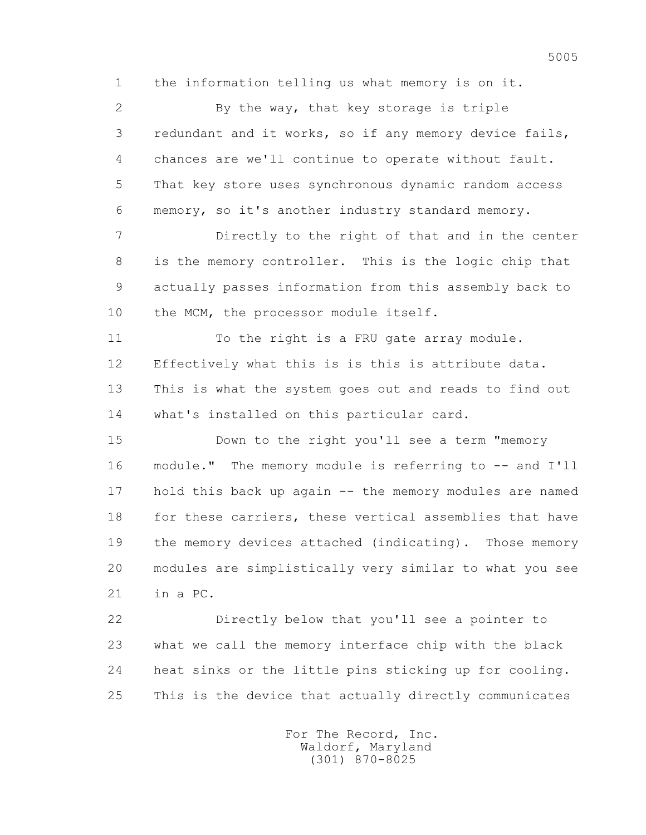1 the information telling us what memory is on it.

 2 By the way, that key storage is triple 3 redundant and it works, so if any memory device fails, 4 chances are we'll continue to operate without fault. 5 That key store uses synchronous dynamic random access 6 memory, so it's another industry standard memory.

 7 Directly to the right of that and in the center 8 is the memory controller. This is the logic chip that 9 actually passes information from this assembly back to 10 the MCM, the processor module itself.

11 To the right is a FRU gate array module. 12 Effectively what this is is this is attribute data. 13 This is what the system goes out and reads to find out 14 what's installed on this particular card.

 15 Down to the right you'll see a term "memory 16 module." The memory module is referring to -- and I'll 17 hold this back up again -- the memory modules are named 18 for these carriers, these vertical assemblies that have 19 the memory devices attached (indicating). Those memory 20 modules are simplistically very similar to what you see 21 in a PC.

 22 Directly below that you'll see a pointer to 23 what we call the memory interface chip with the black 24 heat sinks or the little pins sticking up for cooling. 25 This is the device that actually directly communicates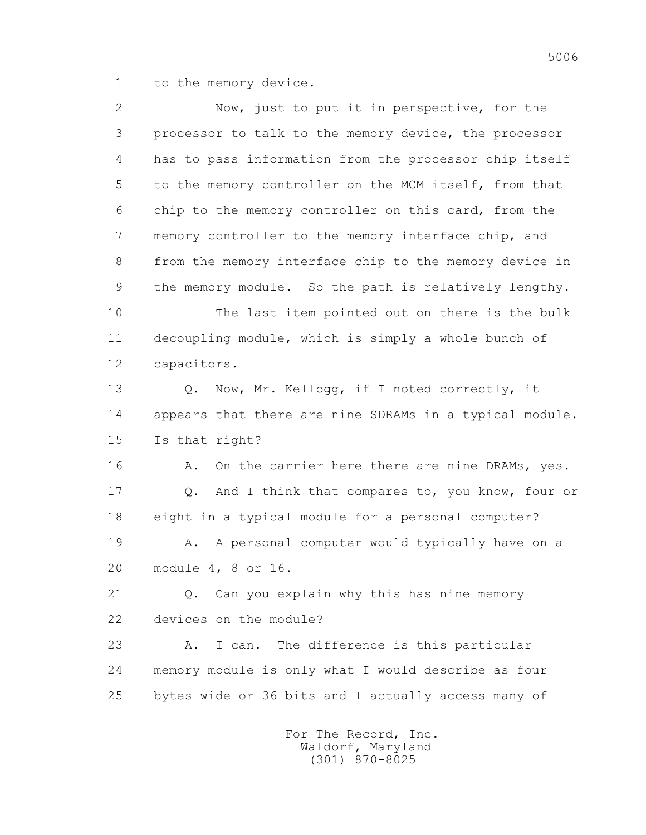1 to the memory device.

 2 Now, just to put it in perspective, for the 3 processor to talk to the memory device, the processor 4 has to pass information from the processor chip itself 5 to the memory controller on the MCM itself, from that 6 chip to the memory controller on this card, from the 7 memory controller to the memory interface chip, and 8 from the memory interface chip to the memory device in 9 the memory module. So the path is relatively lengthy. 10 The last item pointed out on there is the bulk 11 decoupling module, which is simply a whole bunch of 12 capacitors. 13 O. Now, Mr. Kellogg, if I noted correctly, it 14 appears that there are nine SDRAMs in a typical module. 15 Is that right? 16 A. On the carrier here there are nine DRAMs, yes. 17 Q. And I think that compares to, you know, four or 18 eight in a typical module for a personal computer? 19 A. A personal computer would typically have on a 20 module 4, 8 or 16. 21 Q. Can you explain why this has nine memory 22 devices on the module? 23 A. I can. The difference is this particular 24 memory module is only what I would describe as four 25 bytes wide or 36 bits and I actually access many of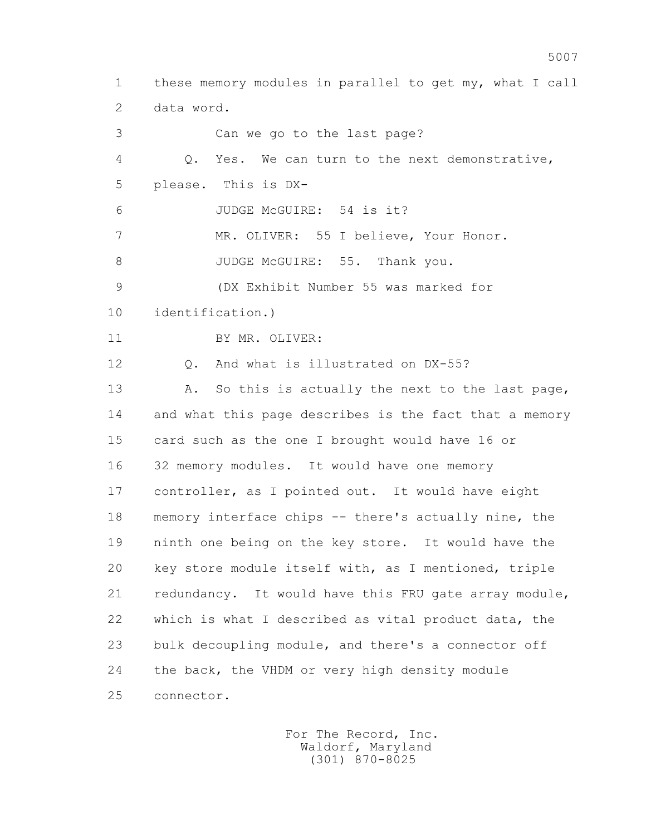1 these memory modules in parallel to get my, what I call 2 data word. 3 Can we go to the last page? 4 Q. Yes. We can turn to the next demonstrative, 5 please. This is DX- 6 JUDGE McGUIRE: 54 is it? 7 MR. OLIVER: 55 I believe, Your Honor. 8 JUDGE McGUIRE: 55. Thank you. 9 (DX Exhibit Number 55 was marked for 10 identification.) 11 BY MR. OLIVER: 12 0. And what is illustrated on DX-55? 13 A. So this is actually the next to the last page, 14 and what this page describes is the fact that a memory 15 card such as the one I brought would have 16 or 16 32 memory modules. It would have one memory 17 controller, as I pointed out. It would have eight 18 memory interface chips -- there's actually nine, the 19 ninth one being on the key store. It would have the 20 key store module itself with, as I mentioned, triple 21 redundancy. It would have this FRU gate array module, 22 which is what I described as vital product data, the 23 bulk decoupling module, and there's a connector off 24 the back, the VHDM or very high density module 25 connector.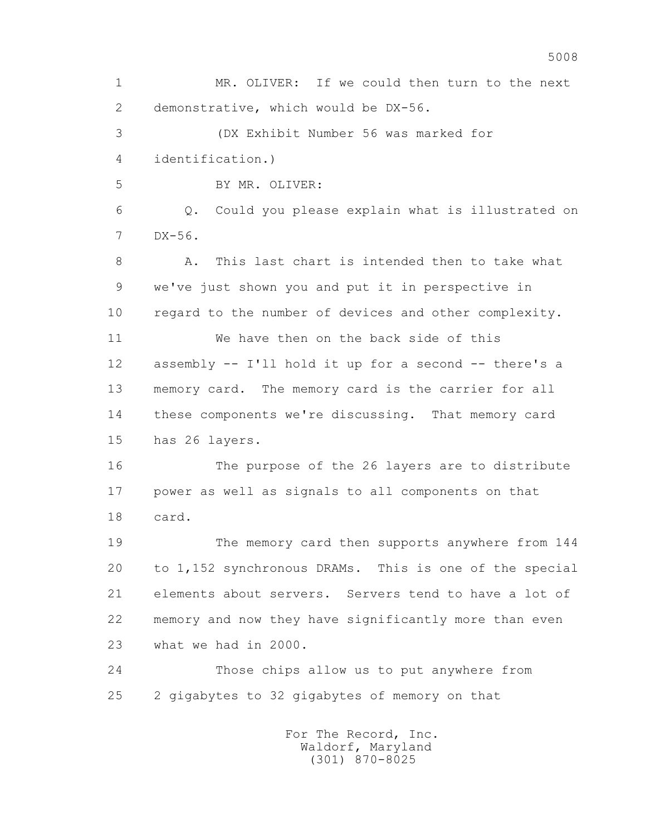1 MR. OLIVER: If we could then turn to the next 2 demonstrative, which would be DX-56. 3 (DX Exhibit Number 56 was marked for 4 identification.) 5 BY MR. OLIVER: 6 Q. Could you please explain what is illustrated on 7 DX-56. 8 A. This last chart is intended then to take what 9 we've just shown you and put it in perspective in 10 regard to the number of devices and other complexity. 11 We have then on the back side of this 12 assembly -- I'll hold it up for a second -- there's a 13 memory card. The memory card is the carrier for all 14 these components we're discussing. That memory card 15 has 26 layers. 16 The purpose of the 26 layers are to distribute 17 power as well as signals to all components on that 18 card. 19 The memory card then supports anywhere from 144 20 to 1,152 synchronous DRAMs. This is one of the special 21 elements about servers. Servers tend to have a lot of 22 memory and now they have significantly more than even 23 what we had in 2000. 24 Those chips allow us to put anywhere from 25 2 gigabytes to 32 gigabytes of memory on that For The Record, Inc.

 Waldorf, Maryland (301) 870-8025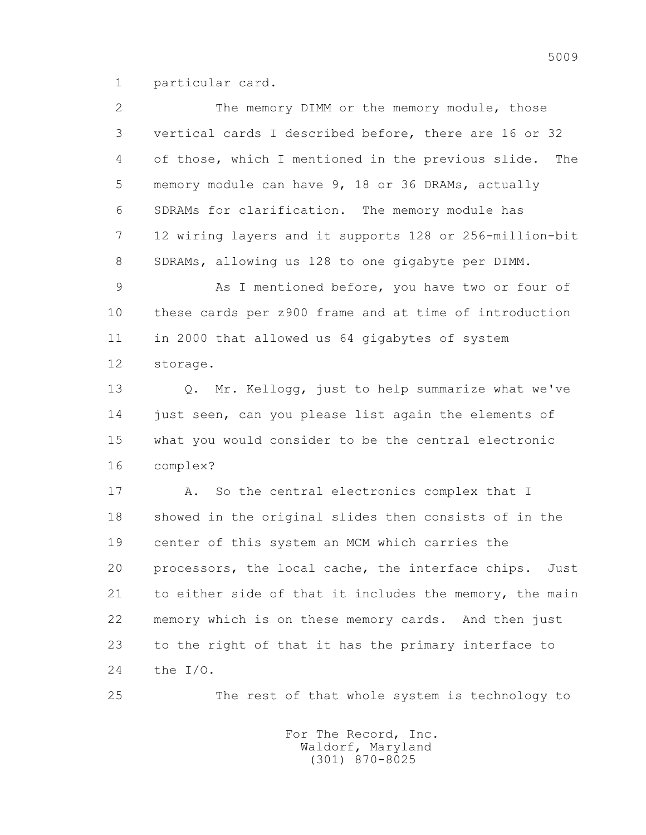1 particular card.

| 2  | The memory DIMM or the memory module, those                 |
|----|-------------------------------------------------------------|
| 3  | vertical cards I described before, there are 16 or 32       |
| 4  | of those, which I mentioned in the previous slide.<br>The   |
| 5  | memory module can have 9, 18 or 36 DRAMs, actually          |
| 6  | SDRAMs for clarification. The memory module has             |
| 7  | 12 wiring layers and it supports 128 or 256-million-bit     |
| 8  | SDRAMs, allowing us 128 to one gigabyte per DIMM.           |
| 9  | As I mentioned before, you have two or four of              |
| 10 | these cards per z900 frame and at time of introduction      |
| 11 | in 2000 that allowed us 64 gigabytes of system              |
| 12 | storage.                                                    |
| 13 | Mr. Kellogg, just to help summarize what we've<br>$\circ$ . |
| 14 | just seen, can you please list again the elements of        |
| 15 | what you would consider to be the central electronic        |
| 16 | complex?                                                    |
| 17 | A. So the central electronics complex that I                |
| 18 | showed in the original slides then consists of in the       |
| 19 | center of this system an MCM which carries the              |
| 20 | processors, the local cache, the interface chips.<br>Just   |
| 21 | to either side of that it includes the memory, the main     |
| 22 | memory which is on these memory cards. And then just        |
| 23 | to the right of that it has the primary interface to        |
| 24 | the I/O.                                                    |

25 The rest of that whole system is technology to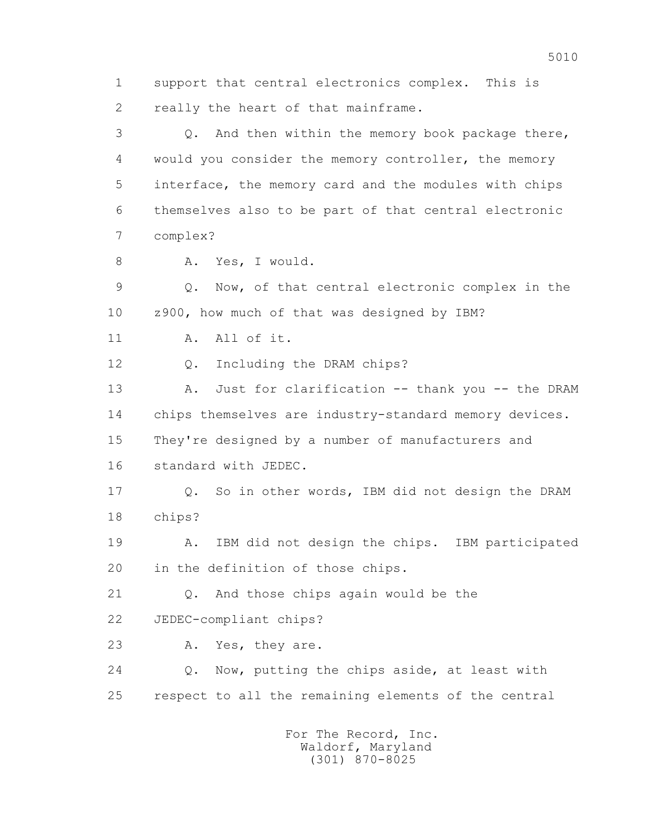1 support that central electronics complex. This is 2 really the heart of that mainframe.

 3 Q. And then within the memory book package there, 4 would you consider the memory controller, the memory 5 interface, the memory card and the modules with chips 6 themselves also to be part of that central electronic 7 complex?

8 A. Yes, I would.

 9 Q. Now, of that central electronic complex in the 10 z900, how much of that was designed by IBM?

11 A. All of it.

12 Q. Including the DRAM chips?

13 A. Just for clarification -- thank you -- the DRAM 14 chips themselves are industry-standard memory devices. 15 They're designed by a number of manufacturers and 16 standard with JEDEC.

 17 Q. So in other words, IBM did not design the DRAM 18 chips?

 19 A. IBM did not design the chips. IBM participated 20 in the definition of those chips.

 21 Q. And those chips again would be the 22 JEDEC-compliant chips?

23 A. Yes, they are.

 24 Q. Now, putting the chips aside, at least with 25 respect to all the remaining elements of the central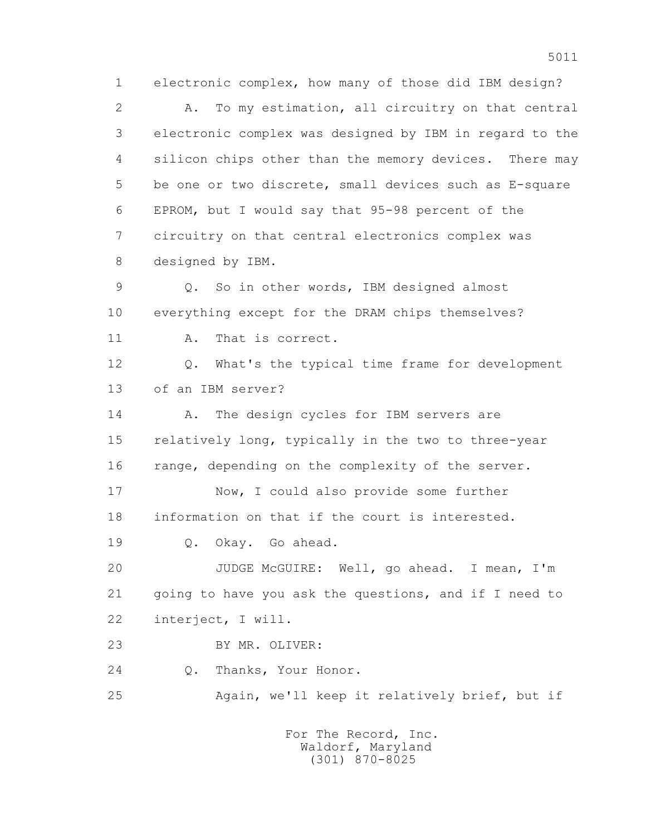1 electronic complex, how many of those did IBM design? 2 A. To my estimation, all circuitry on that central 3 electronic complex was designed by IBM in regard to the 4 silicon chips other than the memory devices. There may 5 be one or two discrete, small devices such as E-square 6 EPROM, but I would say that 95-98 percent of the 7 circuitry on that central electronics complex was 8 designed by IBM. 9 Q. So in other words, IBM designed almost 10 everything except for the DRAM chips themselves? 11 A. That is correct. 12 Q. What's the typical time frame for development 13 of an IBM server? 14 A. The design cycles for IBM servers are 15 relatively long, typically in the two to three-year 16 range, depending on the complexity of the server. 17 Now, I could also provide some further 18 information on that if the court is interested. 19 Q. Okay. Go ahead. 20 JUDGE McGUIRE: Well, go ahead. I mean, I'm 21 going to have you ask the questions, and if I need to 22 interject, I will. 23 BY MR. OLIVER: 24 Q. Thanks, Your Honor. 25 Again, we'll keep it relatively brief, but if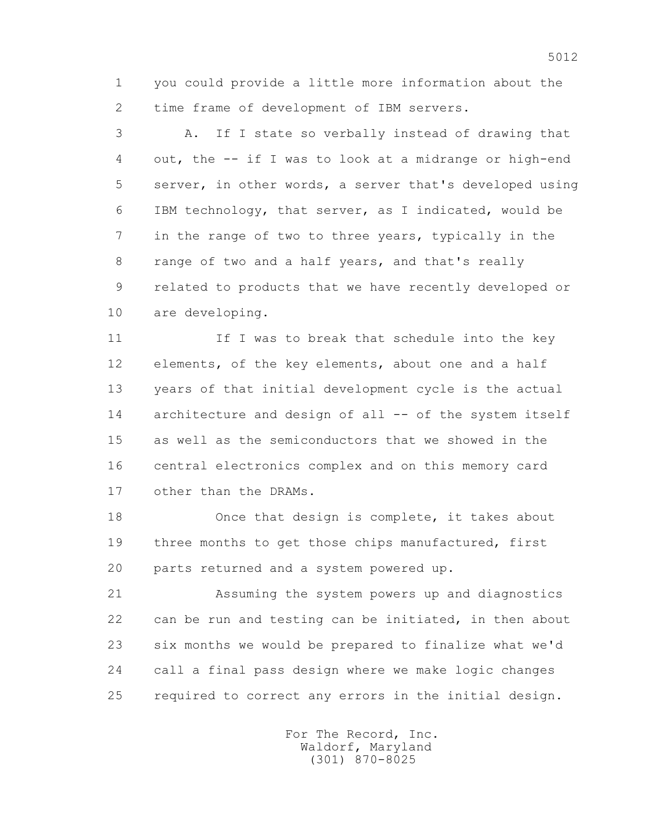1 you could provide a little more information about the 2 time frame of development of IBM servers.

 3 A. If I state so verbally instead of drawing that 4 out, the -- if I was to look at a midrange or high-end 5 server, in other words, a server that's developed using 6 IBM technology, that server, as I indicated, would be 7 in the range of two to three years, typically in the 8 range of two and a half years, and that's really 9 related to products that we have recently developed or 10 are developing.

11 If I was to break that schedule into the key 12 elements, of the key elements, about one and a half 13 years of that initial development cycle is the actual 14 architecture and design of all -- of the system itself 15 as well as the semiconductors that we showed in the 16 central electronics complex and on this memory card 17 other than the DRAMs.

 18 Once that design is complete, it takes about 19 three months to get those chips manufactured, first 20 parts returned and a system powered up.

 21 Assuming the system powers up and diagnostics 22 can be run and testing can be initiated, in then about 23 six months we would be prepared to finalize what we'd 24 call a final pass design where we make logic changes 25 required to correct any errors in the initial design.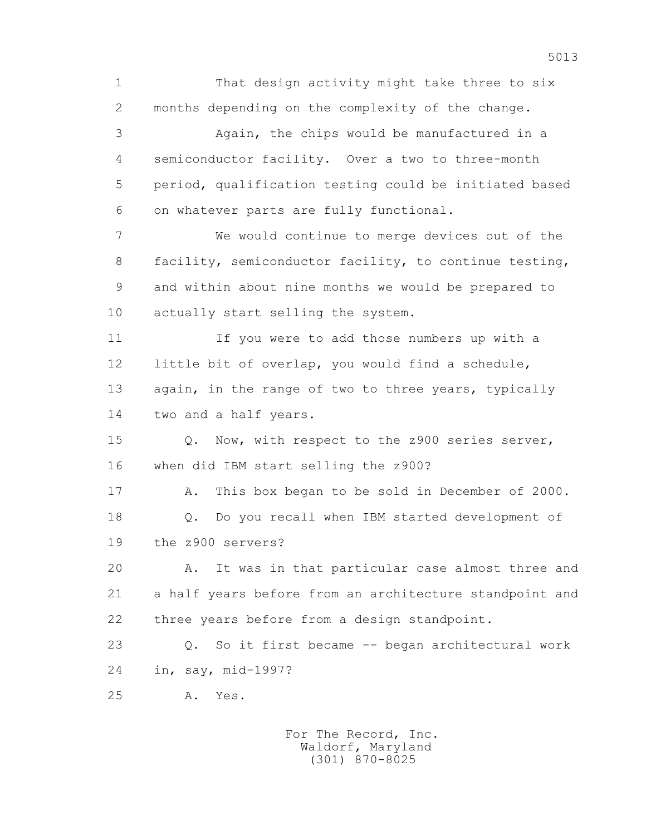1 That design activity might take three to six 2 months depending on the complexity of the change. 3 Again, the chips would be manufactured in a 4 semiconductor facility. Over a two to three-month 5 period, qualification testing could be initiated based 6 on whatever parts are fully functional. 7 We would continue to merge devices out of the 8 facility, semiconductor facility, to continue testing, 9 and within about nine months we would be prepared to 10 actually start selling the system. 11 If you were to add those numbers up with a 12 little bit of overlap, you would find a schedule, 13 again, in the range of two to three years, typically 14 two and a half years. 15 Q. Now, with respect to the z900 series server, 16 when did IBM start selling the z900? 17 A. This box began to be sold in December of 2000. 18 Q. Do you recall when IBM started development of 19 the z900 servers? 20 A. It was in that particular case almost three and 21 a half years before from an architecture standpoint and 22 three years before from a design standpoint. 23 Q. So it first became -- began architectural work 24 in, say, mid-1997? 25 A. Yes.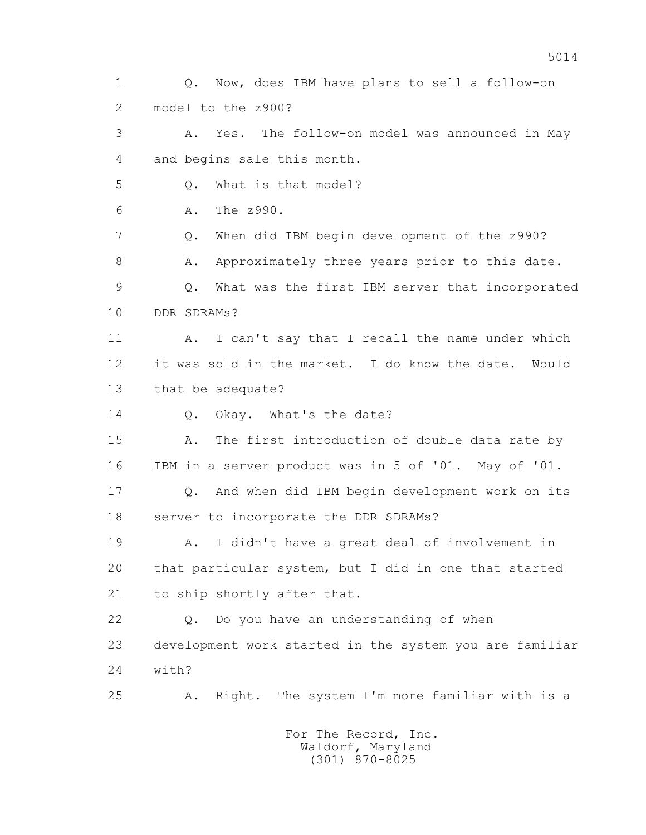1 Q. Now, does IBM have plans to sell a follow-on 2 model to the z900? 3 A. Yes. The follow-on model was announced in May 4 and begins sale this month. 5 Q. What is that model? 6 A. The z990. 7 Q. When did IBM begin development of the z990? 8 A. Approximately three years prior to this date. 9 Q. What was the first IBM server that incorporated 10 DDR SDRAMs? 11 A. I can't say that I recall the name under which 12 it was sold in the market. I do know the date. Would 13 that be adequate? 14 0. Okay. What's the date? 15 A. The first introduction of double data rate by 16 IBM in a server product was in 5 of '01. May of '01. 17 Q. And when did IBM begin development work on its 18 server to incorporate the DDR SDRAMs? 19 A. I didn't have a great deal of involvement in 20 that particular system, but I did in one that started 21 to ship shortly after that. 22 Q. Do you have an understanding of when 23 development work started in the system you are familiar 24 with? 25 A. Right. The system I'm more familiar with is a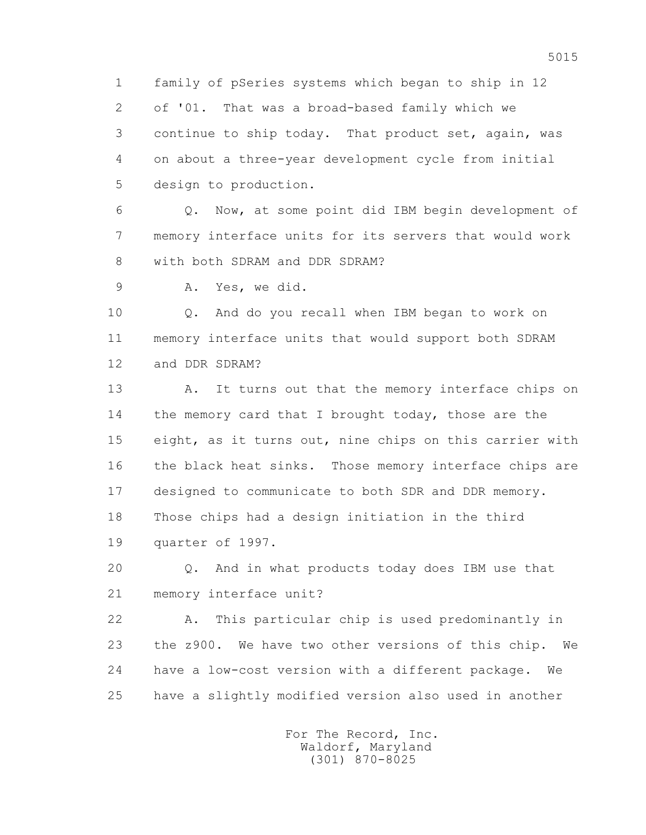1 family of pSeries systems which began to ship in 12 2 of '01. That was a broad-based family which we 3 continue to ship today. That product set, again, was 4 on about a three-year development cycle from initial 5 design to production.

 6 Q. Now, at some point did IBM begin development of 7 memory interface units for its servers that would work 8 with both SDRAM and DDR SDRAM?

9 A. Yes, we did.

 10 Q. And do you recall when IBM began to work on 11 memory interface units that would support both SDRAM 12 and DDR SDRAM?

13 A. It turns out that the memory interface chips on 14 the memory card that I brought today, those are the 15 eight, as it turns out, nine chips on this carrier with 16 the black heat sinks. Those memory interface chips are 17 designed to communicate to both SDR and DDR memory. 18 Those chips had a design initiation in the third 19 quarter of 1997.

 20 Q. And in what products today does IBM use that 21 memory interface unit?

 22 A. This particular chip is used predominantly in 23 the z900. We have two other versions of this chip. We 24 have a low-cost version with a different package. We 25 have a slightly modified version also used in another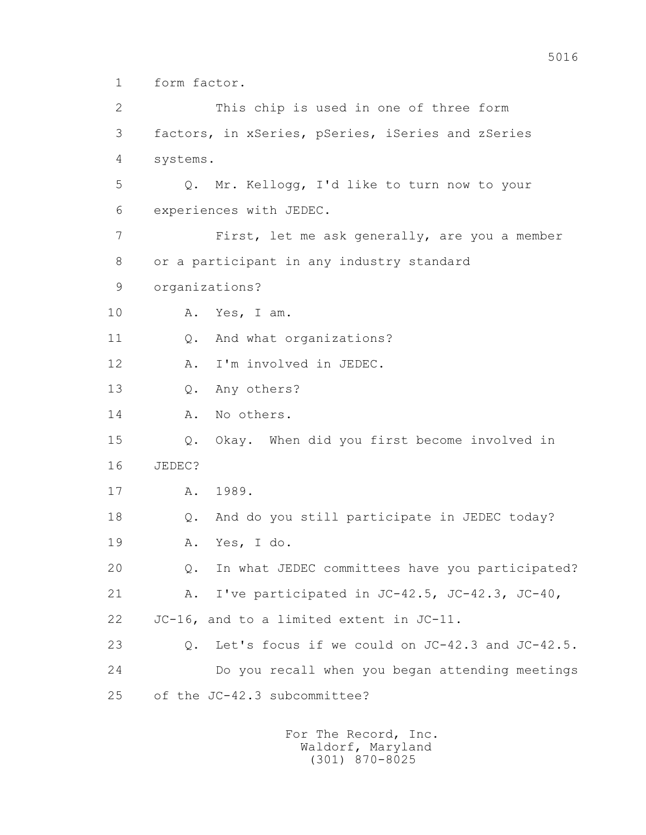1 form factor.

 2 This chip is used in one of three form 3 factors, in xSeries, pSeries, iSeries and zSeries 4 systems. 5 Q. Mr. Kellogg, I'd like to turn now to your 6 experiences with JEDEC. 7 First, let me ask generally, are you a member 8 or a participant in any industry standard 9 organizations? 10 A. Yes, I am. 11 0. And what organizations? 12 A. I'm involved in JEDEC. 13 Q. Any others? 14 A. No others. 15 Q. Okay. When did you first become involved in 16 JEDEC? 17 A. 1989. 18 Q. And do you still participate in JEDEC today? 19 A. Yes, I do. 20 Q. In what JEDEC committees have you participated? 21 A. I've participated in JC-42.5, JC-42.3, JC-40, 22 JC-16, and to a limited extent in JC-11. 23 Q. Let's focus if we could on JC-42.3 and JC-42.5. 24 Do you recall when you began attending meetings 25 of the JC-42.3 subcommittee?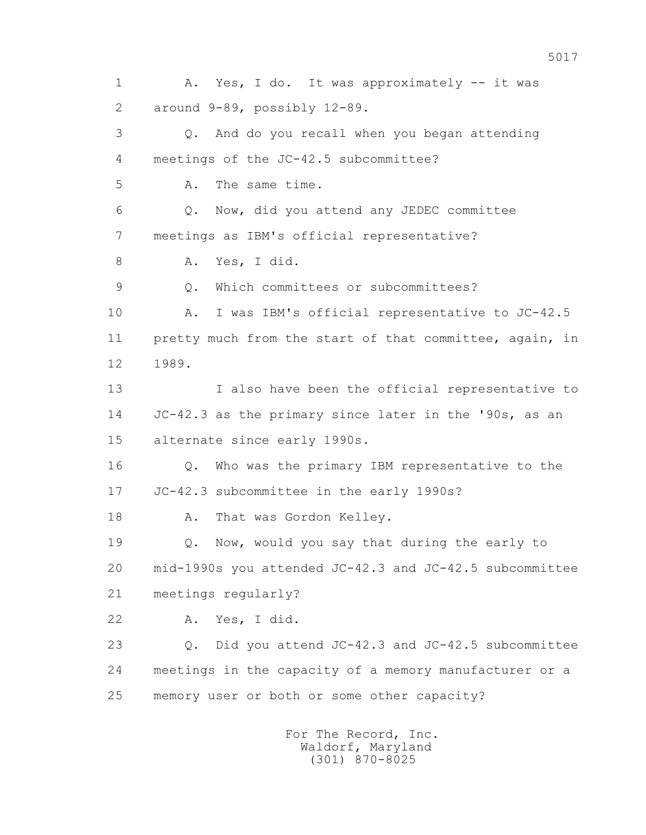1 A. Yes, I do. It was approximately -- it was 2 around 9-89, possibly 12-89. 3 Q. And do you recall when you began attending 4 meetings of the JC-42.5 subcommittee? 5 A. The same time. 6 Q. Now, did you attend any JEDEC committee 7 meetings as IBM's official representative? 8 A. Yes, I did. 9 Q. Which committees or subcommittees? 10 A. I was IBM's official representative to JC-42.5 11 pretty much from the start of that committee, again, in 12 1989. 13 I also have been the official representative to 14 JC-42.3 as the primary since later in the '90s, as an 15 alternate since early 1990s. 16 Q. Who was the primary IBM representative to the 17 JC-42.3 subcommittee in the early 1990s? 18 A. That was Gordon Kelley. 19 Q. Now, would you say that during the early to 20 mid-1990s you attended JC-42.3 and JC-42.5 subcommittee 21 meetings regularly? 22 A. Yes, I did. 23 Q. Did you attend JC-42.3 and JC-42.5 subcommittee 24 meetings in the capacity of a memory manufacturer or a 25 memory user or both or some other capacity?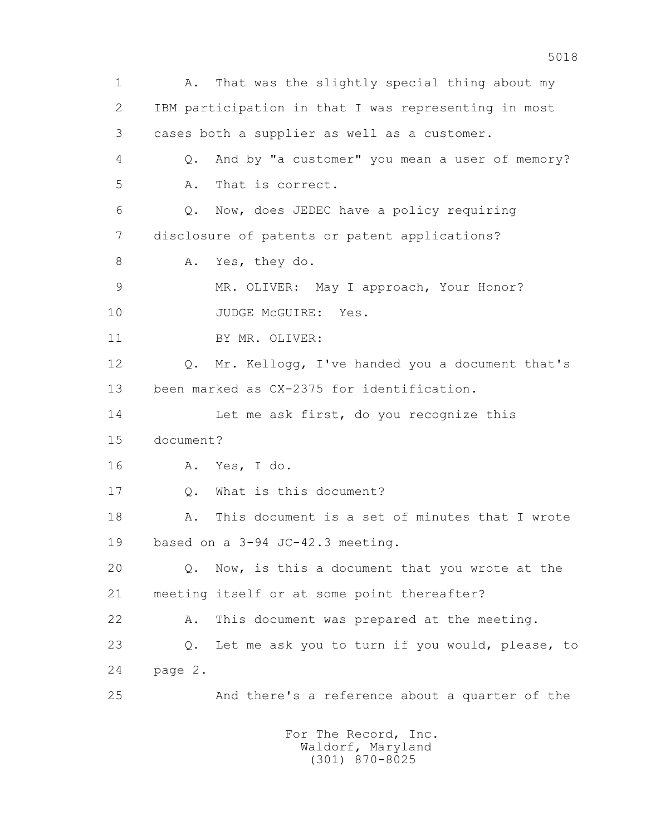1 A. That was the slightly special thing about my 2 IBM participation in that I was representing in most 3 cases both a supplier as well as a customer. 4 Q. And by "a customer" you mean a user of memory? 5 A. That is correct. 6 Q. Now, does JEDEC have a policy requiring 7 disclosure of patents or patent applications? 8 A. Yes, they do. 9 MR. OLIVER: May I approach, Your Honor? 10 JUDGE McGUIRE: Yes. 11 BY MR. OLIVER: 12 Q. Mr. Kellogg, I've handed you a document that's 13 been marked as CX-2375 for identification. 14 Let me ask first, do you recognize this 15 document? 16 A. Yes, I do. 17 Q. What is this document? 18 A. This document is a set of minutes that I wrote 19 based on a 3-94 JC-42.3 meeting. 20 Q. Now, is this a document that you wrote at the 21 meeting itself or at some point thereafter? 22 A. This document was prepared at the meeting. 23 Q. Let me ask you to turn if you would, please, to 24 page 2. 25 And there's a reference about a quarter of the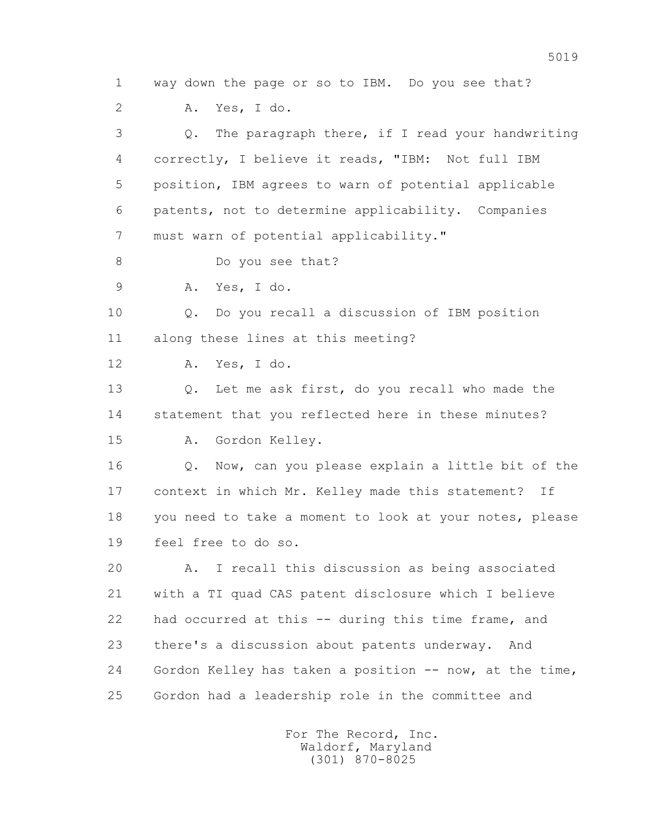1 way down the page or so to IBM. Do you see that? 2 A. Yes, I do. 3 Q. The paragraph there, if I read your handwriting 4 correctly, I believe it reads, "IBM: Not full IBM 5 position, IBM agrees to warn of potential applicable 6 patents, not to determine applicability. Companies 7 must warn of potential applicability." 8 Do you see that? 9 A. Yes, I do. 10 Q. Do you recall a discussion of IBM position 11 along these lines at this meeting? 12 A. Yes, I do. 13 Q. Let me ask first, do you recall who made the 14 statement that you reflected here in these minutes? 15 A. Gordon Kelley. 16 Q. Now, can you please explain a little bit of the 17 context in which Mr. Kelley made this statement? If 18 you need to take a moment to look at your notes, please 19 feel free to do so. 20 A. I recall this discussion as being associated 21 with a TI quad CAS patent disclosure which I believe 22 had occurred at this -- during this time frame, and 23 there's a discussion about patents underway. And 24 Gordon Kelley has taken a position -- now, at the time, 25 Gordon had a leadership role in the committee and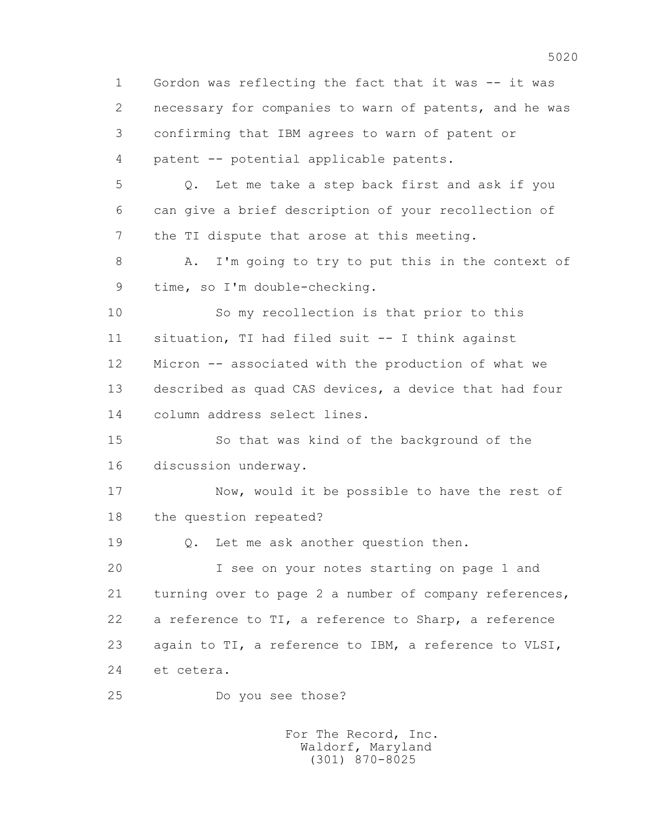1 Gordon was reflecting the fact that it was -- it was 2 necessary for companies to warn of patents, and he was 3 confirming that IBM agrees to warn of patent or 4 patent -- potential applicable patents. 5 Q. Let me take a step back first and ask if you 6 can give a brief description of your recollection of 7 the TI dispute that arose at this meeting. 8 A. I'm going to try to put this in the context of 9 time, so I'm double-checking. 10 So my recollection is that prior to this 11 situation, TI had filed suit -- I think against 12 Micron -- associated with the production of what we 13 described as quad CAS devices, a device that had four 14 column address select lines. 15 So that was kind of the background of the 16 discussion underway. 17 Now, would it be possible to have the rest of 18 the question repeated? 19 Q. Let me ask another question then. 20 I see on your notes starting on page 1 and 21 turning over to page 2 a number of company references, 22 a reference to TI, a reference to Sharp, a reference 23 again to TI, a reference to IBM, a reference to VLSI, 24 et cetera. 25 Do you see those?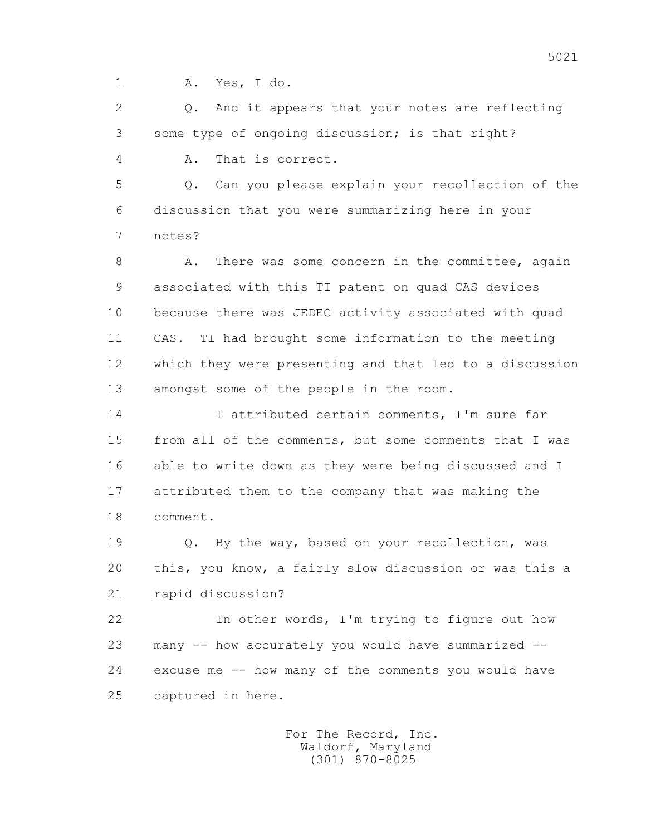1 A. Yes, I do.

 2 Q. And it appears that your notes are reflecting 3 some type of ongoing discussion; is that right?

4 A. That is correct.

 5 Q. Can you please explain your recollection of the 6 discussion that you were summarizing here in your 7 notes?

8 A. There was some concern in the committee, again 9 associated with this TI patent on quad CAS devices 10 because there was JEDEC activity associated with quad 11 CAS. TI had brought some information to the meeting 12 which they were presenting and that led to a discussion 13 amongst some of the people in the room.

14 I attributed certain comments, I'm sure far 15 from all of the comments, but some comments that I was 16 able to write down as they were being discussed and I 17 attributed them to the company that was making the 18 comment.

 19 Q. By the way, based on your recollection, was 20 this, you know, a fairly slow discussion or was this a 21 rapid discussion?

 22 In other words, I'm trying to figure out how 23 many -- how accurately you would have summarized -- 24 excuse me -- how many of the comments you would have 25 captured in here.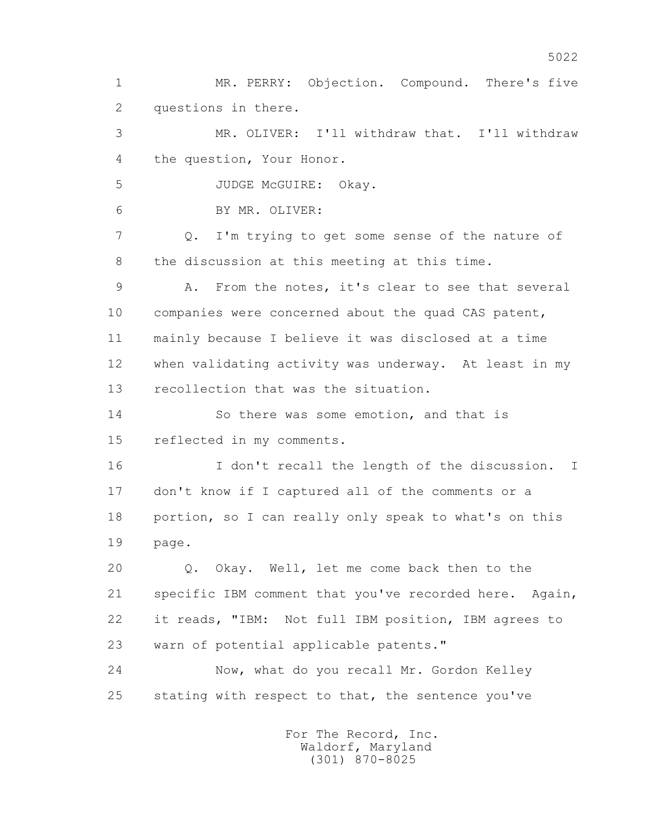2 questions in there. 3 MR. OLIVER: I'll withdraw that. I'll withdraw 4 the question, Your Honor. 5 JUDGE McGUIRE: Okay. 6 BY MR. OLIVER: 7 Q. I'm trying to get some sense of the nature of 8 the discussion at this meeting at this time. 9 A. From the notes, it's clear to see that several 10 companies were concerned about the quad CAS patent, 11 mainly because I believe it was disclosed at a time 12 when validating activity was underway. At least in my 13 recollection that was the situation. 14 So there was some emotion, and that is 15 reflected in my comments. 16 I don't recall the length of the discussion. I 17 don't know if I captured all of the comments or a 18 portion, so I can really only speak to what's on this 19 page. 20 Q. Okay. Well, let me come back then to the 21 specific IBM comment that you've recorded here. Again, 22 it reads, "IBM: Not full IBM position, IBM agrees to 23 warn of potential applicable patents." 24 Now, what do you recall Mr. Gordon Kelley 25 stating with respect to that, the sentence you've For The Record, Inc. Waldorf, Maryland (301) 870-8025

1 MR. PERRY: Objection. Compound. There's five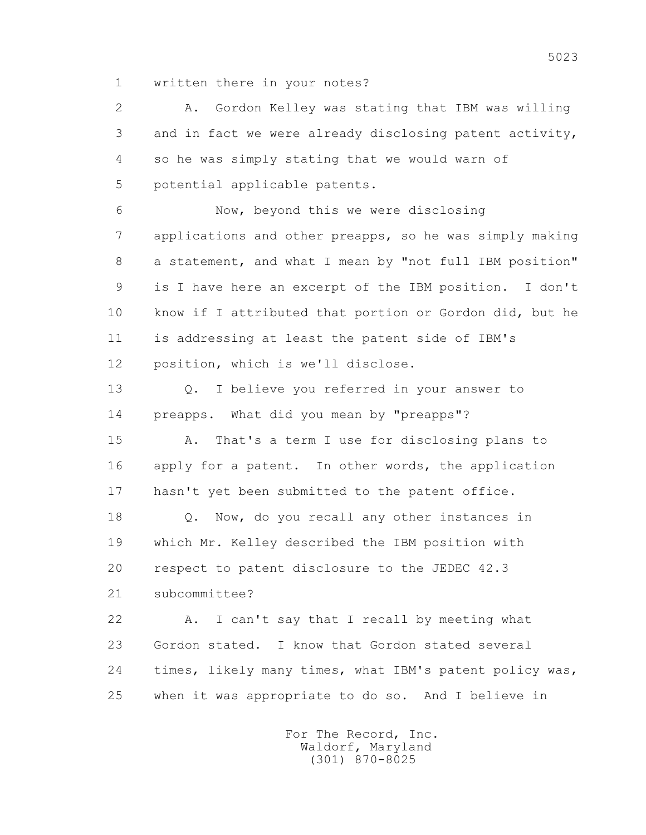1 written there in your notes?

 2 A. Gordon Kelley was stating that IBM was willing 3 and in fact we were already disclosing patent activity, 4 so he was simply stating that we would warn of 5 potential applicable patents.

 6 Now, beyond this we were disclosing 7 applications and other preapps, so he was simply making 8 a statement, and what I mean by "not full IBM position" 9 is I have here an excerpt of the IBM position. I don't 10 know if I attributed that portion or Gordon did, but he 11 is addressing at least the patent side of IBM's 12 position, which is we'll disclose.

 13 Q. I believe you referred in your answer to 14 preapps. What did you mean by "preapps"?

 15 A. That's a term I use for disclosing plans to 16 apply for a patent. In other words, the application 17 hasn't yet been submitted to the patent office.

 18 Q. Now, do you recall any other instances in 19 which Mr. Kelley described the IBM position with 20 respect to patent disclosure to the JEDEC 42.3

21 subcommittee?

 22 A. I can't say that I recall by meeting what 23 Gordon stated. I know that Gordon stated several 24 times, likely many times, what IBM's patent policy was, 25 when it was appropriate to do so. And I believe in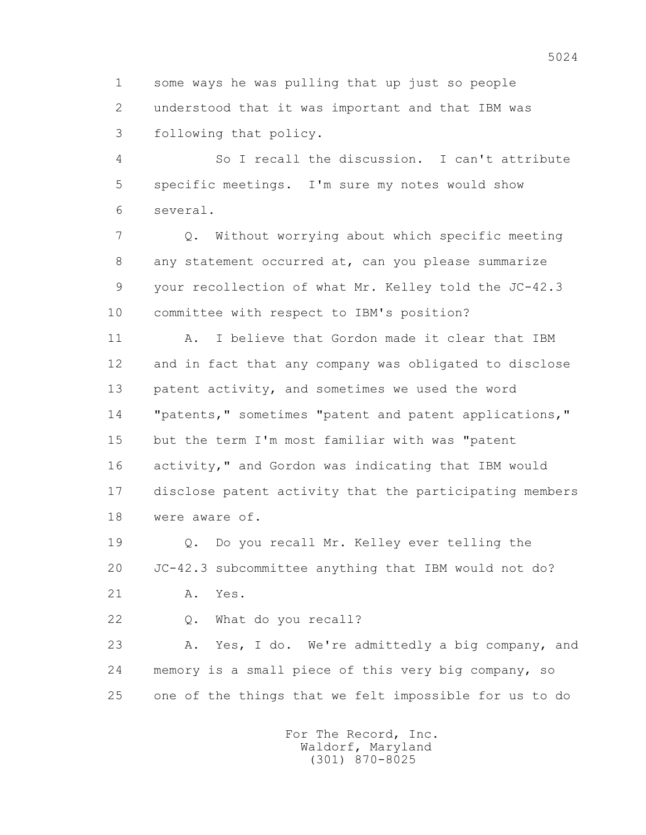1 some ways he was pulling that up just so people 2 understood that it was important and that IBM was 3 following that policy.

 4 So I recall the discussion. I can't attribute 5 specific meetings. I'm sure my notes would show 6 several.

 7 Q. Without worrying about which specific meeting 8 any statement occurred at, can you please summarize 9 your recollection of what Mr. Kelley told the JC-42.3 10 committee with respect to IBM's position?

 11 A. I believe that Gordon made it clear that IBM 12 and in fact that any company was obligated to disclose 13 patent activity, and sometimes we used the word 14 "patents," sometimes "patent and patent applications," 15 but the term I'm most familiar with was "patent 16 activity," and Gordon was indicating that IBM would 17 disclose patent activity that the participating members 18 were aware of.

 19 Q. Do you recall Mr. Kelley ever telling the 20 JC-42.3 subcommittee anything that IBM would not do?

21 A. Yes.

22 Q. What do you recall?

 23 A. Yes, I do. We're admittedly a big company, and 24 memory is a small piece of this very big company, so 25 one of the things that we felt impossible for us to do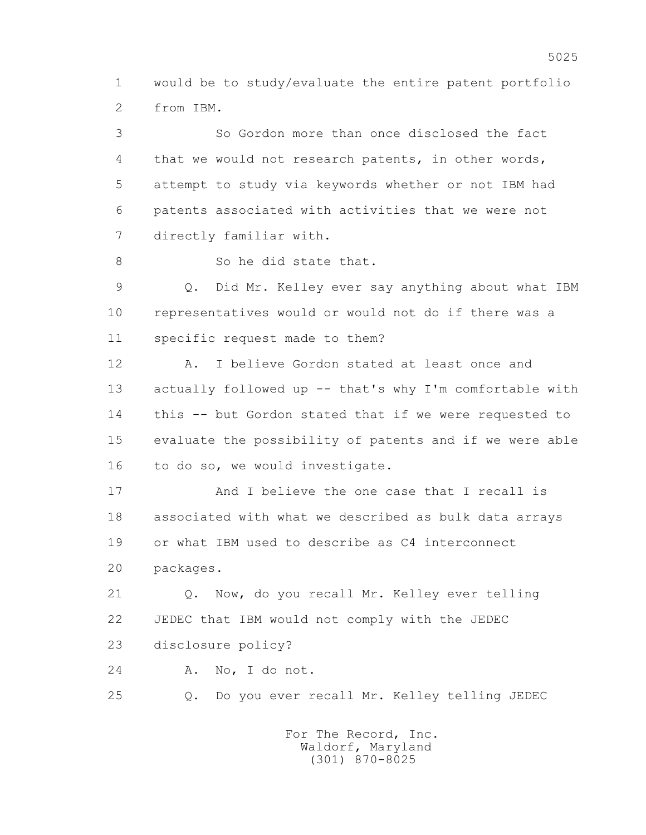1 would be to study/evaluate the entire patent portfolio 2 from IBM.

 3 So Gordon more than once disclosed the fact 4 that we would not research patents, in other words, 5 attempt to study via keywords whether or not IBM had 6 patents associated with activities that we were not 7 directly familiar with.

8 So he did state that.

 9 Q. Did Mr. Kelley ever say anything about what IBM 10 representatives would or would not do if there was a 11 specific request made to them?

 12 A. I believe Gordon stated at least once and 13 actually followed up -- that's why I'm comfortable with 14 this -- but Gordon stated that if we were requested to 15 evaluate the possibility of patents and if we were able 16 to do so, we would investigate.

 17 And I believe the one case that I recall is 18 associated with what we described as bulk data arrays 19 or what IBM used to describe as C4 interconnect 20 packages.

 21 Q. Now, do you recall Mr. Kelley ever telling 22 JEDEC that IBM would not comply with the JEDEC 23 disclosure policy?

24 A. No, I do not.

25 Q. Do you ever recall Mr. Kelley telling JEDEC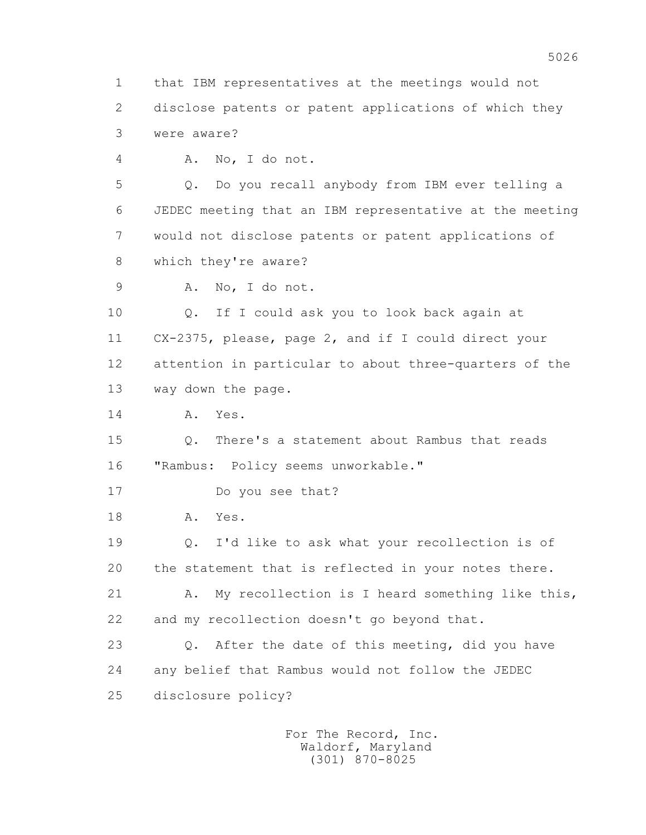1 that IBM representatives at the meetings would not 2 disclose patents or patent applications of which they 3 were aware?

4 A. No, I do not.

 5 Q. Do you recall anybody from IBM ever telling a 6 JEDEC meeting that an IBM representative at the meeting 7 would not disclose patents or patent applications of 8 which they're aware?

9 A. No, I do not.

 10 Q. If I could ask you to look back again at 11 CX-2375, please, page 2, and if I could direct your 12 attention in particular to about three-quarters of the 13 way down the page.

14 A. Yes.

 15 Q. There's a statement about Rambus that reads 16 "Rambus: Policy seems unworkable."

17 Do you see that?

18 A. Yes.

 19 Q. I'd like to ask what your recollection is of 20 the statement that is reflected in your notes there.

 21 A. My recollection is I heard something like this, 22 and my recollection doesn't go beyond that.

 23 Q. After the date of this meeting, did you have 24 any belief that Rambus would not follow the JEDEC 25 disclosure policy?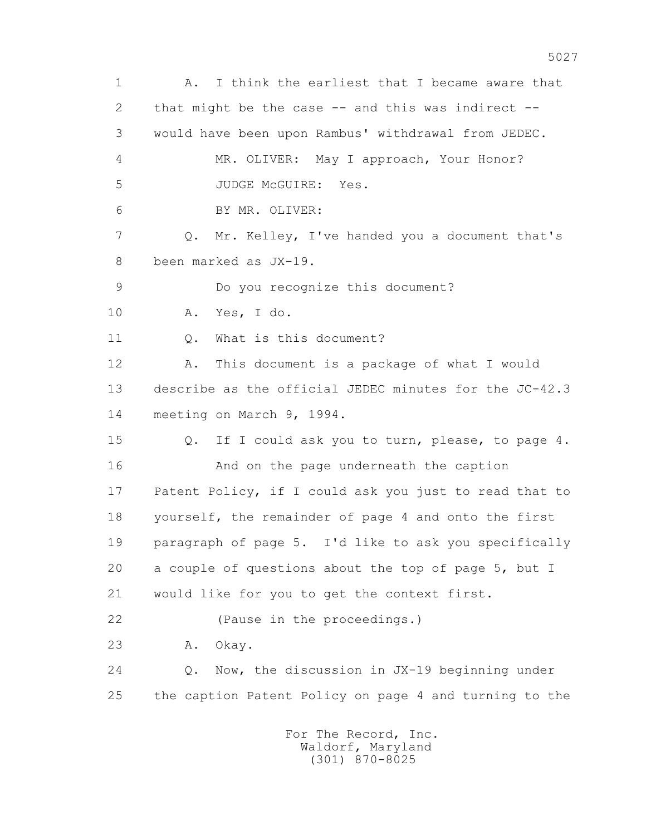1 A. I think the earliest that I became aware that 2 that might be the case -- and this was indirect -- 3 would have been upon Rambus' withdrawal from JEDEC. 4 MR. OLIVER: May I approach, Your Honor? 5 JUDGE McGUIRE: Yes. 6 BY MR. OLIVER: 7 Q. Mr. Kelley, I've handed you a document that's 8 been marked as JX-19. 9 Do you recognize this document? 10 A. Yes, I do. 11 Q. What is this document? 12 A. This document is a package of what I would 13 describe as the official JEDEC minutes for the JC-42.3 14 meeting on March 9, 1994. 15 Q. If I could ask you to turn, please, to page 4. 16 And on the page underneath the caption 17 Patent Policy, if I could ask you just to read that to 18 yourself, the remainder of page 4 and onto the first 19 paragraph of page 5. I'd like to ask you specifically 20 a couple of questions about the top of page 5, but I 21 would like for you to get the context first. 22 (Pause in the proceedings.) 23 A. Okay. 24 Q. Now, the discussion in JX-19 beginning under 25 the caption Patent Policy on page 4 and turning to the For The Record, Inc.

 Waldorf, Maryland (301) 870-8025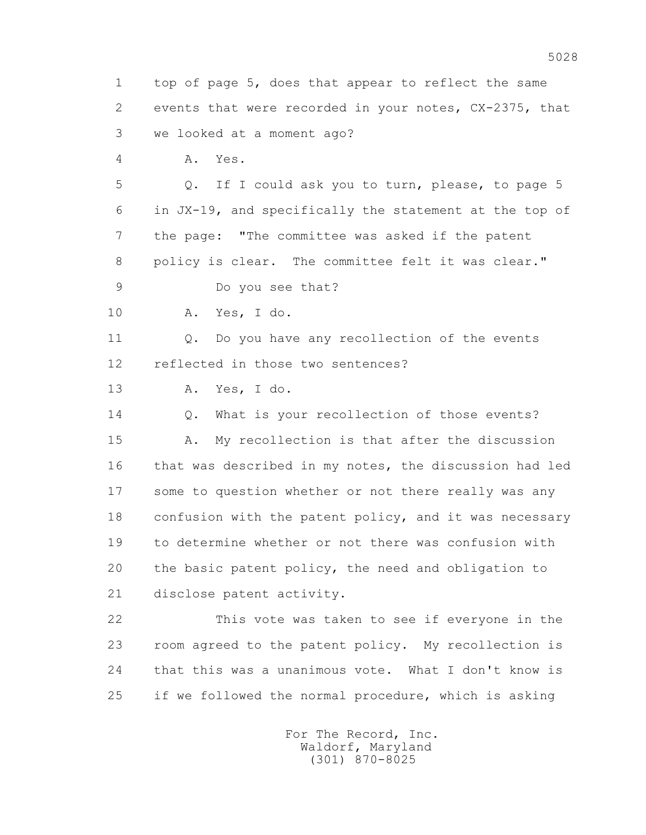1 top of page 5, does that appear to reflect the same 2 events that were recorded in your notes, CX-2375, that 3 we looked at a moment ago? 4 A. Yes. 5 Q. If I could ask you to turn, please, to page 5 6 in JX-19, and specifically the statement at the top of 7 the page: "The committee was asked if the patent 8 policy is clear. The committee felt it was clear." 9 Do you see that? 10 A. Yes, I do. 11 0. Do you have any recollection of the events 12 reflected in those two sentences? 13 A. Yes, I do. 14 0. What is your recollection of those events? 15 A. My recollection is that after the discussion 16 that was described in my notes, the discussion had led 17 some to question whether or not there really was any 18 confusion with the patent policy, and it was necessary 19 to determine whether or not there was confusion with 20 the basic patent policy, the need and obligation to 21 disclose patent activity. 22 This vote was taken to see if everyone in the 23 room agreed to the patent policy. My recollection is 24 that this was a unanimous vote. What I don't know is 25 if we followed the normal procedure, which is asking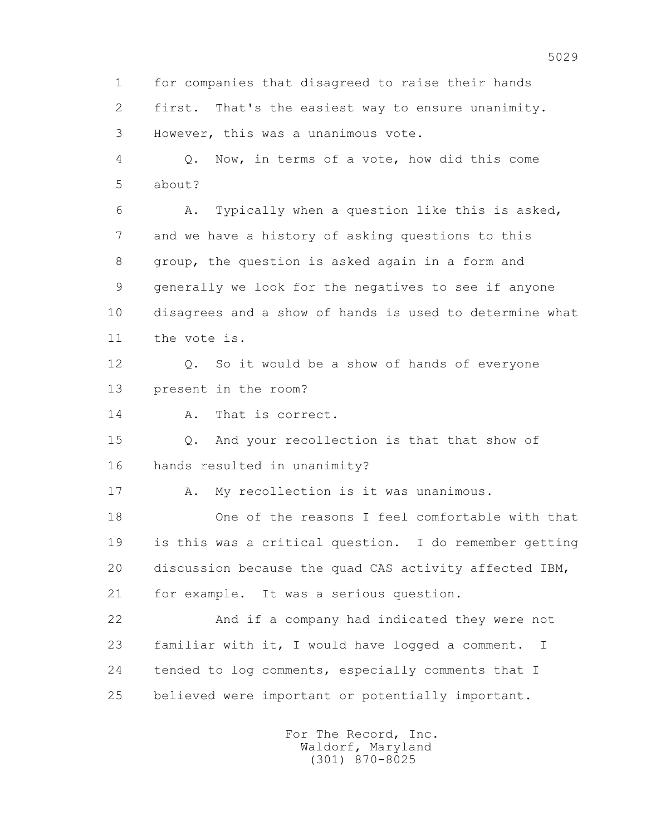1 for companies that disagreed to raise their hands 2 first. That's the easiest way to ensure unanimity. 3 However, this was a unanimous vote. 4 Q. Now, in terms of a vote, how did this come 5 about? 6 A. Typically when a question like this is asked, 7 and we have a history of asking questions to this 8 group, the question is asked again in a form and 9 generally we look for the negatives to see if anyone 10 disagrees and a show of hands is used to determine what 11 the vote is. 12 Q. So it would be a show of hands of everyone 13 present in the room? 14 A. That is correct. 15 Q. And your recollection is that that show of 16 hands resulted in unanimity? 17 A. My recollection is it was unanimous. 18 One of the reasons I feel comfortable with that 19 is this was a critical question. I do remember getting 20 discussion because the quad CAS activity affected IBM, 21 for example. It was a serious question. 22 And if a company had indicated they were not 23 familiar with it, I would have logged a comment. I 24 tended to log comments, especially comments that I 25 believed were important or potentially important.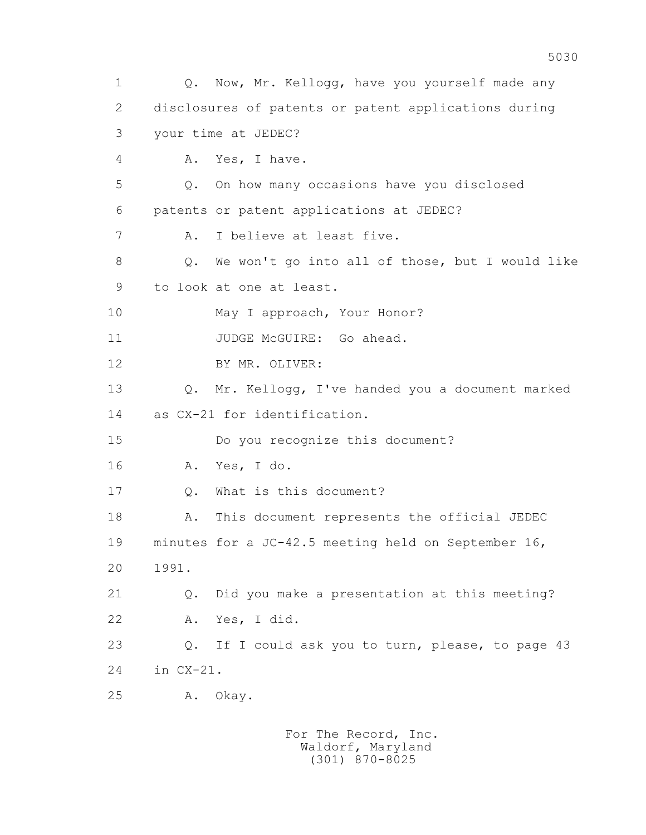1 Q. Now, Mr. Kellogg, have you yourself made any 2 disclosures of patents or patent applications during 3 your time at JEDEC? 4 A. Yes, I have. 5 Q. On how many occasions have you disclosed 6 patents or patent applications at JEDEC? 7 A. I believe at least five. 8 Q. We won't go into all of those, but I would like 9 to look at one at least. 10 May I approach, Your Honor? 11 JUDGE McGUIRE: Go ahead. 12 BY MR. OLIVER: 13 Q. Mr. Kellogg, I've handed you a document marked 14 as CX-21 for identification. 15 Do you recognize this document? 16 A. Yes, I do. 17 Q. What is this document? 18 A. This document represents the official JEDEC 19 minutes for a JC-42.5 meeting held on September 16, 20 1991. 21 Q. Did you make a presentation at this meeting? 22 A. Yes, I did. 23 Q. If I could ask you to turn, please, to page 43 24 in CX-21. 25 A. Okay.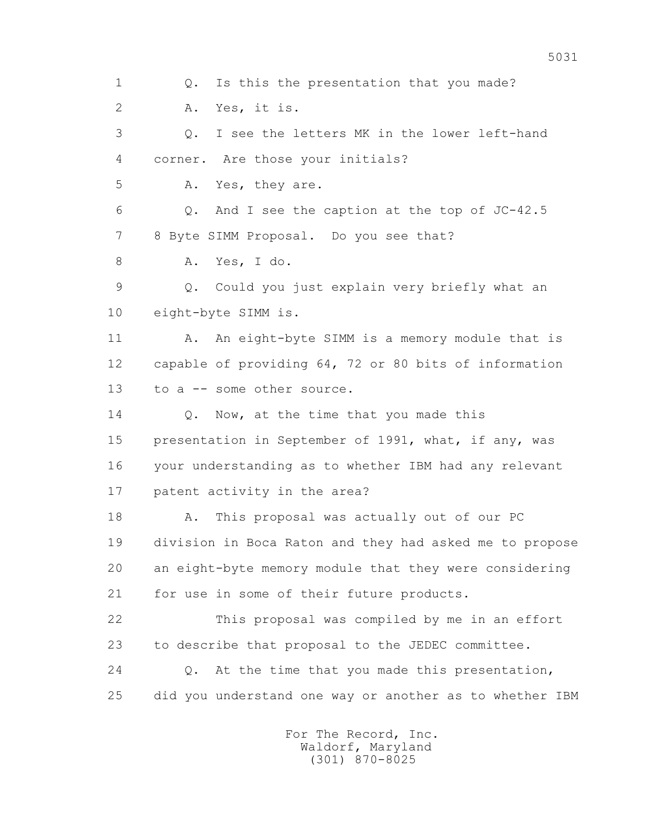1 0. Is this the presentation that you made? 2 A. Yes, it is. 3 Q. I see the letters MK in the lower left-hand 4 corner. Are those your initials? 5 A. Yes, they are. 6 Q. And I see the caption at the top of JC-42.5 7 8 Byte SIMM Proposal. Do you see that? 8 A. Yes, I do. 9 Q. Could you just explain very briefly what an 10 eight-byte SIMM is. 11 A. An eight-byte SIMM is a memory module that is 12 capable of providing 64, 72 or 80 bits of information 13 to a -- some other source. 14 O. Now, at the time that you made this 15 presentation in September of 1991, what, if any, was 16 your understanding as to whether IBM had any relevant 17 patent activity in the area? 18 A. This proposal was actually out of our PC 19 division in Boca Raton and they had asked me to propose 20 an eight-byte memory module that they were considering 21 for use in some of their future products. 22 This proposal was compiled by me in an effort 23 to describe that proposal to the JEDEC committee. 24 Q. At the time that you made this presentation, 25 did you understand one way or another as to whether IBM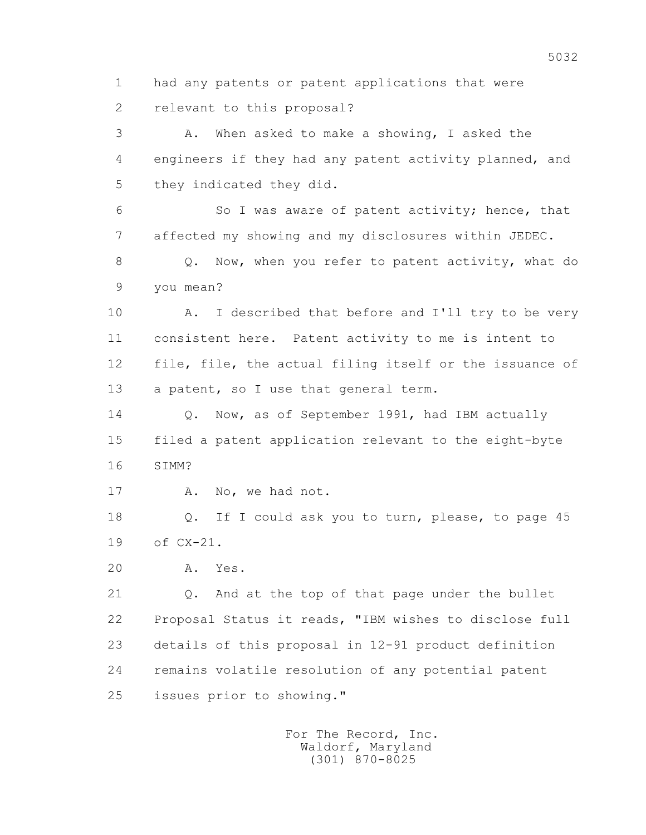1 had any patents or patent applications that were 2 relevant to this proposal?

 3 A. When asked to make a showing, I asked the 4 engineers if they had any patent activity planned, and 5 they indicated they did.

 6 So I was aware of patent activity; hence, that 7 affected my showing and my disclosures within JEDEC.

 8 Q. Now, when you refer to patent activity, what do 9 you mean?

10 A. I described that before and I'll try to be very 11 consistent here. Patent activity to me is intent to 12 file, file, the actual filing itself or the issuance of 13 a patent, so I use that general term.

14 0. Now, as of September 1991, had IBM actually 15 filed a patent application relevant to the eight-byte 16 SIMM?

17 A. No, we had not.

 18 Q. If I could ask you to turn, please, to page 45 19 of CX-21.

20 A. Yes.

21 Q. And at the top of that page under the bullet 22 Proposal Status it reads, "IBM wishes to disclose full 23 details of this proposal in 12-91 product definition 24 remains volatile resolution of any potential patent 25 issues prior to showing."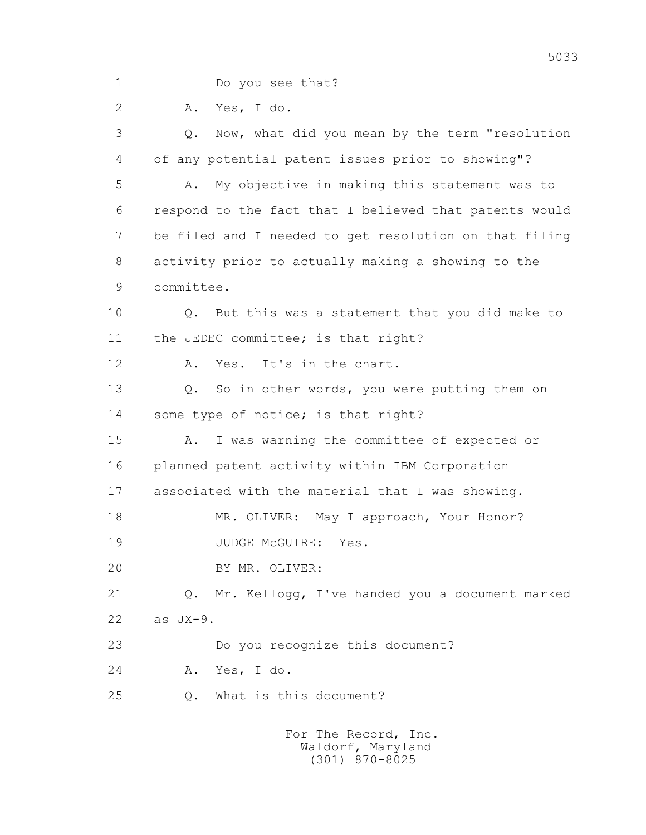1 Do you see that?

2 A. Yes, I do.

 3 Q. Now, what did you mean by the term "resolution 4 of any potential patent issues prior to showing"? 5 A. My objective in making this statement was to 6 respond to the fact that I believed that patents would 7 be filed and I needed to get resolution on that filing 8 activity prior to actually making a showing to the 9 committee. 10 Q. But this was a statement that you did make to 11 the JEDEC committee; is that right? 12 A. Yes. It's in the chart. 13 Q. So in other words, you were putting them on 14 some type of notice; is that right? 15 A. I was warning the committee of expected or 16 planned patent activity within IBM Corporation 17 associated with the material that I was showing. 18 MR. OLIVER: May I approach, Your Honor? 19 JUDGE McGUIRE: Yes. 20 BY MR. OLIVER: 21 Q. Mr. Kellogg, I've handed you a document marked 22 as JX-9. 23 Do you recognize this document? 24 A. Yes, I do. 25 Q. What is this document?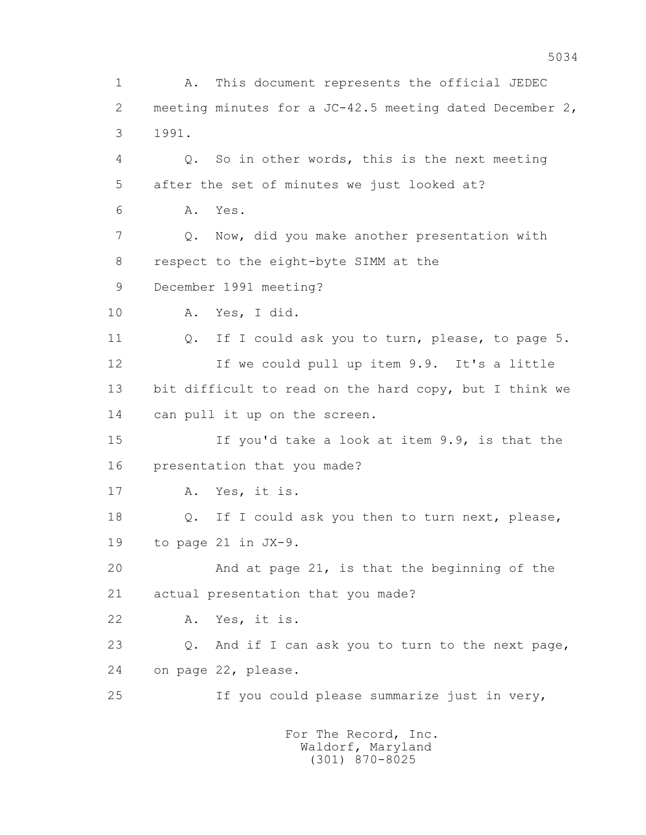1 A. This document represents the official JEDEC 2 meeting minutes for a JC-42.5 meeting dated December 2, 3 1991. 4 Q. So in other words, this is the next meeting 5 after the set of minutes we just looked at? 6 A. Yes. 7 Q. Now, did you make another presentation with 8 respect to the eight-byte SIMM at the 9 December 1991 meeting? 10 A. Yes, I did. 11 0. If I could ask you to turn, please, to page 5. 12 If we could pull up item 9.9. It's a little 13 bit difficult to read on the hard copy, but I think we 14 can pull it up on the screen. 15 If you'd take a look at item 9.9, is that the 16 presentation that you made? 17 A. Yes, it is. 18 Q. If I could ask you then to turn next, please, 19 to page 21 in JX-9. 20 And at page 21, is that the beginning of the 21 actual presentation that you made? 22 A. Yes, it is. 23 Q. And if I can ask you to turn to the next page, 24 on page 22, please. 25 If you could please summarize just in very,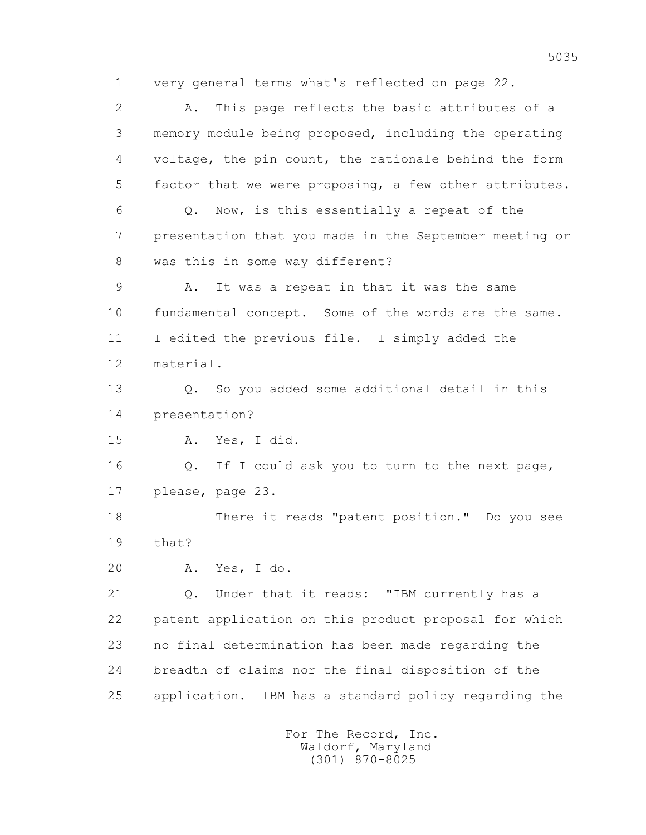1 very general terms what's reflected on page 22.

 2 A. This page reflects the basic attributes of a 3 memory module being proposed, including the operating 4 voltage, the pin count, the rationale behind the form 5 factor that we were proposing, a few other attributes. 6 Q. Now, is this essentially a repeat of the 7 presentation that you made in the September meeting or 8 was this in some way different? 9 A. It was a repeat in that it was the same 10 fundamental concept. Some of the words are the same. 11 I edited the previous file. I simply added the 12 material. 13 Q. So you added some additional detail in this 14 presentation? 15 A. Yes, I did. 16 Q. If I could ask you to turn to the next page, 17 please, page 23. 18 There it reads "patent position." Do you see 19 that? 20 A. Yes, I do. 21 Q. Under that it reads: "IBM currently has a 22 patent application on this product proposal for which 23 no final determination has been made regarding the 24 breadth of claims nor the final disposition of the 25 application. IBM has a standard policy regarding the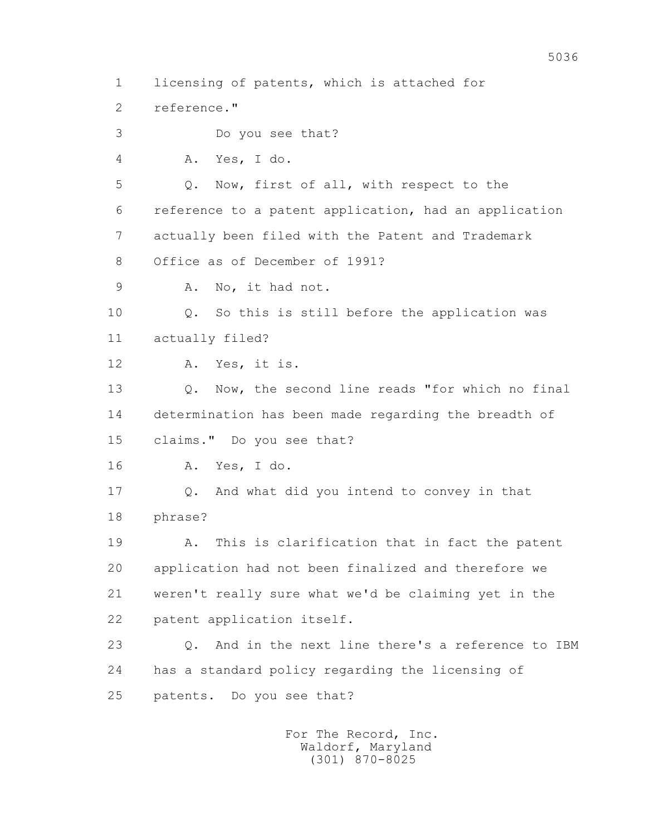1 licensing of patents, which is attached for 2 reference." 3 Do you see that? 4 A. Yes, I do. 5 Q. Now, first of all, with respect to the 6 reference to a patent application, had an application 7 actually been filed with the Patent and Trademark 8 Office as of December of 1991? 9 A. No, it had not. 10 Q. So this is still before the application was 11 actually filed? 12 A. Yes, it is. 13 Q. Now, the second line reads "for which no final 14 determination has been made regarding the breadth of 15 claims." Do you see that? 16 A. Yes, I do. 17 Q. And what did you intend to convey in that 18 phrase? 19 A. This is clarification that in fact the patent 20 application had not been finalized and therefore we 21 weren't really sure what we'd be claiming yet in the 22 patent application itself. 23 Q. And in the next line there's a reference to IBM 24 has a standard policy regarding the licensing of 25 patents. Do you see that?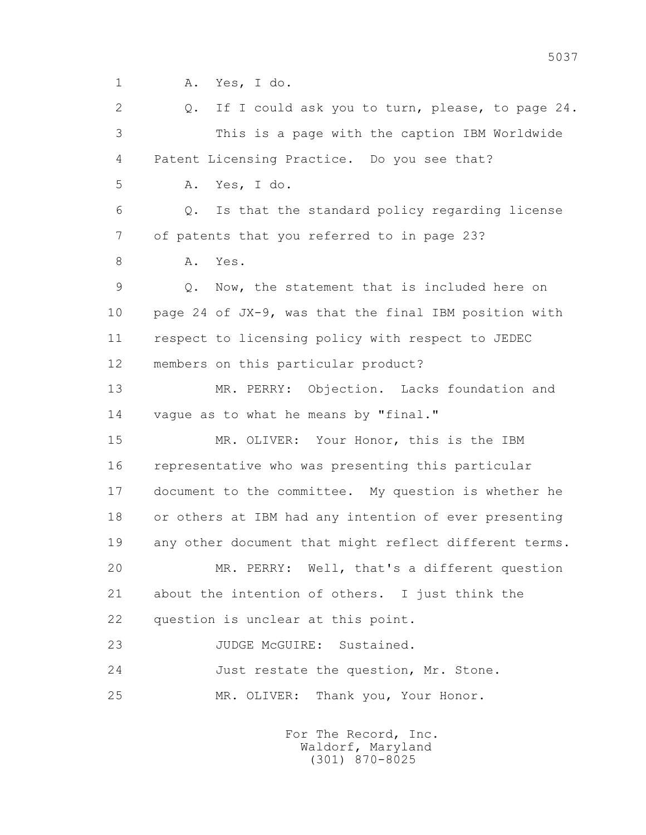1 A. Yes, I do.

 2 Q. If I could ask you to turn, please, to page 24. 3 This is a page with the caption IBM Worldwide 4 Patent Licensing Practice. Do you see that? 5 A. Yes, I do. 6 Q. Is that the standard policy regarding license 7 of patents that you referred to in page 23? 8 A. Yes. 9 Q. Now, the statement that is included here on 10 page 24 of JX-9, was that the final IBM position with 11 respect to licensing policy with respect to JEDEC 12 members on this particular product? 13 MR. PERRY: Objection. Lacks foundation and 14 vague as to what he means by "final." 15 MR. OLIVER: Your Honor, this is the IBM 16 representative who was presenting this particular 17 document to the committee. My question is whether he 18 or others at IBM had any intention of ever presenting 19 any other document that might reflect different terms. 20 MR. PERRY: Well, that's a different question 21 about the intention of others. I just think the 22 question is unclear at this point. 23 JUDGE McGUIRE: Sustained. 24 Just restate the question, Mr. Stone. 25 MR. OLIVER: Thank you, Your Honor.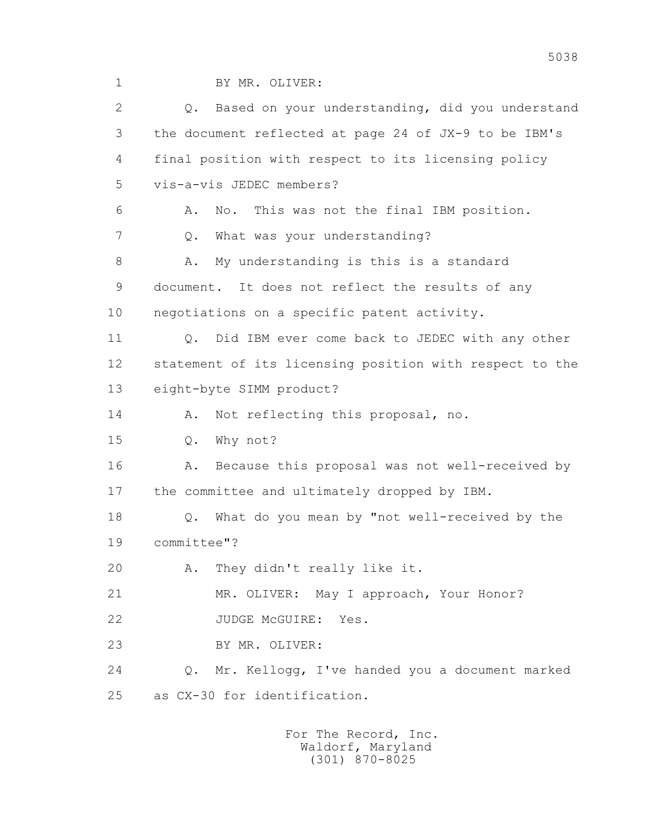1 BY MR. OLIVER:

| $\mathbf{2}$ | Based on your understanding, did you understand<br>$Q_{\bullet}$ |
|--------------|------------------------------------------------------------------|
| 3            | the document reflected at page 24 of JX-9 to be IBM's            |
| 4            | final position with respect to its licensing policy              |
| 5            | vis-a-vis JEDEC members?                                         |
| 6            | This was not the final IBM position.<br>Α.<br>No.                |
| 7            | What was your understanding?<br>Q.                               |
| 8            | My understanding is this is a standard<br>Α.                     |
| 9            | document. It does not reflect the results of any                 |
| 10           | negotiations on a specific patent activity.                      |
| 11           | Did IBM ever come back to JEDEC with any other<br>$Q_{\bullet}$  |
| 12           | statement of its licensing position with respect to the          |
| 13           | eight-byte SIMM product?                                         |
| 14           | Not reflecting this proposal, no.<br>Α.                          |
|              |                                                                  |
| 15           | Why not?<br>$Q$ .                                                |
| 16           | Because this proposal was not well-received by<br>Α.             |
| 17           | the committee and ultimately dropped by IBM.                     |
| 18           | What do you mean by "not well-received by the<br>$Q$ .           |
| 19           | committee"?                                                      |
| 20           | A. They didn't really like it.                                   |
| 21           | MR. OLIVER: May I approach, Your Honor?                          |
| 22           | JUDGE MCGUIRE:<br>Yes.                                           |
| 23           | BY MR. OLIVER:                                                   |
| 24           | Mr. Kellogg, I've handed you a document marked<br>Q.             |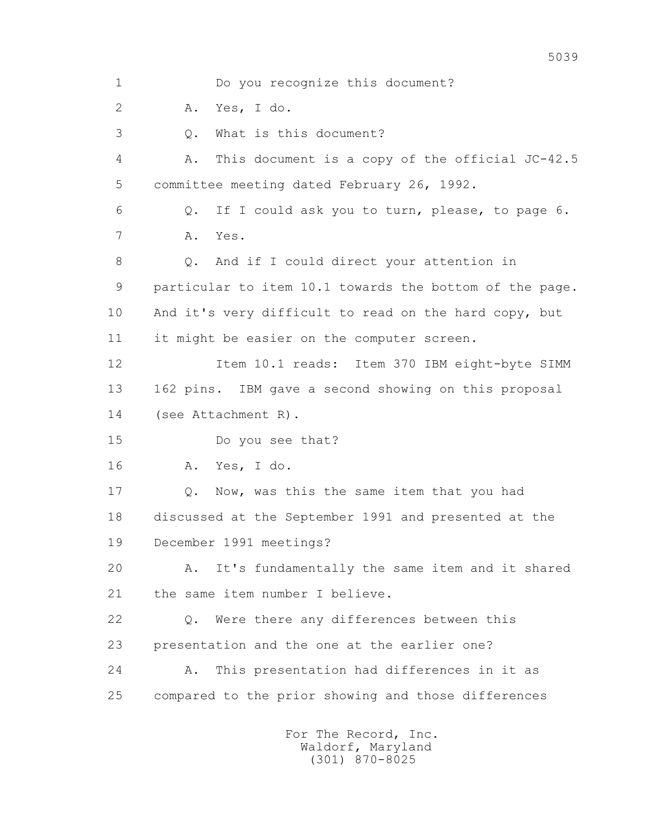1 Do you recognize this document? 2 A. Yes, I do. 3 Q. What is this document? 4 A. This document is a copy of the official JC-42.5 5 committee meeting dated February 26, 1992. 6 Q. If I could ask you to turn, please, to page 6. 7 A. Yes. 8 Q. And if I could direct your attention in 9 particular to item 10.1 towards the bottom of the page. 10 And it's very difficult to read on the hard copy, but 11 it might be easier on the computer screen. 12 Item 10.1 reads: Item 370 IBM eight-byte SIMM 13 162 pins. IBM gave a second showing on this proposal 14 (see Attachment R). 15 Do you see that? 16 A. Yes, I do. 17 Q. Now, was this the same item that you had 18 discussed at the September 1991 and presented at the 19 December 1991 meetings? 20 A. It's fundamentally the same item and it shared 21 the same item number I believe. 22 Q. Were there any differences between this 23 presentation and the one at the earlier one? 24 A. This presentation had differences in it as 25 compared to the prior showing and those differences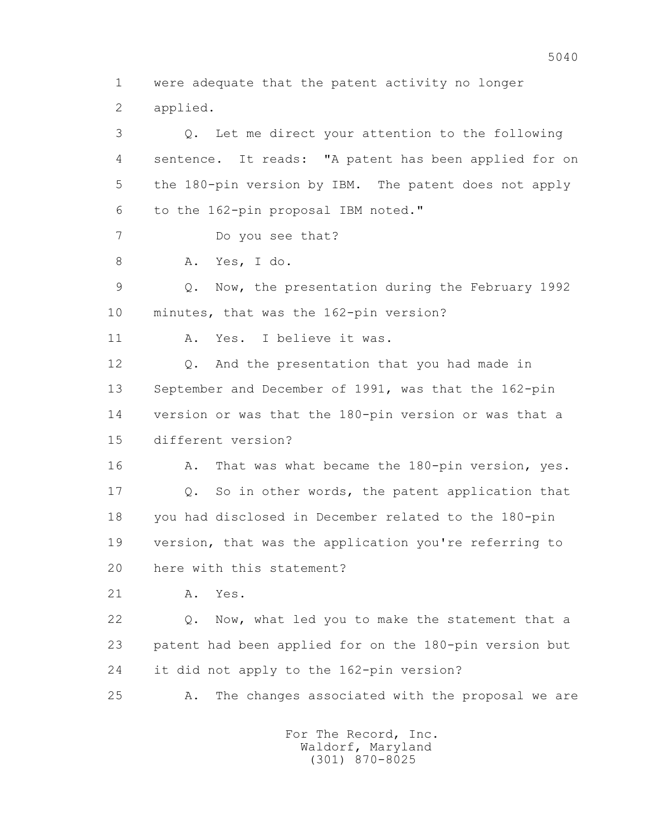1 were adequate that the patent activity no longer 2 applied.

 3 Q. Let me direct your attention to the following 4 sentence. It reads: "A patent has been applied for on 5 the 180-pin version by IBM. The patent does not apply 6 to the 162-pin proposal IBM noted." 7 Do you see that? 8 A. Yes, I do. 9 Q. Now, the presentation during the February 1992 10 minutes, that was the 162-pin version? 11 A. Yes. I believe it was. 12 Q. And the presentation that you had made in 13 September and December of 1991, was that the 162-pin 14 version or was that the 180-pin version or was that a 15 different version? 16 A. That was what became the 180-pin version, yes. 17 Q. So in other words, the patent application that 18 you had disclosed in December related to the 180-pin 19 version, that was the application you're referring to 20 here with this statement? 21 A. Yes. 22 Q. Now, what led you to make the statement that a 23 patent had been applied for on the 180-pin version but 24 it did not apply to the 162-pin version? 25 A. The changes associated with the proposal we are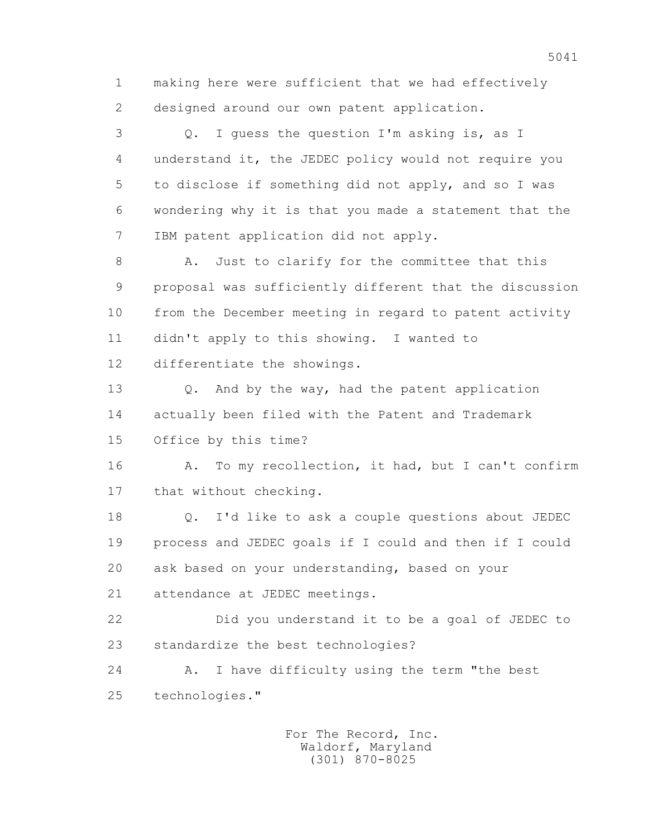1 making here were sufficient that we had effectively 2 designed around our own patent application.

 3 Q. I guess the question I'm asking is, as I 4 understand it, the JEDEC policy would not require you 5 to disclose if something did not apply, and so I was 6 wondering why it is that you made a statement that the 7 IBM patent application did not apply.

8 A. Just to clarify for the committee that this 9 proposal was sufficiently different that the discussion 10 from the December meeting in regard to patent activity 11 didn't apply to this showing. I wanted to 12 differentiate the showings.

13 0. And by the way, had the patent application 14 actually been filed with the Patent and Trademark 15 Office by this time?

16 A. To my recollection, it had, but I can't confirm 17 that without checking.

 18 Q. I'd like to ask a couple questions about JEDEC 19 process and JEDEC goals if I could and then if I could 20 ask based on your understanding, based on your

21 attendance at JEDEC meetings.

 22 Did you understand it to be a goal of JEDEC to 23 standardize the best technologies?

 24 A. I have difficulty using the term "the best 25 technologies."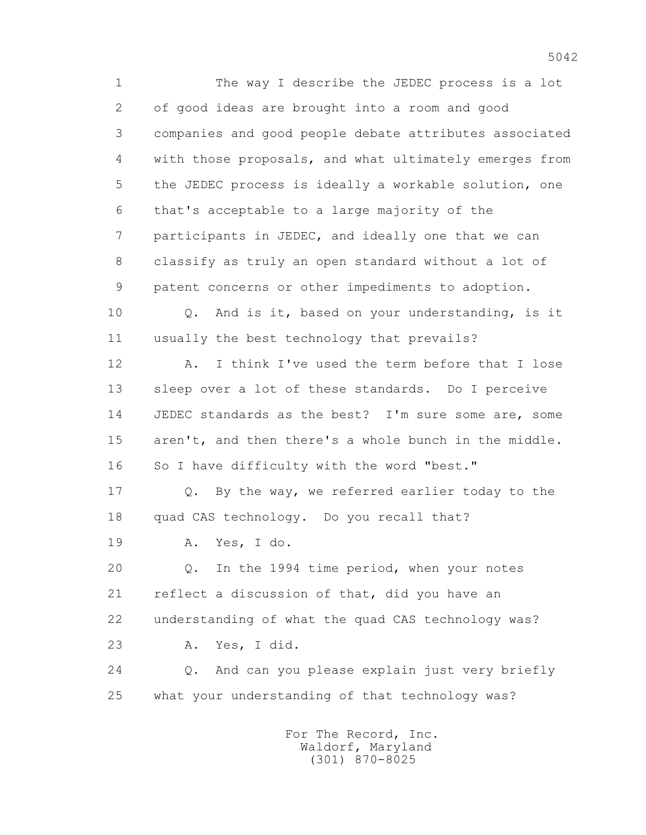1 The way I describe the JEDEC process is a lot 2 of good ideas are brought into a room and good 3 companies and good people debate attributes associated 4 with those proposals, and what ultimately emerges from 5 the JEDEC process is ideally a workable solution, one 6 that's acceptable to a large majority of the 7 participants in JEDEC, and ideally one that we can 8 classify as truly an open standard without a lot of 9 patent concerns or other impediments to adoption. 10 Q. And is it, based on your understanding, is it 11 usually the best technology that prevails? 12 A. I think I've used the term before that I lose 13 sleep over a lot of these standards. Do I perceive 14 JEDEC standards as the best? I'm sure some are, some 15 aren't, and then there's a whole bunch in the middle. 16 So I have difficulty with the word "best." 17 Q. By the way, we referred earlier today to the 18 quad CAS technology. Do you recall that? 19 A. Yes, I do. 20 Q. In the 1994 time period, when your notes 21 reflect a discussion of that, did you have an 22 understanding of what the quad CAS technology was? 23 A. Yes, I did. 24 Q. And can you please explain just very briefly 25 what your understanding of that technology was?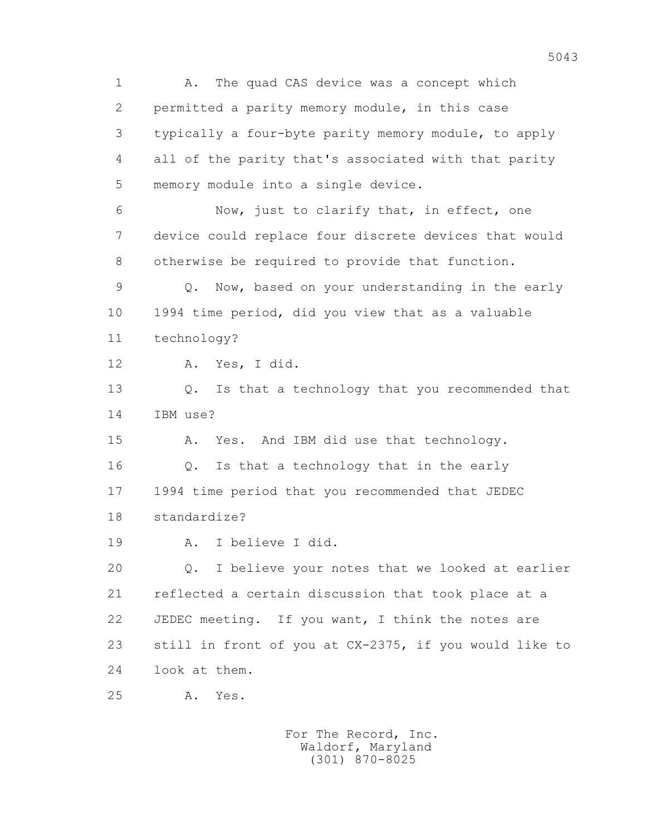1 A. The quad CAS device was a concept which 2 permitted a parity memory module, in this case 3 typically a four-byte parity memory module, to apply 4 all of the parity that's associated with that parity 5 memory module into a single device. 6 Now, just to clarify that, in effect, one 7 device could replace four discrete devices that would 8 otherwise be required to provide that function. 9 Q. Now, based on your understanding in the early 10 1994 time period, did you view that as a valuable 11 technology? 12 A. Yes, I did. 13 Q. Is that a technology that you recommended that 14 IBM use? 15 A. Yes. And IBM did use that technology. 16 Q. Is that a technology that in the early 17 1994 time period that you recommended that JEDEC 18 standardize? 19 A. I believe I did. 20 Q. I believe your notes that we looked at earlier 21 reflected a certain discussion that took place at a 22 JEDEC meeting. If you want, I think the notes are 23 still in front of you at CX-2375, if you would like to 24 look at them. 25 A. Yes.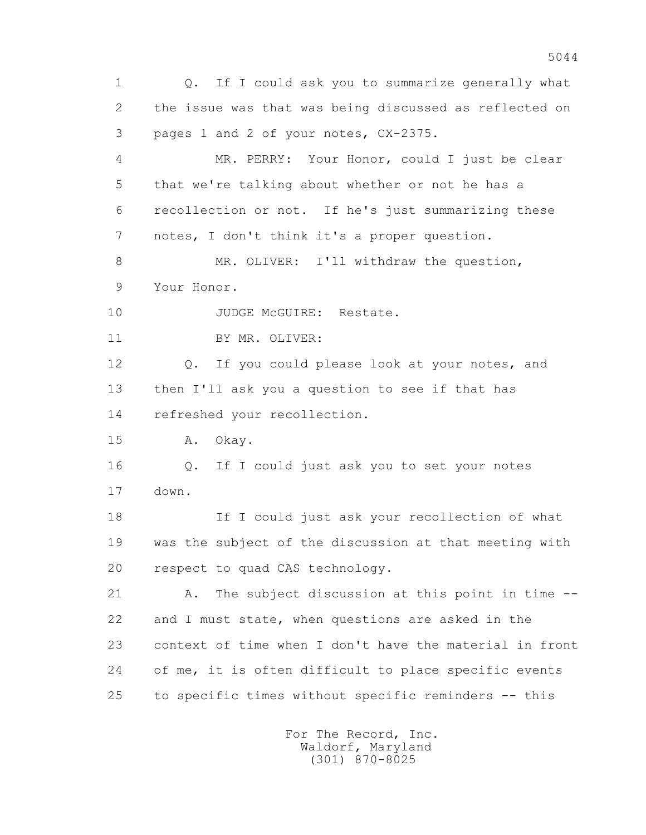1 Q. If I could ask you to summarize generally what 2 the issue was that was being discussed as reflected on 3 pages 1 and 2 of your notes, CX-2375. 4 MR. PERRY: Your Honor, could I just be clear 5 that we're talking about whether or not he has a 6 recollection or not. If he's just summarizing these 7 notes, I don't think it's a proper question. 8 MR. OLIVER: I'll withdraw the question, 9 Your Honor. 10 JUDGE McGUIRE: Restate. 11 BY MR. OLIVER: 12 Q. If you could please look at your notes, and 13 then I'll ask you a question to see if that has 14 refreshed your recollection. 15 A. Okay. 16 Q. If I could just ask you to set your notes 17 down. 18 If I could just ask your recollection of what 19 was the subject of the discussion at that meeting with 20 respect to quad CAS technology. 21 A. The subject discussion at this point in time -- 22 and I must state, when questions are asked in the 23 context of time when I don't have the material in front 24 of me, it is often difficult to place specific events 25 to specific times without specific reminders -- this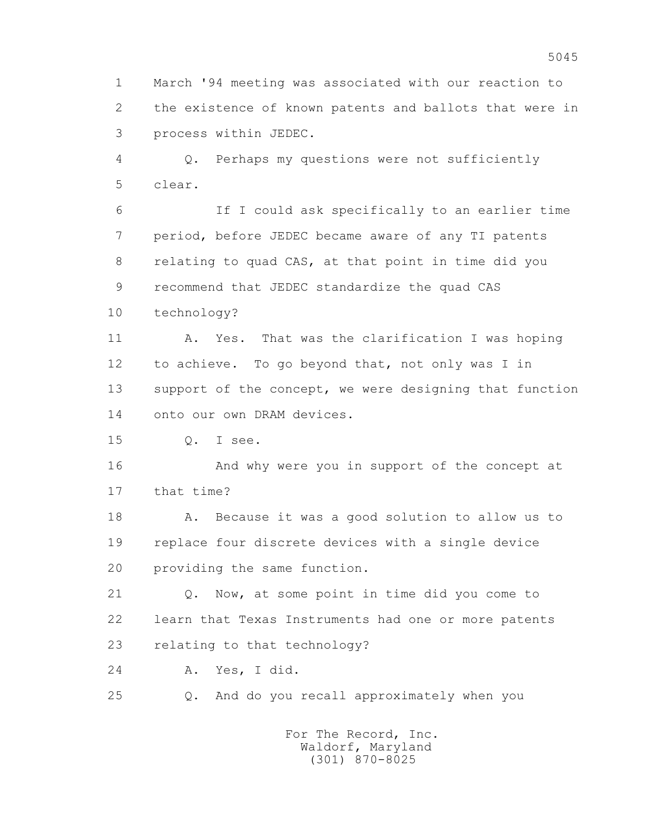1 March '94 meeting was associated with our reaction to 2 the existence of known patents and ballots that were in 3 process within JEDEC.

 4 Q. Perhaps my questions were not sufficiently 5 clear.

 6 If I could ask specifically to an earlier time 7 period, before JEDEC became aware of any TI patents 8 relating to quad CAS, at that point in time did you 9 recommend that JEDEC standardize the quad CAS 10 technology?

 11 A. Yes. That was the clarification I was hoping 12 to achieve. To go beyond that, not only was I in 13 support of the concept, we were designing that function 14 onto our own DRAM devices.

15 Q. I see.

 16 And why were you in support of the concept at 17 that time?

 18 A. Because it was a good solution to allow us to 19 replace four discrete devices with a single device 20 providing the same function.

 21 Q. Now, at some point in time did you come to 22 learn that Texas Instruments had one or more patents 23 relating to that technology?

24 A. Yes, I did.

25 Q. And do you recall approximately when you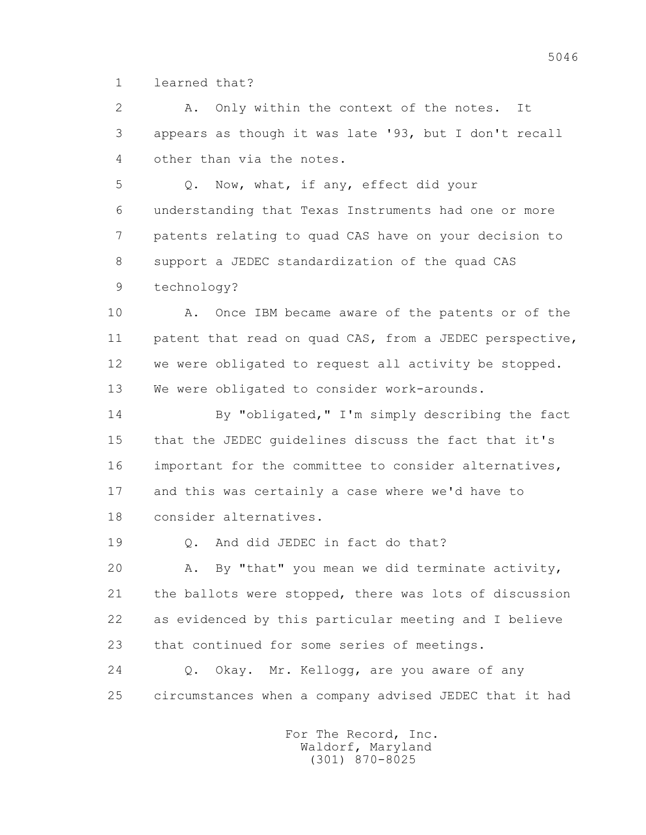1 learned that?

 2 A. Only within the context of the notes. It 3 appears as though it was late '93, but I don't recall 4 other than via the notes.

 5 Q. Now, what, if any, effect did your 6 understanding that Texas Instruments had one or more 7 patents relating to quad CAS have on your decision to 8 support a JEDEC standardization of the quad CAS 9 technology?

 10 A. Once IBM became aware of the patents or of the 11 patent that read on quad CAS, from a JEDEC perspective, 12 we were obligated to request all activity be stopped. 13 We were obligated to consider work-arounds.

 14 By "obligated," I'm simply describing the fact 15 that the JEDEC guidelines discuss the fact that it's 16 important for the committee to consider alternatives, 17 and this was certainly a case where we'd have to 18 consider alternatives.

19 0. And did JEDEC in fact do that?

 20 A. By "that" you mean we did terminate activity, 21 the ballots were stopped, there was lots of discussion 22 as evidenced by this particular meeting and I believe 23 that continued for some series of meetings.

 24 Q. Okay. Mr. Kellogg, are you aware of any 25 circumstances when a company advised JEDEC that it had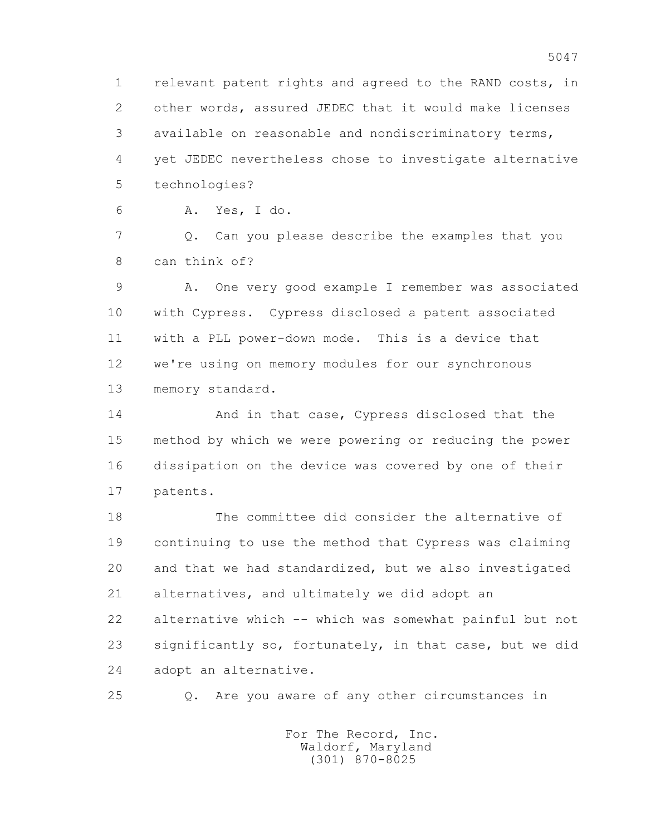1 relevant patent rights and agreed to the RAND costs, in 2 other words, assured JEDEC that it would make licenses 3 available on reasonable and nondiscriminatory terms, 4 yet JEDEC nevertheless chose to investigate alternative 5 technologies?

6 A. Yes, I do.

 7 Q. Can you please describe the examples that you 8 can think of?

 9 A. One very good example I remember was associated 10 with Cypress. Cypress disclosed a patent associated 11 with a PLL power-down mode. This is a device that 12 we're using on memory modules for our synchronous 13 memory standard.

 14 And in that case, Cypress disclosed that the 15 method by which we were powering or reducing the power 16 dissipation on the device was covered by one of their 17 patents.

 18 The committee did consider the alternative of 19 continuing to use the method that Cypress was claiming 20 and that we had standardized, but we also investigated 21 alternatives, and ultimately we did adopt an 22 alternative which -- which was somewhat painful but not 23 significantly so, fortunately, in that case, but we did 24 adopt an alternative.

25 Q. Are you aware of any other circumstances in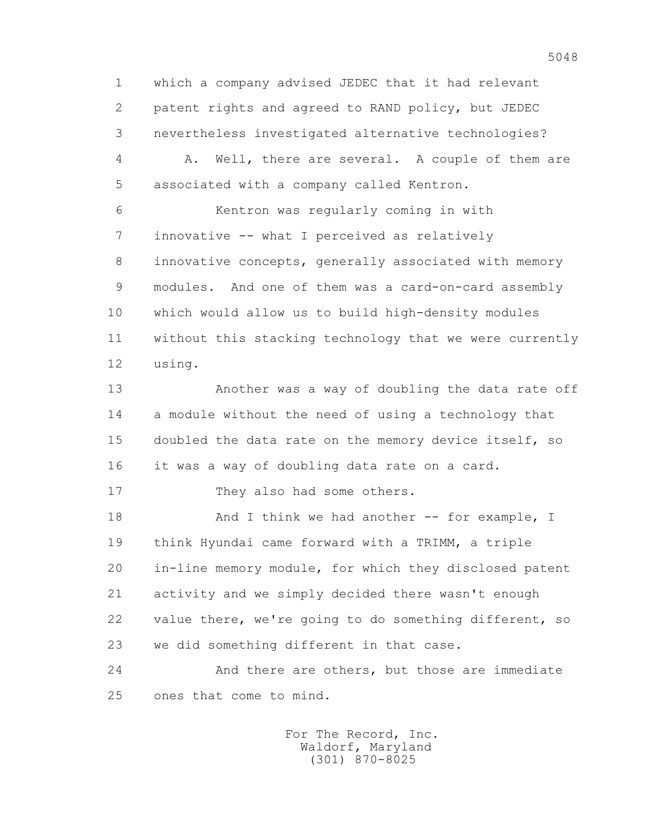1 which a company advised JEDEC that it had relevant 2 patent rights and agreed to RAND policy, but JEDEC 3 nevertheless investigated alternative technologies?

 4 A. Well, there are several. A couple of them are 5 associated with a company called Kentron.

 6 Kentron was regularly coming in with 7 innovative -- what I perceived as relatively 8 innovative concepts, generally associated with memory 9 modules. And one of them was a card-on-card assembly 10 which would allow us to build high-density modules 11 without this stacking technology that we were currently 12 using.

 13 Another was a way of doubling the data rate off 14 a module without the need of using a technology that 15 doubled the data rate on the memory device itself, so 16 it was a way of doubling data rate on a card.

17 They also had some others.

18 And I think we had another -- for example, I 19 think Hyundai came forward with a TRIMM, a triple 20 in-line memory module, for which they disclosed patent 21 activity and we simply decided there wasn't enough 22 value there, we're going to do something different, so 23 we did something different in that case.

 24 And there are others, but those are immediate 25 ones that come to mind.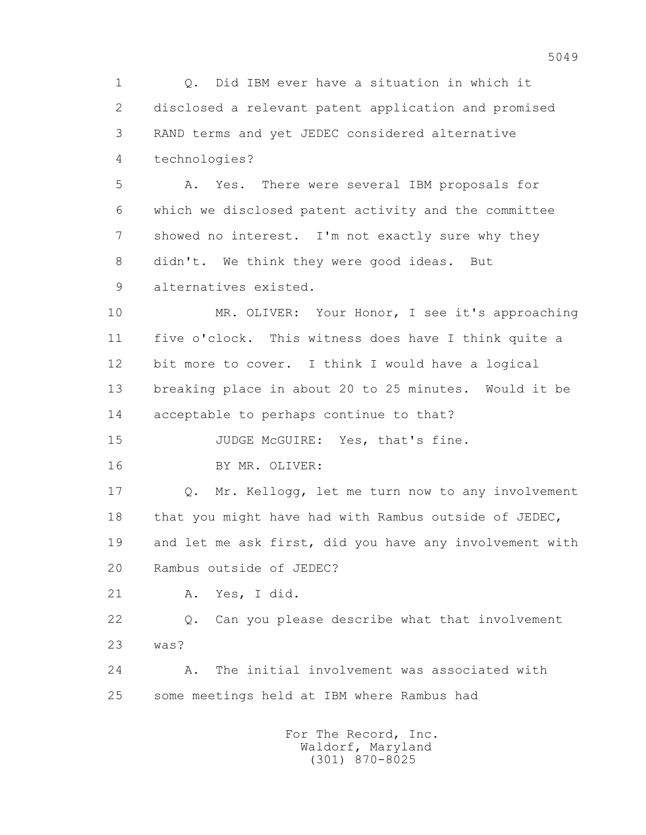1 Q. Did IBM ever have a situation in which it 2 disclosed a relevant patent application and promised 3 RAND terms and yet JEDEC considered alternative 4 technologies?

 5 A. Yes. There were several IBM proposals for 6 which we disclosed patent activity and the committee 7 showed no interest. I'm not exactly sure why they 8 didn't. We think they were good ideas. But 9 alternatives existed.

 10 MR. OLIVER: Your Honor, I see it's approaching 11 five o'clock. This witness does have I think quite a 12 bit more to cover. I think I would have a logical 13 breaking place in about 20 to 25 minutes. Would it be 14 acceptable to perhaps continue to that?

15 JUDGE McGUIRE: Yes, that's fine.

16 BY MR. OLIVER:

 17 Q. Mr. Kellogg, let me turn now to any involvement 18 that you might have had with Rambus outside of JEDEC, 19 and let me ask first, did you have any involvement with 20 Rambus outside of JEDEC?

21 A. Yes, I did.

 22 Q. Can you please describe what that involvement 23 was?

 24 A. The initial involvement was associated with 25 some meetings held at IBM where Rambus had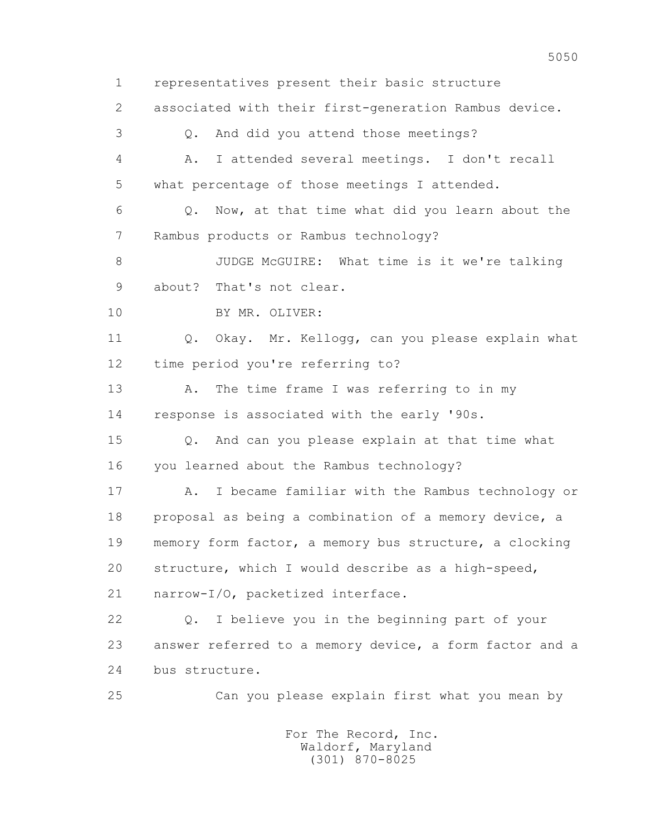1 representatives present their basic structure 2 associated with their first-generation Rambus device. 3 Q. And did you attend those meetings? 4 A. I attended several meetings. I don't recall 5 what percentage of those meetings I attended. 6 Q. Now, at that time what did you learn about the 7 Rambus products or Rambus technology? 8 JUDGE McGUIRE: What time is it we're talking 9 about? That's not clear. 10 BY MR. OLIVER: 11 0. Okay. Mr. Kellogg, can you please explain what 12 time period you're referring to? 13 A. The time frame I was referring to in my 14 response is associated with the early '90s. 15 Q. And can you please explain at that time what 16 you learned about the Rambus technology? 17 A. I became familiar with the Rambus technology or 18 proposal as being a combination of a memory device, a 19 memory form factor, a memory bus structure, a clocking 20 structure, which I would describe as a high-speed, 21 narrow-I/O, packetized interface. 22 Q. I believe you in the beginning part of your 23 answer referred to a memory device, a form factor and a 24 bus structure. 25 Can you please explain first what you mean by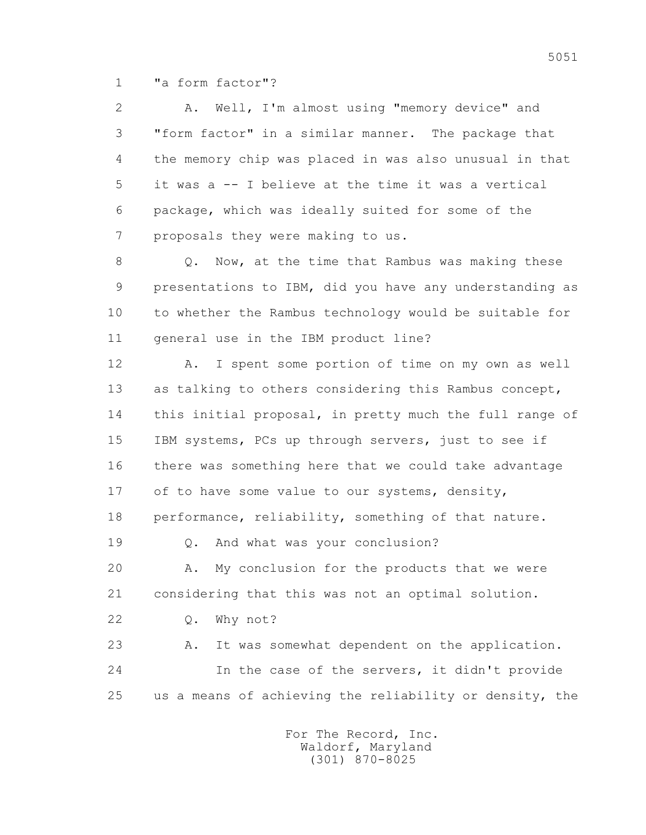1 "a form factor"?

 2 A. Well, I'm almost using "memory device" and 3 "form factor" in a similar manner. The package that 4 the memory chip was placed in was also unusual in that 5 it was a -- I believe at the time it was a vertical 6 package, which was ideally suited for some of the 7 proposals they were making to us.

8 Q. Now, at the time that Rambus was making these 9 presentations to IBM, did you have any understanding as 10 to whether the Rambus technology would be suitable for 11 general use in the IBM product line?

 12 A. I spent some portion of time on my own as well 13 as talking to others considering this Rambus concept, 14 this initial proposal, in pretty much the full range of 15 IBM systems, PCs up through servers, just to see if 16 there was something here that we could take advantage 17 of to have some value to our systems, density, 18 performance, reliability, something of that nature. 19 Q. And what was your conclusion?

 20 A. My conclusion for the products that we were 21 considering that this was not an optimal solution.

22 Q. Why not?

 23 A. It was somewhat dependent on the application. 24 In the case of the servers, it didn't provide 25 us a means of achieving the reliability or density, the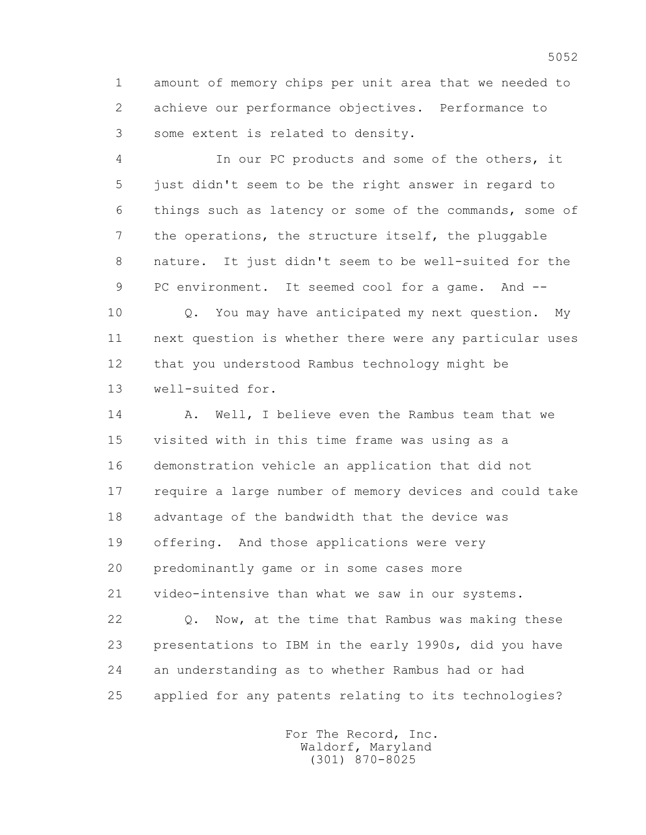1 amount of memory chips per unit area that we needed to 2 achieve our performance objectives. Performance to 3 some extent is related to density.

 4 In our PC products and some of the others, it 5 just didn't seem to be the right answer in regard to 6 things such as latency or some of the commands, some of 7 the operations, the structure itself, the pluggable 8 nature. It just didn't seem to be well-suited for the 9 PC environment. It seemed cool for a game. And --

 10 Q. You may have anticipated my next question. My 11 next question is whether there were any particular uses 12 that you understood Rambus technology might be 13 well-suited for.

14 A. Well, I believe even the Rambus team that we 15 visited with in this time frame was using as a 16 demonstration vehicle an application that did not 17 require a large number of memory devices and could take 18 advantage of the bandwidth that the device was 19 offering. And those applications were very 20 predominantly game or in some cases more 21 video-intensive than what we saw in our systems. 22 Q. Now, at the time that Rambus was making these 23 presentations to IBM in the early 1990s, did you have

25 applied for any patents relating to its technologies?

24 an understanding as to whether Rambus had or had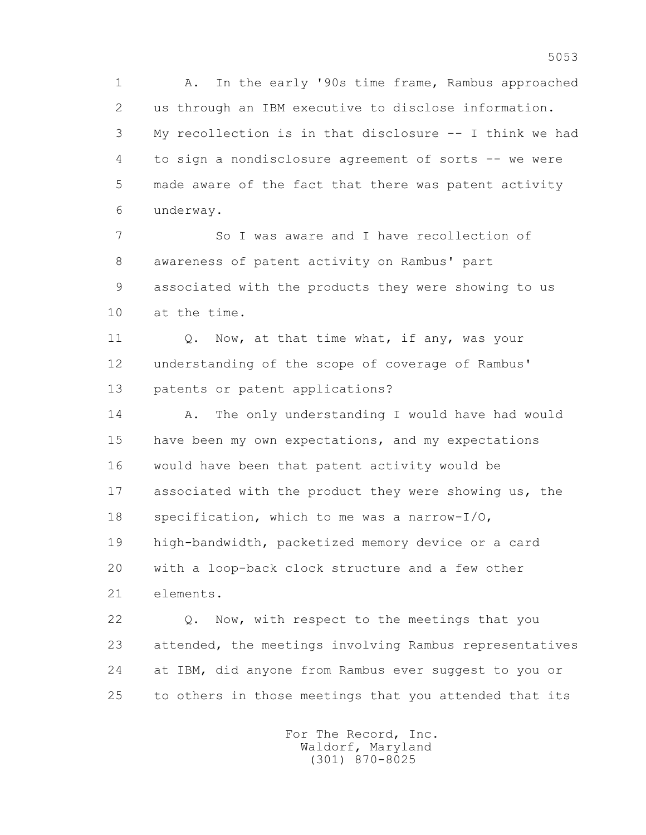1 A. In the early '90s time frame, Rambus approached 2 us through an IBM executive to disclose information. 3 My recollection is in that disclosure -- I think we had 4 to sign a nondisclosure agreement of sorts -- we were 5 made aware of the fact that there was patent activity 6 underway.

 7 So I was aware and I have recollection of 8 awareness of patent activity on Rambus' part 9 associated with the products they were showing to us 10 at the time.

11 0. Now, at that time what, if any, was your 12 understanding of the scope of coverage of Rambus' 13 patents or patent applications?

14 A. The only understanding I would have had would 15 have been my own expectations, and my expectations 16 would have been that patent activity would be 17 associated with the product they were showing us, the 18 specification, which to me was a narrow-I/O, 19 high-bandwidth, packetized memory device or a card 20 with a loop-back clock structure and a few other 21 elements.

 22 Q. Now, with respect to the meetings that you 23 attended, the meetings involving Rambus representatives 24 at IBM, did anyone from Rambus ever suggest to you or 25 to others in those meetings that you attended that its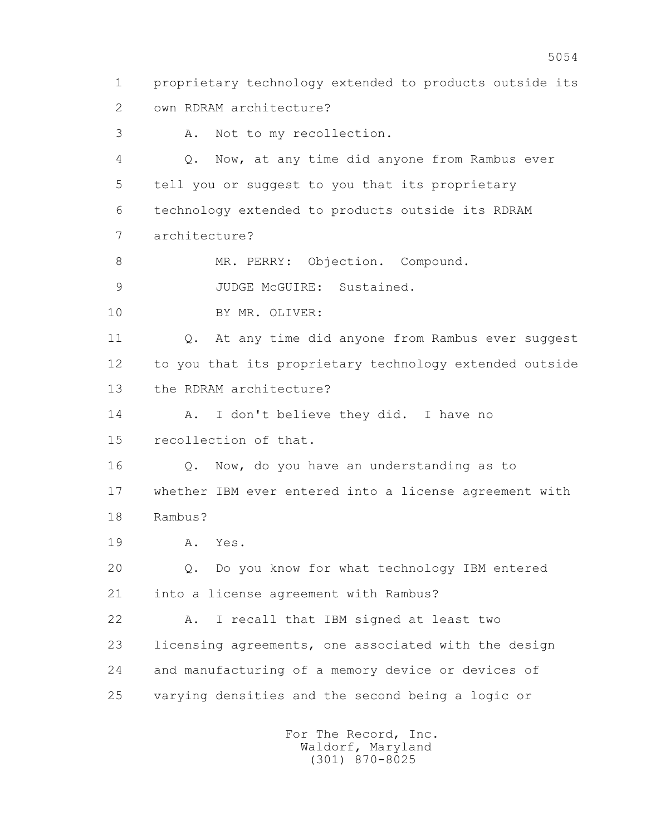1 proprietary technology extended to products outside its 2 own RDRAM architecture? 3 A. Not to my recollection. 4 Q. Now, at any time did anyone from Rambus ever 5 tell you or suggest to you that its proprietary 6 technology extended to products outside its RDRAM 7 architecture? 8 MR. PERRY: Objection. Compound. 9 JUDGE McGUIRE: Sustained. 10 BY MR. OLIVER: 11 Q. At any time did anyone from Rambus ever suggest 12 to you that its proprietary technology extended outside 13 the RDRAM architecture? 14 A. I don't believe they did. I have no 15 recollection of that. 16 Q. Now, do you have an understanding as to 17 whether IBM ever entered into a license agreement with 18 Rambus? 19 A. Yes. 20 Q. Do you know for what technology IBM entered 21 into a license agreement with Rambus? 22 A. I recall that IBM signed at least two 23 licensing agreements, one associated with the design 24 and manufacturing of a memory device or devices of 25 varying densities and the second being a logic or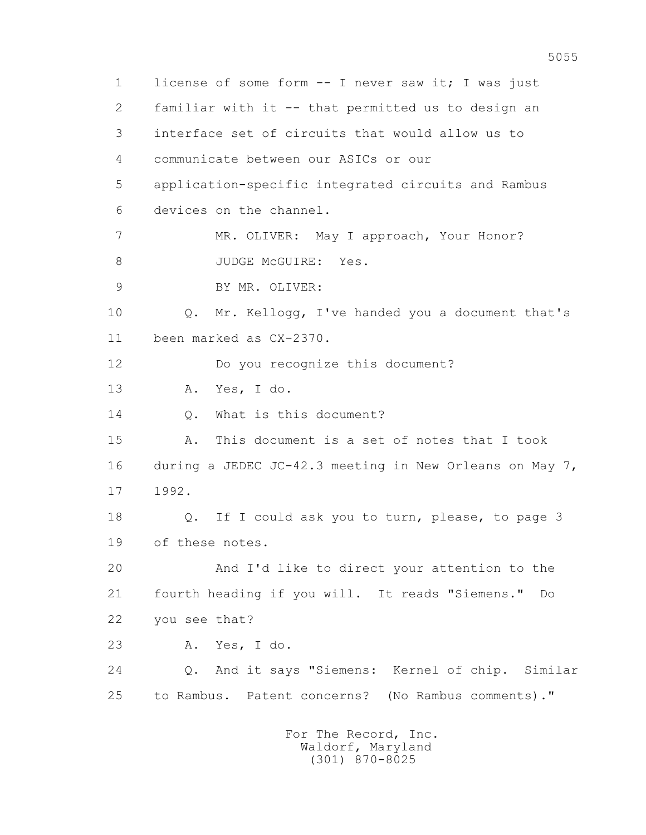1 license of some form -- I never saw it; I was just 2 familiar with it -- that permitted us to design an 3 interface set of circuits that would allow us to 4 communicate between our ASICs or our 5 application-specific integrated circuits and Rambus 6 devices on the channel. 7 MR. OLIVER: May I approach, Your Honor? 8 JUDGE McGUIRE: Yes. 9 BY MR. OLIVER: 10 Q. Mr. Kellogg, I've handed you a document that's 11 been marked as CX-2370. 12 Do you recognize this document? 13 A. Yes, I do. 14 0. What is this document? 15 A. This document is a set of notes that I took 16 during a JEDEC JC-42.3 meeting in New Orleans on May 7, 17 1992. 18 Q. If I could ask you to turn, please, to page 3 19 of these notes. 20 And I'd like to direct your attention to the 21 fourth heading if you will. It reads "Siemens." Do 22 you see that? 23 A. Yes, I do. 24 Q. And it says "Siemens: Kernel of chip. Similar 25 to Rambus. Patent concerns? (No Rambus comments)." For The Record, Inc. Waldorf, Maryland

(301) 870-8025

5055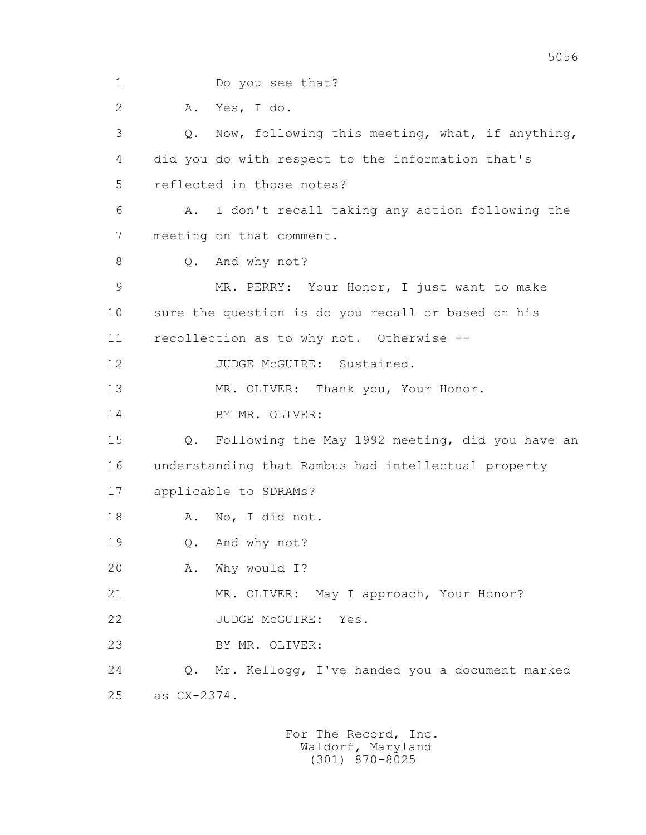1 Do you see that? 2 A. Yes, I do. 3 Q. Now, following this meeting, what, if anything, 4 did you do with respect to the information that's 5 reflected in those notes? 6 A. I don't recall taking any action following the 7 meeting on that comment. 8 Q. And why not? 9 MR. PERRY: Your Honor, I just want to make 10 sure the question is do you recall or based on his 11 recollection as to why not. Otherwise -- 12 JUDGE McGUIRE: Sustained. 13 MR. OLIVER: Thank you, Your Honor. 14 BY MR. OLIVER: 15 Q. Following the May 1992 meeting, did you have an 16 understanding that Rambus had intellectual property 17 applicable to SDRAMs? 18 A. No, I did not. 19 Q. And why not? 20 A. Why would I? 21 MR. OLIVER: May I approach, Your Honor? 22 JUDGE McGUIRE: Yes. 23 BY MR. OLIVER: 24 Q. Mr. Kellogg, I've handed you a document marked 25 as CX-2374.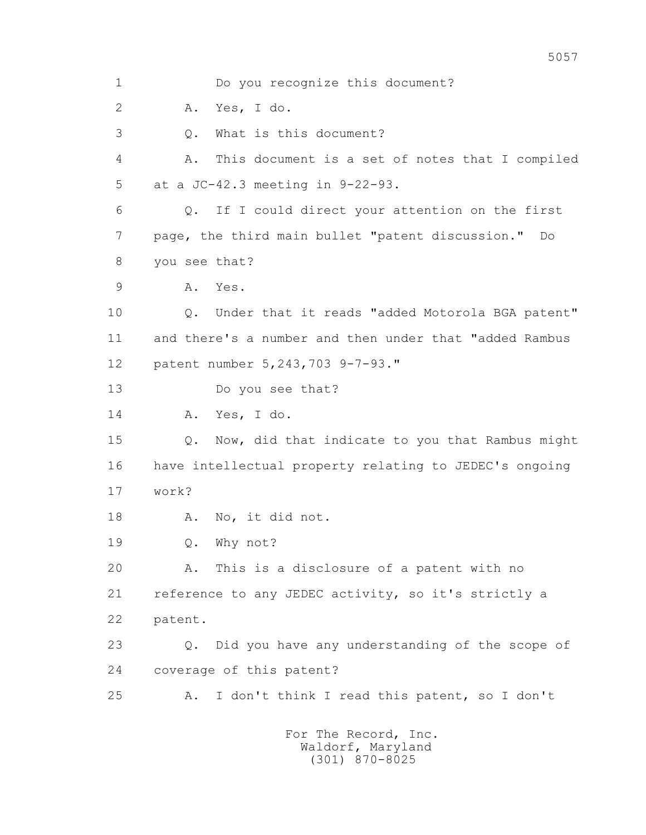1 Do you recognize this document? 2 A. Yes, I do. 3 Q. What is this document? 4 A. This document is a set of notes that I compiled 5 at a JC-42.3 meeting in 9-22-93. 6 Q. If I could direct your attention on the first 7 page, the third main bullet "patent discussion." Do 8 you see that? 9 A. Yes. 10 Q. Under that it reads "added Motorola BGA patent" 11 and there's a number and then under that "added Rambus 12 patent number 5,243,703 9-7-93." 13 Do you see that? 14 A. Yes, I do. 15 Q. Now, did that indicate to you that Rambus might 16 have intellectual property relating to JEDEC's ongoing 17 work? 18 A. No, it did not. 19 Q. Why not? 20 A. This is a disclosure of a patent with no 21 reference to any JEDEC activity, so it's strictly a 22 patent. 23 Q. Did you have any understanding of the scope of 24 coverage of this patent? 25 A. I don't think I read this patent, so I don't For The Record, Inc.

> Waldorf, Maryland (301) 870-8025

5057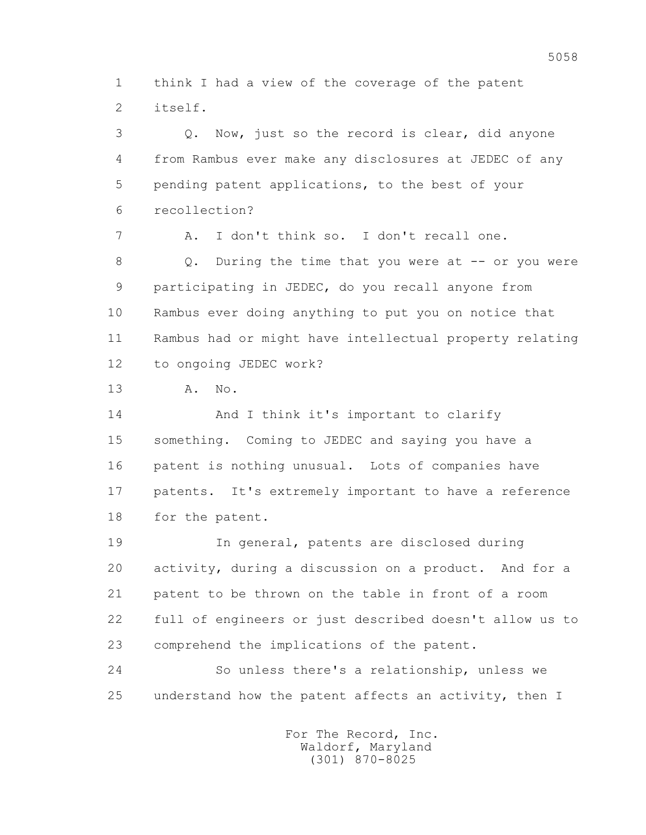1 think I had a view of the coverage of the patent 2 itself.

 3 Q. Now, just so the record is clear, did anyone 4 from Rambus ever make any disclosures at JEDEC of any 5 pending patent applications, to the best of your 6 recollection? 7 A. I don't think so. I don't recall one. 8 Q. During the time that you were at -- or you were 9 participating in JEDEC, do you recall anyone from 10 Rambus ever doing anything to put you on notice that 11 Rambus had or might have intellectual property relating 12 to ongoing JEDEC work? 13 A. No. 14 And I think it's important to clarify 15 something. Coming to JEDEC and saying you have a 16 patent is nothing unusual. Lots of companies have 17 patents. It's extremely important to have a reference 18 for the patent. 19 In general, patents are disclosed during 20 activity, during a discussion on a product. And for a 21 patent to be thrown on the table in front of a room 22 full of engineers or just described doesn't allow us to 23 comprehend the implications of the patent.

 24 So unless there's a relationship, unless we 25 understand how the patent affects an activity, then I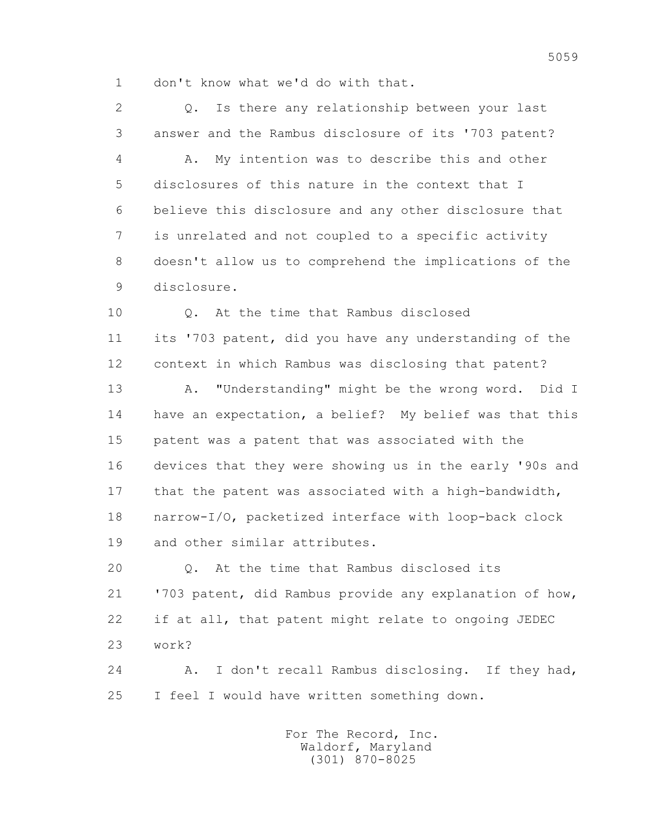1 don't know what we'd do with that.

 2 Q. Is there any relationship between your last 3 answer and the Rambus disclosure of its '703 patent? 4 A. My intention was to describe this and other 5 disclosures of this nature in the context that I 6 believe this disclosure and any other disclosure that 7 is unrelated and not coupled to a specific activity 8 doesn't allow us to comprehend the implications of the 9 disclosure.

 10 Q. At the time that Rambus disclosed 11 its '703 patent, did you have any understanding of the 12 context in which Rambus was disclosing that patent?

 13 A. "Understanding" might be the wrong word. Did I 14 have an expectation, a belief? My belief was that this 15 patent was a patent that was associated with the 16 devices that they were showing us in the early '90s and 17 that the patent was associated with a high-bandwidth, 18 narrow-I/O, packetized interface with loop-back clock 19 and other similar attributes.

 20 Q. At the time that Rambus disclosed its 21 '703 patent, did Rambus provide any explanation of how, 22 if at all, that patent might relate to ongoing JEDEC 23 work?

 24 A. I don't recall Rambus disclosing. If they had, 25 I feel I would have written something down.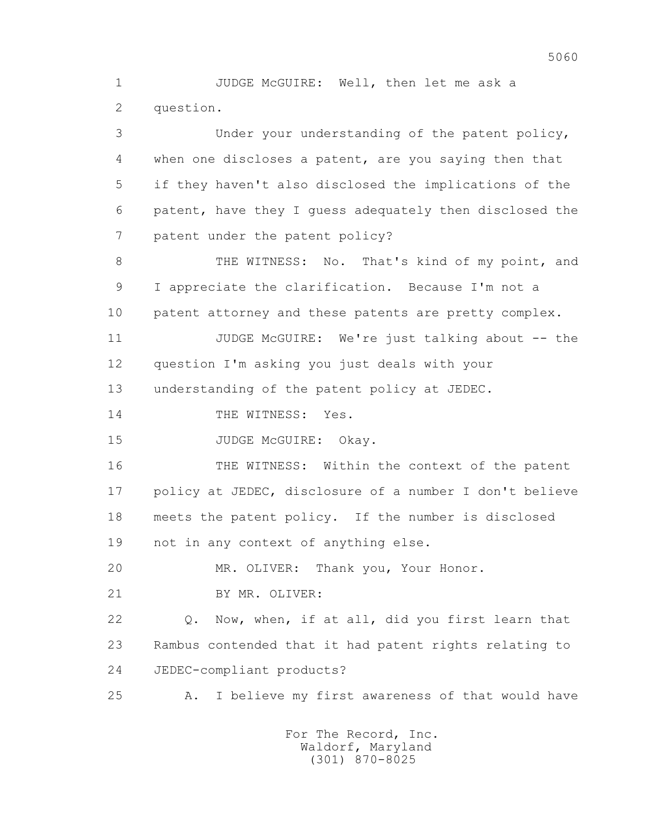1 JUDGE McGUIRE: Well, then let me ask a 2 question.

 3 Under your understanding of the patent policy, 4 when one discloses a patent, are you saying then that 5 if they haven't also disclosed the implications of the 6 patent, have they I guess adequately then disclosed the 7 patent under the patent policy? 8 THE WITNESS: No. That's kind of my point, and 9 I appreciate the clarification. Because I'm not a 10 patent attorney and these patents are pretty complex. 11 JUDGE McGUIRE: We're just talking about -- the 12 question I'm asking you just deals with your 13 understanding of the patent policy at JEDEC. 14 THE WITNESS: Yes. 15 JUDGE McGUIRE: Okay. 16 THE WITNESS: Within the context of the patent 17 policy at JEDEC, disclosure of a number I don't believe 18 meets the patent policy. If the number is disclosed 19 not in any context of anything else. 20 MR. OLIVER: Thank you, Your Honor. 21 BY MR. OLIVER: 22 Q. Now, when, if at all, did you first learn that 23 Rambus contended that it had patent rights relating to 24 JEDEC-compliant products? 25 A. I believe my first awareness of that would have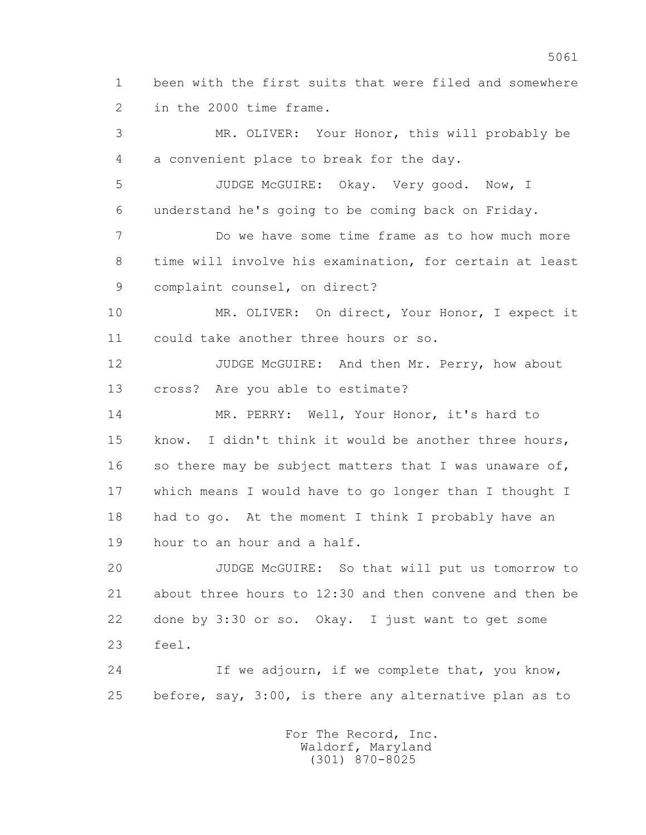1 been with the first suits that were filed and somewhere 2 in the 2000 time frame.

 3 MR. OLIVER: Your Honor, this will probably be 4 a convenient place to break for the day. 5 JUDGE McGUIRE: Okay. Very good. Now, I 6 understand he's going to be coming back on Friday. 7 Do we have some time frame as to how much more 8 time will involve his examination, for certain at least 9 complaint counsel, on direct? 10 MR. OLIVER: On direct, Your Honor, I expect it 11 could take another three hours or so. 12 JUDGE McGUIRE: And then Mr. Perry, how about 13 cross? Are you able to estimate? 14 MR. PERRY: Well, Your Honor, it's hard to 15 know. I didn't think it would be another three hours, 16 so there may be subject matters that I was unaware of, 17 which means I would have to go longer than I thought I 18 had to go. At the moment I think I probably have an 19 hour to an hour and a half. 20 JUDGE McGUIRE: So that will put us tomorrow to 21 about three hours to 12:30 and then convene and then be

 22 done by 3:30 or so. Okay. I just want to get some 23 feel.

 24 If we adjourn, if we complete that, you know, 25 before, say, 3:00, is there any alternative plan as to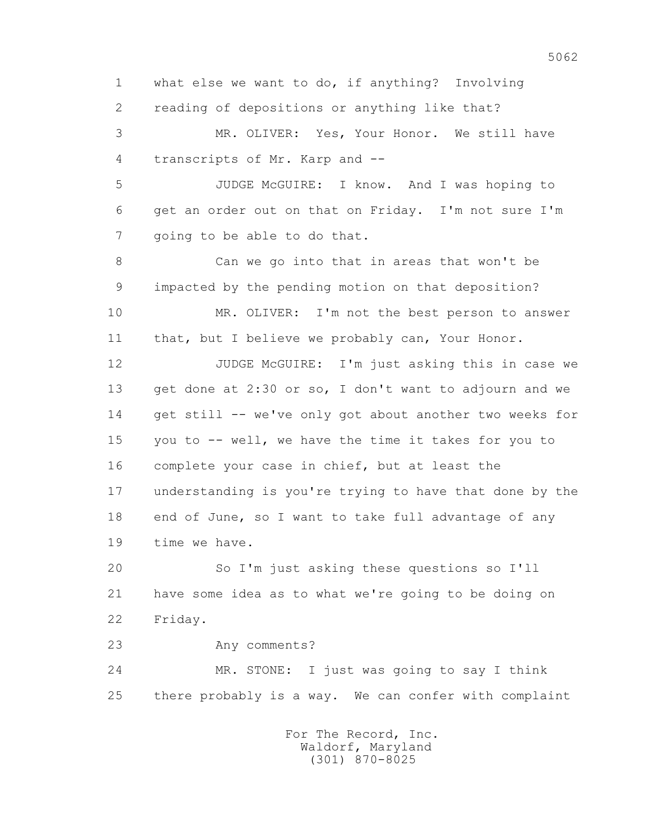1 what else we want to do, if anything? Involving 2 reading of depositions or anything like that? 3 MR. OLIVER: Yes, Your Honor. We still have 4 transcripts of Mr. Karp and -- 5 JUDGE McGUIRE: I know. And I was hoping to 6 get an order out on that on Friday. I'm not sure I'm 7 qoing to be able to do that. 8 Can we go into that in areas that won't be 9 impacted by the pending motion on that deposition? 10 MR. OLIVER: I'm not the best person to answer 11 that, but I believe we probably can, Your Honor. 12 JUDGE McGUIRE: I'm just asking this in case we 13 get done at 2:30 or so, I don't want to adjourn and we 14 get still -- we've only got about another two weeks for 15 you to -- well, we have the time it takes for you to 16 complete your case in chief, but at least the 17 understanding is you're trying to have that done by the 18 end of June, so I want to take full advantage of any 19 time we have. 20 So I'm just asking these questions so I'll 21 have some idea as to what we're going to be doing on 22 Friday. 23 Any comments? 24 MR. STONE: I just was going to say I think 25 there probably is a way. We can confer with complaint For The Record, Inc.

 Waldorf, Maryland (301) 870-8025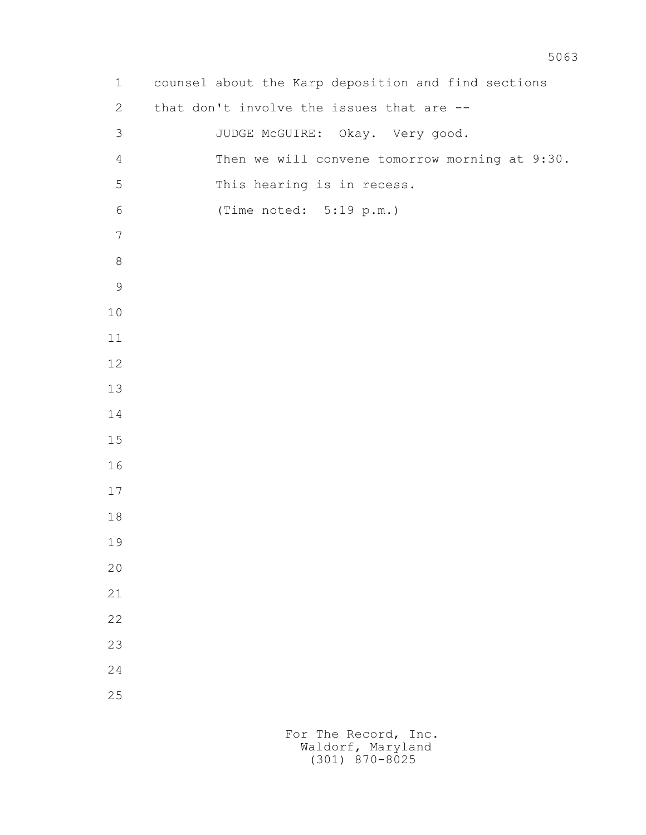1 counsel about the Karp deposition and find sections 2 that don't involve the issues that are -- 3 JUDGE McGUIRE: Okay. Very good. 4 Then we will convene tomorrow morning at 9:30. 5 This hearing is in recess. 6 (Time noted: 5:19 p.m.)